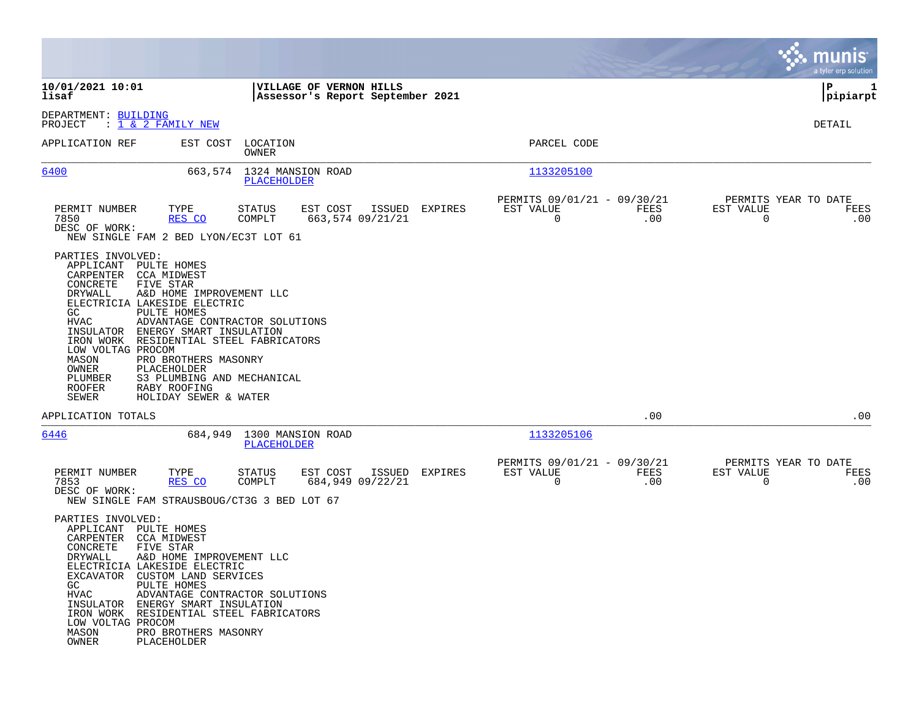|                                                                                                                                                                                                                                                                           |                                                                                                                                                                                                                                                                      |                                          |                                                             |                            |         |                                               |             |                                        | munis<br>a tyler erp solution |
|---------------------------------------------------------------------------------------------------------------------------------------------------------------------------------------------------------------------------------------------------------------------------|----------------------------------------------------------------------------------------------------------------------------------------------------------------------------------------------------------------------------------------------------------------------|------------------------------------------|-------------------------------------------------------------|----------------------------|---------|-----------------------------------------------|-------------|----------------------------------------|-------------------------------|
| 10/01/2021 10:01<br>lisaf                                                                                                                                                                                                                                                 |                                                                                                                                                                                                                                                                      |                                          | VILLAGE OF VERNON HILLS<br>Assessor's Report September 2021 |                            |         |                                               |             |                                        | P<br>1<br> pipiarpt           |
| DEPARTMENT: BUILDING<br>PROJECT                                                                                                                                                                                                                                           | : <u>1 &amp; 2 FAMILY NEW</u>                                                                                                                                                                                                                                        |                                          |                                                             |                            |         |                                               |             |                                        | DETAIL                        |
| APPLICATION REF                                                                                                                                                                                                                                                           | EST COST                                                                                                                                                                                                                                                             | LOCATION<br>OWNER                        |                                                             |                            |         | PARCEL CODE                                   |             |                                        |                               |
| 6400                                                                                                                                                                                                                                                                      |                                                                                                                                                                                                                                                                      | 663,574 1324 MANSION ROAD<br>PLACEHOLDER |                                                             |                            |         | 1133205100                                    |             |                                        |                               |
| PERMIT NUMBER<br>7850<br>DESC OF WORK:<br>NEW SINGLE FAM 2 BED LYON/EC3T LOT 61                                                                                                                                                                                           | TYPE<br>RES CO                                                                                                                                                                                                                                                       | STATUS<br>COMPLT                         | EST COST                                                    | ISSUED<br>663,574 09/21/21 | EXPIRES | PERMITS 09/01/21 - 09/30/21<br>EST VALUE<br>0 | FEES<br>.00 | PERMITS YEAR TO DATE<br>EST VALUE<br>0 | FEES<br>.00                   |
| PARTIES INVOLVED:<br>APPLICANT<br>CARPENTER<br>CONCRETE<br>DRYWALL<br>ELECTRICIA LAKESIDE ELECTRIC<br>GC<br>HVAC<br>INSULATOR<br>IRON WORK RESIDENTIAL STEEL FABRICATORS<br>LOW VOLTAG PROCOM<br>MASON<br>OWNER<br>PLUMBER<br><b>ROOFER</b><br>SEWER                      | PULTE HOMES<br><b>CCA MIDWEST</b><br>FIVE STAR<br>A&D HOME IMPROVEMENT LLC<br>PULTE HOMES<br>ADVANTAGE CONTRACTOR SOLUTIONS<br>ENERGY SMART INSULATION<br>PRO BROTHERS MASONRY<br>PLACEHOLDER<br>S3 PLUMBING AND MECHANICAL<br>RABY ROOFING<br>HOLIDAY SEWER & WATER |                                          |                                                             |                            |         |                                               |             |                                        |                               |
| APPLICATION TOTALS                                                                                                                                                                                                                                                        |                                                                                                                                                                                                                                                                      |                                          |                                                             |                            |         |                                               | .00         |                                        | .00                           |
| 6446                                                                                                                                                                                                                                                                      | 684,949                                                                                                                                                                                                                                                              | 1300 MANSION ROAD<br>PLACEHOLDER         |                                                             |                            |         | 1133205106                                    |             |                                        |                               |
| PERMIT NUMBER<br>7853<br>DESC OF WORK:<br>NEW SINGLE FAM STRAUSBOUG/CT3G 3 BED LOT 67                                                                                                                                                                                     | TYPE<br>RES CO                                                                                                                                                                                                                                                       | <b>STATUS</b><br>COMPLT                  | EST COST                                                    | ISSUED<br>684,949 09/22/21 | EXPIRES | PERMITS 09/01/21 - 09/30/21<br>EST VALUE<br>0 | FEES<br>.00 | PERMITS YEAR TO DATE<br>EST VALUE<br>0 | FEES<br>.00                   |
| PARTIES INVOLVED:<br>APPLICANT<br>CARPENTER<br>CONCRETE<br>DRYWALL<br>ELECTRICIA LAKESIDE ELECTRIC<br>EXCAVATOR CUSTOM LAND SERVICES<br>GC<br>HVAC<br>INSULATOR ENERGY SMART INSULATION<br>IRON WORK RESIDENTIAL STEEL FABRICATORS<br>LOW VOLTAG PROCOM<br>MASON<br>OWNER | PULTE HOMES<br><b>CCA MIDWEST</b><br>FIVE STAR<br>A&D HOME IMPROVEMENT LLC<br>PULTE HOMES<br>ADVANTAGE CONTRACTOR SOLUTIONS<br>PRO BROTHERS MASONRY<br>PLACEHOLDER                                                                                                   |                                          |                                                             |                            |         |                                               |             |                                        |                               |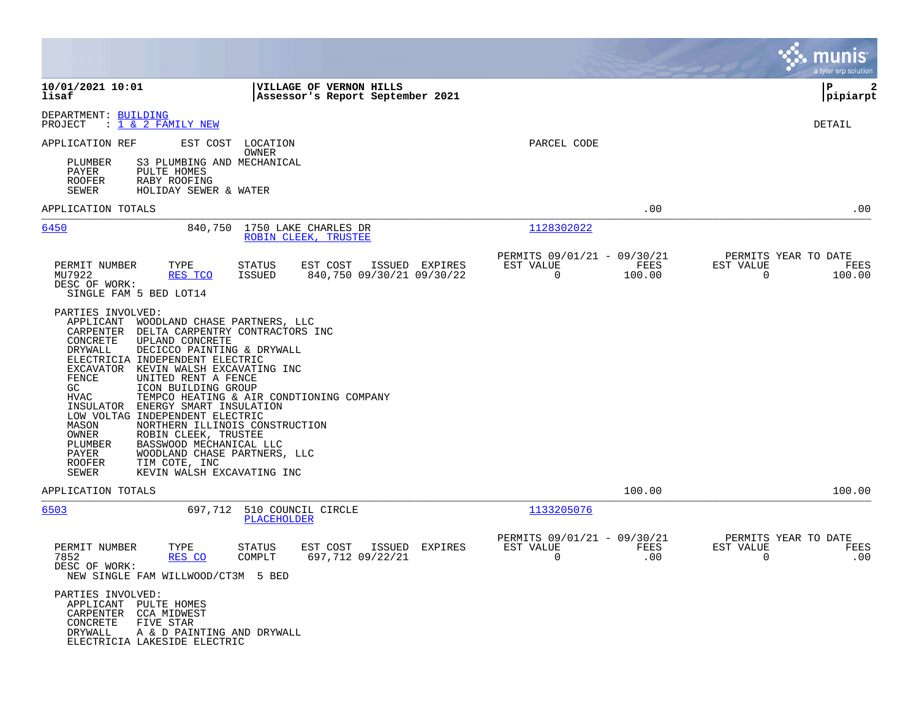|                                                                                                                                                                                                                                                                                                                                                                                                                                                                                                                                                                                                                                                                 |                                                                              |                                               |             |                                        | munis<br>a tyler erp solution |
|-----------------------------------------------------------------------------------------------------------------------------------------------------------------------------------------------------------------------------------------------------------------------------------------------------------------------------------------------------------------------------------------------------------------------------------------------------------------------------------------------------------------------------------------------------------------------------------------------------------------------------------------------------------------|------------------------------------------------------------------------------|-----------------------------------------------|-------------|----------------------------------------|-------------------------------|
| 10/01/2021 10:01<br>lisaf                                                                                                                                                                                                                                                                                                                                                                                                                                                                                                                                                                                                                                       | VILLAGE OF VERNON HILLS<br>Assessor's Report September 2021                  |                                               |             |                                        | P<br>2<br> pipiarpt           |
| DEPARTMENT: BUILDING<br>PROJECT<br>$: 1 \& 2$ FAMILY NEW                                                                                                                                                                                                                                                                                                                                                                                                                                                                                                                                                                                                        |                                                                              |                                               |             |                                        | DETAIL                        |
| APPLICATION REF<br>EST COST                                                                                                                                                                                                                                                                                                                                                                                                                                                                                                                                                                                                                                     | LOCATION<br>OWNER                                                            | PARCEL CODE                                   |             |                                        |                               |
| S3 PLUMBING AND MECHANICAL<br>PLUMBER<br>PAYER<br>PULTE HOMES<br><b>ROOFER</b><br>RABY ROOFING<br>SEWER<br>HOLIDAY SEWER & WATER                                                                                                                                                                                                                                                                                                                                                                                                                                                                                                                                |                                                                              |                                               |             |                                        |                               |
| APPLICATION TOTALS                                                                                                                                                                                                                                                                                                                                                                                                                                                                                                                                                                                                                                              |                                                                              |                                               | .00         |                                        | .00                           |
| 6450<br>840,750                                                                                                                                                                                                                                                                                                                                                                                                                                                                                                                                                                                                                                                 | 1750 LAKE CHARLES DR<br>ROBIN CLEEK, TRUSTEE                                 | 1128302022                                    |             |                                        |                               |
| PERMIT NUMBER<br>TYPE                                                                                                                                                                                                                                                                                                                                                                                                                                                                                                                                                                                                                                           | ISSUED EXPIRES<br>STATUS<br>EST COST                                         | PERMITS 09/01/21 - 09/30/21<br>EST VALUE      | FEES        | PERMITS YEAR TO DATE<br>EST VALUE      | FEES                          |
| MU7922<br>RES TCO<br>DESC OF WORK:<br>SINGLE FAM 5 BED LOT14                                                                                                                                                                                                                                                                                                                                                                                                                                                                                                                                                                                                    | 840,750 09/30/21 09/30/22<br>ISSUED                                          | 0                                             | 100.00      | $\Omega$                               | 100.00                        |
| PARTIES INVOLVED:<br>APPLICANT<br>WOODLAND CHASE PARTNERS, LLC<br>CARPENTER<br>DELTA CARPENTRY CONTRACTORS INC<br>CONCRETE<br>UPLAND CONCRETE<br>DRYWALL<br>DECICCO PAINTING & DRYWALL<br>ELECTRICIA INDEPENDENT ELECTRIC<br>EXCAVATOR<br>KEVIN WALSH EXCAVATING INC<br>FENCE<br>UNITED RENT A FENCE<br>GC<br>ICON BUILDING GROUP<br><b>HVAC</b><br>ENERGY SMART INSULATION<br>INSULATOR<br>LOW VOLTAG INDEPENDENT ELECTRIC<br>MASON<br>NORTHERN ILLINOIS CONSTRUCTION<br>ROBIN CLEEK, TRUSTEE<br>OWNER<br>PLUMBER<br>BASSWOOD MECHANICAL LLC<br>PAYER<br>WOODLAND CHASE PARTNERS, LLC<br><b>ROOFER</b><br>TIM COTE, INC<br>SEWER<br>KEVIN WALSH EXCAVATING INC | TEMPCO HEATING & AIR CONDTIONING COMPANY                                     |                                               |             |                                        |                               |
| APPLICATION TOTALS                                                                                                                                                                                                                                                                                                                                                                                                                                                                                                                                                                                                                                              |                                                                              |                                               | 100.00      |                                        | 100.00                        |
| 6503<br>697,712                                                                                                                                                                                                                                                                                                                                                                                                                                                                                                                                                                                                                                                 | 510 COUNCIL CIRCLE<br>PLACEHOLDER                                            | 1133205076                                    |             |                                        |                               |
| PERMIT NUMBER<br>TYPE<br>7852<br>RES CO<br>DESC OF WORK:<br>NEW SINGLE FAM WILLWOOD/CT3M 5 BED<br>PARTIES INVOLVED:                                                                                                                                                                                                                                                                                                                                                                                                                                                                                                                                             | EST COST<br>ISSUED<br><b>EXPIRES</b><br>STATUS<br>COMPLT<br>697,712 09/22/21 | PERMITS 09/01/21 - 09/30/21<br>EST VALUE<br>0 | FEES<br>.00 | PERMITS YEAR TO DATE<br>EST VALUE<br>0 | FEES<br>.00                   |
| APPLICANT PULTE HOMES<br>CARPENTER CCA MIDWEST<br>CONCRETE<br>FIVE STAR<br>DRYWALL<br>A & D PAINTING AND DRYWALL<br>ELECTRICIA LAKESIDE ELECTRIC                                                                                                                                                                                                                                                                                                                                                                                                                                                                                                                |                                                                              |                                               |             |                                        |                               |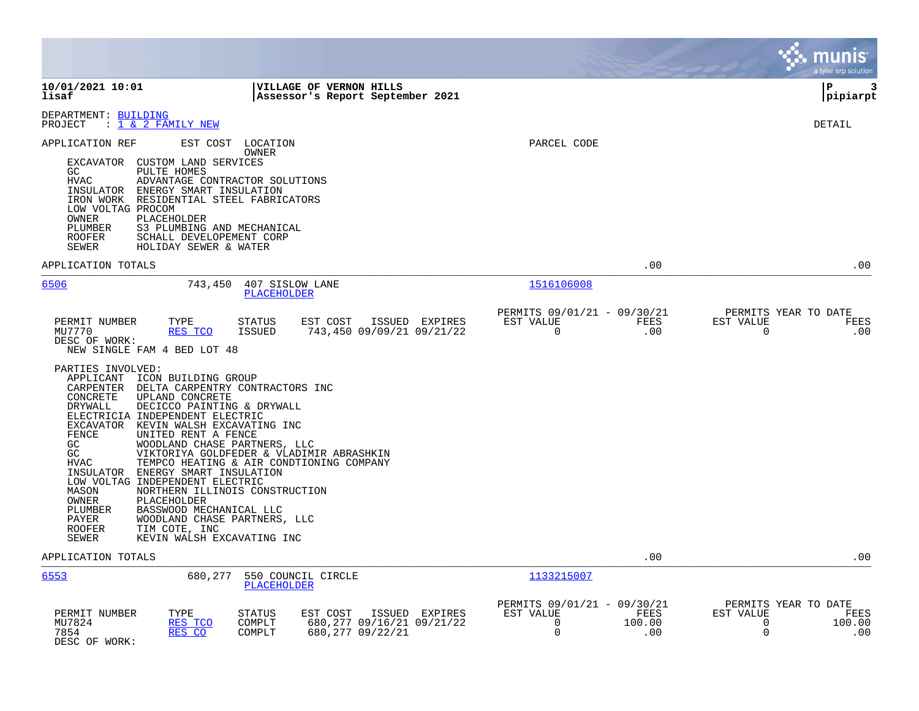|                                                                                                                                                                                                                                                                                                                                                                                                                                                                                                                                                                                                 |                                                                                                 | munis<br>a tyler erp solution                                               |
|-------------------------------------------------------------------------------------------------------------------------------------------------------------------------------------------------------------------------------------------------------------------------------------------------------------------------------------------------------------------------------------------------------------------------------------------------------------------------------------------------------------------------------------------------------------------------------------------------|-------------------------------------------------------------------------------------------------|-----------------------------------------------------------------------------|
| 10/01/2021 10:01<br>VILLAGE OF VERNON HILLS<br>lisaf<br>Assessor's Report September 2021                                                                                                                                                                                                                                                                                                                                                                                                                                                                                                        |                                                                                                 | 3<br>P<br> pipiarpt                                                         |
| DEPARTMENT: BUILDING<br>$: 1 \& 2$ FAMILY NEW<br>PROJECT                                                                                                                                                                                                                                                                                                                                                                                                                                                                                                                                        |                                                                                                 | DETAIL                                                                      |
| EST COST LOCATION<br>APPLICATION REF<br>OWNER<br>EXCAVATOR CUSTOM LAND SERVICES<br>GC<br>PULTE HOMES<br><b>HVAC</b><br>ADVANTAGE CONTRACTOR SOLUTIONS<br>INSULATOR ENERGY SMART INSULATION<br>IRON WORK RESIDENTIAL STEEL FABRICATORS<br>LOW VOLTAG PROCOM<br>OWNER<br>PLACEHOLDER<br>PLUMBER<br>S3 PLUMBING AND MECHANICAL<br><b>ROOFER</b><br>SCHALL DEVELOPEMENT CORP<br>SEWER<br>HOLIDAY SEWER & WATER                                                                                                                                                                                      | PARCEL CODE                                                                                     |                                                                             |
| APPLICATION TOTALS                                                                                                                                                                                                                                                                                                                                                                                                                                                                                                                                                                              | .00                                                                                             | .00                                                                         |
| 6506<br>743,450<br>407 SISLOW LANE<br><b>PLACEHOLDER</b>                                                                                                                                                                                                                                                                                                                                                                                                                                                                                                                                        | 1516106008                                                                                      |                                                                             |
| PERMIT NUMBER<br>TYPE<br>STATUS<br>EST COST<br>ISSUED EXPIRES<br>RES TCO<br>743,450 09/09/21 09/21/22<br>MU7770<br>ISSUED<br>DESC OF WORK:<br>NEW SINGLE FAM 4 BED LOT 48<br>PARTIES INVOLVED:<br>APPLICANT ICON BUILDING GROUP<br>CARPENTER<br>DELTA CARPENTRY CONTRACTORS INC<br>CONCRETE<br>UPLAND CONCRETE                                                                                                                                                                                                                                                                                  | PERMITS 09/01/21 - 09/30/21<br>EST VALUE<br>FEES<br>$\mathbf 0$<br>.00                          | PERMITS YEAR TO DATE<br>EST VALUE<br>FEES<br>$\Omega$<br>.00                |
| DECICCO PAINTING & DRYWALL<br>DRYWALL<br>ELECTRICIA INDEPENDENT ELECTRIC<br>EXCAVATOR KEVIN WALSH EXCAVATING INC<br>FENCE<br>UNITED RENT A FENCE<br>WOODLAND CHASE PARTNERS, LLC<br>GC<br>GC<br>VIKTORIYA GOLDFEDER & VLADIMIR ABRASHKIN<br>TEMPCO HEATING & AIR CONDTIONING COMPANY<br>HVAC<br>INSULATOR ENERGY SMART INSULATION<br>LOW VOLTAG INDEPENDENT ELECTRIC<br>MASON<br>NORTHERN ILLINOIS CONSTRUCTION<br>PLACEHOLDER<br>OWNER<br>PLUMBER<br>BASSWOOD MECHANICAL LLC<br>PAYER<br>WOODLAND CHASE PARTNERS, LLC<br>TIM COTE, INC<br><b>ROOFER</b><br>KEVIN WALSH EXCAVATING INC<br>SEWER |                                                                                                 |                                                                             |
| APPLICATION TOTALS                                                                                                                                                                                                                                                                                                                                                                                                                                                                                                                                                                              | .00                                                                                             | .00                                                                         |
| 6553<br>680,277<br>550 COUNCIL CIRCLE<br><b>PLACEHOLDER</b>                                                                                                                                                                                                                                                                                                                                                                                                                                                                                                                                     | 1133215007                                                                                      |                                                                             |
| PERMIT NUMBER<br>TYPE<br>STATUS<br>EST COST<br>ISSUED EXPIRES<br>MU7824<br>RES TCO<br>COMPLT<br>680, 277 09/16/21 09/21/22<br>RES CO<br>7854<br>COMPLT<br>680,277 09/22/21<br>DESC OF WORK:                                                                                                                                                                                                                                                                                                                                                                                                     | PERMITS 09/01/21 - 09/30/21<br>EST VALUE<br>FEES<br>$\mathbf 0$<br>100.00<br>$\mathbf 0$<br>.00 | PERMITS YEAR TO DATE<br>EST VALUE<br>FEES<br>100.00<br>$\Omega$<br>0<br>.00 |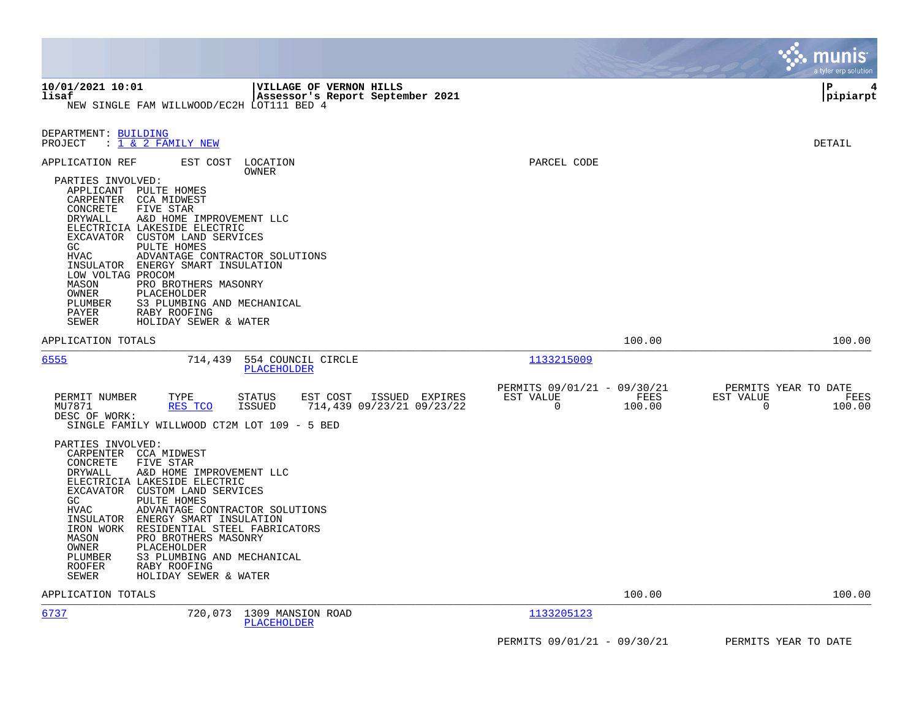|                                                                                                                                                                                                                                                                                                                                                                                                                                                                                                                                                               |                                                                                                                       | munis<br>a tyler erp solution                                   |
|---------------------------------------------------------------------------------------------------------------------------------------------------------------------------------------------------------------------------------------------------------------------------------------------------------------------------------------------------------------------------------------------------------------------------------------------------------------------------------------------------------------------------------------------------------------|-----------------------------------------------------------------------------------------------------------------------|-----------------------------------------------------------------|
| 10/01/2021 10:01<br>VILLAGE OF VERNON HILLS<br>lisaf<br>Assessor's Report September 2021<br>NEW SINGLE FAM WILLWOOD/EC2H LOT111 BED 4                                                                                                                                                                                                                                                                                                                                                                                                                         |                                                                                                                       | P<br>4<br> pipiarpt                                             |
| DEPARTMENT: BUILDING<br>PROJECT<br>: 1 & 2 FAMILY NEW                                                                                                                                                                                                                                                                                                                                                                                                                                                                                                         |                                                                                                                       | DETAIL                                                          |
| APPLICATION REF<br>EST COST<br>LOCATION<br>OWNER<br>PARTIES INVOLVED:<br>APPLICANT PULTE HOMES<br>CARPENTER CCA MIDWEST<br>FIVE STAR<br>CONCRETE<br>DRYWALL<br>A&D HOME IMPROVEMENT LLC<br>ELECTRICIA LAKESIDE ELECTRIC<br>EXCAVATOR CUSTOM LAND SERVICES<br>GC<br>PULTE HOMES<br><b>HVAC</b><br>ADVANTAGE CONTRACTOR SOLUTIONS<br>INSULATOR ENERGY SMART INSULATION<br>LOW VOLTAG PROCOM<br>MASON<br>PRO BROTHERS MASONRY<br>OWNER<br>PLACEHOLDER<br>PLUMBER<br>S3 PLUMBING AND MECHANICAL<br>PAYER<br>RABY ROOFING<br><b>SEWER</b><br>HOLIDAY SEWER & WATER | PARCEL CODE                                                                                                           |                                                                 |
| APPLICATION TOTALS                                                                                                                                                                                                                                                                                                                                                                                                                                                                                                                                            | 100.00                                                                                                                | 100.00                                                          |
| 6555<br>714,439<br>554 COUNCIL CIRCLE<br>PLACEHOLDER                                                                                                                                                                                                                                                                                                                                                                                                                                                                                                          | 1133215009                                                                                                            |                                                                 |
| PERMIT NUMBER<br>TYPE<br><b>STATUS</b><br>EST COST<br>RES TCO<br><b>ISSUED</b><br>MU7871<br>DESC OF WORK:<br>SINGLE FAMILY WILLWOOD CT2M LOT 109 - 5 BED                                                                                                                                                                                                                                                                                                                                                                                                      | PERMITS 09/01/21 - 09/30/21<br>EST VALUE<br>FEES<br>ISSUED EXPIRES<br>714,439 09/23/21 09/23/22<br>$\Omega$<br>100.00 | PERMITS YEAR TO DATE<br>EST VALUE<br>FEES<br>$\Omega$<br>100.00 |
| PARTIES INVOLVED:<br>CARPENTER CCA MIDWEST<br>CONCRETE<br>FIVE STAR<br><b>DRYWALL</b><br>A&D HOME IMPROVEMENT LLC<br>ELECTRICIA LAKESIDE ELECTRIC<br>EXCAVATOR CUSTOM LAND SERVICES<br>GC<br>PULTE HOMES<br><b>HVAC</b><br>ADVANTAGE CONTRACTOR SOLUTIONS<br>INSULATOR<br>ENERGY SMART INSULATION<br>IRON WORK<br>RESIDENTIAL STEEL FABRICATORS<br>PRO BROTHERS MASONRY<br>MASON<br>OWNER<br>PLACEHOLDER<br>S3 PLUMBING AND MECHANICAL<br>PLUMBER<br><b>ROOFER</b><br>RABY ROOFING<br>SEWER<br>HOLIDAY SEWER & WATER                                          |                                                                                                                       |                                                                 |
| APPLICATION TOTALS                                                                                                                                                                                                                                                                                                                                                                                                                                                                                                                                            | 100.00                                                                                                                | 100.00                                                          |
| 6737<br>1309 MANSION ROAD<br>720,073<br>PLACEHOLDER                                                                                                                                                                                                                                                                                                                                                                                                                                                                                                           | 1133205123                                                                                                            |                                                                 |
|                                                                                                                                                                                                                                                                                                                                                                                                                                                                                                                                                               | PERMITS 09/01/21 - 09/30/21                                                                                           | PERMITS YEAR TO DATE                                            |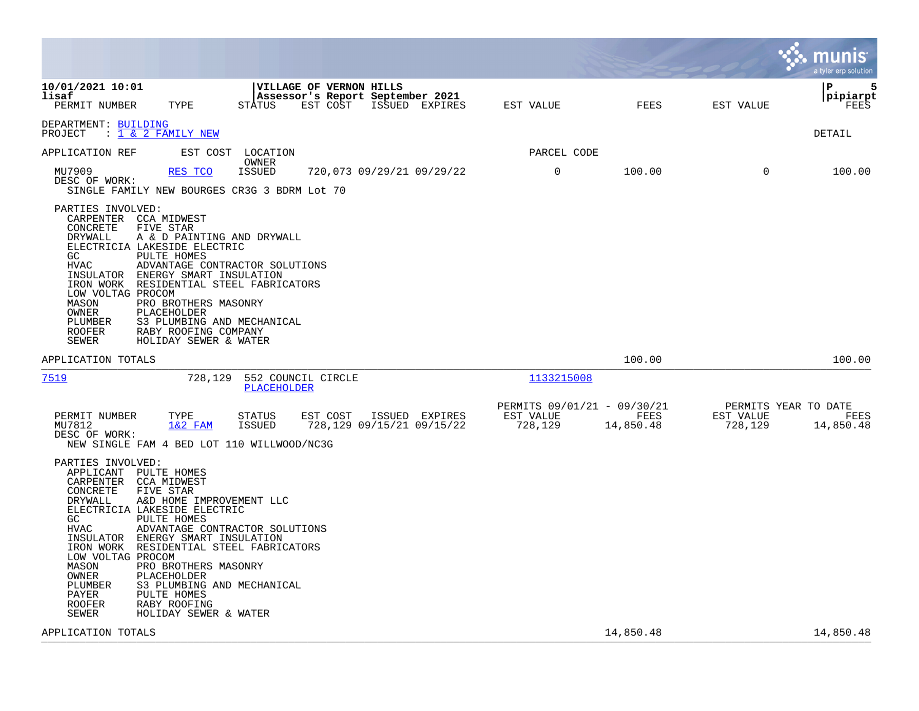|                                                                                                                                                                              |                                                                                                                                                                                                                                                                                                                                                                          |                                |                                                                         |                |                                                     |                   |                                              | munis<br>a tyler erp solution |
|------------------------------------------------------------------------------------------------------------------------------------------------------------------------------|--------------------------------------------------------------------------------------------------------------------------------------------------------------------------------------------------------------------------------------------------------------------------------------------------------------------------------------------------------------------------|--------------------------------|-------------------------------------------------------------------------|----------------|-----------------------------------------------------|-------------------|----------------------------------------------|-------------------------------|
| 10/01/2021 10:01<br>lisaf<br>PERMIT NUMBER                                                                                                                                   | TYPE                                                                                                                                                                                                                                                                                                                                                                     | STATUS                         | VILLAGE OF VERNON HILLS<br>Assessor's Report September 2021<br>EST COST | ISSUED EXPIRES | EST VALUE                                           | <b>FEES</b>       | EST VALUE                                    | P<br>5<br>pipiarpt<br>FEES    |
| DEPARTMENT: BUILDING<br>PROJECT                                                                                                                                              | : 1 & 2 FAMILY NEW                                                                                                                                                                                                                                                                                                                                                       |                                |                                                                         |                |                                                     |                   |                                              | <b>DETAIL</b>                 |
| APPLICATION REF                                                                                                                                                              | EST COST                                                                                                                                                                                                                                                                                                                                                                 | LOCATION                       |                                                                         |                | PARCEL CODE                                         |                   |                                              |                               |
| MU7909<br>DESC OF WORK:                                                                                                                                                      | RES TCO<br>SINGLE FAMILY NEW BOURGES CR3G 3 BDRM Lot 70                                                                                                                                                                                                                                                                                                                  | OWNER<br><b>ISSUED</b>         | 720,073 09/29/21 09/29/22                                               |                | $\mathbf 0$                                         | 100.00            | $\Omega$                                     | 100.00                        |
| PARTIES INVOLVED:<br>CONCRETE<br>DRYWALL<br>GC.<br><b>HVAC</b><br>INSULATOR<br>IRON WORK<br>LOW VOLTAG PROCOM<br>MASON<br>OWNER<br>PLUMBER<br><b>ROOFER</b><br><b>SEWER</b>  | CARPENTER CCA MIDWEST<br>FIVE STAR<br>A & D PAINTING AND DRYWALL<br>ELECTRICIA LAKESIDE ELECTRIC<br>PULTE HOMES<br>ADVANTAGE CONTRACTOR SOLUTIONS<br>ENERGY SMART INSULATION<br>RESIDENTIAL STEEL FABRICATORS<br>PRO BROTHERS MASONRY<br>PLACEHOLDER<br>S3 PLUMBING AND MECHANICAL<br>RABY ROOFING COMPANY<br>HOLIDAY SEWER & WATER                                      |                                |                                                                         |                |                                                     |                   |                                              |                               |
| APPLICATION TOTALS                                                                                                                                                           |                                                                                                                                                                                                                                                                                                                                                                          |                                |                                                                         |                |                                                     | 100.00            |                                              | 100.00                        |
| <u>7519</u>                                                                                                                                                                  | 728,129                                                                                                                                                                                                                                                                                                                                                                  | <b>PLACEHOLDER</b>             | 552 COUNCIL CIRCLE                                                      |                | 1133215008                                          |                   |                                              |                               |
| PERMIT NUMBER<br>MU7812<br>DESC OF WORK:                                                                                                                                     | TYPE<br>$1&2$ FAM<br>NEW SINGLE FAM 4 BED LOT 110 WILLWOOD/NC3G                                                                                                                                                                                                                                                                                                          | <b>STATUS</b><br><b>ISSUED</b> | EST COST<br>728,129 09/15/21 09/15/22                                   | ISSUED EXPIRES | PERMITS 09/01/21 - 09/30/21<br>EST VALUE<br>728,129 | FEES<br>14,850.48 | PERMITS YEAR TO DATE<br>EST VALUE<br>728,129 | FEES<br>14,850.48             |
| PARTIES INVOLVED:<br>CARPENTER<br>CONCRETE<br>DRYWALL<br>GC<br><b>HVAC</b><br>IRON WORK<br>LOW VOLTAG PROCOM<br>MASON<br>OWNER<br>PLUMBER<br>PAYER<br><b>ROOFER</b><br>SEWER | APPLICANT PULTE HOMES<br><b>CCA MIDWEST</b><br>FIVE STAR<br>A&D HOME IMPROVEMENT LLC<br>ELECTRICIA LAKESIDE ELECTRIC<br>PULTE HOMES<br>ADVANTAGE CONTRACTOR SOLUTIONS<br>INSULATOR ENERGY SMART INSULATION<br>RESIDENTIAL STEEL FABRICATORS<br>PRO BROTHERS MASONRY<br>PLACEHOLDER<br>S3 PLUMBING AND MECHANICAL<br>PULTE HOMES<br>RABY ROOFING<br>HOLIDAY SEWER & WATER |                                |                                                                         |                |                                                     |                   |                                              |                               |
| APPLICATION TOTALS                                                                                                                                                           |                                                                                                                                                                                                                                                                                                                                                                          |                                |                                                                         |                |                                                     | 14,850.48         |                                              | 14,850.48                     |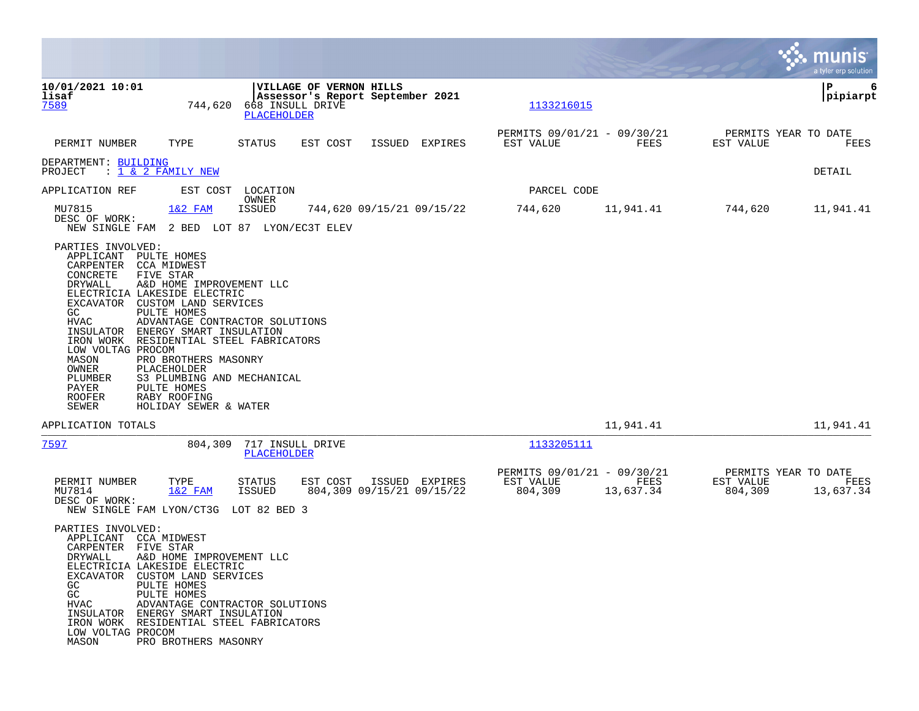|                                                                                                                                                                            |                                                                                                                                                                                                                                                                                                                                                                                 |                                                |                                                             |        |                |                                                     |                   |                                              | munis<br>a tyler erp solution |
|----------------------------------------------------------------------------------------------------------------------------------------------------------------------------|---------------------------------------------------------------------------------------------------------------------------------------------------------------------------------------------------------------------------------------------------------------------------------------------------------------------------------------------------------------------------------|------------------------------------------------|-------------------------------------------------------------|--------|----------------|-----------------------------------------------------|-------------------|----------------------------------------------|-------------------------------|
| 10/01/2021 10:01<br>lisaf<br>7589                                                                                                                                          | 744,620                                                                                                                                                                                                                                                                                                                                                                         | 668 INSULL DRIVE<br><b>PLACEHOLDER</b>         | VILLAGE OF VERNON HILLS<br>Assessor's Report September 2021 |        |                | 1133216015                                          |                   |                                              | 6<br>ΙP<br> pipiarpt          |
| PERMIT NUMBER                                                                                                                                                              | TYPE                                                                                                                                                                                                                                                                                                                                                                            | STATUS                                         | EST COST                                                    | ISSUED | EXPIRES        | PERMITS 09/01/21 - 09/30/21<br>EST VALUE            | FEES              | PERMITS YEAR TO DATE<br>EST VALUE            | FEES                          |
| DEPARTMENT: BUILDING<br>PROJECT                                                                                                                                            | : 1 & 2 FAMILY NEW                                                                                                                                                                                                                                                                                                                                                              |                                                |                                                             |        |                |                                                     |                   |                                              | DETAIL                        |
| APPLICATION REF                                                                                                                                                            |                                                                                                                                                                                                                                                                                                                                                                                 | EST COST LOCATION                              |                                                             |        |                | PARCEL CODE                                         |                   |                                              |                               |
| MU7815<br>DESC OF WORK:<br>NEW SINGLE FAM                                                                                                                                  | $1&2$ FAM                                                                                                                                                                                                                                                                                                                                                                       | OWNER<br>ISSUED<br>2 BED LOT 87 LYON/EC3T ELEV | 744,620 09/15/21 09/15/22                                   |        |                | 744,620                                             | 11,941.41         | 744,620                                      | 11,941.41                     |
| APPLICANT<br>CARPENTER<br>CONCRETE<br>DRYWALL<br>EXCAVATOR<br>GC<br>HVAC<br>INSULATOR<br>LOW VOLTAG PROCOM<br>MASON<br>OWNER<br>PLUMBER<br>PAYER<br><b>ROOFER</b><br>SEWER | PULTE HOMES<br>CCA MIDWEST<br>FIVE STAR<br>A&D HOME IMPROVEMENT LLC<br>ELECTRICIA LAKESIDE ELECTRIC<br>CUSTOM LAND SERVICES<br>PULTE HOMES<br>ADVANTAGE CONTRACTOR SOLUTIONS<br>ENERGY SMART INSULATION<br>IRON WORK RESIDENTIAL STEEL FABRICATORS<br>PRO BROTHERS MASONRY<br>PLACEHOLDER<br>S3 PLUMBING AND MECHANICAL<br>PULTE HOMES<br>RABY ROOFING<br>HOLIDAY SEWER & WATER |                                                |                                                             |        |                |                                                     |                   |                                              |                               |
| APPLICATION TOTALS                                                                                                                                                         |                                                                                                                                                                                                                                                                                                                                                                                 |                                                |                                                             |        |                |                                                     | 11,941.41         |                                              | 11,941.41                     |
| 7597                                                                                                                                                                       | 804,309                                                                                                                                                                                                                                                                                                                                                                         | 717 INSULL DRIVE<br>PLACEHOLDER                |                                                             |        |                | 1133205111                                          |                   |                                              |                               |
| PERMIT NUMBER<br>MU7814<br>DESC OF WORK:<br>NEW SINGLE FAM LYON/CT3G                                                                                                       | TYPE<br>$1&2$ FAM                                                                                                                                                                                                                                                                                                                                                               | STATUS<br>ISSUED<br>LOT 82 BED 3               | EST COST<br>804,309 09/15/21 09/15/22                       |        | ISSUED EXPIRES | PERMITS 09/01/21 - 09/30/21<br>EST VALUE<br>804,309 | FEES<br>13,637.34 | PERMITS YEAR TO DATE<br>EST VALUE<br>804,309 | FEES<br>13,637.34             |
| PARTIES INVOLVED:<br>APPLICANT<br>CARPENTER FIVE STAR<br>DRYWALL<br>GC<br>GC<br>HVAC<br>LOW VOLTAG PROCOM<br>MASON                                                         | CCA MIDWEST<br>A&D HOME IMPROVEMENT LLC<br>ELECTRICIA LAKESIDE ELECTRIC<br>EXCAVATOR CUSTOM LAND SERVICES<br>PULTE HOMES<br>PULTE HOMES<br>ADVANTAGE CONTRACTOR SOLUTIONS<br>INSULATOR ENERGY SMART INSULATION<br>IRON WORK RESIDENTIAL STEEL FABRICATORS<br>PRO BROTHERS MASONRY                                                                                               |                                                |                                                             |        |                |                                                     |                   |                                              |                               |

**Contract**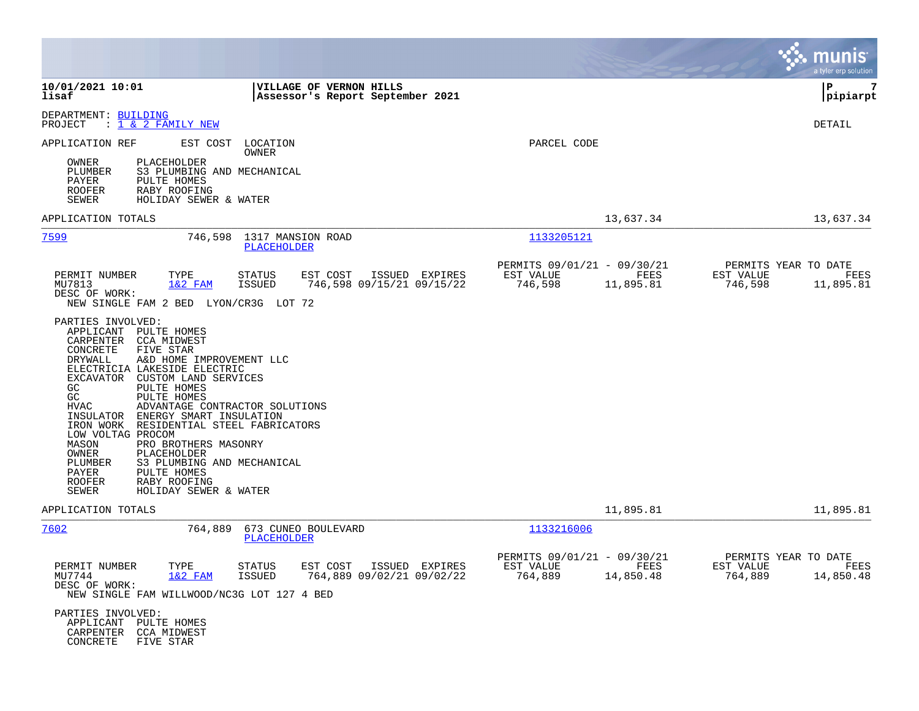|                                                                                                                                                                                                                                                                                                                                                                                                                                                                                                                                                                 |                                                                                    |                                                                          | munis<br>a tyler erp solution                                     |
|-----------------------------------------------------------------------------------------------------------------------------------------------------------------------------------------------------------------------------------------------------------------------------------------------------------------------------------------------------------------------------------------------------------------------------------------------------------------------------------------------------------------------------------------------------------------|------------------------------------------------------------------------------------|--------------------------------------------------------------------------|-------------------------------------------------------------------|
| 10/01/2021 10:01<br>lisaf                                                                                                                                                                                                                                                                                                                                                                                                                                                                                                                                       | <b>VILLAGE OF VERNON HILLS</b><br>Assessor's Report September 2021                 |                                                                          | l P<br>7<br> pipiarpt                                             |
| DEPARTMENT: BUILDING<br>: 1 & 2 FAMILY NEW<br>PROJECT                                                                                                                                                                                                                                                                                                                                                                                                                                                                                                           |                                                                                    |                                                                          | DETAIL                                                            |
| APPLICATION REF<br>EST COST                                                                                                                                                                                                                                                                                                                                                                                                                                                                                                                                     | LOCATION<br>OWNER                                                                  | PARCEL CODE                                                              |                                                                   |
| OWNER<br>PLACEHOLDER<br>PLUMBER<br>S3 PLUMBING AND MECHANICAL<br>PAYER<br>PULTE HOMES<br><b>ROOFER</b><br>RABY ROOFING<br>SEWER<br>HOLIDAY SEWER & WATER                                                                                                                                                                                                                                                                                                                                                                                                        |                                                                                    |                                                                          |                                                                   |
| APPLICATION TOTALS                                                                                                                                                                                                                                                                                                                                                                                                                                                                                                                                              |                                                                                    | 13,637.34                                                                | 13,637.34                                                         |
| 7599                                                                                                                                                                                                                                                                                                                                                                                                                                                                                                                                                            | 746,598 1317 MANSION ROAD<br>PLACEHOLDER                                           | <u> 1133205121</u>                                                       |                                                                   |
| PERMIT NUMBER<br>TYPE<br>MU7813<br>$1&2$ FAM<br>DESC OF WORK:<br>NEW SINGLE FAM 2 BED LYON/CR3G LOT 72                                                                                                                                                                                                                                                                                                                                                                                                                                                          | <b>STATUS</b><br>EST COST<br>ISSUED EXPIRES<br>ISSUED<br>746,598 09/15/21 09/15/22 | PERMITS 09/01/21 - 09/30/21<br>EST VALUE<br>FEES<br>746,598<br>11,895.81 | PERMITS YEAR TO DATE<br>EST VALUE<br>FEES<br>746,598<br>11,895.81 |
| PARTIES INVOLVED:<br>APPLICANT<br>PULTE HOMES<br>CARPENTER<br>CCA MIDWEST<br>CONCRETE<br>FIVE STAR<br>DRYWALL<br>A&D HOME IMPROVEMENT LLC<br>ELECTRICIA LAKESIDE ELECTRIC<br>EXCAVATOR CUSTOM LAND SERVICES<br>PULTE HOMES<br>GC<br>GC<br>PULTE HOMES<br>HVAC<br>INSULATOR ENERGY SMART INSULATION<br>IRON WORK RESIDENTIAL STEEL FABRICATORS<br>LOW VOLTAG PROCOM<br>MASON<br>PRO BROTHERS MASONRY<br>OWNER<br>PLACEHOLDER<br>PLUMBER<br>S3 PLUMBING AND MECHANICAL<br>PAYER<br>PULTE HOMES<br><b>ROOFER</b><br>RABY ROOFING<br>SEWER<br>HOLIDAY SEWER & WATER | ADVANTAGE CONTRACTOR SOLUTIONS                                                     |                                                                          |                                                                   |
| APPLICATION TOTALS                                                                                                                                                                                                                                                                                                                                                                                                                                                                                                                                              |                                                                                    | 11,895.81                                                                | 11,895.81                                                         |
| 7602<br>764,889                                                                                                                                                                                                                                                                                                                                                                                                                                                                                                                                                 | 673 CUNEO BOULEVARD<br>PLACEHOLDER                                                 | 1133216006                                                               |                                                                   |
| PERMIT NUMBER<br>TYPE<br>MU7744<br>1&2 FAM<br>DESC OF WORK:<br>NEW SINGLE FAM WILLWOOD/NC3G LOT 127 4 BED                                                                                                                                                                                                                                                                                                                                                                                                                                                       | ISSUED EXPIRES<br>STATUS<br>EST COST<br><b>ISSUED</b><br>764,889 09/02/21 09/02/22 | PERMITS 09/01/21 - 09/30/21<br>EST VALUE<br>FEES<br>764,889<br>14,850.48 | PERMITS YEAR TO DATE<br>FEES<br>EST VALUE<br>14,850.48<br>764,889 |
| PARTIES INVOLVED:<br>APPLICANT<br>PULTE HOMES<br>CARPENTER<br>CCA MIDWEST<br>CONCRETE<br>FIVE STAR                                                                                                                                                                                                                                                                                                                                                                                                                                                              |                                                                                    |                                                                          |                                                                   |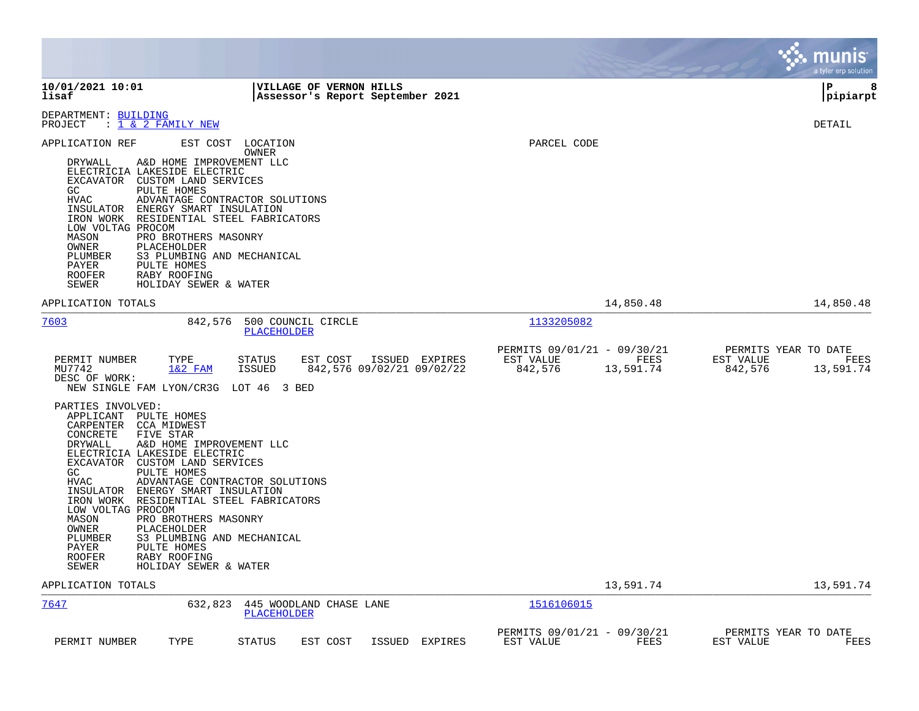|                                                                                                                                                                                                                                                                                                                                                                                                                                                                                                                                                                           |                                                             |                                                     |                   | munis<br>a tyler erp solution                                     |
|---------------------------------------------------------------------------------------------------------------------------------------------------------------------------------------------------------------------------------------------------------------------------------------------------------------------------------------------------------------------------------------------------------------------------------------------------------------------------------------------------------------------------------------------------------------------------|-------------------------------------------------------------|-----------------------------------------------------|-------------------|-------------------------------------------------------------------|
| 10/01/2021 10:01<br>lisaf                                                                                                                                                                                                                                                                                                                                                                                                                                                                                                                                                 | VILLAGE OF VERNON HILLS<br>Assessor's Report September 2021 |                                                     |                   | l P<br>8<br> pipiarpt                                             |
| DEPARTMENT: BUILDING<br>: <u>1 &amp; 2 FAMILY NEW</u><br>PROJECT                                                                                                                                                                                                                                                                                                                                                                                                                                                                                                          |                                                             |                                                     |                   | DETAIL                                                            |
| EST COST<br>APPLICATION REF<br>LOCATION<br>OWNER<br>DRYWALL<br>A&D HOME IMPROVEMENT LLC<br>ELECTRICIA LAKESIDE ELECTRIC<br>EXCAVATOR CUSTOM LAND SERVICES<br>GC<br>PULTE HOMES<br><b>HVAC</b><br>ADVANTAGE CONTRACTOR SOLUTIONS<br>INSULATOR<br>ENERGY SMART INSULATION<br>IRON WORK<br>RESIDENTIAL STEEL FABRICATORS<br>LOW VOLTAG PROCOM<br>MASON<br>PRO BROTHERS MASONRY<br>OWNER<br>PLACEHOLDER<br>S3 PLUMBING AND MECHANICAL<br>PLUMBER<br>PAYER<br>PULTE HOMES<br><b>ROOFER</b><br>RABY ROOFING<br>SEWER<br>HOLIDAY SEWER & WATER                                   |                                                             | PARCEL CODE                                         |                   |                                                                   |
| APPLICATION TOTALS                                                                                                                                                                                                                                                                                                                                                                                                                                                                                                                                                        |                                                             |                                                     | 14,850.48         | 14,850.48                                                         |
| 7603<br>842,576<br>PLACEHOLDER                                                                                                                                                                                                                                                                                                                                                                                                                                                                                                                                            | 500 COUNCIL CIRCLE                                          | 1133205082                                          |                   |                                                                   |
| <b>STATUS</b><br>PERMIT NUMBER<br>TYPE<br>MU7742<br><b>ISSUED</b><br>$1&2$ FAM<br>DESC OF WORK:<br>NEW SINGLE FAM LYON/CR3G LOT 46 3 BED                                                                                                                                                                                                                                                                                                                                                                                                                                  | ISSUED EXPIRES<br>EST COST<br>842,576 09/02/21 09/02/22     | PERMITS 09/01/21 - 09/30/21<br>EST VALUE<br>842,576 | FEES<br>13,591.74 | PERMITS YEAR TO DATE<br>EST VALUE<br>FEES<br>842,576<br>13,591.74 |
| PARTIES INVOLVED:<br>APPLICANT PULTE HOMES<br>CARPENTER<br>CCA MIDWEST<br>CONCRETE<br>FIVE STAR<br>DRYWALL<br>A&D HOME IMPROVEMENT LLC<br>ELECTRICIA LAKESIDE ELECTRIC<br>EXCAVATOR CUSTOM LAND SERVICES<br>GC.<br>PULTE HOMES<br>HVAC<br>ADVANTAGE CONTRACTOR SOLUTIONS<br>INSULATOR<br>ENERGY SMART INSULATION<br>RESIDENTIAL STEEL FABRICATORS<br>IRON WORK<br>LOW VOLTAG PROCOM<br>MASON<br>PRO BROTHERS MASONRY<br>OWNER<br>PLACEHOLDER<br>PLUMBER<br>S3 PLUMBING AND MECHANICAL<br>PAYER<br>PULTE HOMES<br>ROOFER<br>RABY ROOFING<br>SEWER<br>HOLIDAY SEWER & WATER |                                                             |                                                     |                   |                                                                   |
| APPLICATION TOTALS                                                                                                                                                                                                                                                                                                                                                                                                                                                                                                                                                        |                                                             |                                                     | 13,591.74         | 13,591.74                                                         |
| 7647<br>632,823<br>PLACEHOLDER                                                                                                                                                                                                                                                                                                                                                                                                                                                                                                                                            | 445 WOODLAND CHASE LANE                                     | 1516106015                                          |                   |                                                                   |
| PERMIT NUMBER<br>TYPE<br><b>STATUS</b>                                                                                                                                                                                                                                                                                                                                                                                                                                                                                                                                    | EST COST<br>ISSUED<br>EXPIRES                               | PERMITS 09/01/21 - 09/30/21<br>EST VALUE            | FEES              | PERMITS YEAR TO DATE<br>EST VALUE<br>FEES                         |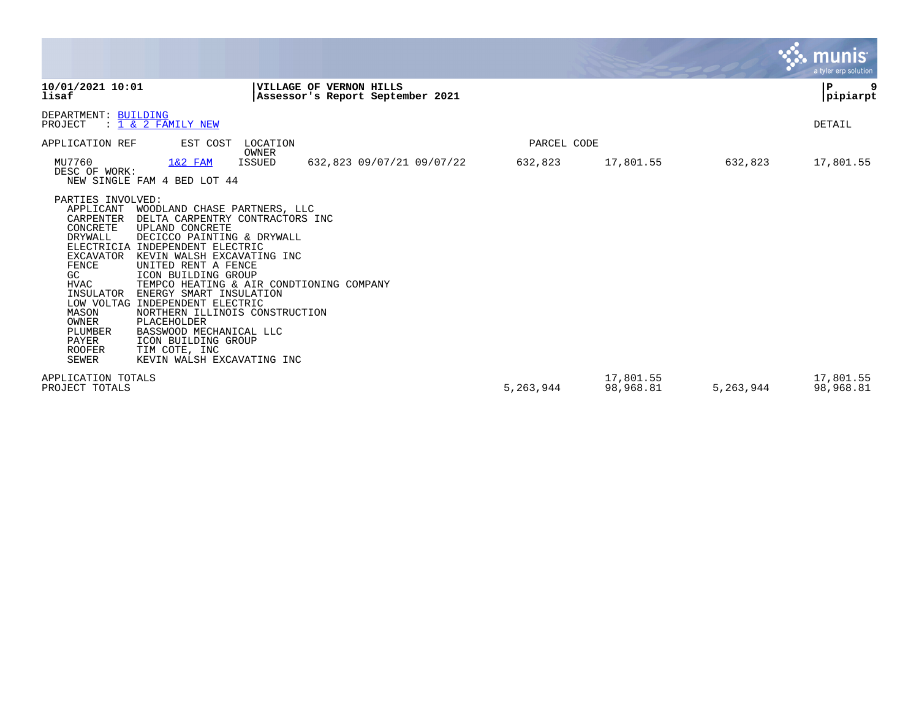|                                                                                                                                                                                                    |                                                                                                                                                                                                                                                                                                                                                                                                                                                                                             |                 |                                                                    |             |                        |           | <u>munis </u><br>a tyler erp solution |
|----------------------------------------------------------------------------------------------------------------------------------------------------------------------------------------------------|---------------------------------------------------------------------------------------------------------------------------------------------------------------------------------------------------------------------------------------------------------------------------------------------------------------------------------------------------------------------------------------------------------------------------------------------------------------------------------------------|-----------------|--------------------------------------------------------------------|-------------|------------------------|-----------|---------------------------------------|
| 10/01/2021 10:01<br>lisaf                                                                                                                                                                          |                                                                                                                                                                                                                                                                                                                                                                                                                                                                                             |                 | <b>VILLAGE OF VERNON HILLS</b><br>Assessor's Report September 2021 |             |                        |           | P<br>9<br> pipiarpt                   |
| DEPARTMENT: BUILDING<br>PROJECT                                                                                                                                                                    | : 1 & 2 FAMILY NEW                                                                                                                                                                                                                                                                                                                                                                                                                                                                          |                 |                                                                    |             |                        |           | DETAIL                                |
| APPLICATION REF                                                                                                                                                                                    | EST COST                                                                                                                                                                                                                                                                                                                                                                                                                                                                                    | LOCATION        |                                                                    | PARCEL CODE |                        |           |                                       |
| MU7760<br>DESC OF WORK:                                                                                                                                                                            | $1&2$ FAM<br>NEW SINGLE FAM 4 BED LOT 44                                                                                                                                                                                                                                                                                                                                                                                                                                                    | OWNER<br>ISSUED | 632,823 09/07/21 09/07/22                                          | 632,823     | 17,801.55              | 632,823   | 17,801.55                             |
| PARTIES INVOLVED:<br>APPLICANT<br>CARPENTER<br>CONCRETE<br>DRYWALL<br>EXCAVATOR<br>FENCE<br>GC.<br><b>HVAC</b><br>INSULATOR<br>MASON<br>OWNER<br>PLUMBER<br>PAYER<br><b>ROOFER</b><br><b>SEWER</b> | WOODLAND CHASE PARTNERS, LLC<br>DELTA CARPENTRY CONTRACTORS INC<br>UPLAND CONCRETE<br>DECICCO PAINTING & DRYWALL<br>ELECTRICIA INDEPENDENT ELECTRIC<br>KEVIN WALSH EXCAVATING INC<br>UNITED RENT A FENCE<br>ICON BUILDING GROUP<br>TEMPCO HEATING & AIR CONDTIONING COMPANY<br>ENERGY SMART INSULATION<br>LOW VOLTAG INDEPENDENT ELECTRIC<br>NORTHERN ILLINOIS CONSTRUCTION<br>PLACEHOLDER<br>BASSWOOD MECHANICAL LLC<br>ICON BUILDING GROUP<br>TIM COTE, INC<br>KEVIN WALSH EXCAVATING INC |                 |                                                                    |             |                        |           |                                       |
| APPLICATION TOTALS<br>PROJECT TOTALS                                                                                                                                                               |                                                                                                                                                                                                                                                                                                                                                                                                                                                                                             |                 |                                                                    | 5,263,944   | 17,801.55<br>98,968.81 | 5,263,944 | 17,801.55<br>98,968.81                |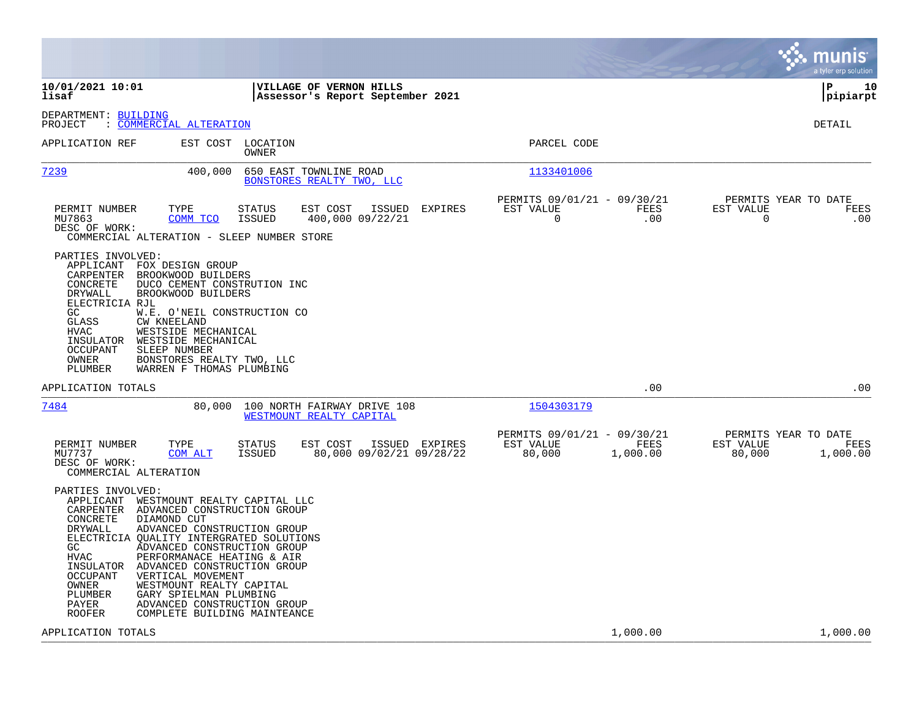|                                                                                                                                                                                                                                              |                                                                                                                                                                                                                                                                                                                          |                                                                        | munis<br>a tyler erp solution                                   |
|----------------------------------------------------------------------------------------------------------------------------------------------------------------------------------------------------------------------------------------------|--------------------------------------------------------------------------------------------------------------------------------------------------------------------------------------------------------------------------------------------------------------------------------------------------------------------------|------------------------------------------------------------------------|-----------------------------------------------------------------|
| 10/01/2021 10:01<br>lisaf                                                                                                                                                                                                                    | VILLAGE OF VERNON HILLS<br>Assessor's Report September 2021                                                                                                                                                                                                                                                              |                                                                        | ΙP<br>10<br> pipiarpt                                           |
| DEPARTMENT: BUILDING<br>COMMERCIAL ALTERATION<br>PROJECT                                                                                                                                                                                     |                                                                                                                                                                                                                                                                                                                          |                                                                        | DETAIL                                                          |
| APPLICATION REF                                                                                                                                                                                                                              | EST COST LOCATION<br>OWNER                                                                                                                                                                                                                                                                                               | PARCEL CODE                                                            |                                                                 |
| 7239                                                                                                                                                                                                                                         | 400,000<br>650 EAST TOWNLINE ROAD<br>BONSTORES REALTY TWO, LLC                                                                                                                                                                                                                                                           | 1133401006                                                             |                                                                 |
| PERMIT NUMBER<br>TYPE<br>MU7863<br>DESC OF WORK:                                                                                                                                                                                             | <b>STATUS</b><br>EST COST<br>ISSUED<br><b>EXPIRES</b><br>COMM TCO<br>ISSUED<br>400,000 09/22/21<br>COMMERCIAL ALTERATION - SLEEP NUMBER STORE                                                                                                                                                                            | PERMITS 09/01/21 - 09/30/21<br>EST VALUE<br>FEES<br>$\mathbf 0$<br>.00 | PERMITS YEAR TO DATE<br>EST VALUE<br>FEES<br>$\mathbf 0$<br>.00 |
| PARTIES INVOLVED:<br>APPLICANT FOX DESIGN GROUP<br>CARPENTER<br>BROOKWOOD BUILDERS<br>CONCRETE<br>DRYWALL<br>ELECTRICIA RJL<br>GC<br>GLASS<br><b>CW KNEELAND</b><br>HVAC<br>INSULATOR<br><b>OCCUPANT</b><br>SLEEP NUMBER<br>OWNER<br>PLUMBER | DUCO CEMENT CONSTRUTION INC<br>BROOKWOOD BUILDERS<br>W.E. O'NEIL CONSTRUCTION CO<br>WESTSIDE MECHANICAL<br>WESTSIDE MECHANICAL<br>BONSTORES REALTY TWO, LLC<br>WARREN F THOMAS PLUMBING                                                                                                                                  |                                                                        |                                                                 |
| APPLICATION TOTALS                                                                                                                                                                                                                           |                                                                                                                                                                                                                                                                                                                          | .00                                                                    | .00                                                             |
| 7484                                                                                                                                                                                                                                         | 80,000<br>100 NORTH FAIRWAY DRIVE 108<br>WESTMOUNT REALTY CAPITAL                                                                                                                                                                                                                                                        | 1504303179                                                             |                                                                 |
| PERMIT NUMBER<br>TYPE<br>MU7737<br>COM ALT<br>DESC OF WORK:<br>COMMERCIAL ALTERATION                                                                                                                                                         | EST COST<br>ISSUED EXPIRES<br>STATUS<br>ISSUED<br>80,000 09/02/21 09/28/22                                                                                                                                                                                                                                               | PERMITS 09/01/21 - 09/30/21<br>EST VALUE<br>FEES<br>80,000<br>1,000.00 | PERMITS YEAR TO DATE<br>EST VALUE<br>FEES<br>80,000<br>1,000.00 |
| PARTIES INVOLVED:<br>APPLICANT<br>CARPENTER<br>CONCRETE<br>DIAMOND CUT<br>DRYWALL<br>GC.<br><b>HVAC</b><br>INSULATOR ADVANCED CONSTRUCTION GROUP<br>VERTICAL MOVEMENT<br><b>OCCUPANT</b><br>OWNER<br>PLUMBER<br>PAYER<br><b>ROOFER</b>       | WESTMOUNT REALTY CAPITAL LLC<br>ADVANCED CONSTRUCTION GROUP<br>ADVANCED CONSTRUCTION GROUP<br>ELECTRICIA QUALITY INTERGRATED SOLUTIONS<br>ADVANCED CONSTRUCTION GROUP<br>PERFORMANACE HEATING & AIR<br>WESTMOUNT REALTY CAPITAL<br>GARY SPIELMAN PLUMBING<br>ADVANCED CONSTRUCTION GROUP<br>COMPLETE BUILDING MAINTEANCE |                                                                        |                                                                 |
| APPLICATION TOTALS                                                                                                                                                                                                                           |                                                                                                                                                                                                                                                                                                                          | 1,000.00                                                               | 1,000.00                                                        |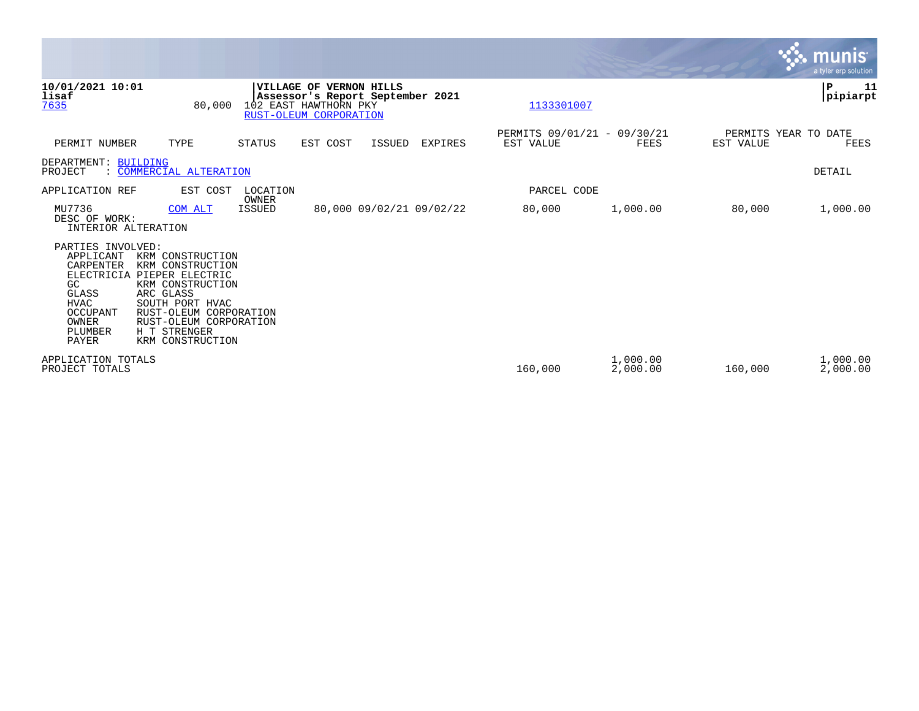|                                                                                                                                  |                                                                                                                                                                                                     |                        |                                                                                                                       |        |                          |                                          |                      |           | <b>munis</b><br>a tyler erp solution. |
|----------------------------------------------------------------------------------------------------------------------------------|-----------------------------------------------------------------------------------------------------------------------------------------------------------------------------------------------------|------------------------|-----------------------------------------------------------------------------------------------------------------------|--------|--------------------------|------------------------------------------|----------------------|-----------|---------------------------------------|
| 10/01/2021 10:01<br>lisaf<br>7635                                                                                                | 80,000                                                                                                                                                                                              |                        | <b>VILLAGE OF VERNON HILLS</b><br>Assessor's Report September 2021<br>102 EAST HAWTHORN PKY<br>RUST-OLEUM CORPORATION |        |                          | 1133301007                               |                      |           | P<br>11<br> pipiarpt                  |
| PERMIT NUMBER                                                                                                                    | TYPE                                                                                                                                                                                                | <b>STATUS</b>          | EST COST                                                                                                              | ISSUED | <b>EXPIRES</b>           | PERMITS 09/01/21 - 09/30/21<br>EST VALUE | FEES                 | EST VALUE | PERMITS YEAR TO DATE<br>FEES          |
| DEPARTMENT: BUILDING<br>PROJECT                                                                                                  | COMMERCIAL ALTERATION                                                                                                                                                                               |                        |                                                                                                                       |        |                          |                                          |                      |           | DETAIL                                |
| APPLICATION REF                                                                                                                  | EST COST                                                                                                                                                                                            | LOCATION               |                                                                                                                       |        |                          | PARCEL CODE                              |                      |           |                                       |
| MU7736<br>DESC OF WORK:<br>INTERIOR ALTERATION                                                                                   | COM ALT                                                                                                                                                                                             | OWNER<br><b>ISSUED</b> |                                                                                                                       |        | 80,000 09/02/21 09/02/22 | 80,000                                   | 1,000.00             | 80,000    | 1,000.00                              |
| PARTIES INVOLVED:<br>APPLICANT<br>CARPENTER<br>ELECTRICIA<br>GC<br>GLASS<br><b>HVAC</b><br>OCCUPANT<br>OWNER<br>PLUMBER<br>PAYER | KRM CONSTRUCTION<br>KRM CONSTRUCTION<br>PIEPER ELECTRIC<br>KRM CONSTRUCTION<br>ARC GLASS<br>SOUTH PORT HVAC<br>RUST-OLEUM CORPORATION<br>RUST-OLEUM CORPORATION<br>H T STRENGER<br>KRM CONSTRUCTION |                        |                                                                                                                       |        |                          |                                          |                      |           |                                       |
| APPLICATION TOTALS<br>PROJECT TOTALS                                                                                             |                                                                                                                                                                                                     |                        |                                                                                                                       |        |                          | 160,000                                  | 1,000.00<br>2,000.00 | 160,000   | 1,000.00<br>2,000.00                  |

**Tara**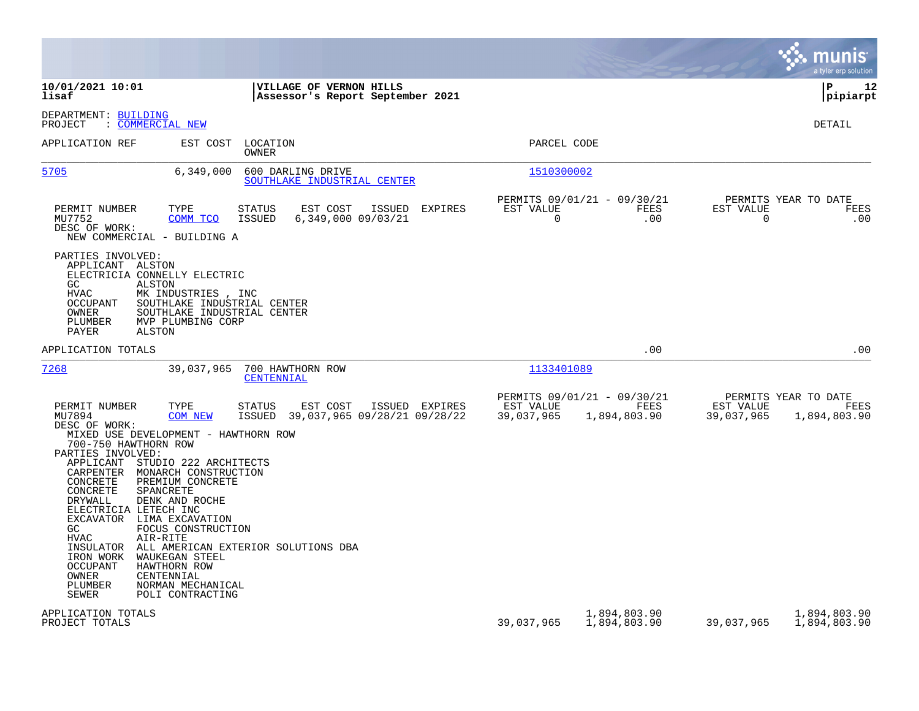|                                                                                                                                                                                                                                                                                                                                                                                                                                                                                                                                                                                                                                                                                                                                              |                                                                                       | munis<br>a tyler erp solution                                           |
|----------------------------------------------------------------------------------------------------------------------------------------------------------------------------------------------------------------------------------------------------------------------------------------------------------------------------------------------------------------------------------------------------------------------------------------------------------------------------------------------------------------------------------------------------------------------------------------------------------------------------------------------------------------------------------------------------------------------------------------------|---------------------------------------------------------------------------------------|-------------------------------------------------------------------------|
| 10/01/2021 10:01<br>VILLAGE OF VERNON HILLS<br>lisaf<br>Assessor's Report September 2021                                                                                                                                                                                                                                                                                                                                                                                                                                                                                                                                                                                                                                                     |                                                                                       | lР<br>12<br> pipiarpt                                                   |
| DEPARTMENT: BUILDING<br>PROJECT<br>: COMMERCIAL NEW                                                                                                                                                                                                                                                                                                                                                                                                                                                                                                                                                                                                                                                                                          |                                                                                       | DETAIL                                                                  |
| APPLICATION REF<br>EST COST LOCATION<br>OWNER                                                                                                                                                                                                                                                                                                                                                                                                                                                                                                                                                                                                                                                                                                | PARCEL CODE                                                                           |                                                                         |
| 5705<br>6,349,000<br>600 DARLING DRIVE<br>SOUTHLAKE INDUSTRIAL CENTER                                                                                                                                                                                                                                                                                                                                                                                                                                                                                                                                                                                                                                                                        | 1510300002                                                                            |                                                                         |
| PERMIT NUMBER<br>TYPE<br><b>STATUS</b><br>EST COST<br>ISSUED<br>EXPIRES<br>MU7752<br>COMM TCO<br><b>ISSUED</b><br>6,349,000 09/03/21<br>DESC OF WORK:<br>NEW COMMERCIAL - BUILDING A                                                                                                                                                                                                                                                                                                                                                                                                                                                                                                                                                         | PERMITS 09/01/21 - 09/30/21<br>EST VALUE<br>FEES<br>$\Omega$<br>.00                   | PERMITS YEAR TO DATE<br>EST VALUE<br>FEES<br>$\Omega$<br>.00            |
| PARTIES INVOLVED:<br>APPLICANT ALSTON<br>ELECTRICIA CONNELLY ELECTRIC<br>GC.<br>ALSTON<br>HVAC<br>MK INDUSTRIES, INC<br>OCCUPANT<br>SOUTHLAKE INDUSTRIAL CENTER<br>SOUTHLAKE INDUSTRIAL CENTER<br>OWNER<br>MVP PLUMBING CORP<br>PLUMBER<br>ALSTON<br>PAYER                                                                                                                                                                                                                                                                                                                                                                                                                                                                                   |                                                                                       |                                                                         |
| APPLICATION TOTALS                                                                                                                                                                                                                                                                                                                                                                                                                                                                                                                                                                                                                                                                                                                           | .00                                                                                   | .00                                                                     |
| 7268<br>39,037,965<br>700 HAWTHORN ROW<br>CENTENNIAL                                                                                                                                                                                                                                                                                                                                                                                                                                                                                                                                                                                                                                                                                         | 1133401089                                                                            |                                                                         |
| PERMIT NUMBER<br>TYPE<br>EST COST<br>ISSUED EXPIRES<br><b>STATUS</b><br>MU7894<br><b>COM NEW</b><br><b>ISSUED</b><br>39,037,965 09/28/21 09/28/22<br>DESC OF WORK:<br>MIXED USE DEVELOPMENT - HAWTHORN ROW<br>700-750 HAWTHORN ROW<br>PARTIES INVOLVED:<br>STUDIO 222 ARCHITECTS<br>APPLICANT<br>CARPENTER MONARCH CONSTRUCTION<br>CONCRETE<br>PREMIUM CONCRETE<br>CONCRETE<br>SPANCRETE<br><b>DRYWALL</b><br>DENK AND ROCHE<br>ELECTRICIA LETECH INC<br>EXCAVATOR LIMA EXCAVATION<br>GC<br>FOCUS CONSTRUCTION<br><b>HVAC</b><br>AIR-RITE<br>INSULATOR<br>ALL AMERICAN EXTERIOR SOLUTIONS DBA<br>IRON WORK<br>WAUKEGAN STEEL<br>HAWTHORN ROW<br>OCCUPANT<br>OWNER<br>CENTENNIAL<br>PLUMBER<br>NORMAN MECHANICAL<br>SEWER<br>POLI CONTRACTING | PERMITS 09/01/21 - 09/30/21<br>EST VALUE<br><b>FEES</b><br>39,037,965<br>1,894,803.90 | PERMITS YEAR TO DATE<br>EST VALUE<br>FEES<br>39,037,965<br>1,894,803.90 |
| APPLICATION TOTALS                                                                                                                                                                                                                                                                                                                                                                                                                                                                                                                                                                                                                                                                                                                           |                                                                                       |                                                                         |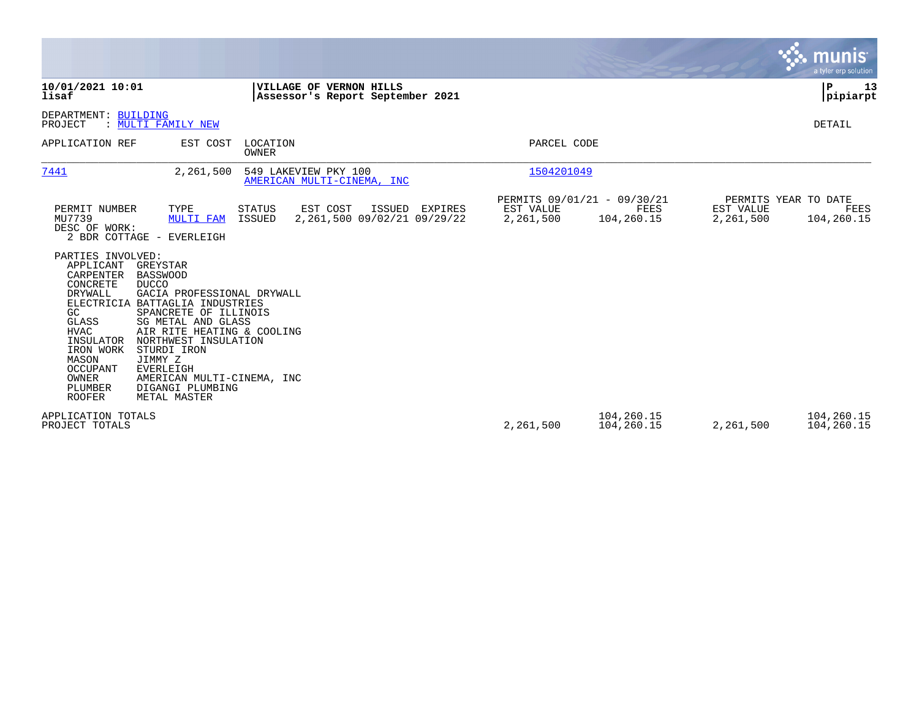|                                                                                                                                       |                                                                                                                                                                                                                                                                                                    |                                                                    |                                                  |                        |                                                          |                                                | <b>munis</b><br>a tyler erp solution |
|---------------------------------------------------------------------------------------------------------------------------------------|----------------------------------------------------------------------------------------------------------------------------------------------------------------------------------------------------------------------------------------------------------------------------------------------------|--------------------------------------------------------------------|--------------------------------------------------|------------------------|----------------------------------------------------------|------------------------------------------------|--------------------------------------|
| 10/01/2021 10:01<br>lisaf                                                                                                             |                                                                                                                                                                                                                                                                                                    | <b>VILLAGE OF VERNON HILLS</b><br>Assessor's Report September 2021 |                                                  |                        |                                                          |                                                | P<br>13<br> pipiarpt                 |
| DEPARTMENT: BUILDING<br>PROJECT                                                                                                       | : MULTI FAMILY NEW                                                                                                                                                                                                                                                                                 |                                                                    |                                                  |                        |                                                          |                                                | DETAIL                               |
| APPLICATION REF                                                                                                                       | EST COST                                                                                                                                                                                                                                                                                           | LOCATION<br>OWNER                                                  |                                                  | PARCEL CODE            |                                                          |                                                |                                      |
| 7441                                                                                                                                  | 2,261,500                                                                                                                                                                                                                                                                                          | 549 LAKEVIEW PKY 100<br>AMERICAN MULTI-CINEMA, INC                 |                                                  | 1504201049             |                                                          |                                                |                                      |
| PERMIT NUMBER<br>MU7739<br>DESC OF WORK:<br>PARTIES INVOLVED:<br>APPLICANT GREYSTAR<br>CARPENTER                                      | TYPE<br><b>MULTI FAM</b><br>2 BDR COTTAGE - EVERLEIGH<br><b>BASSWOOD</b>                                                                                                                                                                                                                           | EST COST<br><b>STATUS</b><br>ISSUED                                | ISSUED<br>EXPIRES<br>2,261,500 09/02/21 09/29/22 | EST VALUE<br>2,261,500 | PERMITS 09/01/21 - 09/30/21<br><b>FEES</b><br>104,260.15 | PERMITS YEAR TO DATE<br>EST VALUE<br>2,261,500 | FEES<br>104,260.15                   |
| CONCRETE<br>DRYWALL<br>GC<br>GLASS<br><b>HVAC</b><br>INSULATOR<br>IRON WORK<br>MASON<br>OCCUPANT<br>OWNER<br>PLUMBER<br><b>ROOFER</b> | <b>DUCCO</b><br>GACIA PROFESSIONAL DRYWALL<br>ELECTRICIA BATTAGLIA INDUSTRIES<br>SPANCRETE OF ILLINOIS<br>SG METAL AND GLASS<br>AIR RITE HEATING & COOLING<br>NORTHWEST INSULATION<br>STURDI IRON<br>JIMMY Z<br><b>EVERLEIGH</b><br>AMERICAN MULTI-CINEMA, INC<br>DIGANGI PLUMBING<br>METAL MASTER |                                                                    |                                                  |                        |                                                          |                                                |                                      |
| APPLICATION TOTALS<br>PROJECT TOTALS                                                                                                  |                                                                                                                                                                                                                                                                                                    |                                                                    |                                                  | 2,261,500              | 104,260.15<br>104,260.15                                 | 2,261,500                                      | 104,260.15<br>104,260.15             |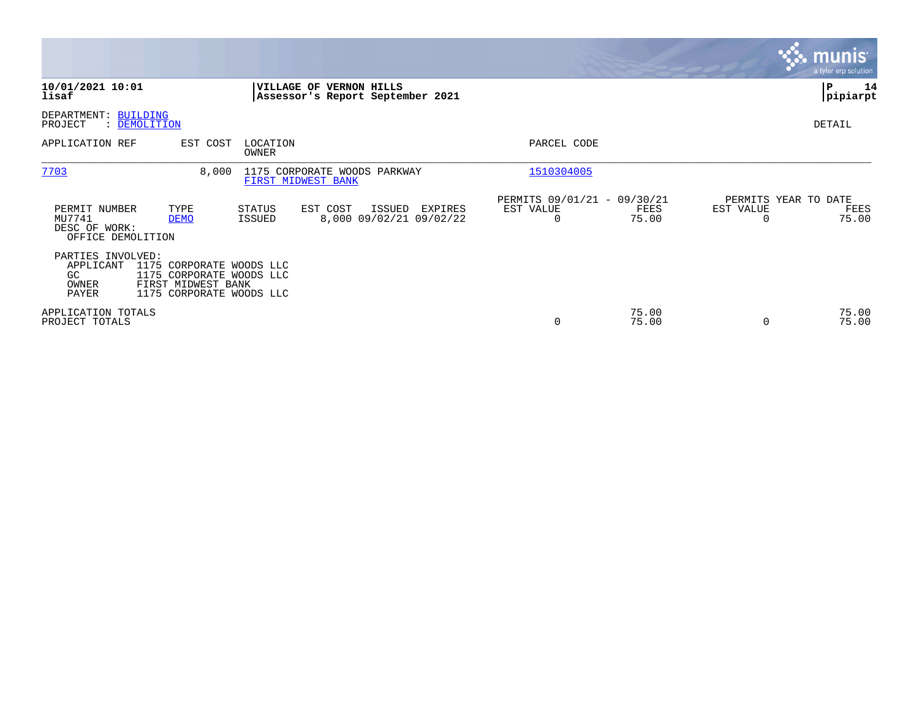|                                                               |                                                                                                        |                                                    |                         |                                              |                                                      |                |                | $\overline{\mathbf{r}}$ munis<br>a tyler erp solution |
|---------------------------------------------------------------|--------------------------------------------------------------------------------------------------------|----------------------------------------------------|-------------------------|----------------------------------------------|------------------------------------------------------|----------------|----------------|-------------------------------------------------------|
| 10/01/2021 10:01<br>lisaf                                     |                                                                                                        |                                                    | VILLAGE OF VERNON HILLS | Assessor's Report September 2021             |                                                      |                |                | 14<br>P<br> pipiarpt                                  |
| DEPARTMENT: BUILDING<br>PROJECT<br>: DEMOLITION               |                                                                                                        |                                                    |                         |                                              |                                                      |                |                | DETAIL                                                |
| APPLICATION REF                                               | EST COST                                                                                               | LOCATION<br>OWNER                                  |                         |                                              | PARCEL CODE                                          |                |                |                                                       |
| 7703                                                          | 8,000                                                                                                  | 1175 CORPORATE WOODS PARKWAY<br>FIRST MIDWEST BANK |                         |                                              | 1510304005                                           |                |                |                                                       |
| PERMIT NUMBER<br>MU7741<br>DESC OF WORK:<br>OFFICE DEMOLITION | TYPE<br><b>DEMO</b>                                                                                    | STATUS<br>ISSUED                                   | EST COST                | ISSUED<br>EXPIRES<br>8,000 09/02/21 09/02/22 | PERMITS 09/01/21 - 09/30/21<br>EST VALUE<br>$\Omega$ | FEES<br>75.00  | EST VALUE<br>0 | PERMITS YEAR TO DATE<br>FEES<br>75.00                 |
| PARTIES INVOLVED:<br>APPLICANT<br>GC.<br>OWNER<br>PAYER       | 1175 CORPORATE WOODS LLC<br>1175 CORPORATE WOODS LLC<br>FIRST MIDWEST BANK<br>1175 CORPORATE WOODS LLC |                                                    |                         |                                              |                                                      |                |                |                                                       |
| APPLICATION TOTALS<br>PROJECT TOTALS                          |                                                                                                        |                                                    |                         |                                              | 0                                                    | 75.00<br>75.00 | 0              | 75.00<br>75.00                                        |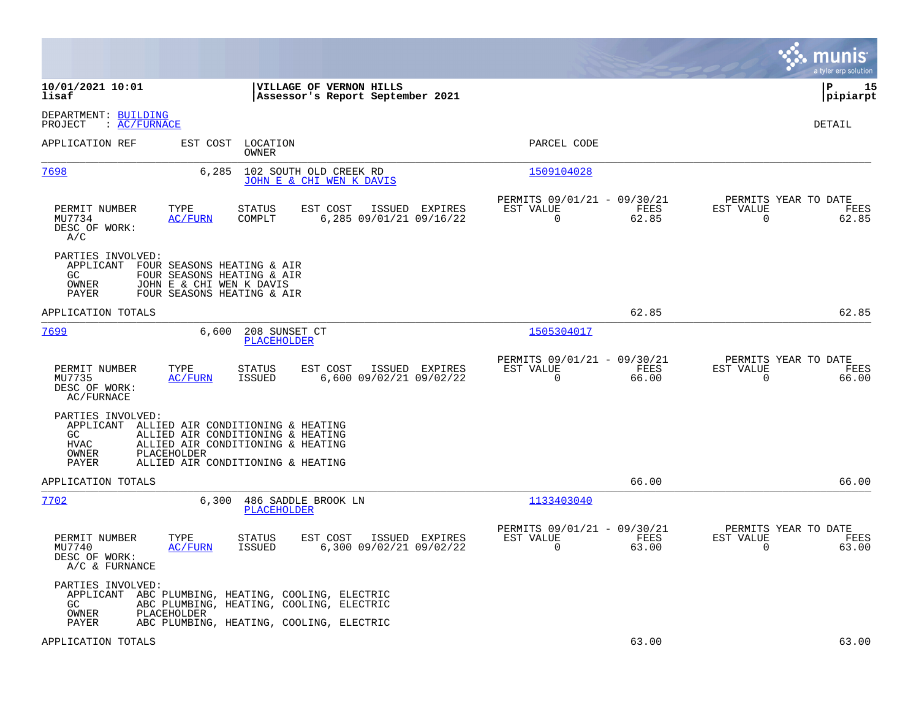|                                                                                                                                                                                                                                       |                                                                       | munis<br>a tyler erp solution                                  |
|---------------------------------------------------------------------------------------------------------------------------------------------------------------------------------------------------------------------------------------|-----------------------------------------------------------------------|----------------------------------------------------------------|
| 10/01/2021 10:01<br><b>VILLAGE OF VERNON HILLS</b><br>lisaf<br>Assessor's Report September 2021                                                                                                                                       |                                                                       | l P<br>15<br> pipiarpt                                         |
| DEPARTMENT: BUILDING<br>: AC/FURNACE<br>PROJECT                                                                                                                                                                                       |                                                                       | <b>DETAIL</b>                                                  |
| APPLICATION REF<br>EST COST LOCATION<br>OWNER                                                                                                                                                                                         | PARCEL CODE                                                           |                                                                |
| 7698<br>6,285<br>102 SOUTH OLD CREEK RD<br>JOHN E & CHI WEN K DAVIS                                                                                                                                                                   | 1509104028                                                            |                                                                |
| EST COST<br>PERMIT NUMBER<br>TYPE<br>STATUS<br>ISSUED EXPIRES<br>6,285 09/01/21 09/16/22<br>MU7734<br>AC/FURN<br>COMPLT<br>DESC OF WORK:<br>A/C                                                                                       | PERMITS 09/01/21 - 09/30/21<br>EST VALUE<br>FEES<br>$\Omega$<br>62.85 | PERMITS YEAR TO DATE<br>EST VALUE<br>FEES<br>$\Omega$<br>62.85 |
| PARTIES INVOLVED:<br>APPLICANT FOUR SEASONS HEATING & AIR<br>FOUR SEASONS HEATING & AIR<br>GC.<br>OWNER<br>JOHN E & CHI WEN K DAVIS<br>PAYER<br>FOUR SEASONS HEATING & AIR                                                            |                                                                       |                                                                |
| APPLICATION TOTALS                                                                                                                                                                                                                    | 62.85                                                                 | 62.85                                                          |
| 7699<br>6,600<br>208 SUNSET CT<br>PLACEHOLDER                                                                                                                                                                                         | 1505304017                                                            |                                                                |
| TYPE<br>STATUS<br>EST COST<br>ISSUED EXPIRES<br>PERMIT NUMBER<br>MU7735<br>ISSUED<br>6,600 09/02/21 09/02/22<br>AC/FURN<br>DESC OF WORK:<br>AC/FURNACE                                                                                | PERMITS 09/01/21 - 09/30/21<br>EST VALUE<br>FEES<br>0<br>66.00        | PERMITS YEAR TO DATE<br>EST VALUE<br>FEES<br>0<br>66.00        |
| PARTIES INVOLVED:<br>APPLICANT ALLIED AIR CONDITIONING & HEATING<br>GC<br>ALLIED AIR CONDITIONING & HEATING<br><b>HVAC</b><br>ALLIED AIR CONDITIONING & HEATING<br>OWNER<br>PLACEHOLDER<br>ALLIED AIR CONDITIONING & HEATING<br>PAYER |                                                                       |                                                                |
| APPLICATION TOTALS                                                                                                                                                                                                                    | 66.00                                                                 | 66.00                                                          |
| 7702<br>486 SADDLE BROOK LN<br>6,300<br><b>PLACEHOLDER</b>                                                                                                                                                                            | 1133403040                                                            |                                                                |
| PERMIT NUMBER<br>TYPE<br>STATUS<br>EST COST<br>ISSUED EXPIRES<br>MU7740<br><b>ISSUED</b><br>6,300 09/02/21 09/02/22<br><b>AC/FURN</b><br>DESC OF WORK:<br>A/C & FURNANCE                                                              | PERMITS 09/01/21 - 09/30/21<br>EST VALUE<br>FEES<br>$\Omega$<br>63.00 | PERMITS YEAR TO DATE<br>EST VALUE<br>FEES<br>$\Omega$<br>63.00 |
| PARTIES INVOLVED:<br>APPLICANT ABC PLUMBING, HEATING, COOLING, ELECTRIC<br>GC<br>ABC PLUMBING, HEATING, COOLING, ELECTRIC<br>OWNER<br>PLACEHOLDER                                                                                     |                                                                       |                                                                |
| PAYER<br>ABC PLUMBING, HEATING, COOLING, ELECTRIC<br>APPLICATION TOTALS                                                                                                                                                               | 63.00                                                                 | 63.00                                                          |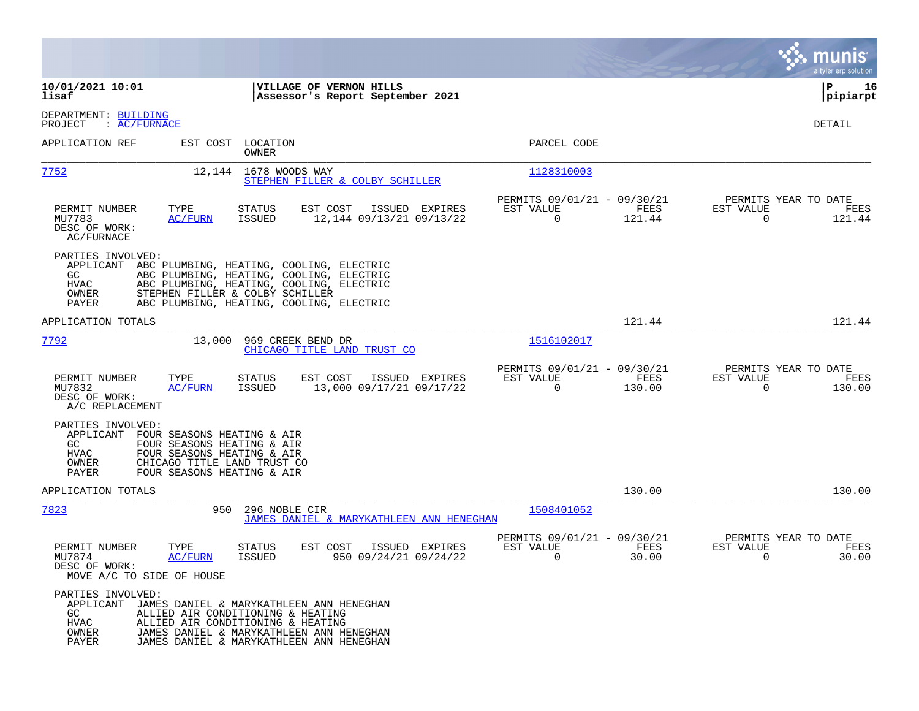|                                                                                                                                                                                                                        |                                                                                                                                                                                                                      |                                                                           | munis<br>a tyler erp solution                                      |
|------------------------------------------------------------------------------------------------------------------------------------------------------------------------------------------------------------------------|----------------------------------------------------------------------------------------------------------------------------------------------------------------------------------------------------------------------|---------------------------------------------------------------------------|--------------------------------------------------------------------|
| 10/01/2021 10:01<br>lisaf                                                                                                                                                                                              | VILLAGE OF VERNON HILLS<br>Assessor's Report September 2021                                                                                                                                                          |                                                                           | ΙP<br>16<br> pipiarpt                                              |
| DEPARTMENT: BUILDING<br>: AC/FURNACE<br>PROJECT                                                                                                                                                                        |                                                                                                                                                                                                                      |                                                                           | DETAIL                                                             |
| APPLICATION REF                                                                                                                                                                                                        | EST COST LOCATION<br>OWNER                                                                                                                                                                                           | PARCEL CODE                                                               |                                                                    |
| <u>7752</u>                                                                                                                                                                                                            | 12,144 1678 WOODS WAY<br>STEPHEN FILLER & COLBY SCHILLER                                                                                                                                                             | 1128310003                                                                |                                                                    |
| TYPE<br>PERMIT NUMBER<br><b>AC/FURN</b><br>MU7783<br>DESC OF WORK:<br>AC/FURNACE                                                                                                                                       | EST COST<br>ISSUED EXPIRES<br><b>STATUS</b><br><b>ISSUED</b><br>12,144 09/13/21 09/13/22                                                                                                                             | PERMITS 09/01/21 - 09/30/21<br>EST VALUE<br>FEES<br>0<br>121.44           | PERMITS YEAR TO DATE<br>EST VALUE<br>FEES<br>0<br>121.44           |
| PARTIES INVOLVED:<br>APPLICANT<br>GC.<br>HVAC<br>OWNER<br>PAYER                                                                                                                                                        | ABC PLUMBING, HEATING, COOLING, ELECTRIC<br>ABC PLUMBING, HEATING, COOLING, ELECTRIC<br>ABC PLUMBING, HEATING, COOLING, ELECTRIC<br>STEPHEN FILLER & COLBY SCHILLER<br>ABC PLUMBING, HEATING, COOLING, ELECTRIC      |                                                                           |                                                                    |
| APPLICATION TOTALS                                                                                                                                                                                                     |                                                                                                                                                                                                                      | 121.44                                                                    | 121.44                                                             |
| 7792<br>13,000                                                                                                                                                                                                         | 969 CREEK BEND DR<br>CHICAGO TITLE LAND TRUST CO                                                                                                                                                                     | 1516102017                                                                |                                                                    |
| PERMIT NUMBER<br>TYPE<br>MU7832<br><u>AC/FURN</u><br>DESC OF WORK:<br>A/C REPLACEMENT                                                                                                                                  | EST COST<br><b>STATUS</b><br>ISSUED EXPIRES<br>13,000 09/17/21 09/17/22<br><b>ISSUED</b>                                                                                                                             | PERMITS 09/01/21 - 09/30/21<br>EST VALUE<br>FEES<br>$\mathbf 0$<br>130.00 | PERMITS YEAR TO DATE<br>EST VALUE<br>FEES<br>$\mathbf 0$<br>130.00 |
| PARTIES INVOLVED:<br>APPLICANT<br>FOUR SEASONS HEATING & AIR<br>GC.<br>FOUR SEASONS HEATING & AIR<br>FOUR SEASONS HEATING & AIR<br>HVAC<br>CHICAGO TITLE LAND TRUST CO<br>OWNER<br>FOUR SEASONS HEATING & AIR<br>PAYER |                                                                                                                                                                                                                      |                                                                           |                                                                    |
| APPLICATION TOTALS                                                                                                                                                                                                     |                                                                                                                                                                                                                      | 130.00                                                                    | 130.00                                                             |
| 7823<br>950                                                                                                                                                                                                            | 296 NOBLE CIR<br>JAMES DANIEL & MARYKATHLEEN ANN HENEGHAN                                                                                                                                                            | 1508401052                                                                |                                                                    |
| PERMIT NUMBER<br>TYPE<br>MU7874<br>AC/FURN<br>DESC OF WORK:<br>MOVE A/C TO SIDE OF HOUSE                                                                                                                               | STATUS<br>EST COST<br>ISSUED<br>EXPIRES<br><b>ISSUED</b><br>950 09/24/21 09/24/22                                                                                                                                    | PERMITS 09/01/21 - 09/30/21<br>EST VALUE<br>FEES<br>0<br>30.00            | PERMITS YEAR TO DATE<br>EST VALUE<br>FEES<br>0<br>30.00            |
| PARTIES INVOLVED:<br>GC.<br><b>HVAC</b><br>OWNER<br>PAYER                                                                                                                                                              | APPLICANT JAMES DANIEL & MARYKATHLEEN ANN HENEGHAN<br>ALLIED AIR CONDITIONING & HEATING<br>ALLIED AIR CONDITIONING & HEATING<br>JAMES DANIEL & MARYKATHLEEN ANN HENEGHAN<br>JAMES DANIEL & MARYKATHLEEN ANN HENEGHAN |                                                                           |                                                                    |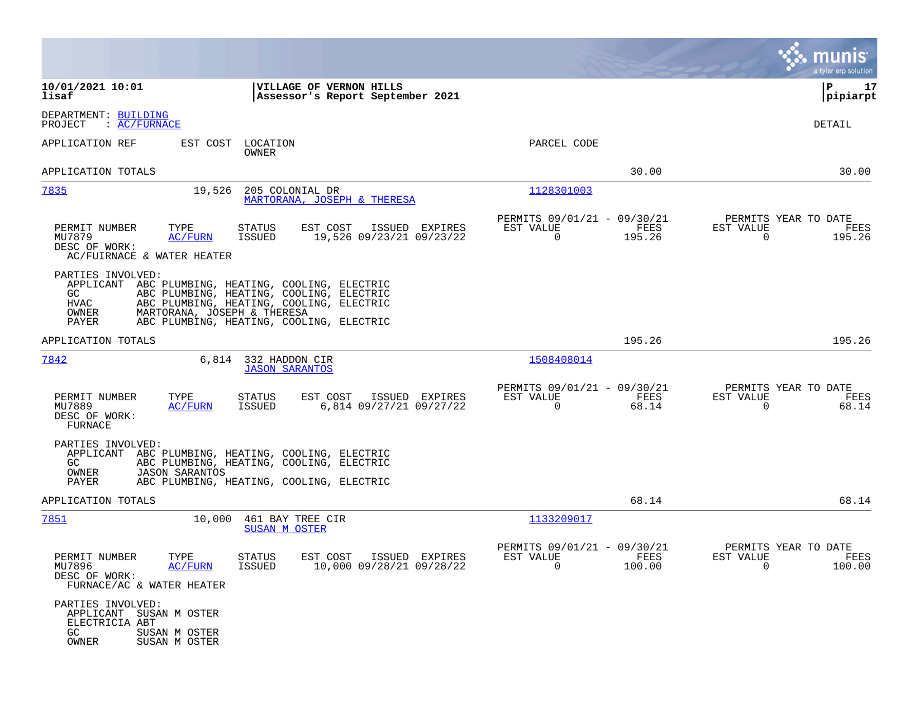|                                                                                                                  |                                                                                                                                                                              |                                                                          | munis<br>a tyler erp solution                            |
|------------------------------------------------------------------------------------------------------------------|------------------------------------------------------------------------------------------------------------------------------------------------------------------------------|--------------------------------------------------------------------------|----------------------------------------------------------|
| 10/01/2021 10:01<br>lisaf                                                                                        | VILLAGE OF VERNON HILLS<br>Assessor's Report September 2021                                                                                                                  |                                                                          | ΙP<br>17<br> pipiarpt                                    |
| DEPARTMENT: BUILDING<br>PROJECT<br>$\colon$ AC/FURNACE                                                           |                                                                                                                                                                              |                                                                          | DETAIL                                                   |
| APPLICATION REF<br>EST COST                                                                                      | LOCATION<br>OWNER                                                                                                                                                            | PARCEL CODE                                                              |                                                          |
| APPLICATION TOTALS                                                                                               |                                                                                                                                                                              | 30.00                                                                    | 30.00                                                    |
| 7835<br>19,526                                                                                                   | 205 COLONIAL DR<br>MARTORANA, JOSEPH & THERESA                                                                                                                               | 1128301003                                                               |                                                          |
| PERMIT NUMBER<br>TYPE<br>MU7879<br>AC/FURN<br>DESC OF WORK:<br>AC/FUIRNACE & WATER HEATER                        | EST COST<br>ISSUED EXPIRES<br>STATUS<br>ISSUED<br>19,526 09/23/21 09/23/22                                                                                                   | PERMITS 09/01/21 - 09/30/21<br>EST VALUE<br>FEES<br>195.26<br>0          | PERMITS YEAR TO DATE<br>EST VALUE<br>FEES<br>195.26<br>0 |
| PARTIES INVOLVED:<br>APPLICANT<br>GC.<br>HVAC<br>OWNER<br>MARTORANA, JOSEPH & THERESA<br>PAYER                   | ABC PLUMBING, HEATING, COOLING, ELECTRIC<br>ABC PLUMBING, HEATING, COOLING, ELECTRIC<br>ABC PLUMBING, HEATING, COOLING, ELECTRIC<br>ABC PLUMBING, HEATING, COOLING, ELECTRIC |                                                                          |                                                          |
| APPLICATION TOTALS                                                                                               |                                                                                                                                                                              | 195.26                                                                   | 195.26                                                   |
| 7842<br>6,814                                                                                                    | 332 HADDON CIR<br><b>JASON SARANTOS</b>                                                                                                                                      | 1508408014                                                               |                                                          |
| PERMIT NUMBER<br>TYPE<br>MU7889<br>AC/FURN<br>DESC OF WORK:<br>FURNACE                                           | STATUS<br>EST COST<br>ISSUED EXPIRES<br>ISSUED<br>6,814 09/27/21 09/27/22                                                                                                    | PERMITS 09/01/21 - 09/30/21<br>EST VALUE<br>FEES<br>$\mathbf 0$<br>68.14 | PERMITS YEAR TO DATE<br>EST VALUE<br>FEES<br>68.14<br>0  |
| PARTIES INVOLVED:<br>APPLICANT<br>GC.<br>OWNER<br><b>JASON SARANTOS</b><br>PAYER                                 | ABC PLUMBING, HEATING, COOLING, ELECTRIC<br>ABC PLUMBING, HEATING, COOLING, ELECTRIC<br>ABC PLUMBING, HEATING, COOLING, ELECTRIC                                             |                                                                          |                                                          |
| APPLICATION TOTALS                                                                                               |                                                                                                                                                                              | 68.14                                                                    | 68.14                                                    |
| 7851<br>10,000                                                                                                   | 461 BAY TREE CIR<br><b>SUSAN M OSTER</b>                                                                                                                                     | 1133209017                                                               |                                                          |
| PERMIT NUMBER<br>TYPE<br>MU7896<br><u>AC/FURN</u><br>DESC OF WORK:<br>FURNACE/AC & WATER HEATER                  | <b>STATUS</b><br>EST COST<br>ISSUED EXPIRES<br>ISSUED<br>10,000 09/28/21 09/28/22                                                                                            | PERMITS 09/01/21 - 09/30/21<br>FEES<br>EST VALUE<br>100.00<br>U          | PERMITS YEAR TO DATE<br>EST VALUE<br>FEES<br>U<br>100.00 |
| PARTIES INVOLVED:<br>APPLICANT SUSAN M OSTER<br>ELECTRICIA ABT<br>GC.<br>SUSAN M OSTER<br>OWNER<br>SUSAN M OSTER |                                                                                                                                                                              |                                                                          |                                                          |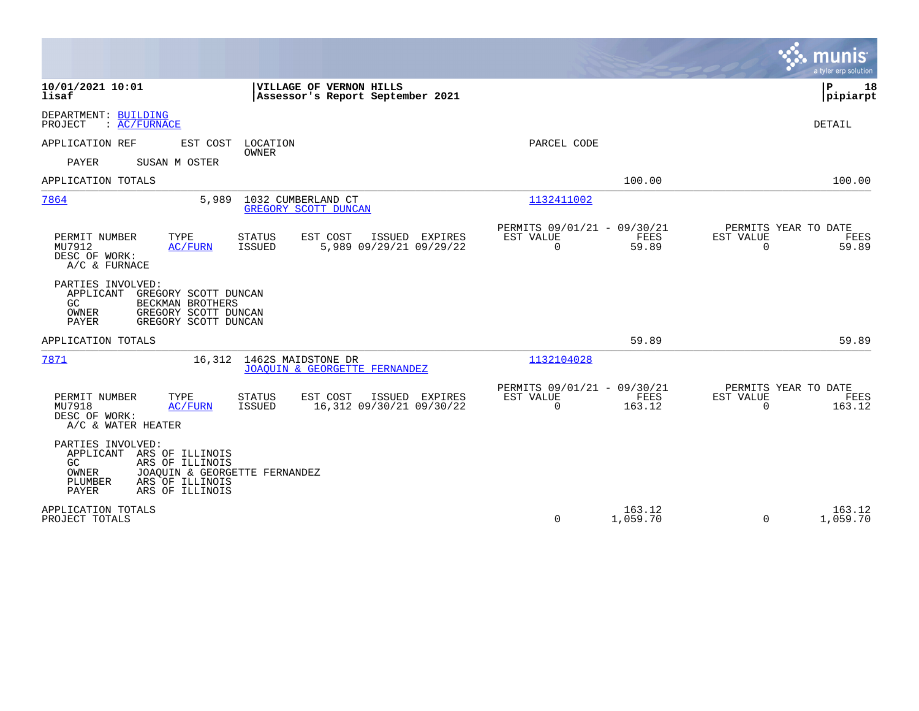|                                                                                                                                                                                 |                                                             |                                                         |                    |                          | munis<br>a tyler erp solution          |
|---------------------------------------------------------------------------------------------------------------------------------------------------------------------------------|-------------------------------------------------------------|---------------------------------------------------------|--------------------|--------------------------|----------------------------------------|
| 10/01/2021 10:01<br>lisaf                                                                                                                                                       | VILLAGE OF VERNON HILLS<br>Assessor's Report September 2021 |                                                         |                    |                          | l P<br>18<br> pipiarpt                 |
| DEPARTMENT: BUILDING<br>PROJECT<br>: AC/FURNACE                                                                                                                                 |                                                             |                                                         |                    |                          | <b>DETAIL</b>                          |
| APPLICATION REF<br>EST COST<br>LOCATION                                                                                                                                         |                                                             | PARCEL CODE                                             |                    |                          |                                        |
| <b>OWNER</b><br><b>PAYER</b><br>SUSAN M OSTER                                                                                                                                   |                                                             |                                                         |                    |                          |                                        |
| APPLICATION TOTALS                                                                                                                                                              |                                                             |                                                         | 100.00             |                          | 100.00                                 |
| 7864<br>5,989<br>1032 CUMBERLAND CT                                                                                                                                             | GREGORY SCOTT DUNCAN                                        | 1132411002                                              |                    |                          |                                        |
| PERMIT NUMBER<br>TYPE<br>STATUS<br>MU7912<br><b>ISSUED</b><br>AC/FURN<br>DESC OF WORK:<br>A/C & FURNACE                                                                         | EST COST<br>ISSUED EXPIRES<br>5,989 09/29/21 09/29/22       | PERMITS 09/01/21 - 09/30/21<br>EST VALUE<br>$\mathbf 0$ | FEES<br>59.89      | EST VALUE<br>$\mathbf 0$ | PERMITS YEAR TO DATE<br>FEES<br>59.89  |
| PARTIES INVOLVED:<br>APPLICANT<br>GREGORY SCOTT DUNCAN<br>GC<br>BECKMAN BROTHERS<br>OWNER<br>GREGORY SCOTT DUNCAN<br>PAYER<br>GREGORY SCOTT DUNCAN                              |                                                             |                                                         |                    |                          |                                        |
| APPLICATION TOTALS                                                                                                                                                              |                                                             |                                                         | 59.89              |                          | 59.89                                  |
| 7871<br>16,312 1462S MAIDSTONE DR                                                                                                                                               | JOAOUIN & GEORGETTE FERNANDEZ                               | 1132104028                                              |                    |                          |                                        |
| PERMIT NUMBER<br>TYPE<br>STATUS<br>MU7918<br>AC/FURN<br>ISSUED<br>DESC OF WORK:<br>A/C & WATER HEATER                                                                           | EST COST<br>ISSUED EXPIRES<br>16,312 09/30/21 09/30/22      | PERMITS 09/01/21 - 09/30/21<br>EST VALUE<br>$\Omega$    | FEES<br>163.12     | EST VALUE<br>$\Omega$    | PERMITS YEAR TO DATE<br>FEES<br>163.12 |
| PARTIES INVOLVED:<br>APPLICANT<br>ARS OF ILLINOIS<br>ARS OF ILLINOIS<br>GC.<br>JOAQUIN & GEORGETTE FERNANDEZ<br>OWNER<br>ARS OF ILLINOIS<br>PLUMBER<br>PAYER<br>ARS OF ILLINOIS |                                                             |                                                         |                    |                          |                                        |
| APPLICATION TOTALS<br>PROJECT TOTALS                                                                                                                                            |                                                             | $\Omega$                                                | 163.12<br>1,059.70 | $\Omega$                 | 163.12<br>1,059.70                     |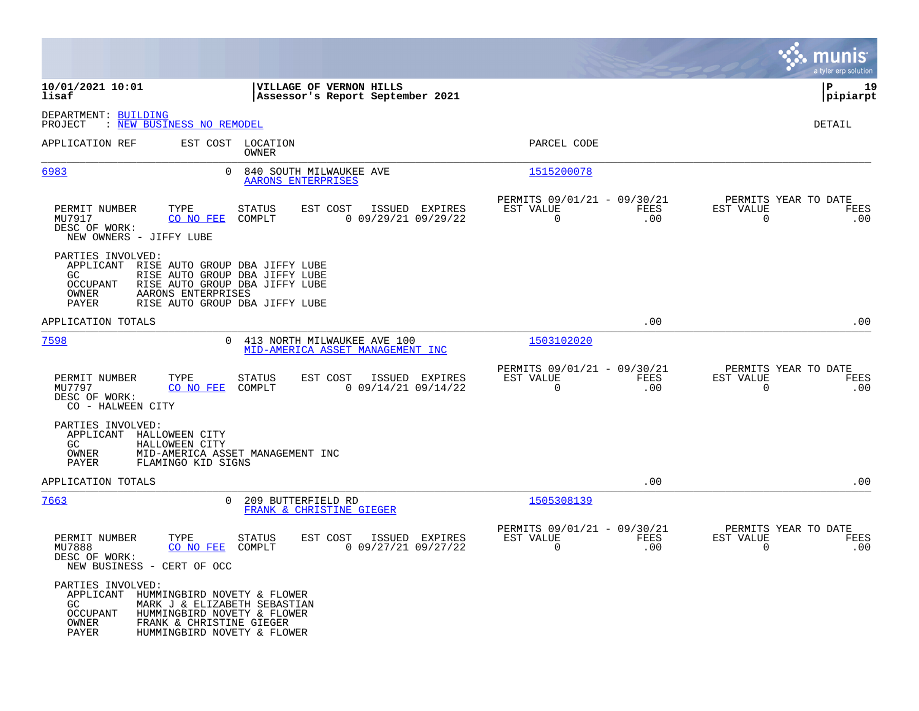|                                                                                                                                                                                                                                           |                                                                                |                                                                        | munis<br>a tyler erp solution                                |
|-------------------------------------------------------------------------------------------------------------------------------------------------------------------------------------------------------------------------------------------|--------------------------------------------------------------------------------|------------------------------------------------------------------------|--------------------------------------------------------------|
| 10/01/2021 10:01<br>lisaf                                                                                                                                                                                                                 | VILLAGE OF VERNON HILLS<br>Assessor's Report September 2021                    |                                                                        | ΙP<br>19<br> pipiarpt                                        |
| DEPARTMENT: BUILDING<br>: NEW BUSINESS NO REMODEL<br>PROJECT                                                                                                                                                                              |                                                                                |                                                                        | DETAIL                                                       |
| APPLICATION REF                                                                                                                                                                                                                           | EST COST LOCATION<br><b>OWNER</b>                                              | PARCEL CODE                                                            |                                                              |
| $\Omega$<br>6983                                                                                                                                                                                                                          | 840 SOUTH MILWAUKEE AVE<br>AARONS ENTERPRISES                                  | 1515200078                                                             |                                                              |
| TYPE<br>PERMIT NUMBER<br>MU7917<br>CO NO FEE<br>DESC OF WORK:<br>NEW OWNERS - JIFFY LUBE                                                                                                                                                  | <b>STATUS</b><br>EST COST<br>ISSUED EXPIRES<br>COMPLT<br>$0$ 09/29/21 09/29/22 | PERMITS 09/01/21 - 09/30/21<br>EST VALUE<br>FEES<br>$\mathbf 0$<br>.00 | PERMITS YEAR TO DATE<br>EST VALUE<br>FEES<br>.00<br>0        |
| PARTIES INVOLVED:<br>APPLICANT<br>RISE AUTO GROUP DBA JIFFY LUBE<br>GC.<br>RISE AUTO GROUP DBA JIFFY LUBE<br>OCCUPANT<br>RISE AUTO GROUP DBA JIFFY LUBE<br>OWNER<br>AARONS ENTERPRISES<br>PAYER<br>RISE AUTO GROUP DBA JIFFY LUBE         |                                                                                |                                                                        |                                                              |
| APPLICATION TOTALS                                                                                                                                                                                                                        |                                                                                | .00                                                                    | .00                                                          |
| 7598                                                                                                                                                                                                                                      | 0 413 NORTH MILWAUKEE AVE 100<br>MID-AMERICA ASSET MANAGEMENT INC              | 1503102020                                                             |                                                              |
| PERMIT NUMBER<br>TYPE<br>MU7797<br>CO NO FEE<br>DESC OF WORK:<br>CO - HALWEEN CITY                                                                                                                                                        | <b>STATUS</b><br>EST COST<br>ISSUED EXPIRES<br>COMPLT<br>$0$ 09/14/21 09/14/22 | PERMITS 09/01/21 - 09/30/21<br>EST VALUE<br>FEES<br>$\Omega$<br>.00    | PERMITS YEAR TO DATE<br>EST VALUE<br>FEES<br>$\Omega$<br>.00 |
| PARTIES INVOLVED:<br>APPLICANT HALLOWEEN CITY<br>GC<br>HALLOWEEN CITY<br>OWNER<br>PAYER<br>FLAMINGO KID SIGNS                                                                                                                             | MID-AMERICA ASSET MANAGEMENT INC                                               |                                                                        |                                                              |
| APPLICATION TOTALS                                                                                                                                                                                                                        |                                                                                | .00                                                                    | .00                                                          |
| 7663<br>$\Omega$                                                                                                                                                                                                                          | 209 BUTTERFIELD RD<br>FRANK & CHRISTINE GIEGER                                 | 1505308139                                                             |                                                              |
| PERMIT NUMBER<br>TYPE<br>MU7888<br>CO NO FEE<br>DESC OF WORK:<br>NEW BUSINESS - CERT OF OCC                                                                                                                                               | <b>STATUS</b><br>EST COST<br>ISSUED EXPIRES<br>COMPLT<br>$0$ 09/27/21 09/27/22 | PERMITS 09/01/21 - 09/30/21<br>EST VALUE<br>FEES<br>$\mathbf 0$<br>.00 | PERMITS YEAR TO DATE<br>EST VALUE<br>FEES<br>$\Omega$<br>.00 |
| PARTIES INVOLVED:<br>APPLICANT<br>HUMMINGBIRD NOVETY & FLOWER<br>MARK J & ELIZABETH SEBASTIAN<br>GC<br>OCCUPANT<br>HUMMINGBIRD NOVETY & FLOWER<br><b>OWNER</b><br>FRANK & CHRISTINE GIEGER<br><b>PAYER</b><br>HUMMINGBIRD NOVETY & FLOWER |                                                                                |                                                                        |                                                              |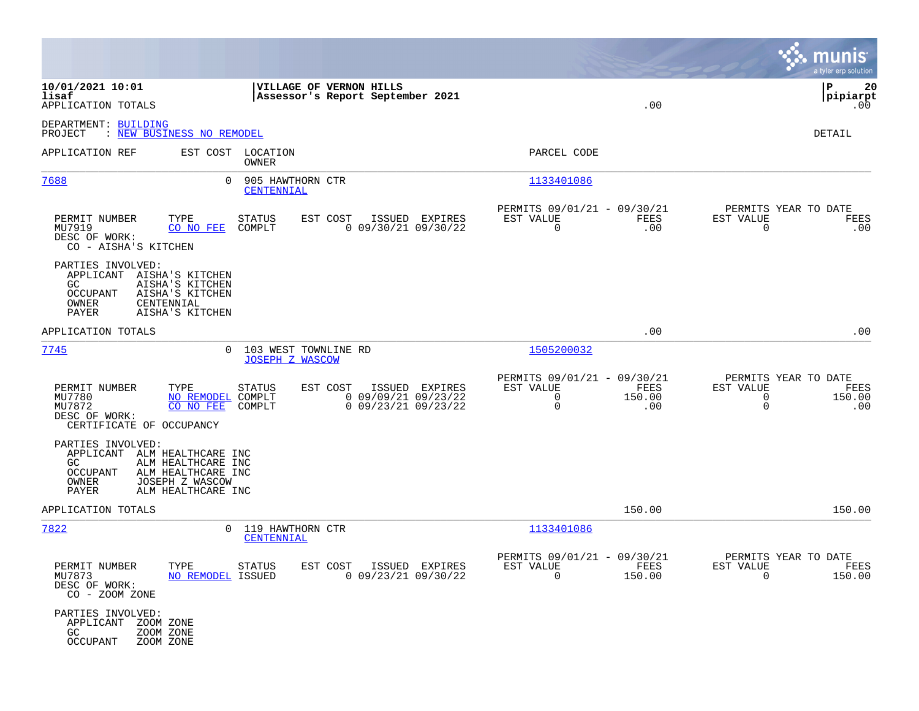|                                                                                                                                                                            |                                                                                                  |                                                                                       | munis<br>a tyler erp solution                                                  |
|----------------------------------------------------------------------------------------------------------------------------------------------------------------------------|--------------------------------------------------------------------------------------------------|---------------------------------------------------------------------------------------|--------------------------------------------------------------------------------|
| 10/01/2021 10:01<br>lisaf<br>APPLICATION TOTALS                                                                                                                            | VILLAGE OF VERNON HILLS<br>Assessor's Report September 2021                                      | .00                                                                                   | l P<br>20<br> pipiarpt<br>$.00 \,$                                             |
| DEPARTMENT: BUILDING<br>PROJECT<br>: NEW BUSINESS NO REMODEL                                                                                                               |                                                                                                  |                                                                                       | DETAIL                                                                         |
| APPLICATION REF                                                                                                                                                            | EST COST LOCATION<br>OWNER                                                                       | PARCEL CODE                                                                           |                                                                                |
| 7688                                                                                                                                                                       | 905 HAWTHORN CTR<br>$\Omega$<br>CENTENNIAL                                                       | 1133401086                                                                            |                                                                                |
| PERMIT NUMBER<br>TYPE<br>MU7919<br>CO NO FEE<br>DESC OF WORK:<br>CO - AISHA'S KITCHEN                                                                                      | EST COST<br>ISSUED EXPIRES<br>STATUS<br>$0$ 09/30/21 09/30/22<br>COMPLT                          | PERMITS 09/01/21 - 09/30/21<br>EST VALUE<br>FEES<br>$\mathbf 0$<br>.00                | PERMITS YEAR TO DATE<br>EST VALUE<br>FEES<br>0<br>.00                          |
| PARTIES INVOLVED:<br>APPLICANT AISHA'S KITCHEN<br>GC.<br>AISHA'S KITCHEN<br>OCCUPANT<br>AISHA'S KITCHEN<br>OWNER<br>CENTENNIAL<br>PAYER<br>AISHA'S KITCHEN                 |                                                                                                  |                                                                                       |                                                                                |
| APPLICATION TOTALS                                                                                                                                                         |                                                                                                  | .00                                                                                   | .00                                                                            |
| 7745                                                                                                                                                                       | 103 WEST TOWNLINE RD<br>$\Omega$<br><b>JOSEPH Z WASCOW</b>                                       | 1505200032                                                                            |                                                                                |
| PERMIT NUMBER<br>TYPE<br>MU7780<br>NO REMODEL COMPLT<br>MU7872<br>CO NO FEE<br>DESC OF WORK:<br>CERTIFICATE OF OCCUPANCY                                                   | STATUS<br>EST COST<br>ISSUED EXPIRES<br>$0$ 09/09/21 09/23/22<br>$0$ 09/23/21 09/23/22<br>COMPLT | PERMITS 09/01/21 - 09/30/21<br>EST VALUE<br>FEES<br>0<br>150.00<br>$\mathbf 0$<br>.00 | PERMITS YEAR TO DATE<br>EST VALUE<br>FEES<br>0<br>150.00<br>$\mathbf 0$<br>.00 |
| PARTIES INVOLVED:<br>APPLICANT ALM HEALTHCARE INC<br>GC<br>ALM HEALTHCARE INC<br>OCCUPANT<br>ALM HEALTHCARE INC<br>OWNER<br>JOSEPH Z WASCOW<br>PAYER<br>ALM HEALTHCARE INC |                                                                                                  |                                                                                       |                                                                                |
| APPLICATION TOTALS                                                                                                                                                         |                                                                                                  | 150.00                                                                                | 150.00                                                                         |
| 7822                                                                                                                                                                       | 119 HAWTHORN CTR<br>$\Omega$<br>CENTENNIAL                                                       | 1133401086                                                                            |                                                                                |
| PERMIT NUMBER<br>TYPE STATUS<br>MU7873<br>NO REMODEL ISSUED<br>DESC OF WORK:<br>CO - ZOOM ZONE                                                                             | EST COST ISSUED EXPIRES<br>$0$ 09/23/21 09/30/22                                                 | PERMITS 09/01/21 - 09/30/21<br>EST VALUE<br>FEES<br>$\Omega$<br>150.00                | PERMITS YEAR TO DATE<br>EST VALUE<br>FEES<br>$\Omega$<br>150.00                |
| PARTIES INVOLVED:<br>APPLICANT<br>ZOOM ZONE<br>ZOOM ZONE<br>GC<br><b>OCCUPANT</b><br>ZOOM ZONE                                                                             |                                                                                                  |                                                                                       |                                                                                |

**Contract**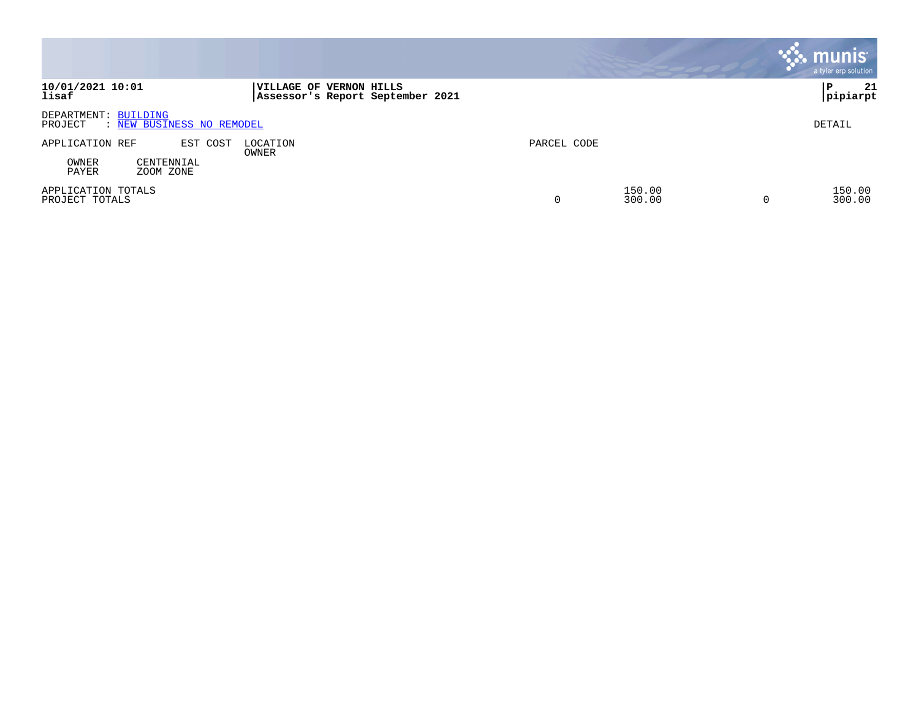|                                                              |                                                             |             |                  | <b>Munis</b><br>a tyler erp solution |
|--------------------------------------------------------------|-------------------------------------------------------------|-------------|------------------|--------------------------------------|
| 10/01/2021 10:01<br>lisaf                                    | VILLAGE OF VERNON HILLS<br>Assessor's Report September 2021 |             |                  | 21<br>∣P<br> pipiarpt                |
| DEPARTMENT: BUILDING<br>: NEW BUSINESS NO REMODEL<br>PROJECT |                                                             |             |                  | DETAIL                               |
| APPLICATION REF<br>EST COST                                  | LOCATION<br>OWNER                                           | PARCEL CODE |                  |                                      |
| OWNER<br>CENTENNIAL<br>PAYER<br>ZOOM ZONE                    |                                                             |             |                  |                                      |
| APPLICATION TOTALS<br>PROJECT TOTALS                         |                                                             | 0           | 150.00<br>300.00 | 150.00<br>300.00                     |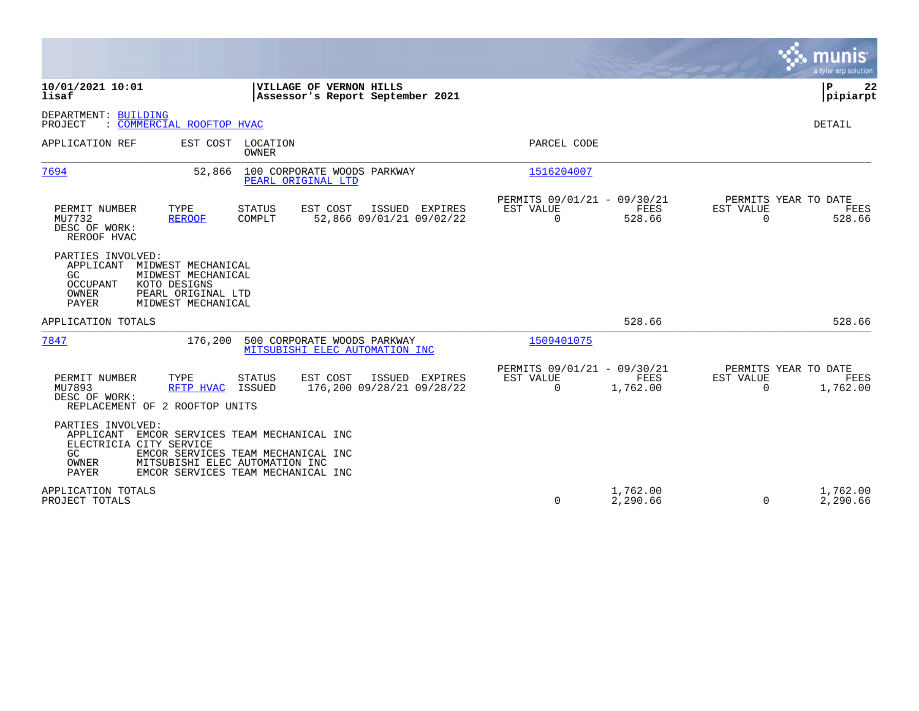|                                                                                                                                                                                                                                        | munis<br>a tyler erp solution                                                                                                                          |
|----------------------------------------------------------------------------------------------------------------------------------------------------------------------------------------------------------------------------------------|--------------------------------------------------------------------------------------------------------------------------------------------------------|
| 10/01/2021 10:01<br>VILLAGE OF VERNON HILLS<br>Assessor's Report September 2021<br>lisaf                                                                                                                                               | P<br>22<br> pipiarpt                                                                                                                                   |
| DEPARTMENT: BUILDING<br>: COMMERCIAL ROOFTOP HVAC<br>PROJECT                                                                                                                                                                           | DETAIL                                                                                                                                                 |
| EST COST<br>LOCATION<br>APPLICATION REF<br>OWNER                                                                                                                                                                                       | PARCEL CODE                                                                                                                                            |
| 7694<br>100 CORPORATE WOODS PARKWAY<br>52,866<br>PEARL ORIGINAL LTD                                                                                                                                                                    | 1516204007                                                                                                                                             |
| EST COST<br>PERMIT NUMBER<br>TYPE<br><b>STATUS</b><br>ISSUED EXPIRES<br>COMPLT<br>52,866 09/01/21 09/02/22<br>MU7732<br><b>REROOF</b><br>DESC OF WORK:<br>REROOF HVAC                                                                  | PERMITS 09/01/21 - 09/30/21<br>PERMITS YEAR TO DATE<br><b>FEES</b><br>EST VALUE<br>EST VALUE<br>FEES<br>$\mathbf 0$<br>528.66<br>$\mathbf 0$<br>528.66 |
| PARTIES INVOLVED:<br>APPLICANT<br>MIDWEST MECHANICAL<br>GC.<br>MIDWEST MECHANICAL<br>KOTO DESIGNS<br>OCCUPANT<br>OWNER<br>PEARL ORIGINAL LTD<br>PAYER<br>MIDWEST MECHANICAL                                                            |                                                                                                                                                        |
| APPLICATION TOTALS                                                                                                                                                                                                                     | 528.66<br>528.66                                                                                                                                       |
| 7847<br>176,200<br>500 CORPORATE WOODS PARKWAY<br>MITSUBISHI ELEC AUTOMATION INC                                                                                                                                                       | 1509401075                                                                                                                                             |
| PERMIT NUMBER<br>EST COST<br>ISSUED EXPIRES<br>TYPE<br><b>STATUS</b><br>176,200 09/28/21 09/28/22<br>MU7893<br>RFTP HVAC<br>ISSUED<br>DESC OF WORK:<br>REPLACEMENT OF 2 ROOFTOP UNITS                                                  | PERMITS 09/01/21 - 09/30/21<br>PERMITS YEAR TO DATE<br>EST VALUE<br>FEES<br>EST VALUE<br>FEES<br>$\Omega$<br>$\Omega$<br>1,762.00<br>1,762.00          |
| PARTIES INVOLVED:<br>APPLICANT<br>EMCOR SERVICES TEAM MECHANICAL INC<br>ELECTRICIA CITY SERVICE<br>GC.<br>EMCOR SERVICES TEAM MECHANICAL INC<br>OWNER<br>MITSUBISHI ELEC AUTOMATION INC<br>PAYER<br>EMCOR SERVICES TEAM MECHANICAL INC |                                                                                                                                                        |
| APPLICATION TOTALS<br>PROJECT TOTALS                                                                                                                                                                                                   | 1,762.00<br>1,762.00<br>$\Omega$<br>2,290.66<br>2,290.66<br>$\Omega$                                                                                   |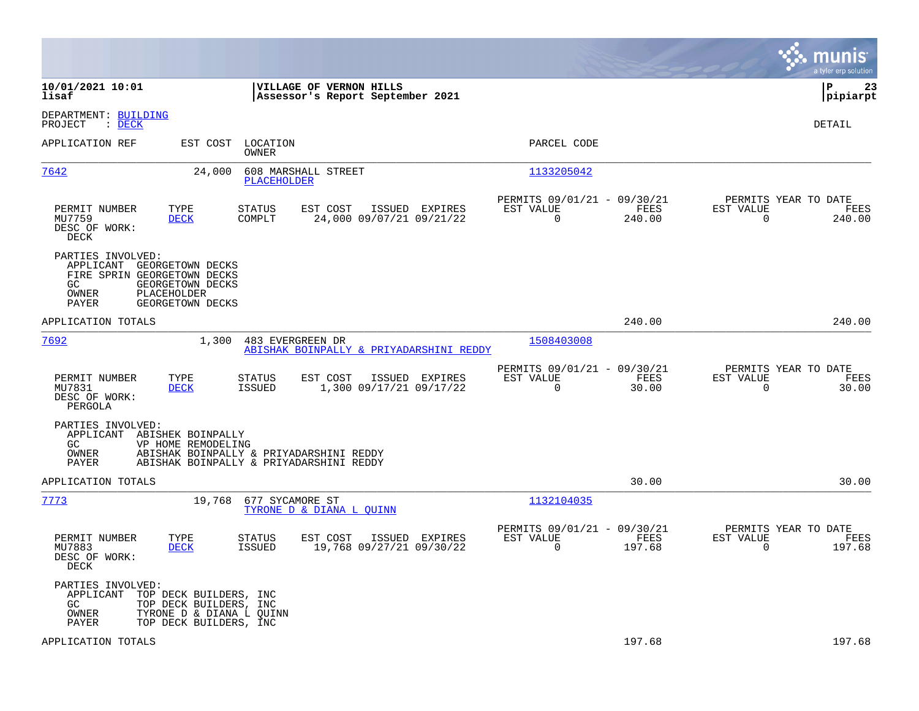|                                                                                                                                                                                      | munis<br>a tyler erp solution                                                                                                                 |
|--------------------------------------------------------------------------------------------------------------------------------------------------------------------------------------|-----------------------------------------------------------------------------------------------------------------------------------------------|
| 10/01/2021 10:01<br>VILLAGE OF VERNON HILLS<br>lisaf<br>Assessor's Report September 2021                                                                                             | l P<br>23<br> pipiarpt                                                                                                                        |
| DEPARTMENT: BUILDING<br>$\therefore$ DECK<br>PROJECT                                                                                                                                 | <b>DETAIL</b>                                                                                                                                 |
| APPLICATION REF<br>EST COST<br>LOCATION<br>OWNER                                                                                                                                     | PARCEL CODE                                                                                                                                   |
| 7642<br>608 MARSHALL STREET<br>24,000<br>PLACEHOLDER                                                                                                                                 | 1133205042                                                                                                                                    |
| PERMIT NUMBER<br>TYPE<br>STATUS<br>EST COST<br>ISSUED EXPIRES<br>MU7759<br><b>DECK</b><br>COMPLT<br>24,000 09/07/21 09/21/22<br>DESC OF WORK:<br>DECK                                | PERMITS 09/01/21 - 09/30/21<br>PERMITS YEAR TO DATE<br>EST VALUE<br>FEES<br>EST VALUE<br>FEES<br>$\mathbf 0$<br>0<br>240.00<br>240.00         |
| PARTIES INVOLVED:<br>APPLICANT GEORGETOWN DECKS<br>FIRE SPRIN GEORGETOWN DECKS<br>GC<br>GEORGETOWN DECKS<br>OWNER<br>PLACEHOLDER<br>PAYER<br>GEORGETOWN DECKS                        |                                                                                                                                               |
| APPLICATION TOTALS                                                                                                                                                                   | 240.00<br>240.00                                                                                                                              |
| 7692<br>1,300<br>483 EVERGREEN DR<br>ABISHAK BOINPALLY & PRIYADARSHINI REDDY                                                                                                         | 1508403008                                                                                                                                    |
| TYPE<br>ISSUED EXPIRES<br>PERMIT NUMBER<br>STATUS<br>EST COST<br><b>ISSUED</b><br>1,300 09/17/21 09/17/22<br>MU7831<br><b>DECK</b><br>DESC OF WORK:<br>PERGOLA                       | PERMITS 09/01/21 - 09/30/21<br>PERMITS YEAR TO DATE<br>EST VALUE<br>FEES<br>EST VALUE<br>FEES<br>$\mathbf 0$<br>30.00<br>$\mathbf 0$<br>30.00 |
| PARTIES INVOLVED:<br>APPLICANT ABISHEK BOINPALLY<br>GC<br>VP HOME REMODELING<br>OWNER<br>ABISHAK BOINPALLY & PRIYADARSHINI REDDY<br>ABISHAK BOINPALLY & PRIYADARSHINI REDDY<br>PAYER |                                                                                                                                               |
| APPLICATION TOTALS                                                                                                                                                                   | 30.00<br>30.00                                                                                                                                |
| 7773<br>19,768<br>677 SYCAMORE ST<br>TYRONE D & DIANA L QUINN                                                                                                                        | 1132104035                                                                                                                                    |
| PERMIT NUMBER<br>STATUS<br>EST COST<br>ISSUED EXPIRES<br>TYPE<br>19,768 09/27/21 09/30/22<br>MU7883<br><b>DECK</b><br>ISSUED<br>DESC OF WORK:<br>DECK                                | PERMITS 09/01/21 - 09/30/21<br>PERMITS YEAR TO DATE<br>EST VALUE<br>FEES<br>EST VALUE<br>FEES<br>$\Omega$<br>197.68<br>$\Omega$<br>197.68     |
| PARTIES INVOLVED:<br>APPLICANT<br>TOP DECK BUILDERS, INC<br>GC.<br>TOP DECK BUILDERS, INC<br>OWNER<br>TYRONE D & DIANA L OUINN<br>TOP DECK BUILDERS, INC<br>PAYER                    |                                                                                                                                               |
| APPLICATION TOTALS                                                                                                                                                                   | 197.68<br>197.68                                                                                                                              |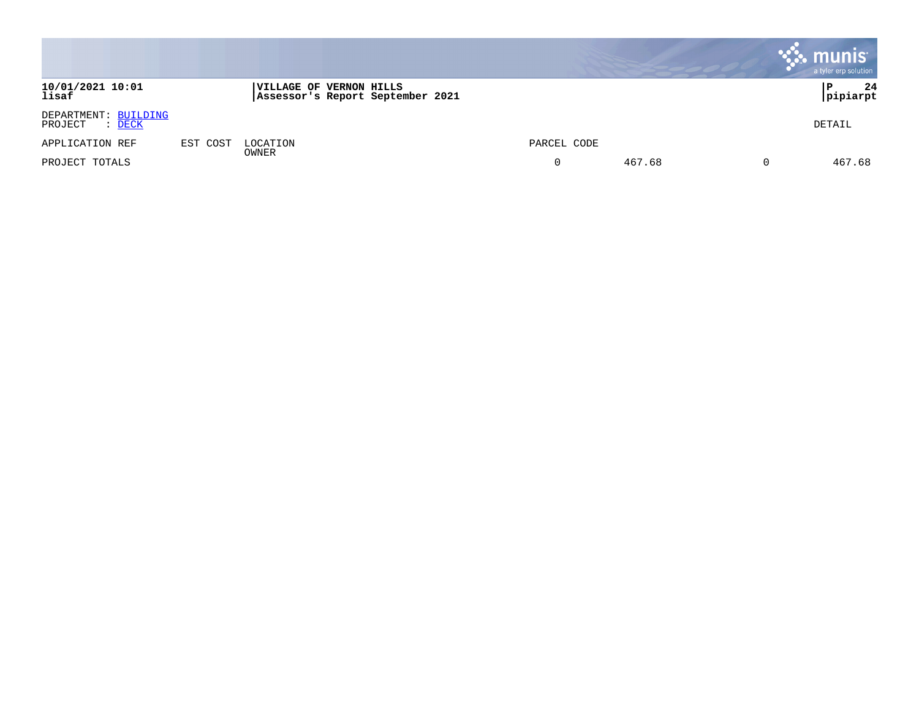|                                                  |          |                                                                    |             |        | <b>munis</b><br>a tyler erp solution |
|--------------------------------------------------|----------|--------------------------------------------------------------------|-------------|--------|--------------------------------------|
| 10/01/2021 10:01<br>lisaf                        |          | <b>VILLAGE OF VERNON HILLS</b><br>Assessor's Report September 2021 |             |        | 24<br>Р<br>pipiarpt                  |
| DEPARTMENT: BUILDING<br>PROJECT<br>: <u>DECK</u> |          |                                                                    |             |        | DETAIL                               |
| APPLICATION REF                                  | EST COST | LOCATION                                                           | PARCEL CODE |        |                                      |
| PROJECT TOTALS                                   |          | OWNER                                                              |             | 467.68 | 467.68<br>υ                          |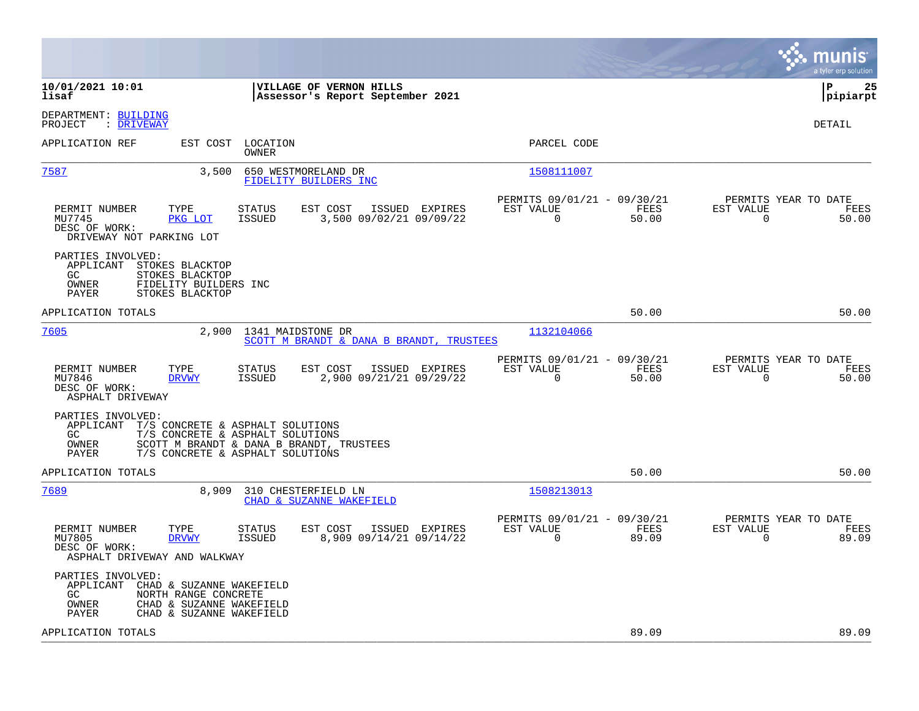|                                                                                                                                                                                                                              |                                                                          | munis<br>a tyler erp solution                                     |
|------------------------------------------------------------------------------------------------------------------------------------------------------------------------------------------------------------------------------|--------------------------------------------------------------------------|-------------------------------------------------------------------|
| 10/01/2021 10:01<br>VILLAGE OF VERNON HILLS<br>lisaf<br>Assessor's Report September 2021                                                                                                                                     |                                                                          | l P<br>25<br> pipiarpt                                            |
| DEPARTMENT: BUILDING<br>PROJECT<br>: DRIVEWAY                                                                                                                                                                                |                                                                          | <b>DETAIL</b>                                                     |
| APPLICATION REF<br>EST COST<br>LOCATION<br>OWNER                                                                                                                                                                             | PARCEL CODE                                                              |                                                                   |
| <u>7587</u><br>3,500<br>650 WESTMORELAND DR<br>FIDELITY BUILDERS INC                                                                                                                                                         | 1508111007                                                               |                                                                   |
| TYPE<br>EST COST<br>PERMIT NUMBER<br>STATUS<br>ISSUED EXPIRES<br>PKG LOT<br><b>ISSUED</b><br>3,500 09/02/21 09/09/22<br>MU7745<br>DESC OF WORK:<br>DRIVEWAY NOT PARKING LOT                                                  | PERMITS 09/01/21 - 09/30/21<br>FEES<br>EST VALUE<br>$\mathbf 0$<br>50.00 | PERMITS YEAR TO DATE<br>EST VALUE<br>FEES<br>$\mathbf 0$<br>50.00 |
| PARTIES INVOLVED:<br>APPLICANT<br>STOKES BLACKTOP<br>STOKES BLACKTOP<br>GC.<br>OWNER<br>FIDELITY BUILDERS INC<br>PAYER<br>STOKES BLACKTOP                                                                                    |                                                                          |                                                                   |
| APPLICATION TOTALS                                                                                                                                                                                                           | 50.00                                                                    | 50.00                                                             |
| 7605<br>2,900<br>1341 MAIDSTONE DR<br>SCOTT M BRANDT & DANA B BRANDT, TRUSTEES                                                                                                                                               | 1132104066                                                               |                                                                   |
| PERMIT NUMBER<br>TYPE<br><b>STATUS</b><br>EST COST<br>ISSUED EXPIRES<br>2,900 09/21/21 09/29/22<br>MU7846<br><b>DRVWY</b><br><b>ISSUED</b><br>DESC OF WORK:<br>ASPHALT DRIVEWAY                                              | PERMITS 09/01/21 - 09/30/21<br>EST VALUE<br>FEES<br>$\Omega$<br>50.00    | PERMITS YEAR TO DATE<br>EST VALUE<br>FEES<br>$\mathbf 0$<br>50.00 |
| PARTIES INVOLVED:<br>APPLICANT<br>T/S CONCRETE & ASPHALT SOLUTIONS<br>T/S CONCRETE & ASPHALT SOLUTIONS<br>GC<br><b>OWNER</b><br>SCOTT M BRANDT & DANA B BRANDT, TRUSTEES<br><b>PAYER</b><br>T/S CONCRETE & ASPHALT SOLUTIONS |                                                                          |                                                                   |
| APPLICATION TOTALS                                                                                                                                                                                                           | 50.00                                                                    | 50.00                                                             |
| 7689<br>8,909<br>310 CHESTERFIELD LN<br>CHAD & SUZANNE WAKEFIELD                                                                                                                                                             | 1508213013                                                               |                                                                   |
| PERMIT NUMBER<br>EST COST<br>TYPE<br><b>STATUS</b><br>ISSUED EXPIRES<br>MU7805<br><b>ISSUED</b><br>8,909 09/14/21 09/14/22<br><b>DRVWY</b><br>DESC OF WORK:<br>ASPHALT DRIVEWAY AND WALKWAY                                  | PERMITS 09/01/21 - 09/30/21<br>EST VALUE<br>FEES<br>$\mathbf 0$<br>89.09 | PERMITS YEAR TO DATE<br>EST VALUE<br>FEES<br>$\mathbf 0$<br>89.09 |
| PARTIES INVOLVED:<br>APPLICANT<br>CHAD & SUZANNE WAKEFIELD<br>GC.<br>NORTH RANGE CONCRETE<br>OWNER<br>CHAD & SUZANNE WAKEFIELD<br>PAYER<br>CHAD & SUZANNE WAKEFIELD                                                          |                                                                          |                                                                   |
| APPLICATION TOTALS                                                                                                                                                                                                           | 89.09                                                                    | 89.09                                                             |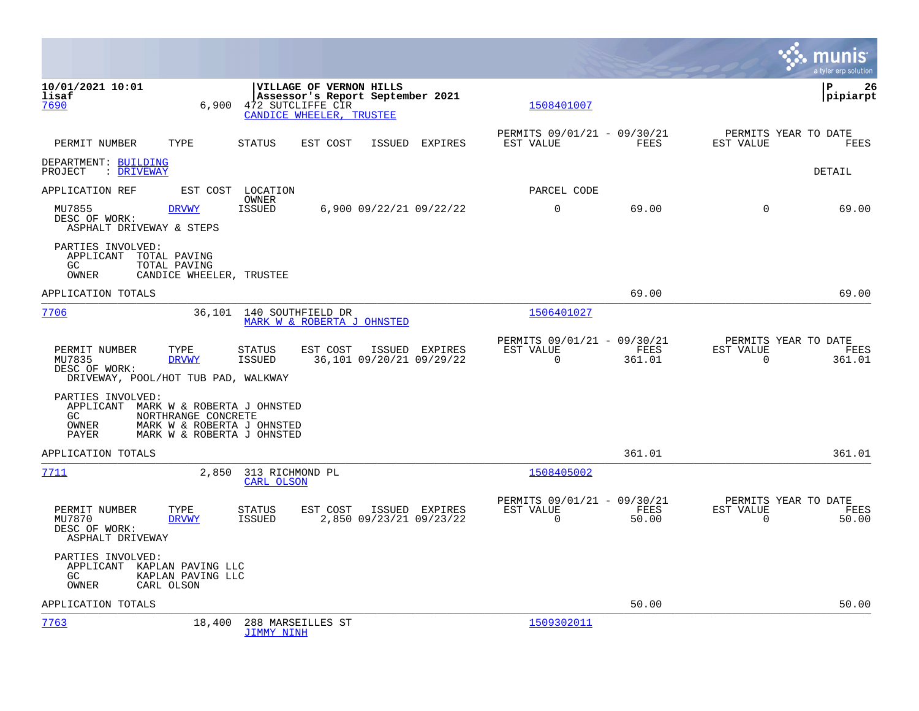|                                                                                 |                                                                                                               |                                                        |                                                             |        |                |                                                         |             |                |                          | a tvler erp solution                   |
|---------------------------------------------------------------------------------|---------------------------------------------------------------------------------------------------------------|--------------------------------------------------------|-------------------------------------------------------------|--------|----------------|---------------------------------------------------------|-------------|----------------|--------------------------|----------------------------------------|
| 10/01/2021 10:01<br>lisaf<br>7690                                               | 6.900                                                                                                         | 472 SUTCLIFFE CIR<br>CANDICE WHEELER, TRUSTEE          | VILLAGE OF VERNON HILLS<br>Assessor's Report September 2021 |        |                |                                                         | 1508401007  |                |                          | lР<br>26<br> pipiarpt                  |
| PERMIT NUMBER                                                                   | TYPE                                                                                                          | <b>STATUS</b>                                          | EST COST                                                    | ISSUED | EXPIRES        | PERMITS 09/01/21 - 09/30/21<br>EST VALUE                |             | FEES           | EST VALUE                | PERMITS YEAR TO DATE<br>FEES           |
| DEPARTMENT: BUILDING<br>PROJECT<br>: DRIVEWAY                                   |                                                                                                               |                                                        |                                                             |        |                |                                                         |             |                |                          | DETAIL                                 |
| APPLICATION REF                                                                 | EST COST                                                                                                      | LOCATION                                               |                                                             |        |                |                                                         | PARCEL CODE |                |                          |                                        |
| MU7855<br>DESC OF WORK:<br>ASPHALT DRIVEWAY & STEPS                             | <b>DRVWY</b>                                                                                                  | OWNER<br><b>ISSUED</b>                                 | 6,900 09/22/21 09/22/22                                     |        |                | 0                                                       |             | 69.00          | $\mathbf 0$              | 69.00                                  |
| PARTIES INVOLVED:<br>APPLICANT<br>GC<br>OWNER                                   | TOTAL PAVING<br>TOTAL PAVING<br>CANDICE WHEELER, TRUSTEE                                                      |                                                        |                                                             |        |                |                                                         |             |                |                          |                                        |
| APPLICATION TOTALS                                                              |                                                                                                               |                                                        |                                                             |        |                |                                                         |             | 69.00          |                          | 69.00                                  |
| 7706                                                                            |                                                                                                               | 36,101 140 SOUTHFIELD DR<br>MARK W & ROBERTA J OHNSTED |                                                             |        |                |                                                         | 1506401027  |                |                          |                                        |
| PERMIT NUMBER<br>MU7835<br>DESC OF WORK:<br>DRIVEWAY, POOL/HOT TUB PAD, WALKWAY | TYPE<br><b>DRVWY</b>                                                                                          | <b>STATUS</b><br><b>ISSUED</b>                         | EST COST<br>36,101 09/20/21 09/29/22                        |        | ISSUED EXPIRES | PERMITS 09/01/21 - 09/30/21<br>EST VALUE<br>$\mathbf 0$ |             | FEES<br>361.01 | EST VALUE<br>$\mathbf 0$ | PERMITS YEAR TO DATE<br>FEES<br>361.01 |
| PARTIES INVOLVED:<br>APPLICANT<br>GC.<br>OWNER<br>PAYER                         | MARK W & ROBERTA J OHNSTED<br>NORTHRANGE CONCRETE<br>MARK W & ROBERTA J OHNSTED<br>MARK W & ROBERTA J OHNSTED |                                                        |                                                             |        |                |                                                         |             |                |                          |                                        |
| APPLICATION TOTALS                                                              |                                                                                                               |                                                        |                                                             |        |                |                                                         |             | 361.01         |                          | 361.01                                 |
| 7711                                                                            |                                                                                                               | 2,850 313 RICHMOND PL<br>CARL OLSON                    |                                                             |        |                |                                                         | 1508405002  |                |                          |                                        |
| PERMIT NUMBER<br>MU7870<br>DESC OF WORK:<br>ASPHALT DRIVEWAY                    | TYPE<br><b>DRVWY</b>                                                                                          | <b>STATUS</b><br><b>ISSUED</b>                         | EST COST<br>2,850 09/23/21 09/23/22                         |        | ISSUED EXPIRES | PERMITS 09/01/21 - 09/30/21<br>EST VALUE<br>$\Omega$    |             | FEES<br>50.00  | EST VALUE<br>$\mathbf 0$ | PERMITS YEAR TO DATE<br>FEES<br>50.00  |
| PARTIES INVOLVED:<br>APPLICANT<br>GC.<br>OWNER                                  | KAPLAN PAVING LLC<br>KAPLAN PAVING LLC<br>CARL OLSON                                                          |                                                        |                                                             |        |                |                                                         |             |                |                          |                                        |
| APPLICATION TOTALS                                                              |                                                                                                               |                                                        |                                                             |        |                |                                                         |             | 50.00          |                          | 50.00                                  |
| 7763                                                                            | 18,400                                                                                                        | 288 MARSEILLES ST<br><b>JIMMY NINH</b>                 |                                                             |        |                |                                                         | 1509302011  |                |                          |                                        |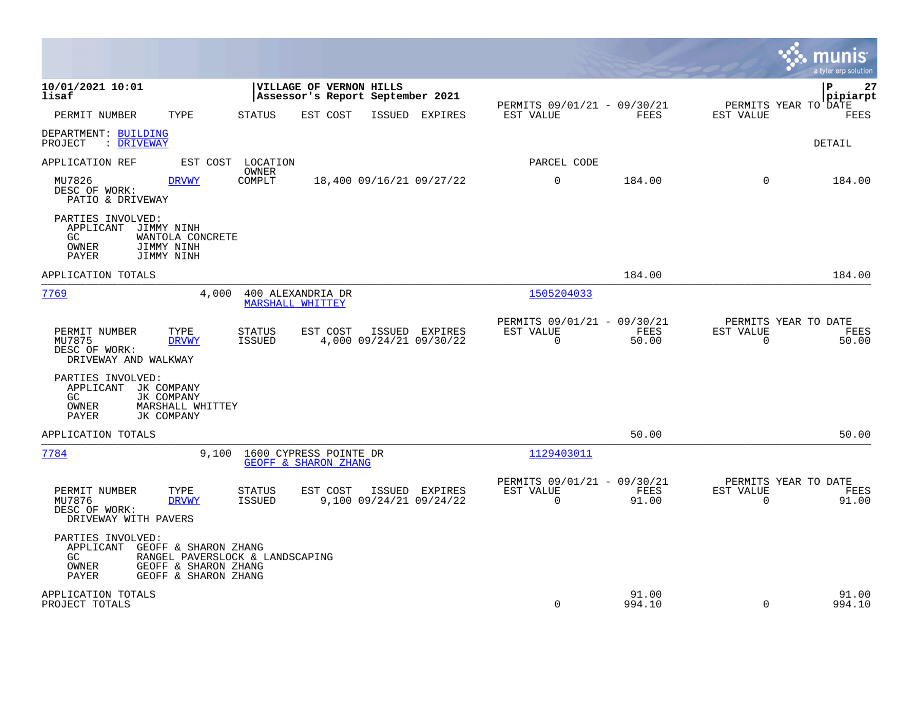|                                                                                                                              |                                                                                  |                                                                          | munis<br>a tyler erp solution                                     |
|------------------------------------------------------------------------------------------------------------------------------|----------------------------------------------------------------------------------|--------------------------------------------------------------------------|-------------------------------------------------------------------|
| 10/01/2021 10:01<br>lisaf                                                                                                    | VILLAGE OF VERNON HILLS<br>Assessor's Report September 2021                      |                                                                          | l P<br>27<br>pipiarpt                                             |
| PERMIT NUMBER<br>TYPE                                                                                                        | STATUS<br>EST COST<br>ISSUED EXPIRES                                             | PERMITS 09/01/21 - 09/30/21<br>EST VALUE<br>FEES                         | PERMITS YEAR TO DATE<br>EST VALUE<br>FEES                         |
| DEPARTMENT: BUILDING<br>: DRIVEWAY<br>PROJECT                                                                                |                                                                                  |                                                                          | <b>DETAIL</b>                                                     |
| APPLICATION REF                                                                                                              | EST COST LOCATION                                                                | PARCEL CODE                                                              |                                                                   |
| MU7826<br><b>DRVWY</b><br>DESC OF WORK:<br>PATIO & DRIVEWAY                                                                  | <b>OWNER</b><br>COMPLT<br>18,400 09/16/21 09/27/22                               | $\mathbf 0$<br>184.00                                                    | $\Omega$<br>184.00                                                |
| PARTIES INVOLVED:<br>APPLICANT JIMMY NINH<br>GC<br>WANTOLA CONCRETE<br>OWNER<br>JIMMY NINH<br>PAYER<br>JIMMY NINH            |                                                                                  |                                                                          |                                                                   |
| APPLICATION TOTALS                                                                                                           |                                                                                  | 184.00                                                                   | 184.00                                                            |
| 7769<br>4,000                                                                                                                | 400 ALEXANDRIA DR<br><b>MARSHALL WHITTEY</b>                                     | 1505204033                                                               |                                                                   |
| TYPE<br>PERMIT NUMBER<br>MU7875<br><b>DRVWY</b><br>DESC OF WORK:<br>DRIVEWAY AND WALKWAY                                     | EST COST<br>ISSUED EXPIRES<br>STATUS<br>4,000 09/24/21 09/30/22<br><b>ISSUED</b> | PERMITS 09/01/21 - 09/30/21<br>EST VALUE<br>FEES<br>$\mathbf 0$<br>50.00 | PERMITS YEAR TO DATE<br>EST VALUE<br>FEES<br>$\mathbf 0$<br>50.00 |
| PARTIES INVOLVED:<br>APPLICANT JK COMPANY<br>JK COMPANY<br>GC.<br>OWNER<br>MARSHALL WHITTEY<br>PAYER<br>JK COMPANY           |                                                                                  |                                                                          |                                                                   |
| APPLICATION TOTALS                                                                                                           |                                                                                  | 50.00                                                                    | 50.00                                                             |
| 7784<br>9,100                                                                                                                | 1600 CYPRESS POINTE DR<br>GEOFF & SHARON ZHANG                                   | 1129403011                                                               |                                                                   |
| PERMIT NUMBER<br>TYPE<br>MU7876<br><b>DRVWY</b><br>DESC OF WORK:<br>DRIVEWAY WITH PAVERS                                     | <b>STATUS</b><br>EST COST<br>ISSUED EXPIRES<br>9,100 09/24/21 09/24/22<br>ISSUED | PERMITS 09/01/21 - 09/30/21<br>EST VALUE<br>FEES<br>$\Omega$<br>91.00    | PERMITS YEAR TO DATE<br>EST VALUE<br>FEES<br>$\Omega$<br>91.00    |
| PARTIES INVOLVED:<br>APPLICANT GEOFF & SHARON ZHANG<br>GC.<br>OWNER<br>GEOFF & SHARON ZHANG<br>GEOFF & SHARON ZHANG<br>PAYER | RANGEL PAVERSLOCK & LANDSCAPING                                                  |                                                                          |                                                                   |
| APPLICATION TOTALS<br>PROJECT TOTALS                                                                                         |                                                                                  | 91.00<br>0<br>994.10                                                     | 91.00<br>$\mathbf 0$<br>994.10                                    |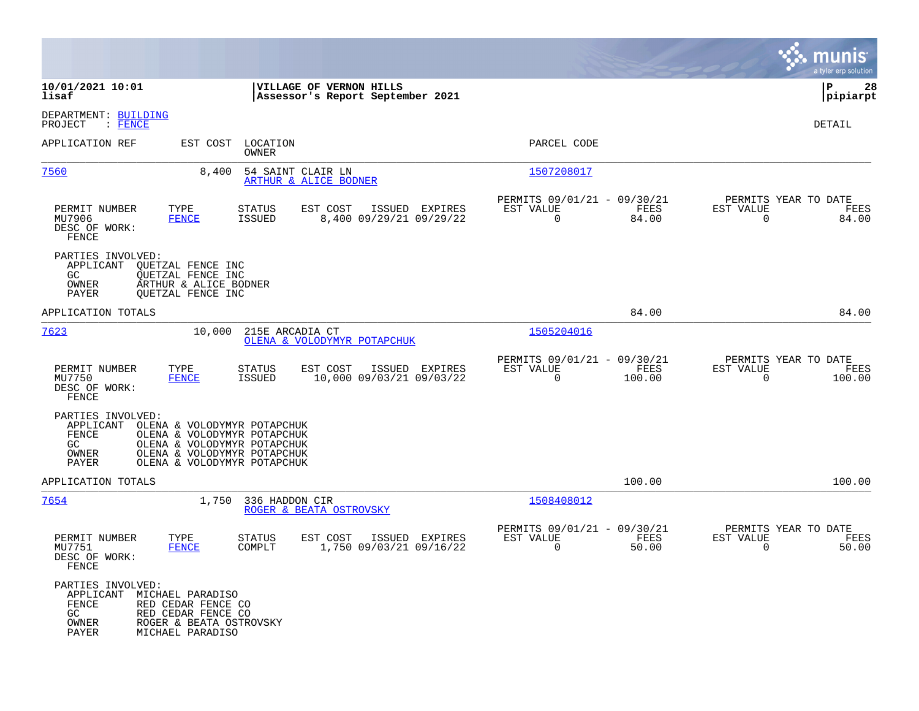|                                                                                                                                                                                |                                                                                                                                                         |                                                                           | munis<br>a tyler erp solution                                      |
|--------------------------------------------------------------------------------------------------------------------------------------------------------------------------------|---------------------------------------------------------------------------------------------------------------------------------------------------------|---------------------------------------------------------------------------|--------------------------------------------------------------------|
| 10/01/2021 10:01<br>lisaf                                                                                                                                                      | VILLAGE OF VERNON HILLS<br>Assessor's Report September 2021                                                                                             |                                                                           | lР<br>28<br> pipiarpt                                              |
| DEPARTMENT: BUILDING<br>PROJECT<br>$\colon$ FENCE                                                                                                                              |                                                                                                                                                         |                                                                           | <b>DETAIL</b>                                                      |
| APPLICATION REF                                                                                                                                                                | EST COST LOCATION<br>OWNER                                                                                                                              | PARCEL CODE                                                               |                                                                    |
| <u>7560</u>                                                                                                                                                                    | 8,400<br>54 SAINT CLAIR LN<br>ARTHUR & ALICE BODNER                                                                                                     | 1507208017                                                                |                                                                    |
| PERMIT NUMBER<br>TYPE<br><b>FENCE</b><br>MU7906<br>DESC OF WORK:<br>FENCE                                                                                                      | EST COST<br>ISSUED EXPIRES<br>STATUS<br><b>ISSUED</b><br>8,400 09/29/21 09/29/22                                                                        | PERMITS 09/01/21 - 09/30/21<br>EST VALUE<br>FEES<br>$\mathbf 0$<br>84.00  | PERMITS YEAR TO DATE<br>EST VALUE<br>FEES<br>$\mathbf 0$<br>84.00  |
| PARTIES INVOLVED:<br>APPLICANT<br>QUETZAL FENCE INC<br>GC<br>QUETZAL FENCE INC<br>ARTHUR & ALICE BODNER<br>OWNER<br>OUETZAL FENCE INC<br>PAYER                                 |                                                                                                                                                         |                                                                           |                                                                    |
| APPLICATION TOTALS                                                                                                                                                             |                                                                                                                                                         | 84.00                                                                     | 84.00                                                              |
| 7623                                                                                                                                                                           | 10,000<br>215E ARCADIA CT<br>OLENA & VOLODYMYR POTAPCHUK                                                                                                | 1505204016                                                                |                                                                    |
| PERMIT NUMBER<br>TYPE<br>MU7750<br><b>FENCE</b><br>DESC OF WORK:<br>FENCE                                                                                                      | EST COST<br>ISSUED EXPIRES<br><b>STATUS</b><br>10,000 09/03/21 09/03/22<br>ISSUED                                                                       | PERMITS 09/01/21 - 09/30/21<br>EST VALUE<br>FEES<br>$\mathbf 0$<br>100.00 | PERMITS YEAR TO DATE<br>EST VALUE<br>FEES<br>$\mathbf 0$<br>100.00 |
| PARTIES INVOLVED:<br>APPLICANT<br>FENCE<br>GC<br>OWNER<br>PAYER                                                                                                                | OLENA & VOLODYMYR POTAPCHUK<br>OLENA & VOLODYMYR POTAPCHUK<br>OLENA & VOLODYMYR POTAPCHUK<br>OLENA & VOLODYMYR POTAPCHUK<br>OLENA & VOLODYMYR POTAPCHUK |                                                                           |                                                                    |
| APPLICATION TOTALS                                                                                                                                                             |                                                                                                                                                         | 100.00                                                                    | 100.00                                                             |
| <u>7654</u>                                                                                                                                                                    | 1,750<br>336 HADDON CIR<br>ROGER & BEATA OSTROVSKY                                                                                                      | 1508408012                                                                |                                                                    |
| PERMIT NUMBER<br>TYPE<br>MU7751<br><b>FENCE</b><br>DESC OF WORK:<br>FENCE                                                                                                      | <b>STATUS</b><br>EST COST<br>ISSUED EXPIRES<br>1,750 09/03/21 09/16/22<br>COMPLT                                                                        | PERMITS 09/01/21 - 09/30/21<br>EST VALUE<br>FEES<br>$\mathbf 0$<br>50.00  | PERMITS YEAR TO DATE<br>EST VALUE<br>FEES<br>$\mathbf 0$<br>50.00  |
| PARTIES INVOLVED:<br>APPLICANT<br>MICHAEL PARADISO<br>FENCE<br>RED CEDAR FENCE CO<br>GC<br>RED CEDAR FENCE CO<br>OWNER<br>ROGER & BEATA OSTROVSKY<br>MICHAEL PARADISO<br>PAYER |                                                                                                                                                         |                                                                           |                                                                    |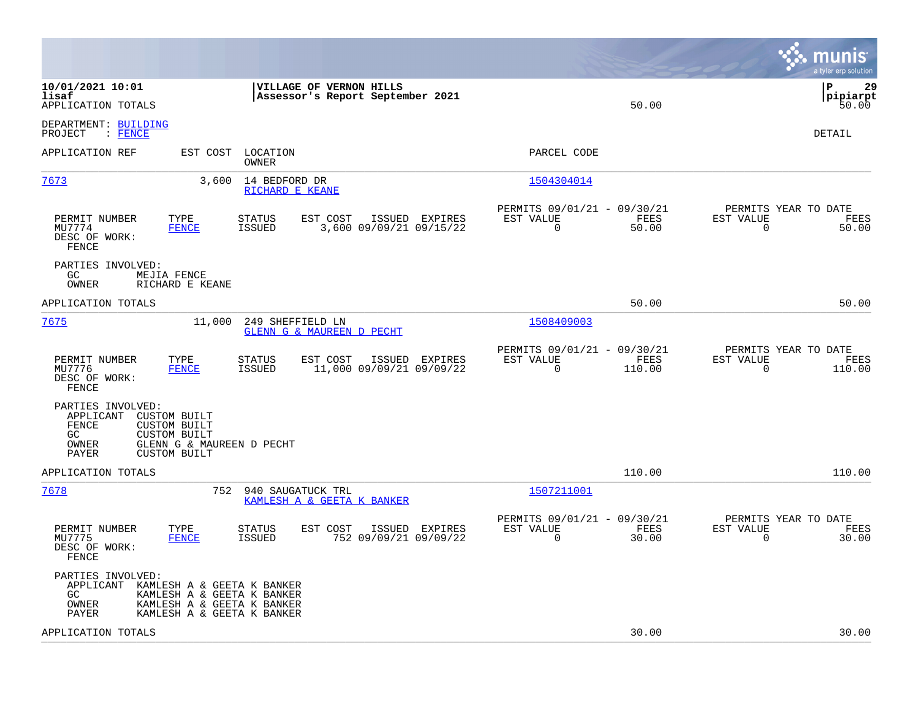|                                                                                                                                                                                   | munis<br>a tyler erp solution                                                                                                                 |
|-----------------------------------------------------------------------------------------------------------------------------------------------------------------------------------|-----------------------------------------------------------------------------------------------------------------------------------------------|
| 10/01/2021 10:01<br>VILLAGE OF VERNON HILLS<br>lisaf<br>Assessor's Report September 2021<br>APPLICATION TOTALS                                                                    | l P<br>29<br> pipiarpt<br>50.00<br>50.00                                                                                                      |
| DEPARTMENT: BUILDING<br>: FENCE<br>PROJECT                                                                                                                                        | DETAIL                                                                                                                                        |
| APPLICATION REF<br>EST COST<br>LOCATION<br>OWNER                                                                                                                                  | PARCEL CODE                                                                                                                                   |
| 7673<br>3,600<br>14 BEDFORD DR<br>RICHARD E KEANE                                                                                                                                 | 1504304014                                                                                                                                    |
| EST COST<br>ISSUED EXPIRES<br>PERMIT NUMBER<br>TYPE<br><b>STATUS</b><br>MU7774<br><b>FENCE</b><br>ISSUED<br>3,600 09/09/21 09/15/22<br>DESC OF WORK:<br>FENCE                     | PERMITS 09/01/21 - 09/30/21<br>PERMITS YEAR TO DATE<br>EST VALUE<br>FEES<br>EST VALUE<br>FEES<br>$\mathbf 0$<br>$\mathbf 0$<br>50.00<br>50.00 |
| PARTIES INVOLVED:<br>GC<br>MEJIA FENCE<br>OWNER<br>RICHARD E KEANE                                                                                                                |                                                                                                                                               |
| APPLICATION TOTALS                                                                                                                                                                | 50.00<br>50.00                                                                                                                                |
| 7675<br>11,000<br>249 SHEFFIELD LN<br><b>GLENN G &amp; MAUREEN D PECHT</b>                                                                                                        | 1508409003                                                                                                                                    |
| TYPE<br>EST COST<br>PERMIT NUMBER<br><b>STATUS</b><br>ISSUED EXPIRES<br><b>ISSUED</b><br>11,000 09/09/21 09/09/22<br>MU7776<br><b>FENCE</b><br>DESC OF WORK:<br>FENCE             | PERMITS 09/01/21 - 09/30/21<br>PERMITS YEAR TO DATE<br>EST VALUE<br>FEES<br>EST VALUE<br>FEES<br>0<br>110.00<br>$\mathbf 0$<br>110.00         |
| PARTIES INVOLVED:<br>APPLICANT<br>CUSTOM BUILT<br><b>FENCE</b><br>CUSTOM BUILT<br>GC<br><b>CUSTOM BUILT</b><br>OWNER<br>GLENN G & MAUREEN D PECHT<br>PAYER<br><b>CUSTOM BUILT</b> |                                                                                                                                               |
| APPLICATION TOTALS                                                                                                                                                                | 110.00<br>110.00                                                                                                                              |
| 7678<br>752<br>940 SAUGATUCK TRL<br>KAMLESH A & GEETA K BANKER                                                                                                                    | 1507211001                                                                                                                                    |
| PERMIT NUMBER<br>TYPE<br>EST COST<br><b>STATUS</b><br>ISSUED EXPIRES<br>MU7775<br><b>FENCE</b><br><b>ISSUED</b><br>752 09/09/21 09/09/22<br>DESC OF WORK:<br>FENCE                | PERMITS 09/01/21 - 09/30/21<br>PERMITS YEAR TO DATE<br>EST VALUE<br>EST VALUE<br>FEES<br>FEES<br>0<br>30.00<br>$\mathbf 0$<br>30.00           |
| PARTIES INVOLVED:<br>APPLICANT<br>KAMLESH A & GEETA K BANKER<br>KAMLESH A & GEETA K BANKER<br>GC<br>KAMLESH A & GEETA K BANKER<br>OWNER<br>PAYER<br>KAMLESH A & GEETA K BANKER    |                                                                                                                                               |
| APPLICATION TOTALS                                                                                                                                                                | 30.00<br>30.00                                                                                                                                |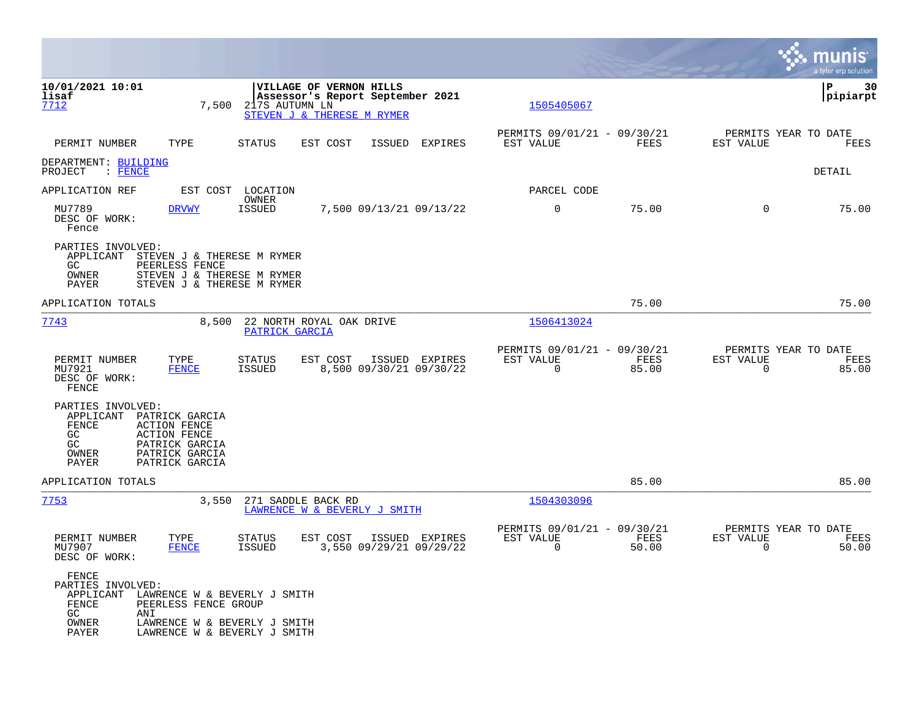|                                                                                                                                                                                              |                                                                                                                      |                                           |                                                      |               |                                               | munis<br>a tyler erp solution |
|----------------------------------------------------------------------------------------------------------------------------------------------------------------------------------------------|----------------------------------------------------------------------------------------------------------------------|-------------------------------------------|------------------------------------------------------|---------------|-----------------------------------------------|-------------------------------|
| 10/01/2021 10:01<br>lisaf<br>7712                                                                                                                                                            | VILLAGE OF VERNON HILLS<br>Assessor's Report September 2021<br>7,500<br>217S AUTUMN LN<br>STEVEN J & THERESE M RYMER |                                           | 1505405067                                           |               |                                               | ΙP<br>30<br> pipiarpt         |
| PERMIT NUMBER<br>TYPE                                                                                                                                                                        | <b>STATUS</b><br>EST COST                                                                                            | ISSUED EXPIRES                            | PERMITS 09/01/21 - 09/30/21<br>EST VALUE             | FEES          | PERMITS YEAR TO DATE<br>EST VALUE             | FEES                          |
| DEPARTMENT: BUILDING<br>PROJECT<br>$\colon$ FENCE                                                                                                                                            |                                                                                                                      |                                           |                                                      |               |                                               | DETAIL                        |
| APPLICATION REF                                                                                                                                                                              | EST COST LOCATION                                                                                                    |                                           | PARCEL CODE                                          |               |                                               |                               |
| MU7789<br><b>DRVWY</b><br>DESC OF WORK:<br>Fence                                                                                                                                             | OWNER<br><b>ISSUED</b>                                                                                               | 7,500 09/13/21 09/13/22                   | $\mathbf 0$                                          | 75.00         | $\Omega$                                      | 75.00                         |
| PARTIES INVOLVED:<br>APPLICANT<br>PEERLESS FENCE<br>GC<br>OWNER<br>PAYER                                                                                                                     | STEVEN J & THERESE M RYMER<br>STEVEN J & THERESE M RYMER<br>STEVEN J & THERESE M RYMER                               |                                           |                                                      |               |                                               |                               |
| APPLICATION TOTALS                                                                                                                                                                           |                                                                                                                      |                                           |                                                      | 75.00         |                                               | 75.00                         |
| 7743                                                                                                                                                                                         | 8,500 22 NORTH ROYAL OAK DRIVE<br>PATRICK GARCIA                                                                     |                                           | 1506413024                                           |               |                                               |                               |
| PERMIT NUMBER<br>TYPE<br>MU7921<br><b>FENCE</b><br>DESC OF WORK:<br>FENCE                                                                                                                    | <b>STATUS</b><br>EST COST<br><b>ISSUED</b>                                                                           | ISSUED EXPIRES<br>8,500 09/30/21 09/30/22 | PERMITS 09/01/21 - 09/30/21<br>EST VALUE<br>$\Omega$ | FEES<br>85.00 | PERMITS YEAR TO DATE<br>EST VALUE<br>$\Omega$ | FEES<br>85.00                 |
| PARTIES INVOLVED:<br>APPLICANT<br>PATRICK GARCIA<br>FENCE<br><b>ACTION FENCE</b><br>GC.<br><b>ACTION FENCE</b><br>GC<br>PATRICK GARCIA<br>OWNER<br>PATRICK GARCIA<br>PAYER<br>PATRICK GARCIA |                                                                                                                      |                                           |                                                      |               |                                               |                               |
| APPLICATION TOTALS                                                                                                                                                                           |                                                                                                                      |                                           |                                                      | 85.00         |                                               | 85.00                         |
| 7753                                                                                                                                                                                         | 3,550<br>271 SADDLE BACK RD<br>LAWRENCE W & BEVERLY J SMITH                                                          |                                           | 1504303096                                           |               |                                               |                               |
| PERMIT NUMBER<br>TYPE<br>MU7907<br><b>FENCE</b><br>DESC OF WORK:                                                                                                                             | EST COST<br><b>STATUS</b><br>ISSUED                                                                                  | ISSUED EXPIRES<br>3,550 09/29/21 09/29/22 | PERMITS 09/01/21 - 09/30/21<br>EST VALUE<br>$\Omega$ | FEES<br>50.00 | PERMITS YEAR TO DATE<br>EST VALUE<br>$\Omega$ | FEES<br>50.00                 |
| <b>FENCE</b><br>PARTIES INVOLVED:<br>APPLICANT LAWRENCE W & BEVERLY J SMITH<br>FENCE<br>PEERLESS FENCE GROUP<br>GC.<br>ANI<br>OWNER<br>PAYER                                                 | LAWRENCE W & BEVERLY J SMITH<br>LAWRENCE W & BEVERLY J SMITH                                                         |                                           |                                                      |               |                                               |                               |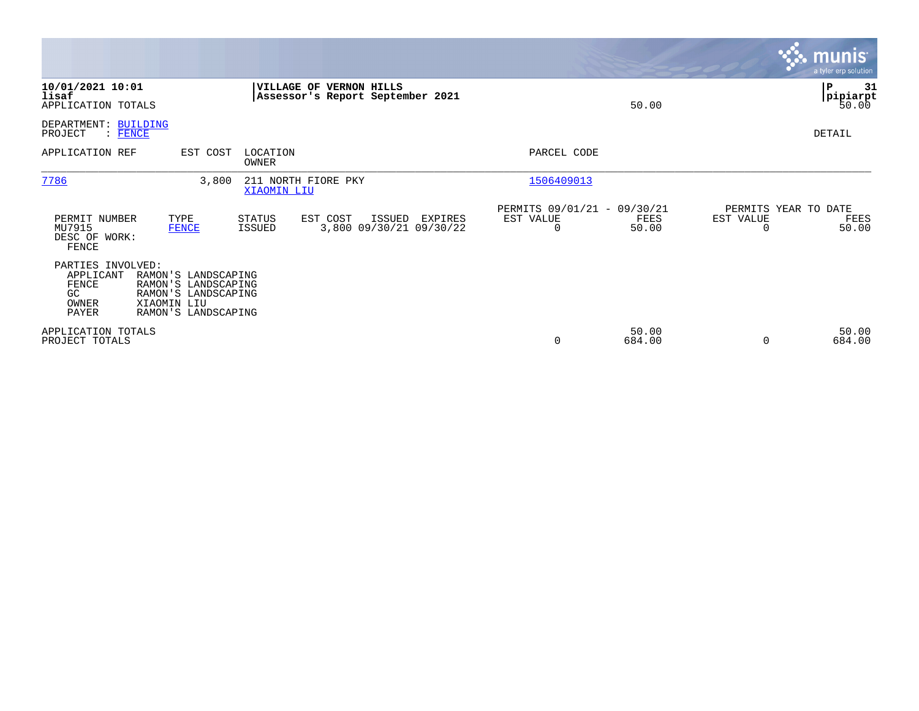|                                                                 |                                                                                                         |                                           |                                                             |         |                                               |                 |                       | <b>munis</b><br>a tyler erp solution. |
|-----------------------------------------------------------------|---------------------------------------------------------------------------------------------------------|-------------------------------------------|-------------------------------------------------------------|---------|-----------------------------------------------|-----------------|-----------------------|---------------------------------------|
| 10/01/2021 10:01<br>lisaf<br>APPLICATION TOTALS                 |                                                                                                         |                                           | VILLAGE OF VERNON HILLS<br>Assessor's Report September 2021 |         |                                               | 50.00           |                       | ∣P<br>31<br> pipiarpt<br>50.00        |
| DEPARTMENT: BUILDING<br>PROJECT<br>$:$ FENCE                    |                                                                                                         |                                           |                                                             |         |                                               |                 |                       | DETAIL                                |
| APPLICATION REF                                                 | EST COST                                                                                                | LOCATION<br>OWNER                         |                                                             |         | PARCEL CODE                                   |                 |                       |                                       |
| 7786                                                            | 3,800                                                                                                   | 211 NORTH FIORE PKY<br><b>XIAOMIN LIU</b> |                                                             |         | 1506409013                                    |                 |                       |                                       |
| PERMIT NUMBER<br>MU7915<br>DESC OF WORK:<br>FENCE               | TYPE<br><b>FENCE</b>                                                                                    | STATUS<br>ISSUED                          | EST COST<br>ISSUED<br>3,800 09/30/21 09/30/22               | EXPIRES | PERMITS 09/01/21 - 09/30/21<br>EST VALUE<br>0 | FEES<br>50.00   | EST VALUE<br>$\Omega$ | PERMITS YEAR TO DATE<br>FEES<br>50.00 |
| PARTIES INVOLVED:<br>APPLICANT<br>FENCE<br>GC<br>OWNER<br>PAYER | RAMON'S LANDSCAPING<br>RAMON'S LANDSCAPING<br>RAMON'S LANDSCAPING<br>XIAOMIN LIU<br>RAMON'S LANDSCAPING |                                           |                                                             |         |                                               |                 |                       |                                       |
| APPLICATION TOTALS<br>PROJECT TOTALS                            |                                                                                                         |                                           |                                                             |         | 0                                             | 50.00<br>684.00 | 0                     | 50.00<br>684.00                       |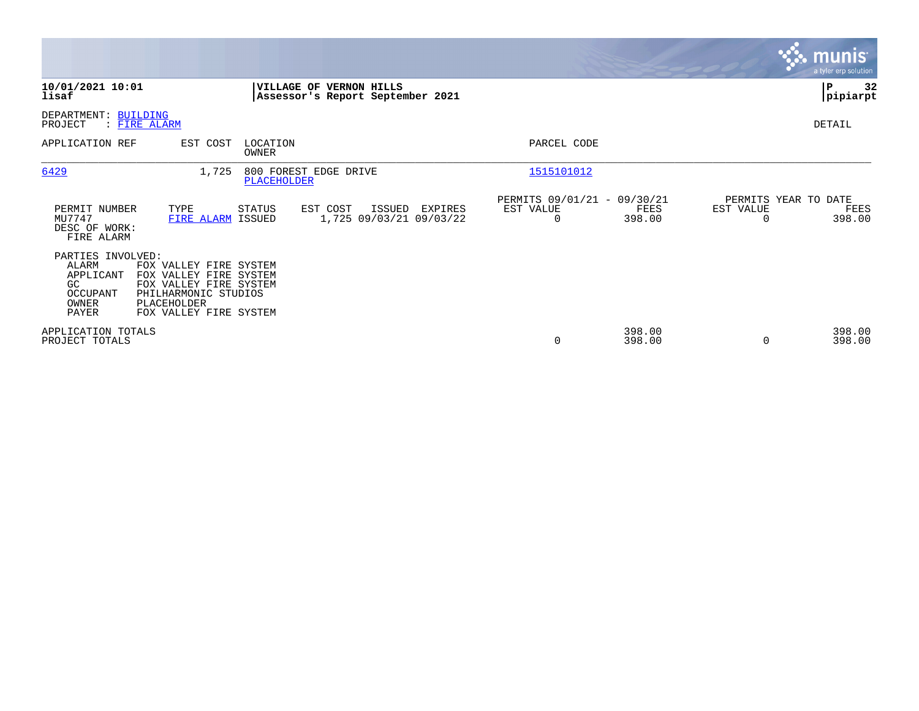|                                                                                                                                                                                                                            | <b>munis</b><br>a tyler erp solution                                                                                                     |
|----------------------------------------------------------------------------------------------------------------------------------------------------------------------------------------------------------------------------|------------------------------------------------------------------------------------------------------------------------------------------|
| 10/01/2021 10:01<br><b>VILLAGE OF</b><br><b>VERNON HILLS</b><br>lisaf<br>Assessor's Report September 2021                                                                                                                  | 32<br>P<br> pipiarpt                                                                                                                     |
| DEPARTMENT: BUILDING<br>: FIRE ALARM<br>PROJECT                                                                                                                                                                            | DETAIL                                                                                                                                   |
| APPLICATION REF<br>EST COST<br>LOCATION<br><b>OWNER</b>                                                                                                                                                                    | PARCEL CODE                                                                                                                              |
| 6429<br>800 FOREST EDGE DRIVE<br>1,725<br><b>PLACEHOLDER</b>                                                                                                                                                               | 1515101012                                                                                                                               |
| PERMIT NUMBER<br>EST COST<br>TYPE<br>STATUS<br>ISSUED<br>MU7747<br>1,725 09/03/21 09/03/22<br>FIRE ALARM ISSUED<br>DESC OF WORK:<br>FIRE ALARM                                                                             | PERMITS 09/01/21 - 09/30/21<br>PERMITS YEAR TO DATE<br>EST VALUE<br>EST VALUE<br>EXPIRES<br>FEES<br>FEES<br>398.00<br>$\Omega$<br>398.00 |
| PARTIES INVOLVED:<br>ALARM<br>FOX VALLEY FIRE SYSTEM<br>FOX VALLEY FIRE SYSTEM<br>APPLICANT<br>FOX VALLEY FIRE SYSTEM<br>GC<br>OCCUPANT<br>PHILHARMONIC STUDIOS<br>OWNER<br>PLACEHOLDER<br>PAYER<br>FOX VALLEY FIRE SYSTEM |                                                                                                                                          |
| APPLICATION TOTALS<br>PROJECT TOTALS                                                                                                                                                                                       | 398.00<br>398.00<br>0<br>398.00<br>398.00<br>$\Omega$                                                                                    |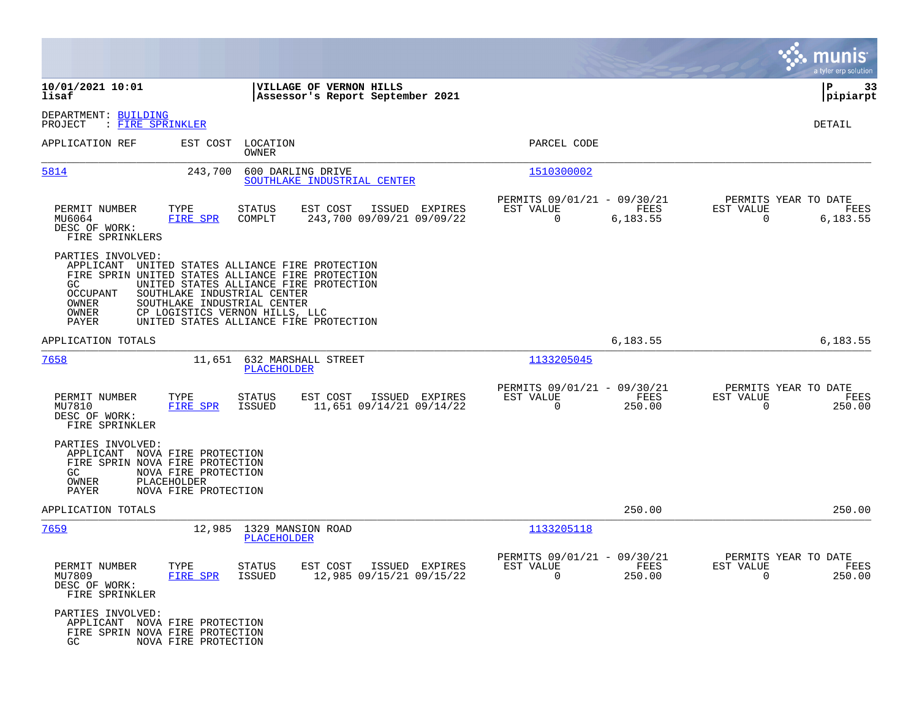|                                                                                                                                                                                                       |                                                                                                                                                              |                                                                                                            | munis<br>a tyler erp solution                                     |
|-------------------------------------------------------------------------------------------------------------------------------------------------------------------------------------------------------|--------------------------------------------------------------------------------------------------------------------------------------------------------------|------------------------------------------------------------------------------------------------------------|-------------------------------------------------------------------|
| 10/01/2021 10:01<br>lisaf                                                                                                                                                                             | <b>VILLAGE OF VERNON HILLS</b><br>Assessor's Report September 2021                                                                                           |                                                                                                            | ΙP<br>33<br> pipiarpt                                             |
| DEPARTMENT: BUILDING<br>PROJECT<br>: FIRE SPRINKLER                                                                                                                                                   |                                                                                                                                                              |                                                                                                            | DETAIL                                                            |
| APPLICATION REF                                                                                                                                                                                       | EST COST LOCATION<br>OWNER                                                                                                                                   | PARCEL CODE                                                                                                |                                                                   |
| 5814<br>243,700                                                                                                                                                                                       | 600 DARLING DRIVE<br>SOUTHLAKE INDUSTRIAL CENTER                                                                                                             | 1510300002                                                                                                 |                                                                   |
| PERMIT NUMBER<br>TYPE<br>MU6064<br>FIRE SPR<br>DESC OF WORK:<br>FIRE SPRINKLERS                                                                                                                       | <b>STATUS</b><br>EST COST<br>ISSUED EXPIRES<br>243,700 09/09/21 09/09/22<br>COMPLT                                                                           | PERMITS 09/01/21 - 09/30/21<br>EST VALUE<br><b>EXERCITE: EXERCITE EXECUT</b><br>$\overline{0}$<br>6,183.55 | PERMITS YEAR TO DATE<br>EST VALUE<br>FEES<br>6,183.55<br>$\Omega$ |
| PARTIES INVOLVED:<br>APPLICANT<br>FIRE SPRIN UNITED STATES ALLIANCE FIRE PROTECTION<br>GC<br><b>OCCUPANT</b><br>SOUTHLAKE INDUSTRIAL CENTER<br>SOUTHLAKE INDUSTRIAL CENTER<br>OWNER<br>OWNER<br>PAYER | UNITED STATES ALLIANCE FIRE PROTECTION<br>UNITED STATES ALLIANCE FIRE PROTECTION<br>CP LOGISTICS VERNON HILLS, LLC<br>UNITED STATES ALLIANCE FIRE PROTECTION |                                                                                                            |                                                                   |
| APPLICATION TOTALS                                                                                                                                                                                    |                                                                                                                                                              | 6,183.55                                                                                                   | 6,183.55                                                          |
| 7658                                                                                                                                                                                                  | 11,651 632 MARSHALL STREET<br><b>PLACEHOLDER</b>                                                                                                             | 1133205045                                                                                                 |                                                                   |
| PERMIT NUMBER<br>TYPE<br>MU7810<br>FIRE SPR<br>DESC OF WORK:<br>FIRE SPRINKLER                                                                                                                        | <b>STATUS</b><br>EST COST<br>ISSUED EXPIRES<br>11,651 09/14/21 09/14/22<br>ISSUED                                                                            | PERMITS 09/01/21 - 09/30/21<br>EST VALUE<br>FEES<br>250.00<br>$\mathbf 0$                                  | PERMITS YEAR TO DATE<br>EST VALUE<br>FEES<br>250.00<br>$\Omega$   |
| PARTIES INVOLVED:<br>APPLICANT NOVA FIRE PROTECTION<br>FIRE SPRIN NOVA FIRE PROTECTION<br>NOVA FIRE PROTECTION<br>GC<br>OWNER<br>PLACEHOLDER<br>PAYER<br>NOVA FIRE PROTECTION                         |                                                                                                                                                              |                                                                                                            |                                                                   |
| APPLICATION TOTALS                                                                                                                                                                                    |                                                                                                                                                              | 250.00                                                                                                     | 250.00                                                            |
| <u>7659</u>                                                                                                                                                                                           | 12,985 1329 MANSION ROAD<br><b>PLACEHOLDER</b>                                                                                                               | 1133205118                                                                                                 |                                                                   |
| PERMIT NUMBER<br>TYPE<br>MU7809<br>FIRE SPR<br>DESC OF WORK:<br>FIRE SPRINKLER                                                                                                                        | STATUS<br>EST COST ISSUED EXPIRES<br>12,985 09/15/21 09/15/22<br>ISSUED                                                                                      | PERMITS 09/01/21 - 09/30/21<br>EST VALUE<br>FEES<br>$\Omega$<br>250.00                                     | PERMITS YEAR TO DATE<br>EST VALUE<br>FEES<br>$\Omega$<br>250.00   |
| PARTIES INVOLVED:<br>APPLICANT NOVA FIRE PROTECTION<br>FIRE SPRIN NOVA FIRE PROTECTION<br>NOVA FIRE PROTECTION<br>GC                                                                                  |                                                                                                                                                              |                                                                                                            |                                                                   |

**Contract**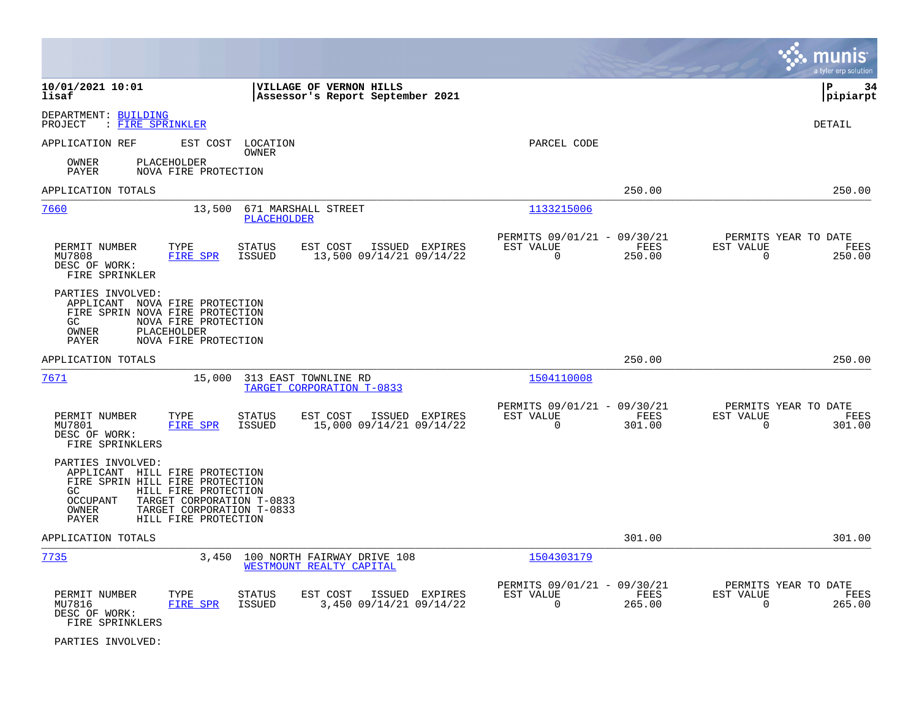|                                                                                                                                                                                                                                              |                                                                           | munis<br>a tyler erp solution                                      |
|----------------------------------------------------------------------------------------------------------------------------------------------------------------------------------------------------------------------------------------------|---------------------------------------------------------------------------|--------------------------------------------------------------------|
| 10/01/2021 10:01<br>VILLAGE OF VERNON HILLS<br>lisaf<br>Assessor's Report September 2021                                                                                                                                                     |                                                                           | lР<br>34<br> pipiarpt                                              |
| DEPARTMENT: BUILDING<br>PROJECT<br>: <u>FIRE SPRINKLER</u>                                                                                                                                                                                   |                                                                           | DETAIL                                                             |
| APPLICATION REF<br>EST COST LOCATION<br><b>OWNER</b><br>OWNER<br>PLACEHOLDER<br>PAYER<br>NOVA FIRE PROTECTION                                                                                                                                | PARCEL CODE                                                               |                                                                    |
| APPLICATION TOTALS                                                                                                                                                                                                                           | 250.00                                                                    | 250.00                                                             |
| 7660<br>13,500<br>671 MARSHALL STREET<br><b>PLACEHOLDER</b>                                                                                                                                                                                  | 1133215006                                                                |                                                                    |
| PERMIT NUMBER<br>TYPE<br><b>STATUS</b><br>EST COST<br>ISSUED EXPIRES<br>MU7808<br><b>FIRE SPR</b><br><b>ISSUED</b><br>13,500 09/14/21 09/14/22<br>DESC OF WORK:<br>FIRE SPRINKLER                                                            | PERMITS 09/01/21 - 09/30/21<br>EST VALUE<br>FEES<br>$\mathbf 0$<br>250.00 | PERMITS YEAR TO DATE<br>EST VALUE<br>FEES<br>$\mathbf 0$<br>250.00 |
| PARTIES INVOLVED:<br>APPLICANT NOVA FIRE PROTECTION<br>FIRE SPRIN NOVA FIRE PROTECTION<br>NOVA FIRE PROTECTION<br>GC.<br>OWNER<br>PLACEHOLDER<br>NOVA FIRE PROTECTION<br>PAYER                                                               |                                                                           |                                                                    |
| APPLICATION TOTALS                                                                                                                                                                                                                           | 250.00                                                                    | 250.00                                                             |
| 7671<br>15,000<br>313 EAST TOWNLINE RD<br>TARGET CORPORATION T-0833                                                                                                                                                                          | 1504110008                                                                |                                                                    |
| PERMIT NUMBER<br>TYPE<br><b>STATUS</b><br>EST COST<br>ISSUED EXPIRES<br>15,000 09/14/21 09/14/22<br>MU7801<br><b>FIRE SPR</b><br><b>ISSUED</b><br>DESC OF WORK:<br>FIRE SPRINKLERS                                                           | PERMITS 09/01/21 - 09/30/21<br>EST VALUE<br>FEES<br>$\mathbf 0$<br>301.00 | PERMITS YEAR TO DATE<br>EST VALUE<br>FEES<br>$\mathbf 0$<br>301.00 |
| PARTIES INVOLVED:<br>APPLICANT HILL FIRE PROTECTION<br>FIRE SPRIN HILL FIRE PROTECTION<br>HILL FIRE PROTECTION<br>GC.<br><b>OCCUPANT</b><br>TARGET CORPORATION T-0833<br>OWNER<br>TARGET CORPORATION T-0833<br>HILL FIRE PROTECTION<br>PAYER |                                                                           |                                                                    |
| APPLICATION TOTALS                                                                                                                                                                                                                           | 301.00                                                                    | 301.00                                                             |
| 7735<br>3,450<br>100 NORTH FAIRWAY DRIVE 108<br>WESTMOUNT REALTY CAPITAL                                                                                                                                                                     | 1504303179                                                                |                                                                    |
| PERMIT NUMBER<br>EST COST<br>ISSUED EXPIRES<br>TYPE<br><b>STATUS</b><br>3,450 09/14/21 09/14/22<br>MU7816<br>FIRE SPR<br><b>ISSUED</b><br>DESC OF WORK:<br>FIRE SPRINKLERS                                                                   | PERMITS 09/01/21 - 09/30/21<br>EST VALUE<br>FEES<br>$\mathbf 0$<br>265.00 | PERMITS YEAR TO DATE<br>EST VALUE<br>FEES<br>$\mathbf 0$<br>265.00 |

PARTIES INVOLVED: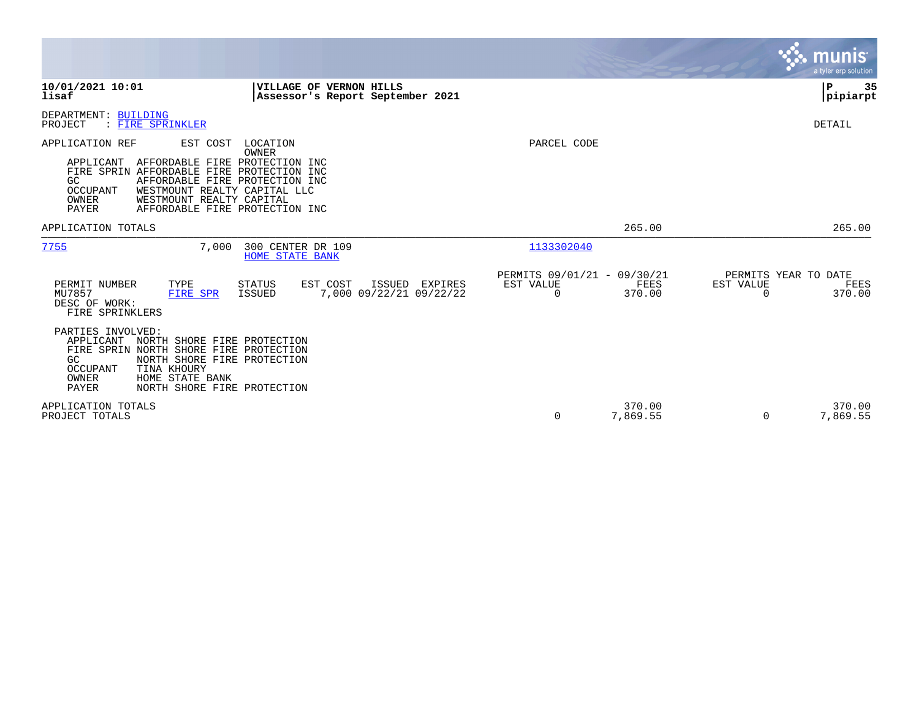|                                                                                                                                                                                                                                                                                                    |                                                                                  |                                                                           | munis<br>a tyler erp solution                                   |
|----------------------------------------------------------------------------------------------------------------------------------------------------------------------------------------------------------------------------------------------------------------------------------------------------|----------------------------------------------------------------------------------|---------------------------------------------------------------------------|-----------------------------------------------------------------|
| 10/01/2021 10:01<br>lisaf                                                                                                                                                                                                                                                                          | VILLAGE OF VERNON HILLS<br>Assessor's Report September 2021                      |                                                                           | ΙP<br>35<br> pipiarpt                                           |
| DEPARTMENT: BUILDING<br>PROJECT<br>: FIRE SPRINKLER                                                                                                                                                                                                                                                |                                                                                  |                                                                           | DETAIL                                                          |
| APPLICATION REF<br>EST COST<br>AFFORDABLE FIRE PROTECTION INC<br>APPLICANT<br>FIRE SPRIN AFFORDABLE FIRE PROTECTION INC<br>GC<br>AFFORDABLE FIRE PROTECTION INC<br>OCCUPANT<br>WESTMOUNT REALTY CAPITAL LLC<br>WESTMOUNT REALTY CAPITAL<br>OWNER<br><b>PAYER</b><br>AFFORDABLE FIRE PROTECTION INC | LOCATION<br>OWNER                                                                | PARCEL CODE                                                               |                                                                 |
| APPLICATION TOTALS                                                                                                                                                                                                                                                                                 |                                                                                  | 265.00                                                                    | 265.00                                                          |
| 7755<br>7,000                                                                                                                                                                                                                                                                                      | 300 CENTER DR 109<br><b>HOME STATE BANK</b>                                      | 1133302040                                                                |                                                                 |
| PERMIT NUMBER<br>TYPE<br>MU7857<br><b>FIRE SPR</b><br>DESC OF WORK:<br>FIRE SPRINKLERS                                                                                                                                                                                                             | <b>STATUS</b><br>EST COST<br>ISSUED EXPIRES<br>7,000 09/22/21 09/22/22<br>ISSUED | PERMITS 09/01/21 - 09/30/21<br>EST VALUE<br>FEES<br>370.00<br>$\mathbf 0$ | PERMITS YEAR TO DATE<br>EST VALUE<br>FEES<br>370.00<br>$\Omega$ |
| PARTIES INVOLVED:<br>APPLICANT<br>NORTH SHORE FIRE PROTECTION<br>FIRE SPRIN NORTH SHORE FIRE PROTECTION<br>GC<br>NORTH SHORE FIRE PROTECTION<br>TINA KHOURY<br>OCCUPANT<br>HOME STATE BANK<br>OWNER<br><b>PAYER</b><br>NORTH SHORE FIRE PROTECTION                                                 |                                                                                  |                                                                           |                                                                 |
| APPLICATION TOTALS<br>PROJECT TOTALS                                                                                                                                                                                                                                                               |                                                                                  | 370.00<br>0<br>7,869.55                                                   | 370.00<br>7,869.55<br>$\Omega$                                  |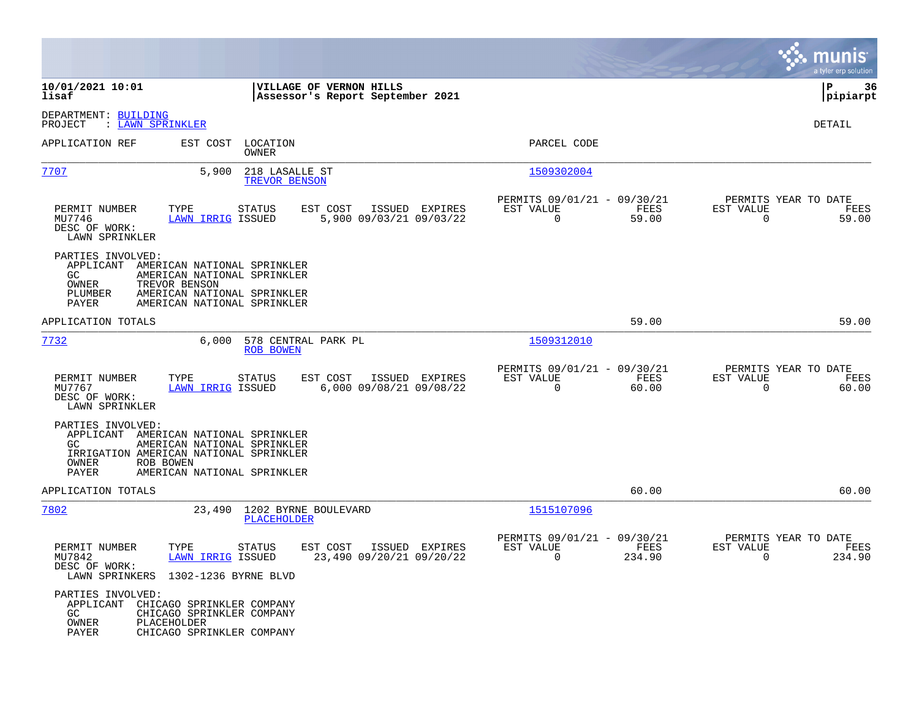|                                                                        |                                                                                                                                               |                                                             |                                                                        | munis<br>a tyler erp solution                                     |
|------------------------------------------------------------------------|-----------------------------------------------------------------------------------------------------------------------------------------------|-------------------------------------------------------------|------------------------------------------------------------------------|-------------------------------------------------------------------|
| 10/01/2021 10:01<br>lisaf                                              |                                                                                                                                               | VILLAGE OF VERNON HILLS<br>Assessor's Report September 2021 |                                                                        | P<br>36<br> pipiarpt                                              |
| DEPARTMENT: BUILDING<br>: LAWN SPRINKLER<br>PROJECT                    |                                                                                                                                               |                                                             |                                                                        | DETAIL                                                            |
| APPLICATION REF                                                        | EST COST<br>LOCATION<br>OWNER                                                                                                                 |                                                             | PARCEL CODE                                                            |                                                                   |
| 7707                                                                   | 5,900<br>218 LASALLE ST<br>TREVOR BENSON                                                                                                      |                                                             | 1509302004                                                             |                                                                   |
| PERMIT NUMBER<br>TYPE<br>MU7746<br>DESC OF WORK:<br>LAWN SPRINKLER     | <b>STATUS</b><br><b>LAWN IRRIG ISSUED</b>                                                                                                     | EST COST<br>ISSUED EXPIRES<br>5,900 09/03/21 09/03/22       | PERMITS 09/01/21 - 09/30/21<br>EST VALUE<br>FEES<br>$\Omega$<br>59.00  | PERMITS YEAR TO DATE<br>EST VALUE<br>FEES<br>$\Omega$<br>59.00    |
| PARTIES INVOLVED:<br>GC<br>TREVOR BENSON<br>OWNER<br>PLUMBER<br>PAYER  | APPLICANT AMERICAN NATIONAL SPRINKLER<br>AMERICAN NATIONAL SPRINKLER<br>AMERICAN NATIONAL SPRINKLER<br>AMERICAN NATIONAL SPRINKLER            |                                                             |                                                                        |                                                                   |
| APPLICATION TOTALS                                                     |                                                                                                                                               |                                                             | 59.00                                                                  | 59.00                                                             |
| 7732                                                                   | 6,000<br>578 CENTRAL PARK PL<br><b>ROB BOWEN</b>                                                                                              |                                                             | 1509312010                                                             |                                                                   |
| PERMIT NUMBER<br>TYPE<br>MU7767<br>DESC OF WORK:<br>LAWN SPRINKLER     | <b>STATUS</b><br><b>LAWN IRRIG ISSUED</b>                                                                                                     | EST COST<br>ISSUED EXPIRES<br>6,000 09/08/21 09/08/22       | PERMITS 09/01/21 - 09/30/21<br>EST VALUE<br>FEES<br>$\Omega$<br>60.00  | PERMITS YEAR TO DATE<br>EST VALUE<br>FEES<br>60.00<br>$\mathbf 0$ |
| PARTIES INVOLVED:<br>GC.<br>ROB BOWEN<br>OWNER<br>PAYER                | APPLICANT AMERICAN NATIONAL SPRINKLER<br>AMERICAN NATIONAL SPRINKLER<br>IRRIGATION AMERICAN NATIONAL SPRINKLER<br>AMERICAN NATIONAL SPRINKLER |                                                             |                                                                        |                                                                   |
| APPLICATION TOTALS                                                     |                                                                                                                                               |                                                             | 60.00                                                                  | 60.00                                                             |
| 7802                                                                   | 23,490<br>1202 BYRNE BOULEVARD<br><b>PLACEHOLDER</b>                                                                                          |                                                             | 1515107096                                                             |                                                                   |
| PERMIT NUMBER<br>TYPE<br>MU7842<br>DESC OF WORK:<br>LAWN SPRINKERS     | <b>STATUS</b><br>LAWN IRRIG ISSUED<br>1302-1236 BYRNE BLVD                                                                                    | ISSUED EXPIRES<br>EST COST<br>23,490 09/20/21 09/20/22      | PERMITS 09/01/21 - 09/30/21<br>EST VALUE<br>FEES<br>$\Omega$<br>234.90 | PERMITS YEAR TO DATE<br>EST VALUE<br>FEES<br>$\Omega$<br>234.90   |
| PARTIES INVOLVED:<br>APPLICANT<br>GC.<br>OWNER<br>PLACEHOLDER<br>PAYER | CHICAGO SPRINKLER COMPANY<br>CHICAGO SPRINKLER COMPANY<br>CHICAGO SPRINKLER COMPANY                                                           |                                                             |                                                                        |                                                                   |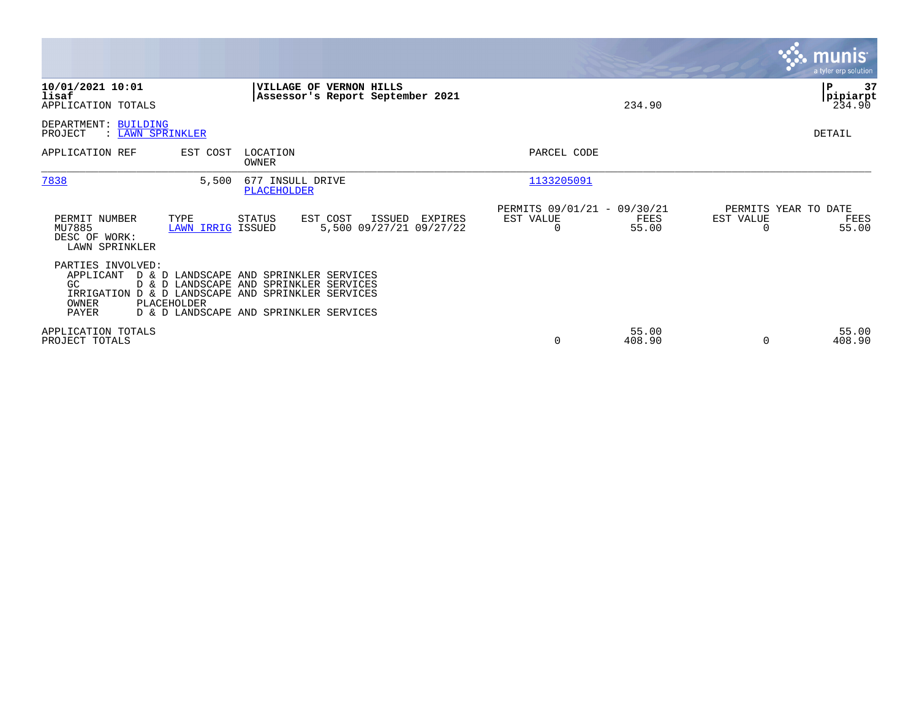|                                                                                                                                    |                   |                                                                                                                            |                                              |                                               |                 |                                   | <b>munis</b><br>a tyler erp solution |
|------------------------------------------------------------------------------------------------------------------------------------|-------------------|----------------------------------------------------------------------------------------------------------------------------|----------------------------------------------|-----------------------------------------------|-----------------|-----------------------------------|--------------------------------------|
| 10/01/2021 10:01<br>lisaf<br>APPLICATION TOTALS                                                                                    |                   | VILLAGE OF VERNON HILLS                                                                                                    | Assessor's Report September 2021             |                                               | 234.90          |                                   | 37<br>P<br>pipiarpt <br>234.90       |
| DEPARTMENT: BUILDING<br>PROJECT<br>: LAWN SPRINKLER                                                                                |                   |                                                                                                                            |                                              |                                               |                 |                                   | <b>DETAIL</b>                        |
| APPLICATION REF                                                                                                                    | EST COST          | LOCATION<br>OWNER                                                                                                          |                                              | PARCEL CODE                                   |                 |                                   |                                      |
| 7838                                                                                                                               | 5,500             | 677 INSULL DRIVE<br><b>PLACEHOLDER</b>                                                                                     |                                              | 1133205091                                    |                 |                                   |                                      |
| PERMIT NUMBER<br>TYPE<br>MU7885<br>DESC OF WORK:<br>LAWN SPRINKLER                                                                 | LAWN IRRIG ISSUED | STATUS<br>EST COST                                                                                                         | ISSUED<br>EXPIRES<br>5,500 09/27/21 09/27/22 | PERMITS 09/01/21 - 09/30/21<br>EST VALUE<br>O | FEES<br>55.00   | PERMITS YEAR TO DATE<br>EST VALUE | FEES<br>55.00                        |
| PARTIES INVOLVED:<br>APPLICANT<br>GC.<br>IRRIGATION D & D LANDSCAPE AND SPRINKLER SERVICES<br>PLACEHOLDER<br>OWNER<br><b>PAYER</b> |                   | D & D LANDSCAPE AND SPRINKLER SERVICES<br>D & D LANDSCAPE AND SPRINKLER SERVICES<br>D & D LANDSCAPE AND SPRINKLER SERVICES |                                              |                                               |                 |                                   |                                      |
| APPLICATION TOTALS<br>PROJECT TOTALS                                                                                               |                   |                                                                                                                            |                                              | 0                                             | 55.00<br>408.90 | $\Omega$                          | 55.00<br>408.90                      |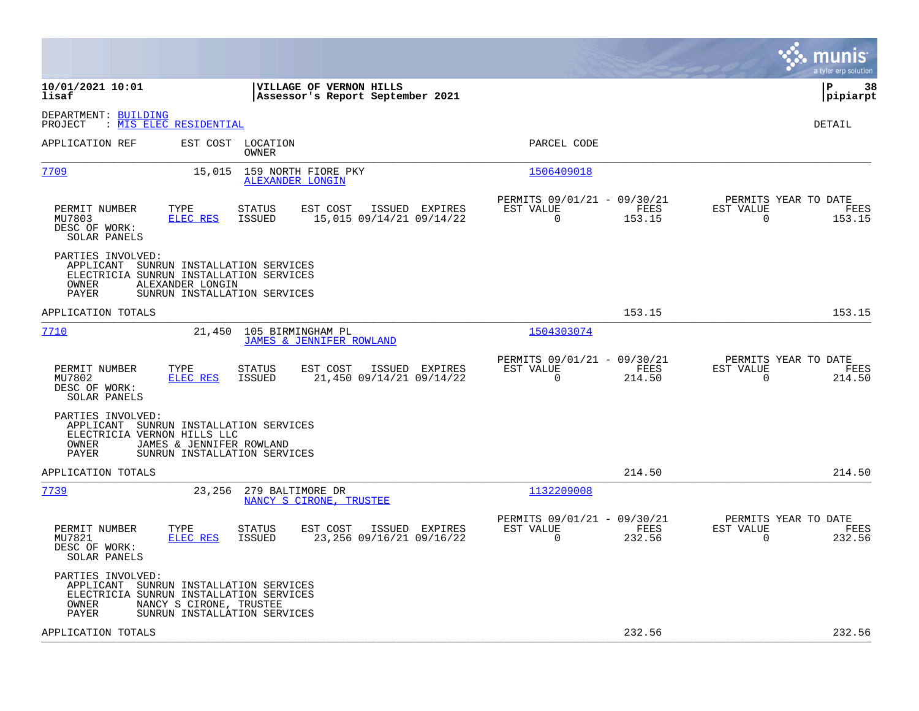|                                                                                                                                                                                            |                                                                        | munis<br>a tyler erp solution                                      |
|--------------------------------------------------------------------------------------------------------------------------------------------------------------------------------------------|------------------------------------------------------------------------|--------------------------------------------------------------------|
| 10/01/2021 10:01<br>VILLAGE OF VERNON HILLS<br>lisaf<br>Assessor's Report September 2021                                                                                                   |                                                                        | lР<br>38<br> pipiarpt                                              |
| DEPARTMENT: BUILDING<br>: MIS ELEC RESIDENTIAL<br>PROJECT                                                                                                                                  |                                                                        | DETAIL                                                             |
| EST COST LOCATION<br>APPLICATION REF<br>OWNER                                                                                                                                              | PARCEL CODE                                                            |                                                                    |
| 7709<br>159 NORTH FIORE PKY<br>15,015<br>ALEXANDER LONGIN                                                                                                                                  | 1506409018                                                             |                                                                    |
| PERMIT NUMBER<br>TYPE<br><b>STATUS</b><br>EST COST<br>ISSUED EXPIRES<br>MU7803<br><b>ELEC RES</b><br><b>ISSUED</b><br>15,015 09/14/21 09/14/22<br>DESC OF WORK:<br>SOLAR PANELS            | PERMITS 09/01/21 - 09/30/21<br>EST VALUE<br>FEES<br>$\Omega$<br>153.15 | PERMITS YEAR TO DATE<br>EST VALUE<br>FEES<br>$\Omega$<br>153.15    |
| PARTIES INVOLVED:<br>APPLICANT SUNRUN INSTALLATION SERVICES<br>ELECTRICIA SUNRUN INSTALLATION SERVICES<br>OWNER<br>ALEXANDER LONGIN<br>PAYER<br>SUNRUN INSTALLATION SERVICES               |                                                                        |                                                                    |
| APPLICATION TOTALS                                                                                                                                                                         | 153.15                                                                 | 153.15                                                             |
| 7710<br>21,450 105 BIRMINGHAM PL<br><b>JAMES &amp; JENNIFER ROWLAND</b>                                                                                                                    | 1504303074                                                             |                                                                    |
| PERMIT NUMBER<br>TYPE<br>STATUS<br>EST COST<br>ISSUED EXPIRES<br>MU7802<br><b>ISSUED</b><br>21,450 09/14/21 09/14/22<br>ELEC RES<br>DESC OF WORK:<br>SOLAR PANELS                          | PERMITS 09/01/21 - 09/30/21<br>EST VALUE<br>FEES<br>$\Omega$<br>214.50 | PERMITS YEAR TO DATE<br>EST VALUE<br>FEES<br>$\mathbf 0$<br>214.50 |
| PARTIES INVOLVED:<br>APPLICANT SUNRUN INSTALLATION SERVICES<br>ELECTRICIA VERNON HILLS LLC<br>OWNER<br>JAMES & JENNIFER ROWLAND<br><b>PAYER</b><br>SUNRUN INSTALLATION SERVICES            |                                                                        |                                                                    |
| APPLICATION TOTALS                                                                                                                                                                         | 214.50                                                                 | 214.50                                                             |
| 7739<br>23,256 279 BALTIMORE DR<br>NANCY S CIRONE, TRUSTEE                                                                                                                                 | 1132209008                                                             |                                                                    |
| PERMIT NUMBER<br>TYPE<br>STATUS<br>EST COST<br>ISSUED EXPIRES<br>MU7821<br><b>ELEC RES</b><br>ISSUED<br>23,256 09/16/21 09/16/22<br>DESC OF WORK:<br>SOLAR PANELS                          | PERMITS 09/01/21 - 09/30/21<br>EST VALUE<br>FEES<br>0<br>232.56        | PERMITS YEAR TO DATE<br>EST VALUE<br>FEES<br>0<br>232.56           |
| PARTIES INVOLVED:<br>APPLICANT SUNRUN INSTALLATION SERVICES<br>ELECTRICIA SUNRUN INSTALLATION SERVICES<br>NANCY S CIRONE, TRUSTEE<br>OWNER<br><b>PAYER</b><br>SUNRUN INSTALLATION SERVICES |                                                                        |                                                                    |
| APPLICATION TOTALS                                                                                                                                                                         | 232.56                                                                 | 232.56                                                             |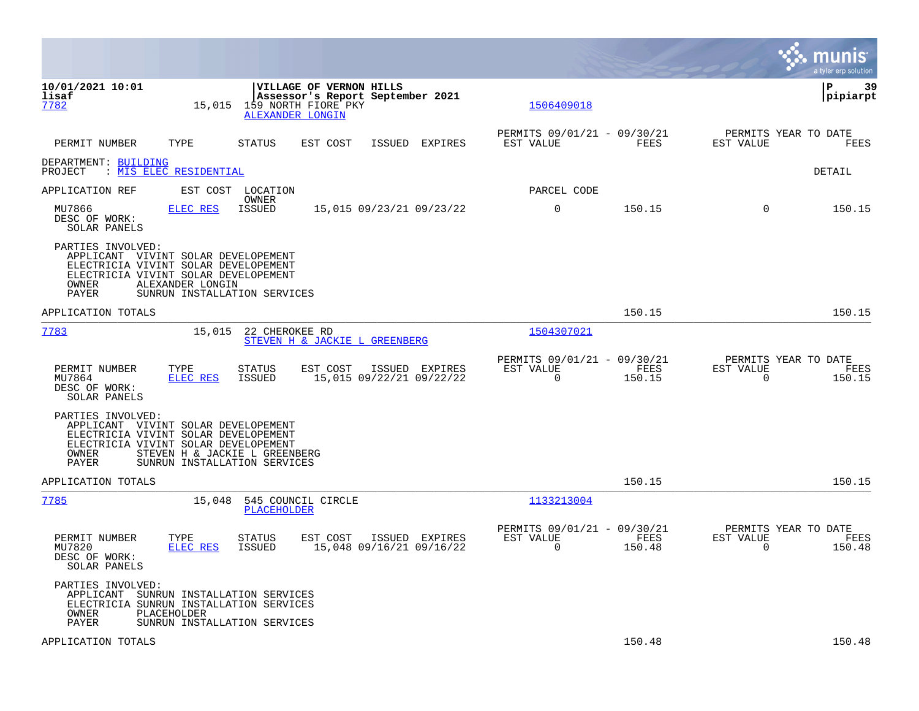|                                                                                                                                                            |                                                                             |                                |                                                                                                        |        |                                            |                                                      |                |                                               | munis<br>a tyler erp solution |
|------------------------------------------------------------------------------------------------------------------------------------------------------------|-----------------------------------------------------------------------------|--------------------------------|--------------------------------------------------------------------------------------------------------|--------|--------------------------------------------|------------------------------------------------------|----------------|-----------------------------------------------|-------------------------------|
| 10/01/2021 10:01<br>lisaf<br>7782                                                                                                                          | 15,015                                                                      |                                | VILLAGE OF VERNON HILLS<br>Assessor's Report September 2021<br>159 NORTH FIORE PKY<br>ALEXANDER LONGIN |        |                                            | 1506409018                                           |                |                                               | ΙP<br>-39<br> pipiarpt        |
| PERMIT NUMBER                                                                                                                                              | TYPE                                                                        | <b>STATUS</b>                  | EST COST                                                                                               | ISSUED | EXPIRES                                    | PERMITS 09/01/21 - 09/30/21<br>EST VALUE             | FEES           | PERMITS YEAR TO DATE<br>EST VALUE             | FEES                          |
| DEPARTMENT: BUILDING<br>PROJECT                                                                                                                            | : MIS ELEC RESIDENTIAL                                                      |                                |                                                                                                        |        |                                            |                                                      |                |                                               | DETAIL                        |
| APPLICATION REF                                                                                                                                            |                                                                             | EST COST LOCATION              |                                                                                                        |        |                                            | PARCEL CODE                                          |                |                                               |                               |
| MU7866<br>DESC OF WORK:<br>SOLAR PANELS                                                                                                                    | ELEC RES                                                                    | OWNER<br>ISSUED                |                                                                                                        |        | 15,015 09/23/21 09/23/22                   | 0                                                    | 150.15         | $\Omega$                                      | 150.15                        |
| PARTIES INVOLVED:<br>APPLICANT VIVINT SOLAR DEVELOPEMENT<br>ELECTRICIA VIVINT SOLAR DEVELOPEMENT<br>ELECTRICIA VIVINT SOLAR DEVELOPEMENT<br>OWNER<br>PAYER | ALEXANDER LONGIN<br>SUNRUN INSTALLATION SERVICES                            |                                |                                                                                                        |        |                                            |                                                      |                |                                               |                               |
| APPLICATION TOTALS                                                                                                                                         |                                                                             |                                |                                                                                                        |        |                                            |                                                      | 150.15         |                                               | 150.15                        |
| 7783                                                                                                                                                       | 15,015                                                                      | 22 CHEROKEE RD                 | STEVEN H & JACKIE L GREENBERG                                                                          |        |                                            | 1504307021                                           |                |                                               |                               |
| PERMIT NUMBER<br>MU7864<br>DESC OF WORK:<br>SOLAR PANELS                                                                                                   | TYPE<br>ELEC RES                                                            | <b>STATUS</b><br>ISSUED        | EST COST                                                                                               |        | ISSUED EXPIRES<br>15,015 09/22/21 09/22/22 | PERMITS 09/01/21 - 09/30/21<br>EST VALUE<br>0        | FEES<br>150.15 | PERMITS YEAR TO DATE<br>EST VALUE<br>0        | FEES<br>150.15                |
| PARTIES INVOLVED:<br>APPLICANT VIVINT SOLAR DEVELOPEMENT<br>ELECTRICIA VIVINT SOLAR DEVELOPEMENT<br>ELECTRICIA VIVINT SOLAR DEVELOPEMENT<br>OWNER<br>PAYER | STEVEN H & JACKIE L GREENBERG<br>SUNRUN INSTALLATION SERVICES               |                                |                                                                                                        |        |                                            |                                                      |                |                                               |                               |
| APPLICATION TOTALS                                                                                                                                         |                                                                             |                                |                                                                                                        |        |                                            |                                                      | 150.15         |                                               | 150.15                        |
| <u>7785</u>                                                                                                                                                | 15,048                                                                      | <b>PLACEHOLDER</b>             | 545 COUNCIL CIRCLE                                                                                     |        |                                            | 1133213004                                           |                |                                               |                               |
| PERMIT NUMBER<br>MU7820<br>DESC OF WORK:<br>SOLAR PANELS                                                                                                   | TYPE<br>ELEC RES                                                            | <b>STATUS</b><br><b>ISSUED</b> | EST COST                                                                                               |        | ISSUED EXPIRES<br>15,048 09/16/21 09/16/22 | PERMITS 09/01/21 - 09/30/21<br>EST VALUE<br>$\Omega$ | FEES<br>150.48 | PERMITS YEAR TO DATE<br>EST VALUE<br>$\Omega$ | FEES<br>150.48                |
| PARTIES INVOLVED:<br>APPLICANT<br>ELECTRICIA SUNRUN INSTALLATION SERVICES<br>OWNER<br>PAYER                                                                | SUNRUN INSTALLATION SERVICES<br>PLACEHOLDER<br>SUNRUN INSTALLATION SERVICES |                                |                                                                                                        |        |                                            |                                                      |                |                                               |                               |
| APPLICATION TOTALS                                                                                                                                         |                                                                             |                                |                                                                                                        |        |                                            |                                                      | 150.48         |                                               | 150.48                        |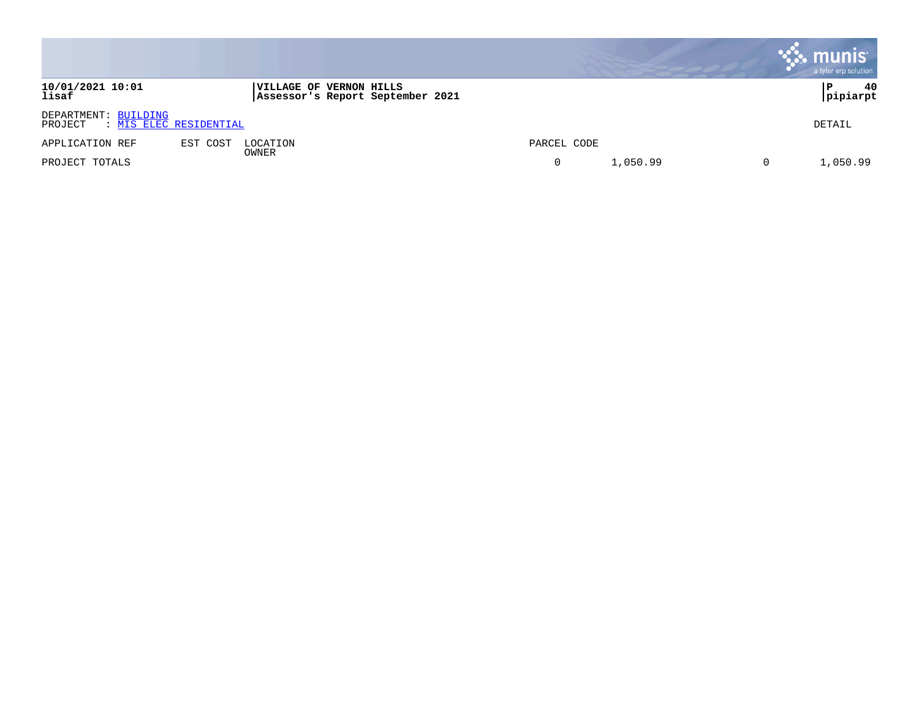|                                                           |                                                                     |             |          |   | <b>R.</b> munis<br>a tyler erp solution |
|-----------------------------------------------------------|---------------------------------------------------------------------|-------------|----------|---|-----------------------------------------|
| 10/01/2021 10:01<br>lisaf                                 | <b> VILLAGE OF VERNON HILLS</b><br>Assessor's Report September 2021 |             |          |   | 40<br>P<br> pipiarpt                    |
| DEPARTMENT: BUILDING<br>: MIS ELEC RESIDENTIAL<br>PROJECT |                                                                     |             |          |   | DETAIL                                  |
| APPLICATION REF                                           | EST COST<br>LOCATION                                                | PARCEL CODE |          |   |                                         |
| PROJECT TOTALS                                            | OWNER                                                               |             | 1,050.99 | 0 | 1,050.99                                |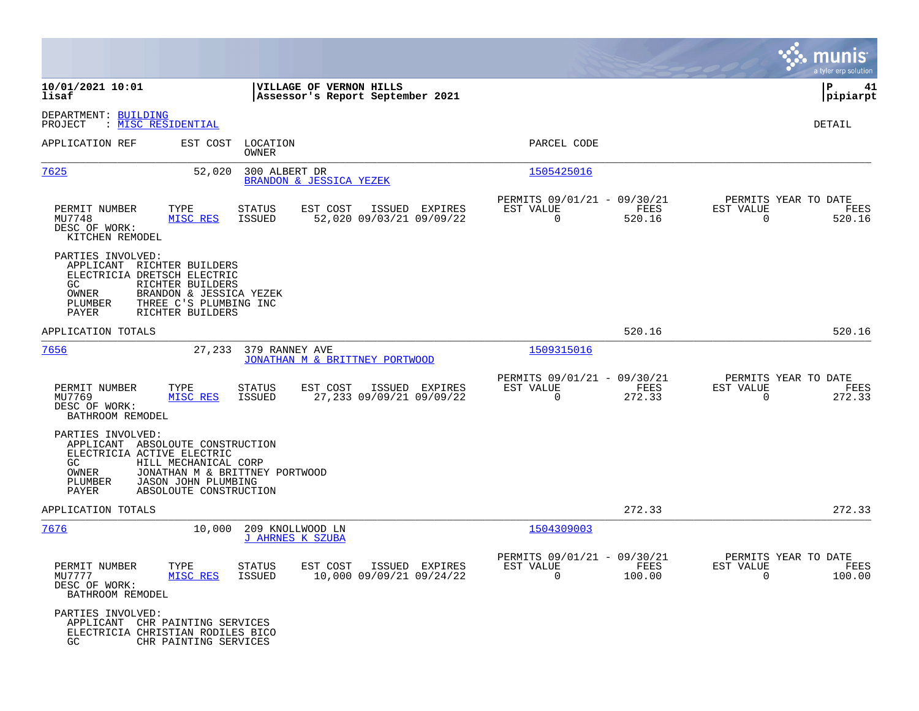|                                                                                                                                                                                                                                           |                                                                                   |                                                                        | munis<br>a tyler erp solution                                   |
|-------------------------------------------------------------------------------------------------------------------------------------------------------------------------------------------------------------------------------------------|-----------------------------------------------------------------------------------|------------------------------------------------------------------------|-----------------------------------------------------------------|
| 10/01/2021 10:01<br>lisaf                                                                                                                                                                                                                 | VILLAGE OF VERNON HILLS<br>Assessor's Report September 2021                       |                                                                        | ΙP<br>41<br> pipiarpt                                           |
| DEPARTMENT: BUILDING<br>: <u>MISC RESIDENTIAL</u><br>PROJECT                                                                                                                                                                              |                                                                                   |                                                                        | DETAIL                                                          |
| APPLICATION REF                                                                                                                                                                                                                           | EST COST LOCATION<br>OWNER                                                        | PARCEL CODE                                                            |                                                                 |
| 7625<br>52,020                                                                                                                                                                                                                            | 300 ALBERT DR<br>BRANDON & JESSICA YEZEK                                          | 1505425016                                                             |                                                                 |
| PERMIT NUMBER<br>TYPE<br>MU7748<br>MISC RES<br>DESC OF WORK:<br>KITCHEN REMODEL                                                                                                                                                           | EST COST<br>ISSUED EXPIRES<br><b>STATUS</b><br>52,020 09/03/21 09/09/22<br>ISSUED | PERMITS 09/01/21 - 09/30/21<br>EST VALUE<br>FEES<br>520.16<br>$\Omega$ | PERMITS YEAR TO DATE<br>EST VALUE<br>FEES<br>520.16<br>$\Omega$ |
| PARTIES INVOLVED:<br>APPLICANT RICHTER BUILDERS<br>ELECTRICIA DRETSCH ELECTRIC<br>RICHTER BUILDERS<br>GC.<br>OWNER<br>BRANDON & JESSICA YEZEK<br>PLUMBER<br>THREE C'S PLUMBING INC<br>RICHTER BUILDERS<br>PAYER                           |                                                                                   |                                                                        |                                                                 |
| APPLICATION TOTALS                                                                                                                                                                                                                        |                                                                                   | 520.16                                                                 | 520.16                                                          |
| 7656                                                                                                                                                                                                                                      | 27,233 379 RANNEY AVE<br>JONATHAN M & BRITTNEY PORTWOOD                           | 1509315016                                                             |                                                                 |
| PERMIT NUMBER<br>TYPE<br>MU7769<br>MISC RES<br>DESC OF WORK:<br>BATHROOM REMODEL                                                                                                                                                          | EST COST<br>ISSUED EXPIRES<br>STATUS<br>27,233 09/09/21 09/09/22<br>ISSUED        | PERMITS 09/01/21 - 09/30/21<br>EST VALUE<br>FEES<br>$\Omega$<br>272.33 | PERMITS YEAR TO DATE<br>EST VALUE<br>FEES<br>272.33<br>$\Omega$ |
| PARTIES INVOLVED:<br>APPLICANT ABSOLOUTE CONSTRUCTION<br>ELECTRICIA ACTIVE ELECTRIC<br>GC.<br>HILL MECHANICAL CORP<br>OWNER<br>JONATHAN M & BRITTNEY PORTWOOD<br>PLUMBER<br><b>JASON JOHN PLUMBING</b><br>PAYER<br>ABSOLOUTE CONSTRUCTION |                                                                                   |                                                                        |                                                                 |
| APPLICATION TOTALS                                                                                                                                                                                                                        |                                                                                   | 272.33                                                                 | 272.33                                                          |
| 7676<br>10,000                                                                                                                                                                                                                            | 209 KNOLLWOOD LN<br><b>J AHRNES K SZUBA</b>                                       | 1504309003                                                             |                                                                 |
| PERMIT NUMBER<br>TYPE<br>MU7777<br>MISC RES<br>DESC OF WORK:<br>BATHROOM REMODEL                                                                                                                                                          | STATUS<br>EST COST ISSUED EXPIRES<br>ISSUED<br>10,000 09/09/21 09/24/22           | PERMITS 09/01/21 - 09/30/21<br>EST VALUE<br>FEES<br>$\Omega$<br>100.00 | PERMITS YEAR TO DATE<br>EST VALUE<br>FEES<br>$\Omega$<br>100.00 |
| PARTIES INVOLVED:<br>APPLICANT CHR PAINTING SERVICES<br>ELECTRICIA CHRISTIAN RODILES BICO<br>GC.<br>CHR PAINTING SERVICES                                                                                                                 |                                                                                   |                                                                        |                                                                 |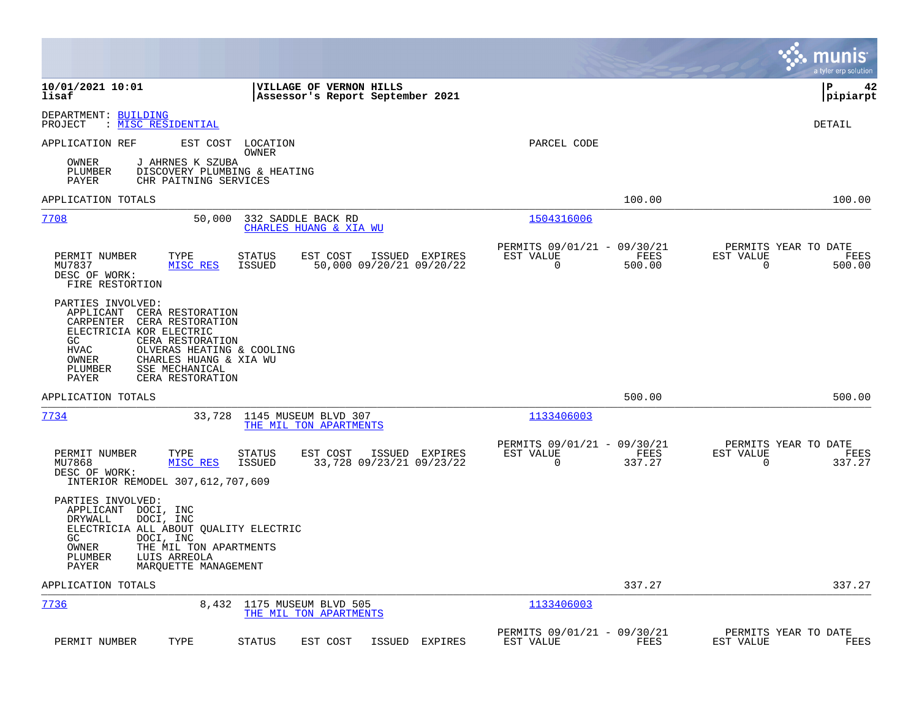|                                                                                                                                                                                                                                                                                   |                                                                        | munis<br>a tyler erp solution                                   |
|-----------------------------------------------------------------------------------------------------------------------------------------------------------------------------------------------------------------------------------------------------------------------------------|------------------------------------------------------------------------|-----------------------------------------------------------------|
| 10/01/2021 10:01<br>VILLAGE OF VERNON HILLS<br>lisaf<br>Assessor's Report September 2021                                                                                                                                                                                          |                                                                        | l P<br>42<br> pipiarpt                                          |
| DEPARTMENT: BUILDING<br>: MISC RESIDENTIAL<br>PROJECT                                                                                                                                                                                                                             |                                                                        | DETAIL                                                          |
| EST COST LOCATION<br>APPLICATION REF<br>OWNER                                                                                                                                                                                                                                     | PARCEL CODE                                                            |                                                                 |
| J AHRNES K SZUBA<br>OWNER<br>PLUMBER<br>DISCOVERY PLUMBING & HEATING<br>PAYER<br>CHR PAITNING SERVICES                                                                                                                                                                            |                                                                        |                                                                 |
| APPLICATION TOTALS                                                                                                                                                                                                                                                                | 100.00                                                                 | 100.00                                                          |
| 7708<br>50,000<br>332 SADDLE BACK RD<br>CHARLES HUANG & XIA WU                                                                                                                                                                                                                    | 1504316006                                                             |                                                                 |
| TYPE<br>STATUS<br>EST COST<br>ISSUED EXPIRES<br>PERMIT NUMBER<br>MU7837<br>MISC RES<br>ISSUED<br>50,000 09/20/21 09/20/22<br>DESC OF WORK:<br>FIRE RESTORTION                                                                                                                     | PERMITS 09/01/21 - 09/30/21<br>EST VALUE<br>FEES<br>0<br>500.00        | PERMITS YEAR TO DATE<br>EST VALUE<br>FEES<br>0<br>500.00        |
| PARTIES INVOLVED:<br>APPLICANT<br>CERA RESTORATION<br>CERA RESTORATION<br>CARPENTER<br>ELECTRICIA KOR ELECTRIC<br>CERA RESTORATION<br>GC<br><b>HVAC</b><br>OLVERAS HEATING & COOLING<br>CHARLES HUANG & XIA WU<br>OWNER<br>SSE MECHANICAL<br>PLUMBER<br>PAYER<br>CERA RESTORATION |                                                                        |                                                                 |
| APPLICATION TOTALS                                                                                                                                                                                                                                                                | 500.00                                                                 | 500.00                                                          |
| 7734<br>33,728<br>1145 MUSEUM BLVD 307<br>THE MIL TON APARTMENTS                                                                                                                                                                                                                  | 1133406003                                                             |                                                                 |
| PERMIT NUMBER<br>TYPE<br><b>STATUS</b><br>EST COST<br>ISSUED EXPIRES<br>33,728 09/23/21 09/23/22<br>MU7868<br>MISC RES<br>ISSUED<br>DESC OF WORK:<br>INTERIOR REMODEL 307, 612, 707, 609                                                                                          | PERMITS 09/01/21 - 09/30/21<br>EST VALUE<br>FEES<br>$\Omega$<br>337.27 | PERMITS YEAR TO DATE<br>EST VALUE<br>FEES<br>$\Omega$<br>337.27 |
| PARTIES INVOLVED:<br>APPLICANT<br>DOCI, INC<br>DOCI, INC<br>DRYWALL<br>ELECTRICIA ALL ABOUT QUALITY ELECTRIC<br>GC<br>DOCI, INC<br>OWNER<br>THE MIL TON APARTMENTS<br>PLUMBER<br>LUIS ARREOLA<br>PAYER<br>MARQUETTE MANAGEMENT                                                    |                                                                        |                                                                 |
| APPLICATION TOTALS                                                                                                                                                                                                                                                                | 337.27                                                                 | 337.27                                                          |
| 7736<br>8,432<br>1175 MUSEUM BLVD 505<br>THE MIL TON APARTMENTS                                                                                                                                                                                                                   | 1133406003                                                             |                                                                 |
| PERMIT NUMBER<br>TYPE<br>STATUS<br>EST COST<br>ISSUED EXPIRES                                                                                                                                                                                                                     | PERMITS 09/01/21 - 09/30/21<br>EST VALUE<br>FEES                       | PERMITS YEAR TO DATE<br>EST VALUE<br>FEES                       |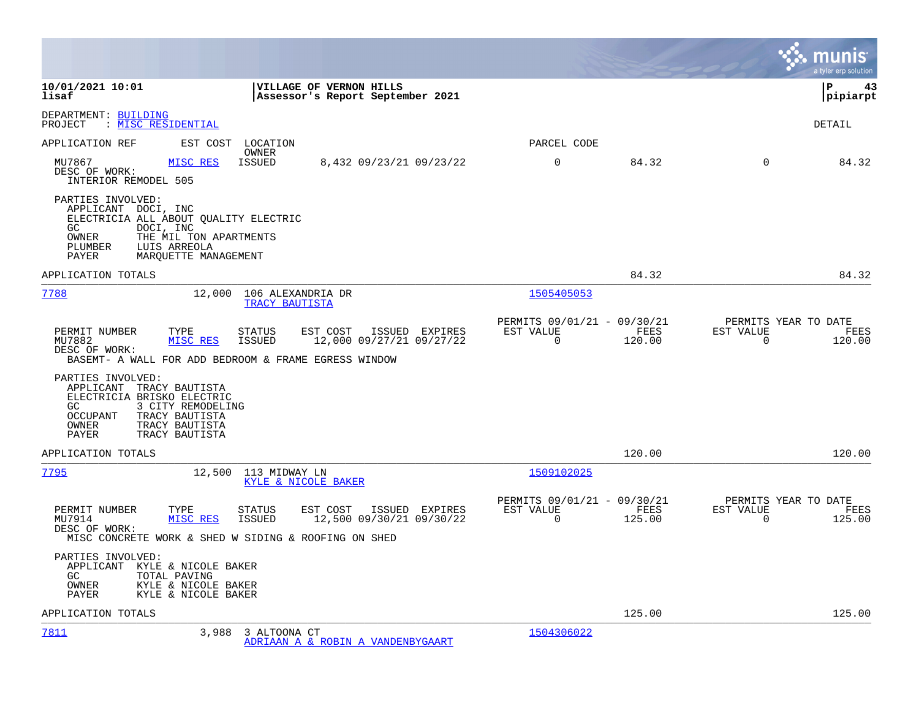|                                                                                                                                                                                                                  |                                                                               | munis<br>a tyler erp solution                                   |
|------------------------------------------------------------------------------------------------------------------------------------------------------------------------------------------------------------------|-------------------------------------------------------------------------------|-----------------------------------------------------------------|
| 10/01/2021 10:01<br>VILLAGE OF VERNON HILLS<br>lisaf<br>Assessor's Report September 2021                                                                                                                         |                                                                               | l P<br>43<br> pipiarpt                                          |
| DEPARTMENT: BUILDING<br>: MISC RESIDENTIAL<br>PROJECT                                                                                                                                                            |                                                                               | DETAIL                                                          |
| EST COST LOCATION<br>APPLICATION REF                                                                                                                                                                             | PARCEL CODE                                                                   |                                                                 |
| OWNER<br>MU7867<br>8,432 09/23/21 09/23/22<br>MISC RES<br>ISSUED<br>DESC OF WORK:<br>INTERIOR REMODEL 505                                                                                                        | $\mathbf 0$<br>84.32                                                          | 84.32<br>$\Omega$                                               |
| PARTIES INVOLVED:<br>APPLICANT DOCI, INC<br>ELECTRICIA ALL ABOUT QUALITY ELECTRIC<br>DOCI, INC<br>GC<br>OWNER<br>THE MIL TON APARTMENTS<br>LUIS ARREOLA<br>PLUMBER<br>PAYER<br>MARQUETTE MANAGEMENT              |                                                                               |                                                                 |
| APPLICATION TOTALS                                                                                                                                                                                               | 84.32                                                                         | 84.32                                                           |
| 7788<br>12,000 106 ALEXANDRIA DR<br>TRACY BAUTISTA                                                                                                                                                               | 1505405053                                                                    |                                                                 |
| PERMIT NUMBER<br>TYPE<br><b>STATUS</b><br>EST COST<br>ISSUED EXPIRES<br>MISC RES<br><b>ISSUED</b><br>12,000 09/27/21 09/27/22<br>MU7882<br>DESC OF WORK:<br>BASEMT- A WALL FOR ADD BEDROOM & FRAME EGRESS WINDOW | PERMITS 09/01/21 - 09/30/21<br><b>FEES</b><br>EST VALUE<br>$\Omega$<br>120.00 | PERMITS YEAR TO DATE<br>EST VALUE<br>FEES<br>$\Omega$<br>120.00 |
| PARTIES INVOLVED:<br>APPLICANT TRACY BAUTISTA<br>ELECTRICIA BRISKO ELECTRIC<br>3 CITY REMODELING<br>GC<br><b>OCCUPANT</b><br>TRACY BAUTISTA<br>OWNER<br>TRACY BAUTISTA<br>PAYER<br>TRACY BAUTISTA                |                                                                               |                                                                 |
| APPLICATION TOTALS                                                                                                                                                                                               | 120.00                                                                        | 120.00                                                          |
| 7795<br>12,500 113 MIDWAY LN<br>KYLE & NICOLE BAKER                                                                                                                                                              | 1509102025                                                                    |                                                                 |
| PERMIT NUMBER<br>EST COST<br>ISSUED EXPIRES<br>TYPE<br><b>STATUS</b><br>MISC RES<br><b>ISSUED</b><br>12,500 09/30/21 09/30/22<br>MU7914<br>DESC OF WORK:<br>MISC CONCRETE WORK & SHED W SIDING & ROOFING ON SHED | PERMITS 09/01/21 - 09/30/21<br>EST VALUE<br>FEES<br>$\Omega$<br>125.00        | PERMITS YEAR TO DATE<br>EST VALUE<br>FEES<br>$\Omega$<br>125.00 |
| PARTIES INVOLVED:<br>APPLICANT KYLE & NICOLE BAKER<br>TOTAL PAVING<br>GC.<br>OWNER<br>KYLE & NICOLE BAKER<br>KYLE & NICOLE BAKER<br>PAYER                                                                        |                                                                               |                                                                 |
| APPLICATION TOTALS                                                                                                                                                                                               | 125.00                                                                        | 125.00                                                          |
| 7811<br>3,988 3 ALTOONA CT<br>ADRIAAN A & ROBIN A VANDENBYGAART                                                                                                                                                  | 1504306022                                                                    |                                                                 |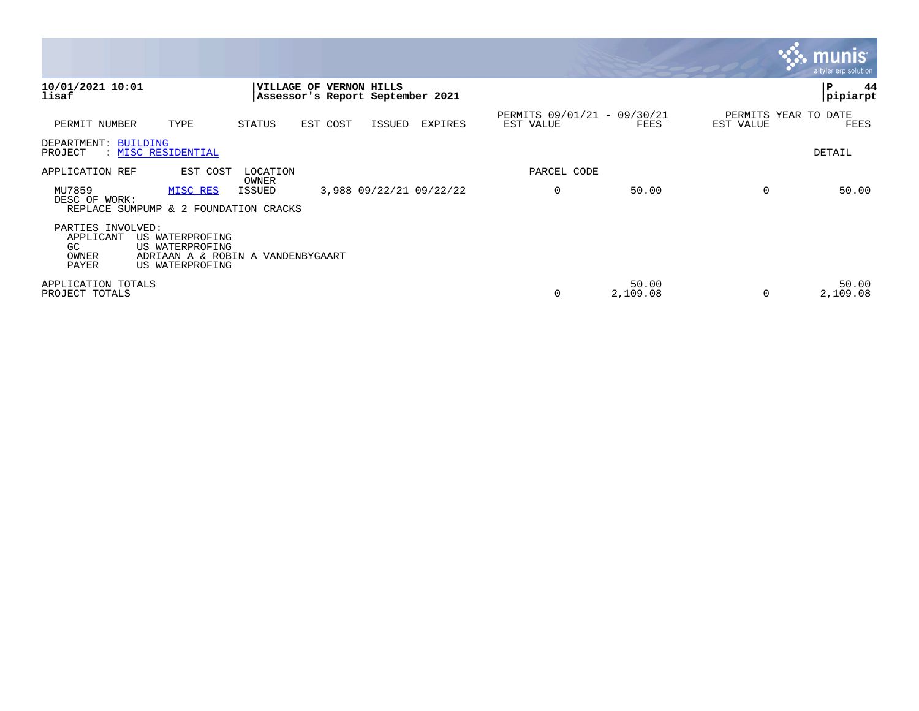|                                                        |                                                                                            |                 |                                  |                     |                         |                                          |                   |                                   | <b>W. munis</b><br>a tyler erp solution |
|--------------------------------------------------------|--------------------------------------------------------------------------------------------|-----------------|----------------------------------|---------------------|-------------------------|------------------------------------------|-------------------|-----------------------------------|-----------------------------------------|
| 10/01/2021 10:01<br>lisaf                              |                                                                                            | VILLAGE OF      | Assessor's Report September 2021 | <b>VERNON HILLS</b> |                         |                                          |                   |                                   | IΡ<br>44<br><b>pipiarpt</b>             |
| PERMIT NUMBER                                          | TYPE                                                                                       | STATUS          | EST COST                         | ISSUED              | <b>EXPIRES</b>          | PERMITS 09/01/21 - 09/30/21<br>EST VALUE | FEES              | PERMITS YEAR TO DATE<br>EST VALUE | FEES                                    |
| DEPARTMENT: BUILDING<br>PROJECT                        | : MISC RESIDENTIAL                                                                         |                 |                                  |                     |                         |                                          |                   |                                   | <b>DETAIL</b>                           |
| APPLICATION REF                                        | EST COST                                                                                   | LOCATION        |                                  |                     |                         | PARCEL CODE                              |                   |                                   |                                         |
| MU7859<br>DESC OF WORK:                                | MISC RES<br>REPLACE SUMPUMP & 2 FOUNDATION CRACKS                                          | OWNER<br>ISSUED |                                  |                     | 3,988 09/22/21 09/22/22 | 0                                        | 50.00             | 0                                 | 50.00                                   |
| PARTIES INVOLVED:<br>APPLICANT<br>GC<br>OWNER<br>PAYER | US WATERPROFING<br>US WATERPROFING<br>ADRIAAN A & ROBIN A VANDENBYGAART<br>US WATERPROFING |                 |                                  |                     |                         |                                          |                   |                                   |                                         |
| APPLICATION TOTALS<br>PROJECT TOTALS                   |                                                                                            |                 |                                  |                     |                         | 0                                        | 50.00<br>2,109.08 | $\Omega$                          | 50.00<br>2,109.08                       |

and the contract of the contract of the contract of the contract of the contract of the contract of the contract of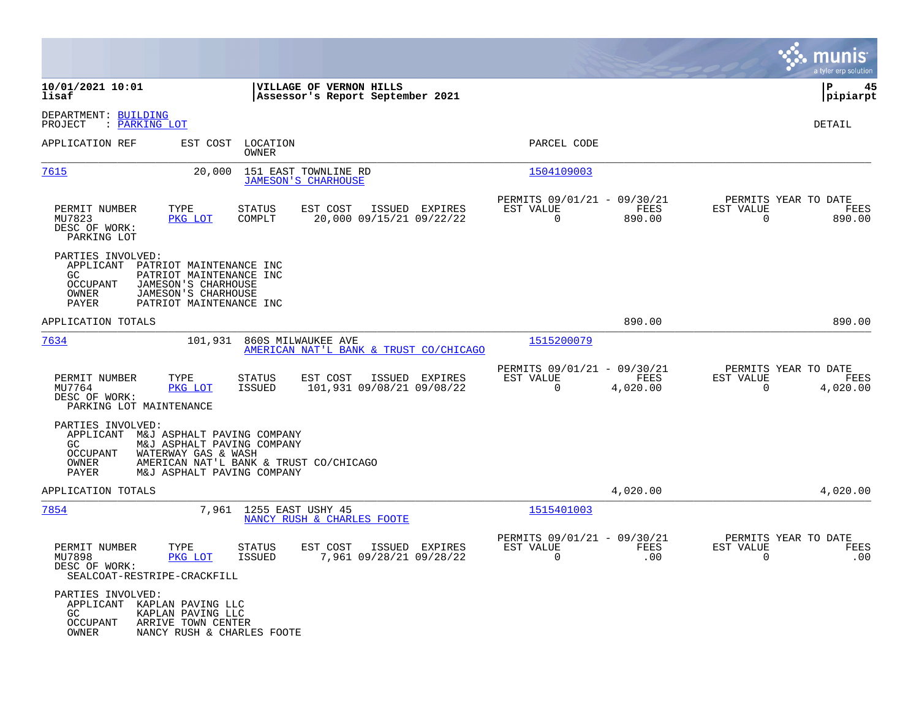|                                                                                                                                                                                                           |                                                                                           |                                                      |                                                                   | munis<br>a tyler erp solution |
|-----------------------------------------------------------------------------------------------------------------------------------------------------------------------------------------------------------|-------------------------------------------------------------------------------------------|------------------------------------------------------|-------------------------------------------------------------------|-------------------------------|
| 10/01/2021 10:01<br>lisaf                                                                                                                                                                                 | VILLAGE OF VERNON HILLS<br>Assessor's Report September 2021                               |                                                      |                                                                   | ΙP<br>45<br> pipiarpt         |
| DEPARTMENT: BUILDING<br>: PARKING LOT<br>PROJECT                                                                                                                                                          |                                                                                           |                                                      |                                                                   | DETAIL                        |
| APPLICATION REF<br>EST COST                                                                                                                                                                               | LOCATION<br><b>OWNER</b>                                                                  | PARCEL CODE                                          |                                                                   |                               |
| 7615<br>20,000                                                                                                                                                                                            | 151 EAST TOWNLINE RD<br><b>JAMESON'S CHARHOUSE</b>                                        | 1504109003                                           |                                                                   |                               |
| PERMIT NUMBER<br>TYPE<br>MU7823<br>PKG LOT<br>DESC OF WORK:<br>PARKING LOT                                                                                                                                | EST COST<br>ISSUED EXPIRES<br>STATUS<br>20,000 09/15/21 09/22/22<br>COMPLT                | PERMITS 09/01/21 - 09/30/21<br>EST VALUE<br>$\Omega$ | PERMITS YEAR TO DATE<br>FEES<br>EST VALUE<br>890.00<br>$\Omega$   | FEES<br>890.00                |
| PARTIES INVOLVED:<br>APPLICANT<br>PATRIOT MAINTENANCE INC<br>PATRIOT MAINTENANCE INC<br>GC.<br><b>OCCUPANT</b><br>JAMESON'S CHARHOUSE<br>OWNER<br>JAMESON'S CHARHOUSE<br>PATRIOT MAINTENANCE INC<br>PAYER |                                                                                           |                                                      |                                                                   |                               |
| APPLICATION TOTALS                                                                                                                                                                                        |                                                                                           |                                                      | 890.00                                                            | 890.00                        |
| 7634<br>101,931                                                                                                                                                                                           | 860S MILWAUKEE AVE<br>AMERICAN NAT'L BANK & TRUST CO/CHICAGO                              | 1515200079                                           |                                                                   |                               |
| TYPE<br>PERMIT NUMBER<br>MU7764<br>PKG LOT<br>DESC OF WORK:<br>PARKING LOT MAINTENANCE                                                                                                                    | <b>STATUS</b><br>EST COST<br>ISSUED EXPIRES<br><b>ISSUED</b><br>101,931 09/08/21 09/08/22 | PERMITS 09/01/21 - 09/30/21<br>EST VALUE<br>$\Omega$ | PERMITS YEAR TO DATE<br>FEES<br>EST VALUE<br>4,020.00<br>$\Omega$ | FEES<br>4,020.00              |
| PARTIES INVOLVED:<br>APPLICANT<br>M&J ASPHALT PAVING COMPANY<br>M&J ASPHALT PAVING COMPANY<br>GC<br>OCCUPANT<br>WATERWAY GAS & WASH<br>OWNER<br>PAYER<br>M&J ASPHALT PAVING COMPANY                       | AMERICAN NAT'L BANK & TRUST CO/CHICAGO                                                    |                                                      |                                                                   |                               |
| APPLICATION TOTALS                                                                                                                                                                                        |                                                                                           |                                                      | 4,020.00                                                          | 4,020.00                      |
| 7854                                                                                                                                                                                                      | 7,961 1255 EAST USHY 45<br>NANCY RUSH & CHARLES FOOTE                                     | 1515401003                                           |                                                                   |                               |
| PERMIT NUMBER<br>TYPE<br>MU7898<br>PKG LOT<br>DESC OF WORK:<br>SEALCOAT-RESTRIPE-CRACKFILL                                                                                                                | <b>STATUS</b><br>EST COST<br>ISSUED EXPIRES<br>7,961 09/28/21 09/28/22<br><b>ISSUED</b>   | PERMITS 09/01/21 - 09/30/21<br>EST VALUE<br>0        | PERMITS YEAR TO DATE<br>FEES<br>EST VALUE<br>.00<br>0             | FEES<br>.00                   |
| PARTIES INVOLVED:<br>APPLICANT<br>KAPLAN PAVING LLC<br>GC.<br>KAPLAN PAVING LLC<br>OCCUPANT<br>ARRIVE TOWN CENTER<br>OWNER<br>NANCY RUSH & CHARLES FOOTE                                                  |                                                                                           |                                                      |                                                                   |                               |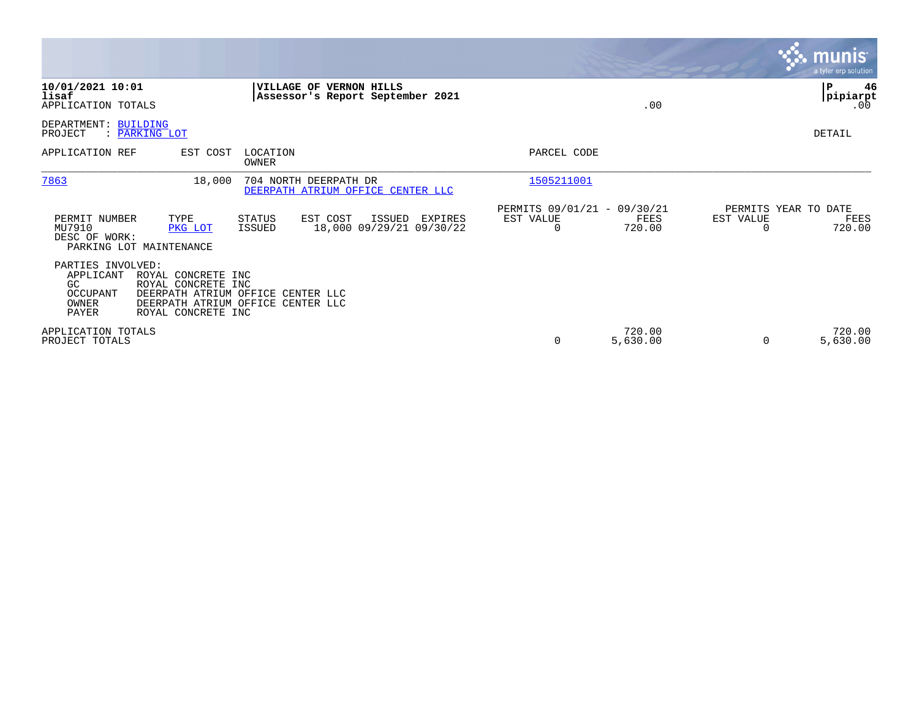|                                                                                                                                                                        |                                                                                      |                                                      |                    |                                   | <b>munis</b><br>a tyler erp solution |
|------------------------------------------------------------------------------------------------------------------------------------------------------------------------|--------------------------------------------------------------------------------------|------------------------------------------------------|--------------------|-----------------------------------|--------------------------------------|
| 10/01/2021 10:01<br>lisaf<br>APPLICATION TOTALS                                                                                                                        | VILLAGE OF VERNON HILLS<br>Assessor's Report September 2021                          |                                                      | .00                |                                   | ∣P<br>46<br> pipiarpt<br>.00         |
| DEPARTMENT:<br><b>BUILDING</b><br>PROJECT<br>: PARKING LOT                                                                                                             |                                                                                      |                                                      |                    |                                   | DETAIL                               |
| APPLICATION REF<br>EST COST                                                                                                                                            | LOCATION<br>OWNER                                                                    | PARCEL CODE                                          |                    |                                   |                                      |
| 7863<br>18,000                                                                                                                                                         | 704 NORTH DEERPATH DR<br>DEERPATH ATRIUM OFFICE CENTER LLC                           | 1505211001                                           |                    |                                   |                                      |
| TYPE<br>PERMIT NUMBER<br>MU7910<br>PKG LOT<br>DESC OF WORK:<br>PARKING LOT MAINTENANCE                                                                                 | EST COST<br>STATUS<br>ISSUED<br>EXPIRES<br>18,000 09/29/21 09/30/22<br><b>ISSUED</b> | PERMITS 09/01/21 - 09/30/21<br>EST VALUE<br>$\Omega$ | FEES<br>720.00     | PERMITS YEAR TO DATE<br>EST VALUE | FEES<br>720.00                       |
| PARTIES INVOLVED:<br>APPLICANT<br>ROYAL CONCRETE INC<br>GC.<br>ROYAL CONCRETE INC<br>OCCUPANT<br><b>OWNER</b><br>DEERPATH ATRIUM OFFICE<br>PAYER<br>ROYAL CONCRETE INC | DEERPATH ATRIUM OFFICE CENTER LLC<br>CENTER LLC                                      |                                                      |                    |                                   |                                      |
| APPLICATION TOTALS<br>PROJECT TOTALS                                                                                                                                   |                                                                                      | 0                                                    | 720.00<br>5,630.00 |                                   | 720.00<br>5,630.00                   |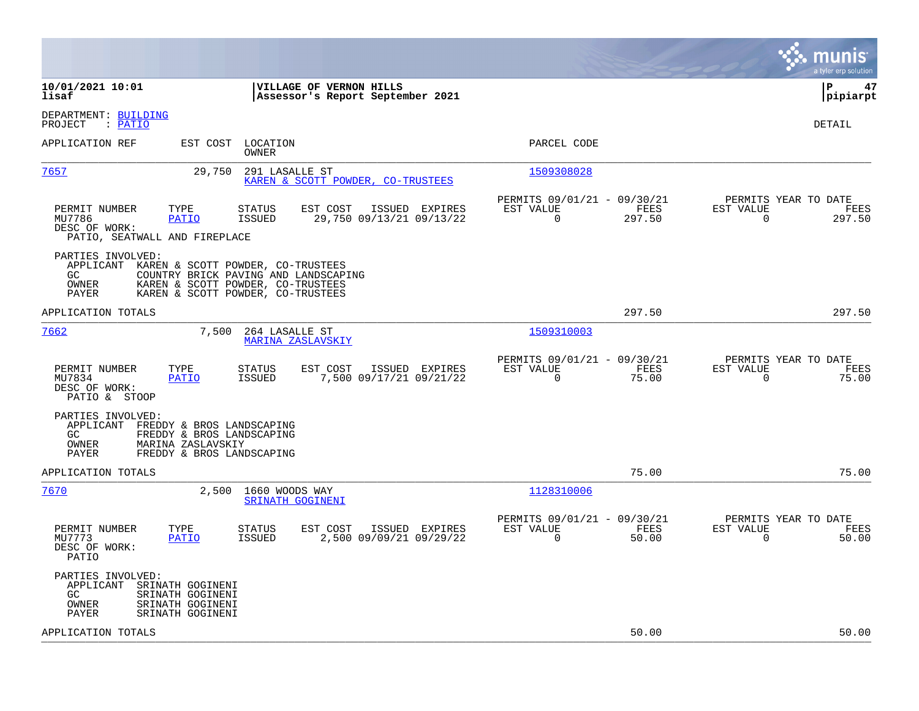|                                                                                                                                                                                                                |                                                                          | munis<br>a tyler erp solution                                         |
|----------------------------------------------------------------------------------------------------------------------------------------------------------------------------------------------------------------|--------------------------------------------------------------------------|-----------------------------------------------------------------------|
| 10/01/2021 10:01<br>VILLAGE OF VERNON HILLS<br>lisaf<br>Assessor's Report September 2021                                                                                                                       |                                                                          | lР<br>47<br> pipiarpt                                                 |
| DEPARTMENT: BUILDING<br>: PATIO<br>PROJECT                                                                                                                                                                     |                                                                          | <b>DETAIL</b>                                                         |
| APPLICATION REF<br>EST COST LOCATION<br>OWNER                                                                                                                                                                  | PARCEL CODE                                                              |                                                                       |
| 7657<br>29,750<br>291 LASALLE ST<br>KAREN & SCOTT POWDER, CO-TRUSTEES                                                                                                                                          | 1509308028                                                               |                                                                       |
| PERMIT NUMBER<br><b>STATUS</b><br>EST COST<br>ISSUED EXPIRES<br>TYPE<br>MU7786<br>29,750 09/13/21 09/13/22<br>PATIO<br>ISSUED<br>DESC OF WORK:<br>PATIO, SEATWALL AND FIREPLACE                                | PERMITS 09/01/21 - 09/30/21<br>EST VALUE<br>FEES<br>297.50<br>0          | PERMITS YEAR TO DATE<br>EST VALUE<br>FEES<br>$\overline{0}$<br>297.50 |
| PARTIES INVOLVED:<br>APPLICANT<br>KAREN & SCOTT POWDER, CO-TRUSTEES<br>GC.<br>COUNTRY BRICK PAVING AND LANDSCAPING<br>OWNER<br>KAREN & SCOTT POWDER, CO-TRUSTEES<br>KAREN & SCOTT POWDER, CO-TRUSTEES<br>PAYER |                                                                          |                                                                       |
| APPLICATION TOTALS                                                                                                                                                                                             | 297.50                                                                   | 297.50                                                                |
| 7662<br>7,500<br>264 LASALLE ST<br>MARINA ZASLAVSKIY                                                                                                                                                           | 1509310003                                                               |                                                                       |
| STATUS<br>EST COST<br>ISSUED EXPIRES<br>PERMIT NUMBER<br>TYPE<br>MU7834<br>ISSUED<br>7,500 09/17/21 09/21/22<br>PATIO<br>DESC OF WORK:<br>PATIO & STOOP                                                        | PERMITS 09/01/21 - 09/30/21<br>EST VALUE<br>FEES<br>$\Omega$<br>75.00    | PERMITS YEAR TO DATE<br>EST VALUE<br>FEES<br>$\mathbf 0$<br>75.00     |
| PARTIES INVOLVED:<br>APPLICANT FREDDY & BROS LANDSCAPING<br>GC.<br>FREDDY & BROS LANDSCAPING<br>MARINA ZASLAVSKIY<br>OWNER<br>PAYER<br>FREDDY & BROS LANDSCAPING                                               |                                                                          |                                                                       |
| APPLICATION TOTALS                                                                                                                                                                                             | 75.00                                                                    | 75.00                                                                 |
| 7670<br>2,500 1660 WOODS WAY<br>SRINATH GOGINENI                                                                                                                                                               | 1128310006                                                               |                                                                       |
| <b>STATUS</b><br>EST COST<br>ISSUED EXPIRES<br>PERMIT NUMBER<br>TYPE<br>MU7773<br><b>PATIO</b><br><b>ISSUED</b><br>2,500 09/09/21 09/29/22<br>DESC OF WORK:<br>PATIO                                           | PERMITS 09/01/21 - 09/30/21<br>EST VALUE<br>FEES<br>$\mathbf 0$<br>50.00 | PERMITS YEAR TO DATE<br>EST VALUE<br>FEES<br>$\mathbf 0$<br>50.00     |
| PARTIES INVOLVED:<br>SRINATH GOGINENI<br>APPLICANT<br>GC.<br>SRINATH GOGINENI<br>OWNER<br>SRINATH GOGINENI<br>SRINATH GOGINENI<br>PAYER                                                                        |                                                                          |                                                                       |
| APPLICATION TOTALS                                                                                                                                                                                             | 50.00                                                                    | 50.00                                                                 |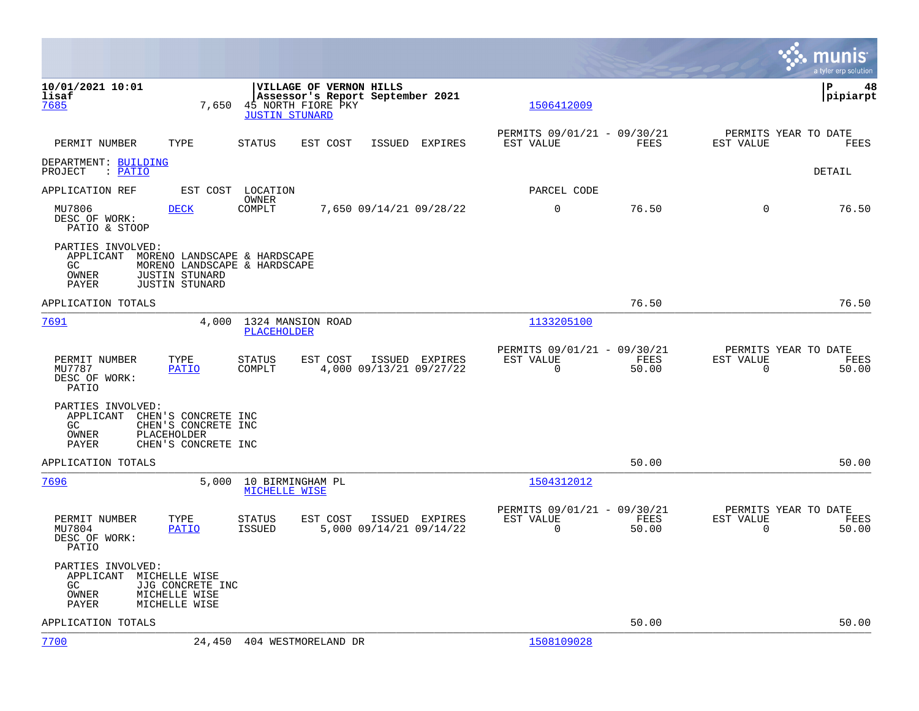|                                                                                                                                        |                                            |                                                                                                            |                         |                |                                                         |               |                                                  | munis<br>a tyler erp solution |
|----------------------------------------------------------------------------------------------------------------------------------------|--------------------------------------------|------------------------------------------------------------------------------------------------------------|-------------------------|----------------|---------------------------------------------------------|---------------|--------------------------------------------------|-------------------------------|
| 10/01/2021 10:01<br>lisaf<br>7685                                                                                                      | 7,650                                      | VILLAGE OF VERNON HILLS<br>Assessor's Report September 2021<br>45 NORTH FIORE PKY<br><b>JUSTIN STUNARD</b> |                         |                | 1506412009                                              |               |                                                  | ΙP<br>48<br> pipiarpt         |
| PERMIT NUMBER<br>TYPE                                                                                                                  |                                            | STATUS<br>EST COST                                                                                         |                         | ISSUED EXPIRES | PERMITS 09/01/21 - 09/30/21<br>EST VALUE                | FEES          | PERMITS YEAR TO DATE<br>EST VALUE                | FEES                          |
| DEPARTMENT: BUILDING<br>PROJECT : PATIO                                                                                                |                                            |                                                                                                            |                         |                |                                                         |               |                                                  | DETAIL                        |
| APPLICATION REF                                                                                                                        |                                            | EST COST LOCATION                                                                                          |                         |                | PARCEL CODE                                             |               |                                                  |                               |
| MU7806<br><b>DECK</b><br>DESC OF WORK:<br>PATIO & STOOP                                                                                |                                            | OWNER<br>COMPLT                                                                                            | 7,650 09/14/21 09/28/22 |                | $\mathbf 0$                                             | 76.50         | $\Omega$                                         | 76.50                         |
| PARTIES INVOLVED:<br>APPLICANT MORENO LANDSCAPE & HARDSCAPE<br>GC.<br><b>JUSTIN STUNARD</b><br>OWNER<br>PAYER<br><b>JUSTIN STUNARD</b> |                                            | MORENO LANDSCAPE & HARDSCAPE                                                                               |                         |                |                                                         |               |                                                  |                               |
| APPLICATION TOTALS                                                                                                                     |                                            |                                                                                                            |                         |                |                                                         | 76.50         |                                                  | 76.50                         |
| 7691                                                                                                                                   | 4,000                                      | 1324 MANSION ROAD<br>PLACEHOLDER                                                                           |                         |                | 1133205100                                              |               |                                                  |                               |
| PERMIT NUMBER<br>TYPE<br>MU7787<br>DESC OF WORK:<br>PATIO                                                                              | <b>PATIO</b>                               | STATUS<br>EST COST<br>COMPLT                                                                               | 4,000 09/13/21 09/27/22 | ISSUED EXPIRES | PERMITS 09/01/21 - 09/30/21<br>EST VALUE<br>0           | FEES<br>50.00 | PERMITS YEAR TO DATE<br>EST VALUE<br>0           | FEES<br>50.00                 |
| PARTIES INVOLVED:<br>APPLICANT CHEN'S CONCRETE INC<br>GC<br>PLACEHOLDER<br>OWNER<br>PAYER                                              | CHEN'S CONCRETE INC<br>CHEN'S CONCRETE INC |                                                                                                            |                         |                |                                                         |               |                                                  |                               |
| APPLICATION TOTALS                                                                                                                     |                                            |                                                                                                            |                         |                |                                                         | 50.00         |                                                  | 50.00                         |
| 7696                                                                                                                                   | 5.000                                      | 10 BIRMINGHAM PL<br>MICHELLE WISE                                                                          |                         |                | 1504312012                                              |               |                                                  |                               |
| PERMIT NUMBER<br>TYPE<br>MU7804<br>DESC OF WORK:<br>PATIO                                                                              | <b>PATIO</b>                               | STATUS<br>EST COST<br><b>ISSUED</b>                                                                        | 5,000 09/14/21 09/14/22 | ISSUED EXPIRES | PERMITS 09/01/21 - 09/30/21<br>EST VALUE<br>$\mathbf 0$ | FEES<br>50.00 | PERMITS YEAR TO DATE<br>EST VALUE<br>$\mathbf 0$ | FEES<br>50.00                 |
| PARTIES INVOLVED:<br>APPLICANT<br>MICHELLE WISE<br>GC.<br>OWNER<br>MICHELLE WISE<br>MICHELLE WISE<br>PAYER                             | JJG CONCRETE INC                           |                                                                                                            |                         |                |                                                         |               |                                                  |                               |
| APPLICATION TOTALS                                                                                                                     |                                            |                                                                                                            |                         |                |                                                         | 50.00         |                                                  | 50.00                         |
| 7700                                                                                                                                   |                                            | 24,450 404 WESTMORELAND DR                                                                                 |                         |                | 1508109028                                              |               |                                                  |                               |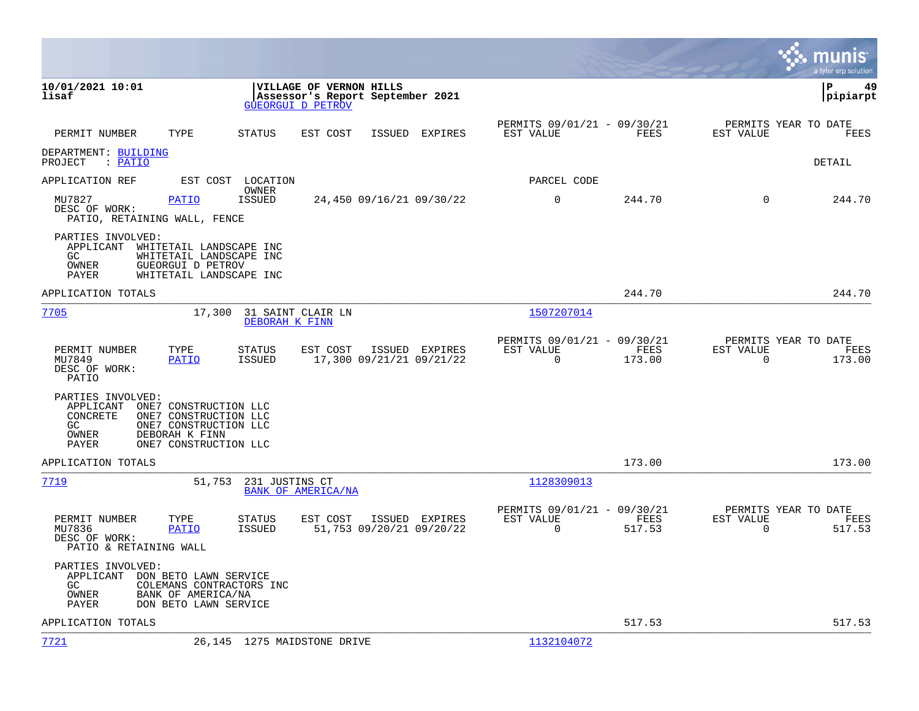|                                                                                                                                                                                          |                                                                                         |                |                                                         |                |                                               | munis<br>a tyler erp solution |
|------------------------------------------------------------------------------------------------------------------------------------------------------------------------------------------|-----------------------------------------------------------------------------------------|----------------|---------------------------------------------------------|----------------|-----------------------------------------------|-------------------------------|
| 10/01/2021 10:01<br>lisaf                                                                                                                                                                | VILLAGE OF VERNON HILLS<br>Assessor's Report September 2021<br><b>GUEORGUI D PETROV</b> |                |                                                         |                |                                               | l P<br>49<br> pipiarpt        |
| PERMIT NUMBER<br>TYPE                                                                                                                                                                    | STATUS<br>EST COST                                                                      | ISSUED EXPIRES | PERMITS 09/01/21 - 09/30/21<br>EST VALUE                | FEES           | PERMITS YEAR TO DATE<br>EST VALUE             | FEES                          |
| DEPARTMENT: BUILDING<br>PROJECT<br>: PATIO                                                                                                                                               |                                                                                         |                |                                                         |                |                                               | DETAIL                        |
| APPLICATION REF                                                                                                                                                                          | EST COST LOCATION                                                                       |                | PARCEL CODE                                             |                |                                               |                               |
| MU7827<br><b>PATIO</b><br>DESC OF WORK:<br>PATIO, RETAINING WALL, FENCE                                                                                                                  | OWNER<br><b>ISSUED</b><br>24,450 09/16/21 09/30/22                                      |                | 0                                                       | 244.70         | $\Omega$                                      | 244.70                        |
| PARTIES INVOLVED:<br>APPLICANT WHITETAIL LANDSCAPE INC<br>WHITETAIL LANDSCAPE INC<br>GC.<br>OWNER<br>GUEORGUI D PETROV<br>PAYER<br>WHITETAIL LANDSCAPE INC                               |                                                                                         |                |                                                         |                |                                               |                               |
| APPLICATION TOTALS                                                                                                                                                                       |                                                                                         |                |                                                         | 244.70         |                                               | 244.70                        |
| 7705                                                                                                                                                                                     | 17,300<br>31 SAINT CLAIR LN<br>DEBORAH K FINN                                           |                | 1507207014                                              |                |                                               |                               |
| PERMIT NUMBER<br>TYPE<br>MU7849<br><b>PATIO</b><br>DESC OF WORK:<br>PATIO                                                                                                                | STATUS<br>EST COST<br><b>ISSUED</b><br>17,300 09/21/21 09/21/22                         | ISSUED EXPIRES | PERMITS 09/01/21 - 09/30/21<br>EST VALUE<br>$\mathbf 0$ | FEES<br>173.00 | PERMITS YEAR TO DATE<br>EST VALUE<br>$\Omega$ | FEES<br>173.00                |
| PARTIES INVOLVED:<br>APPLICANT<br>ONE7 CONSTRUCTION LLC<br>CONCRETE<br>ONE7 CONSTRUCTION LLC<br>GC<br>ONE7 CONSTRUCTION LLC<br>OWNER<br>DEBORAH K FINN<br>ONE7 CONSTRUCTION LLC<br>PAYER |                                                                                         |                |                                                         |                |                                               |                               |
| APPLICATION TOTALS                                                                                                                                                                       |                                                                                         |                |                                                         | 173.00         |                                               | 173.00                        |
| 7719                                                                                                                                                                                     | 51,753<br>231 JUSTINS CT<br>BANK OF AMERICA/NA                                          |                | 1128309013                                              |                |                                               |                               |
| PERMIT NUMBER<br>TYPE<br>MU7836<br><b>PATIO</b><br>DESC OF WORK:<br>PATIO & RETAINING WALL                                                                                               | STATUS<br>EST COST<br>51,753 09/20/21 09/20/22<br>ISSUED                                | ISSUED EXPIRES | PERMITS 09/01/21 - 09/30/21<br>EST VALUE<br>$\Omega$    | FEES<br>517.53 | PERMITS YEAR TO DATE<br>EST VALUE<br>$\Omega$ | FEES<br>517.53                |
| PARTIES INVOLVED:<br>APPLICANT<br>DON BETO LAWN SERVICE<br>GC.<br>OWNER<br>BANK OF AMERICA/NA<br>PAYER<br>DON BETO LAWN SERVICE                                                          | COLEMANS CONTRACTORS INC                                                                |                |                                                         |                |                                               |                               |
| APPLICATION TOTALS                                                                                                                                                                       |                                                                                         |                |                                                         | 517.53         |                                               | 517.53                        |
| 7721                                                                                                                                                                                     | 26,145 1275 MAIDSTONE DRIVE                                                             |                | 1132104072                                              |                |                                               |                               |

**College**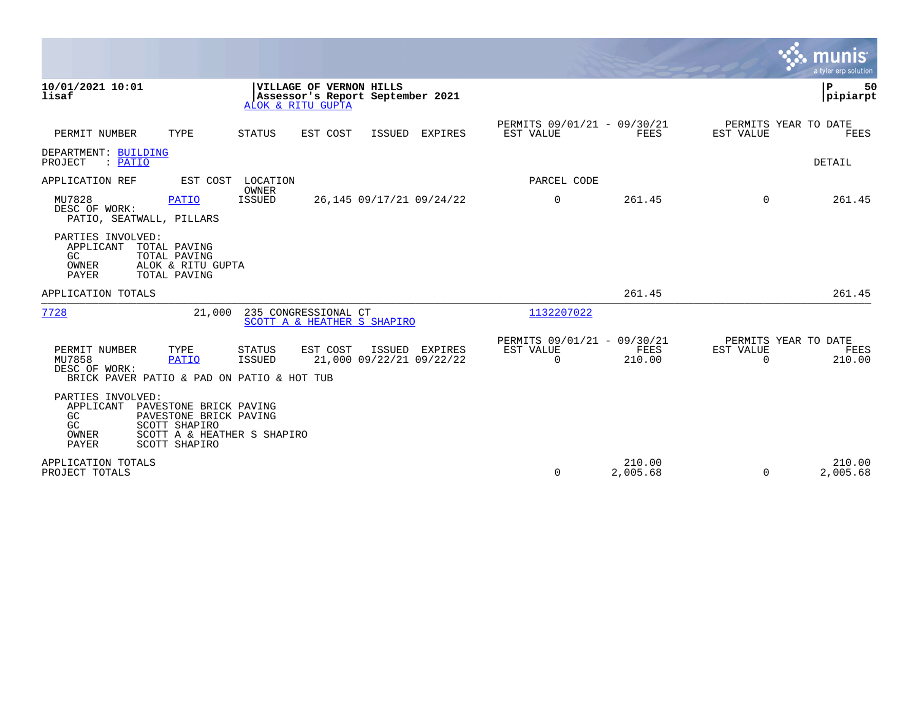|                                                                                        |                                                                                                                   |                            |                                                                                  |               |                                            |                                                         |                       |                          | <u>ኛሉ munis</u><br>a tyler erp solution |
|----------------------------------------------------------------------------------------|-------------------------------------------------------------------------------------------------------------------|----------------------------|----------------------------------------------------------------------------------|---------------|--------------------------------------------|---------------------------------------------------------|-----------------------|--------------------------|-----------------------------------------|
| 10/01/2021 10:01<br>lisaf                                                              |                                                                                                                   |                            | VILLAGE OF VERNON HILLS<br>Assessor's Report September 2021<br>ALOK & RITU GUPTA |               |                                            |                                                         |                       |                          | P<br>50<br> pipiarpt                    |
| PERMIT NUMBER                                                                          | TYPE                                                                                                              | <b>STATUS</b>              | EST COST                                                                         | <b>ISSUED</b> | EXPIRES                                    | PERMITS 09/01/21 - 09/30/21<br>EST VALUE                | FEES                  | EST VALUE                | PERMITS YEAR TO DATE<br>FEES            |
| DEPARTMENT: BUILDING<br>PROJECT<br>: PATIO                                             |                                                                                                                   |                            |                                                                                  |               |                                            |                                                         |                       |                          | <b>DETAIL</b>                           |
| APPLICATION REF                                                                        |                                                                                                                   | EST COST LOCATION<br>OWNER |                                                                                  |               |                                            | PARCEL CODE                                             |                       |                          |                                         |
| MU7828<br>DESC OF WORK:<br>PATIO, SEATWALL, PILLARS                                    | <b>PATIO</b>                                                                                                      | ISSUED                     |                                                                                  |               | 26,145 09/17/21 09/24/22                   | 0                                                       | 261.45                | $\Omega$                 | 261.45                                  |
| PARTIES INVOLVED:<br>APPLICANT<br>GC<br>OWNER<br>PAYER                                 | TOTAL PAVING<br>TOTAL PAVING<br>ALOK & RITU GUPTA<br>TOTAL PAVING                                                 |                            |                                                                                  |               |                                            |                                                         |                       |                          |                                         |
| APPLICATION TOTALS                                                                     |                                                                                                                   |                            |                                                                                  |               |                                            |                                                         | 261.45                |                          | 261.45                                  |
| 7728                                                                                   | 21,000                                                                                                            |                            | 235 CONGRESSIONAL CT<br>SCOTT A & HEATHER S SHAPIRO                              |               |                                            | 1132207022                                              |                       |                          |                                         |
| PERMIT NUMBER<br>MU7858<br>DESC OF WORK:<br>BRICK PAVER PATIO & PAD ON PATIO & HOT TUB | TYPE<br><b>PATIO</b>                                                                                              | <b>STATUS</b><br>ISSUED    | EST COST                                                                         |               | ISSUED EXPIRES<br>21,000 09/22/21 09/22/22 | PERMITS 09/01/21 - 09/30/21<br>EST VALUE<br>$\mathbf 0$ | <b>FEES</b><br>210.00 | EST VALUE<br>$\mathbf 0$ | PERMITS YEAR TO DATE<br>FEES<br>210.00  |
| PARTIES INVOLVED:<br>APPLICANT<br>GC<br>GC<br>OWNER<br>PAYER                           | PAVESTONE BRICK PAVING<br>PAVESTONE BRICK PAVING<br>SCOTT SHAPIRO<br>SCOTT A & HEATHER S SHAPIRO<br>SCOTT SHAPIRO |                            |                                                                                  |               |                                            |                                                         |                       |                          |                                         |
| APPLICATION TOTALS<br>PROJECT TOTALS                                                   |                                                                                                                   |                            |                                                                                  |               |                                            | $\mathbf 0$                                             | 210.00<br>2,005.68    | $\Omega$                 | 210.00<br>2,005.68                      |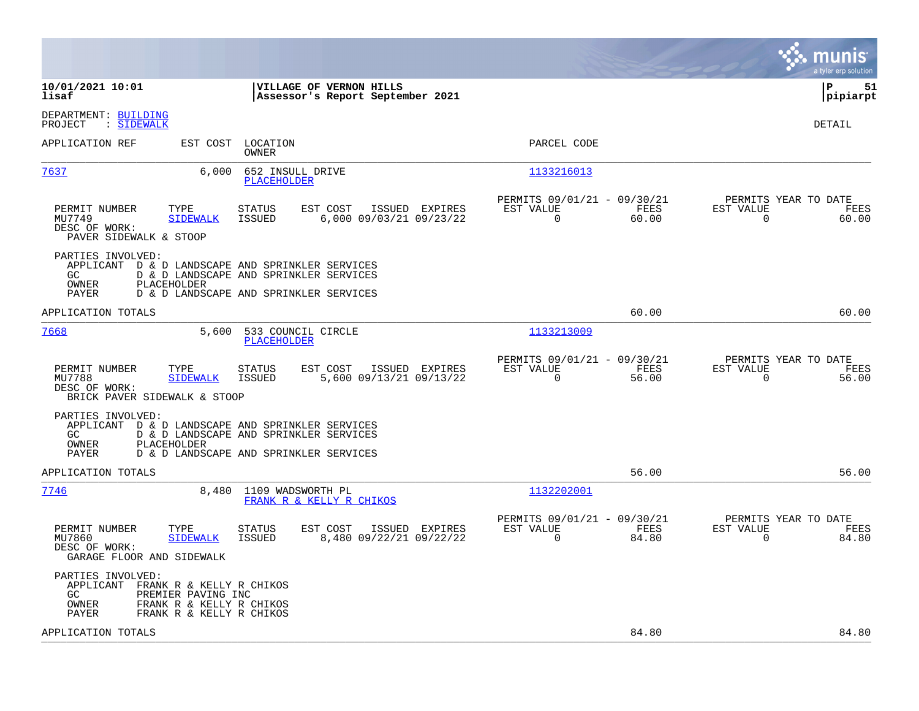|                                                                                                                                                                                                   |                                                                          | munis<br>a tyler erp solution                                     |
|---------------------------------------------------------------------------------------------------------------------------------------------------------------------------------------------------|--------------------------------------------------------------------------|-------------------------------------------------------------------|
| 10/01/2021 10:01<br>VILLAGE OF VERNON HILLS<br>lisaf<br>Assessor's Report September 2021                                                                                                          |                                                                          | l P<br>51<br> pipiarpt                                            |
| DEPARTMENT: BUILDING<br>: SIDEWALK<br>PROJECT                                                                                                                                                     |                                                                          | <b>DETAIL</b>                                                     |
| APPLICATION REF<br>EST COST<br>LOCATION<br>OWNER                                                                                                                                                  | PARCEL CODE                                                              |                                                                   |
| 7637<br>6,000<br>652 INSULL DRIVE<br><b>PLACEHOLDER</b>                                                                                                                                           | 1133216013                                                               |                                                                   |
| PERMIT NUMBER<br>TYPE<br>STATUS<br>EST COST<br>ISSUED EXPIRES<br>MU7749<br><b>SIDEWALK</b><br><b>ISSUED</b><br>6,000 09/03/21 09/23/22<br>DESC OF WORK:<br>PAVER SIDEWALK & STOOP                 | PERMITS 09/01/21 - 09/30/21<br>EST VALUE<br>FEES<br>$\Omega$<br>60.00    | PERMITS YEAR TO DATE<br>EST VALUE<br>FEES<br>$\mathbf 0$<br>60.00 |
| PARTIES INVOLVED:<br>APPLICANT D & D LANDSCAPE AND SPRINKLER SERVICES<br>GC.<br>D & D LANDSCAPE AND SPRINKLER SERVICES<br>OWNER<br>PLACEHOLDER<br>PAYER<br>D & D LANDSCAPE AND SPRINKLER SERVICES |                                                                          |                                                                   |
| APPLICATION TOTALS                                                                                                                                                                                | 60.00                                                                    | 60.00                                                             |
| 7668<br>5,600<br>533 COUNCIL CIRCLE<br><b>PLACEHOLDER</b>                                                                                                                                         | 1133213009                                                               |                                                                   |
| PERMIT NUMBER<br>TYPE<br>STATUS<br>EST COST<br>ISSUED EXPIRES<br>MU7788<br><b>SIDEWALK</b><br><b>ISSUED</b><br>5,600 09/13/21 09/13/22<br>DESC OF WORK:<br>BRICK PAVER SIDEWALK & STOOP           | PERMITS 09/01/21 - 09/30/21<br>EST VALUE<br>FEES<br>$\mathbf 0$<br>56.00 | PERMITS YEAR TO DATE<br>EST VALUE<br>FEES<br>$\mathbf 0$<br>56.00 |
| PARTIES INVOLVED:<br>APPLICANT D & D LANDSCAPE AND SPRINKLER SERVICES<br>D & D LANDSCAPE AND SPRINKLER SERVICES<br>GC.<br>OWNER<br>PLACEHOLDER<br>PAYER<br>D & D LANDSCAPE AND SPRINKLER SERVICES |                                                                          |                                                                   |
| APPLICATION TOTALS                                                                                                                                                                                | 56.00                                                                    | 56.00                                                             |
| 7746<br>8,480 1109 WADSWORTH PL<br>FRANK R & KELLY R CHIKOS                                                                                                                                       | 1132202001                                                               |                                                                   |
| PERMIT NUMBER<br>TYPE<br>STATUS<br>EST COST<br>ISSUED EXPIRES<br>MU7860<br><b>SIDEWALK</b><br><b>ISSUED</b><br>8,480 09/22/21 09/22/22<br>DESC OF WORK:<br>GARAGE FLOOR AND SIDEWALK              | PERMITS 09/01/21 - 09/30/21<br>EST VALUE<br>FEES<br>0<br>84.80           | PERMITS YEAR TO DATE<br>EST VALUE<br>FEES<br>0<br>84.80           |
| PARTIES INVOLVED:<br>APPLICANT FRANK R & KELLY R CHIKOS<br>GC.<br>PREMIER PAVING INC<br>FRANK R & KELLY R CHIKOS<br>OWNER<br>FRANK R & KELLY R CHIKOS<br>PAYER                                    |                                                                          |                                                                   |
| APPLICATION TOTALS                                                                                                                                                                                | 84.80                                                                    | 84.80                                                             |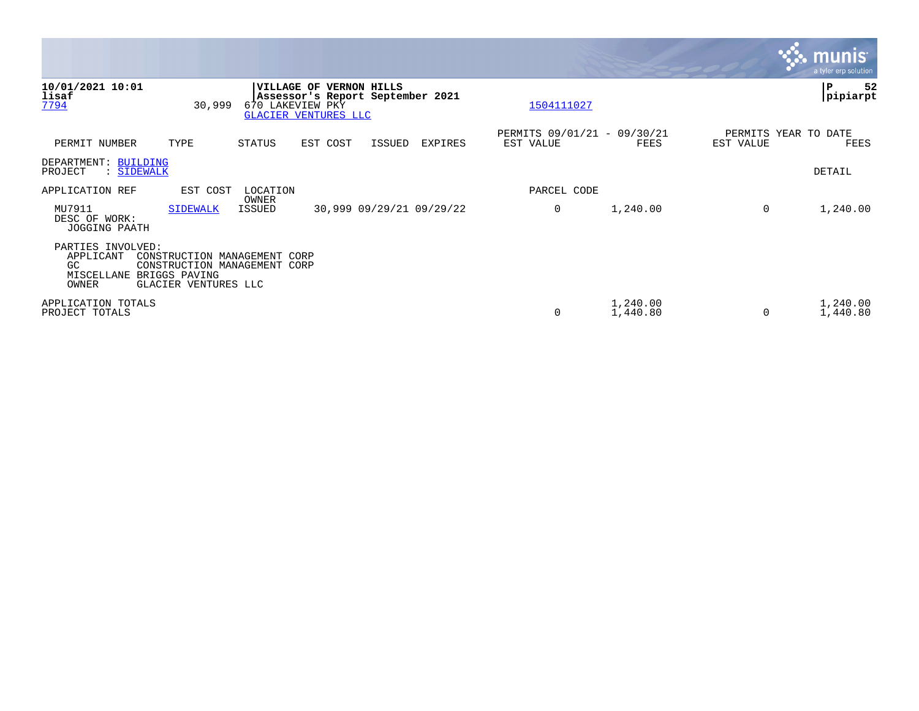|                                                              |                                                                                                       |                        |                                                                                            |        |                          |                                          |                      |           |                      | <b>munis</b><br>a tyler erp solution |
|--------------------------------------------------------------|-------------------------------------------------------------------------------------------------------|------------------------|--------------------------------------------------------------------------------------------|--------|--------------------------|------------------------------------------|----------------------|-----------|----------------------|--------------------------------------|
| 10/01/2021 10:01<br>lisaf<br>7794                            | 30,999                                                                                                | 670 LAKEVIEW PKY       | VILLAGE OF VERNON HILLS<br>Assessor's Report September 2021<br><b>GLACIER VENTURES LLC</b> |        |                          | 1504111027                               |                      |           |                      | ${\bf P}$<br>52<br> pipiarpt         |
| PERMIT NUMBER                                                | TYPE                                                                                                  | STATUS                 | EST COST                                                                                   | ISSUED | EXPIRES                  | PERMITS 09/01/21 - 09/30/21<br>EST VALUE | FEES                 | EST VALUE | PERMITS YEAR TO DATE | FEES                                 |
| DEPARTMENT: BUILDING<br>: SIDEWALK<br>PROJECT                |                                                                                                       |                        |                                                                                            |        |                          |                                          |                      |           |                      | DETAIL                               |
| APPLICATION REF                                              | EST COST                                                                                              | LOCATION               |                                                                                            |        |                          | PARCEL CODE                              |                      |           |                      |                                      |
| MU7911<br>DESC OF WORK:<br>JOGGING PAATH                     | <b>SIDEWALK</b>                                                                                       | OWNER<br><b>ISSUED</b> |                                                                                            |        | 30,999 09/29/21 09/29/22 | 0                                        | 1,240.00             | $\Omega$  |                      | 1,240.00                             |
| PARTIES INVOLVED:<br>APPLICANT<br>GC.<br>MISCELLANE<br>OWNER | CONSTRUCTION MANAGEMENT CORP<br>CONSTRUCTION MANAGEMENT CORP<br>BRIGGS PAVING<br>GLACIER VENTURES LLC |                        |                                                                                            |        |                          |                                          |                      |           |                      |                                      |
| APPLICATION TOTALS<br>PROJECT TOTALS                         |                                                                                                       |                        |                                                                                            |        |                          | 0                                        | 1,240.00<br>1,440.80 | $\Omega$  |                      | 1,240.00<br>1,440.80                 |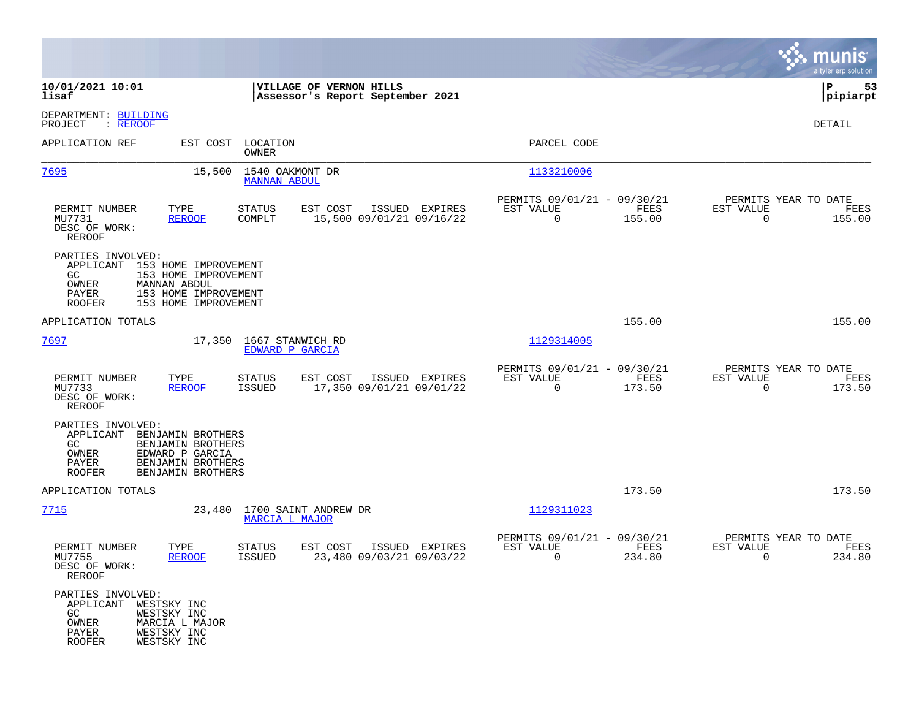|                                                                                               |                                                                                                     |                                               |                                                             |                                            |                                                         |                |                                                  | munis<br>a tyler erp solution |
|-----------------------------------------------------------------------------------------------|-----------------------------------------------------------------------------------------------------|-----------------------------------------------|-------------------------------------------------------------|--------------------------------------------|---------------------------------------------------------|----------------|--------------------------------------------------|-------------------------------|
| 10/01/2021 10:01<br>lisaf                                                                     |                                                                                                     |                                               | VILLAGE OF VERNON HILLS<br>Assessor's Report September 2021 |                                            |                                                         |                |                                                  | P<br>53<br> pipiarpt          |
| DEPARTMENT: BUILDING<br>PROJECT<br>: <u>REROOF</u>                                            |                                                                                                     |                                               |                                                             |                                            |                                                         |                |                                                  | DETAIL                        |
| APPLICATION REF                                                                               |                                                                                                     | EST COST LOCATION<br>OWNER                    |                                                             |                                            | PARCEL CODE                                             |                |                                                  |                               |
| <u>7695</u>                                                                                   | 15,500                                                                                              | 1540 OAKMONT DR<br><b>MANNAN ABDUL</b>        |                                                             |                                            | 1133210006                                              |                |                                                  |                               |
| PERMIT NUMBER<br>MU7731<br>DESC OF WORK:<br>REROOF                                            | TYPE<br><b>REROOF</b>                                                                               | <b>STATUS</b><br>COMPLT                       | EST COST                                                    | ISSUED EXPIRES<br>15,500 09/01/21 09/16/22 | PERMITS 09/01/21 - 09/30/21<br>EST VALUE<br>$\mathbf 0$ | FEES<br>155.00 | PERMITS YEAR TO DATE<br>EST VALUE<br>$\mathbf 0$ | FEES<br>155.00                |
| PARTIES INVOLVED:<br>APPLICANT 153 HOME IMPROVEMENT<br>GC.<br>OWNER<br>PAYER<br><b>ROOFER</b> | 153 HOME IMPROVEMENT<br><b>MANNAN ABDUL</b><br>153 HOME IMPROVEMENT<br>153 HOME IMPROVEMENT         |                                               |                                                             |                                            |                                                         |                |                                                  |                               |
| APPLICATION TOTALS                                                                            |                                                                                                     |                                               |                                                             |                                            |                                                         | 155.00         |                                                  | 155.00                        |
| 7697                                                                                          | 17,350                                                                                              | 1667 STANWICH RD<br>EDWARD P GARCIA           |                                                             |                                            | 1129314005                                              |                |                                                  |                               |
| PERMIT NUMBER<br>MU7733<br>DESC OF WORK:<br><b>REROOF</b>                                     | TYPE<br><b>REROOF</b>                                                                               | <b>STATUS</b><br>ISSUED                       | EST COST                                                    | ISSUED EXPIRES<br>17,350 09/01/21 09/01/22 | PERMITS 09/01/21 - 09/30/21<br>EST VALUE<br>$\mathbf 0$ | FEES<br>173.50 | PERMITS YEAR TO DATE<br>EST VALUE<br>$\mathbf 0$ | FEES<br>173.50                |
| PARTIES INVOLVED:<br>APPLICANT<br>GC.<br>OWNER<br>PAYER<br><b>ROOFER</b>                      | BENJAMIN BROTHERS<br>BENJAMIN BROTHERS<br>EDWARD P GARCIA<br>BENJAMIN BROTHERS<br>BENJAMIN BROTHERS |                                               |                                                             |                                            |                                                         |                |                                                  |                               |
| APPLICATION TOTALS                                                                            |                                                                                                     |                                               |                                                             |                                            |                                                         | 173.50         |                                                  | 173.50                        |
| 7715                                                                                          | 23,480                                                                                              | 1700 SAINT ANDREW DR<br><b>MARCIA L MAJOR</b> |                                                             |                                            | 1129311023                                              |                |                                                  |                               |
| PERMIT NUMBER<br>MU7755<br>DESC OF WORK:<br><b>REROOF</b>                                     | TYPE<br><b>REROOF</b>                                                                               | STATUS<br>ISSUED                              | EST COST                                                    | ISSUED EXPIRES<br>23,480 09/03/21 09/03/22 | PERMITS 09/01/21 - 09/30/21<br>EST VALUE<br>0           | FEES<br>234.80 | PERMITS YEAR TO DATE<br>EST VALUE<br>0           | FEES<br>234.80                |
| PARTIES INVOLVED:<br>APPLICANT WESTSKY INC<br>GC<br>OWNER<br>PAYER<br><b>ROOFER</b>           | WESTSKY INC<br>MARCIA L MAJOR<br>WESTSKY INC<br>WESTSKY INC                                         |                                               |                                                             |                                            |                                                         |                |                                                  |                               |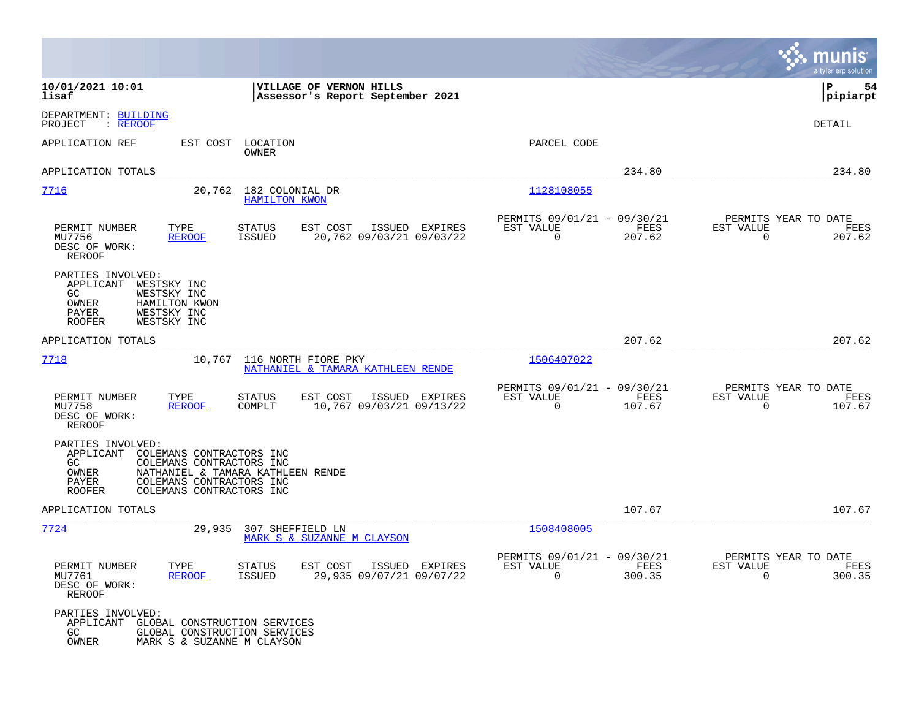|                                                                                                                                                                                          |                                                                                          |                                                                        | munis<br>a tyler erp solution                                      |
|------------------------------------------------------------------------------------------------------------------------------------------------------------------------------------------|------------------------------------------------------------------------------------------|------------------------------------------------------------------------|--------------------------------------------------------------------|
| 10/01/2021 10:01<br>lisaf                                                                                                                                                                | VILLAGE OF VERNON HILLS<br>Assessor's Report September 2021                              |                                                                        | ∣P<br>54<br> pipiarpt                                              |
| DEPARTMENT: BUILDING<br>PROJECT<br>: REROOF                                                                                                                                              |                                                                                          |                                                                        | <b>DETAIL</b>                                                      |
| APPLICATION REF<br>EST COST                                                                                                                                                              | LOCATION<br>OWNER                                                                        | PARCEL CODE                                                            |                                                                    |
| APPLICATION TOTALS                                                                                                                                                                       |                                                                                          | 234.80                                                                 | 234.80                                                             |
| 7716<br>20,762                                                                                                                                                                           | 182 COLONIAL DR<br><b>HAMILTON KWON</b>                                                  | 1128108055                                                             |                                                                    |
| PERMIT NUMBER<br>TYPE<br>MU7756<br><b>REROOF</b><br>DESC OF WORK:<br>REROOF                                                                                                              | <b>STATUS</b><br>EST COST<br>ISSUED EXPIRES<br><b>ISSUED</b><br>20,762 09/03/21 09/03/22 | PERMITS 09/01/21 - 09/30/21<br>EST VALUE<br>FEES<br>0<br>207.62        | PERMITS YEAR TO DATE<br>EST VALUE<br>FEES<br>$\mathbf 0$<br>207.62 |
| PARTIES INVOLVED:<br>APPLICANT<br>WESTSKY INC<br>WESTSKY INC<br>GC.<br>OWNER<br>HAMILTON KWON<br><b>PAYER</b><br>WESTSKY INC<br>WESTSKY INC<br><b>ROOFER</b>                             |                                                                                          |                                                                        |                                                                    |
| APPLICATION TOTALS                                                                                                                                                                       |                                                                                          | 207.62                                                                 | 207.62                                                             |
| 7718<br>10,767                                                                                                                                                                           | 116 NORTH FIORE PKY<br>NATHANIEL & TAMARA KATHLEEN RENDE                                 | 1506407022                                                             |                                                                    |
| PERMIT NUMBER<br>TYPE<br>MU7758<br><b>REROOF</b><br>DESC OF WORK:<br>REROOF                                                                                                              | STATUS<br>EST COST<br>ISSUED EXPIRES<br>10,767 09/03/21 09/13/22<br>COMPLT               | PERMITS 09/01/21 - 09/30/21<br>EST VALUE<br>FEES<br>0<br>107.67        | PERMITS YEAR TO DATE<br>EST VALUE<br>FEES<br>0<br>107.67           |
| PARTIES INVOLVED:<br>APPLICANT<br>COLEMANS CONTRACTORS INC<br>COLEMANS CONTRACTORS INC<br>GC.<br>OWNER<br>PAYER<br>COLEMANS CONTRACTORS INC<br>COLEMANS CONTRACTORS INC<br><b>ROOFER</b> | NATHANIEL & TAMARA KATHLEEN RENDE                                                        |                                                                        |                                                                    |
| APPLICATION TOTALS                                                                                                                                                                       |                                                                                          | 107.67                                                                 | 107.67                                                             |
| 7724<br>29,935                                                                                                                                                                           | 307 SHEFFIELD LN<br>MARK S & SUZANNE M CLAYSON                                           | 1508408005                                                             |                                                                    |
| PERMIT NUMBER<br>TYPE<br>MU7761<br><b>REROOF</b><br>DESC OF WORK:<br>REROOF                                                                                                              | STATUS<br>EST COST ISSUED EXPIRES<br>29,935 09/07/21 09/07/22<br><b>ISSUED</b>           | PERMITS 09/01/21 - 09/30/21<br>EST VALUE<br>FEES<br>$\Omega$<br>300.35 | PERMITS YEAR TO DATE<br>EST VALUE<br>FEES<br>$\Omega$<br>300.35    |
| PARTIES INVOLVED:<br>APPLICANT GLOBAL CONSTRUCTION SERVICES<br>GC<br>OWNER<br>MARK S & SUZANNE M CLAYSON                                                                                 | GLOBAL CONSTRUCTION SERVICES                                                             |                                                                        |                                                                    |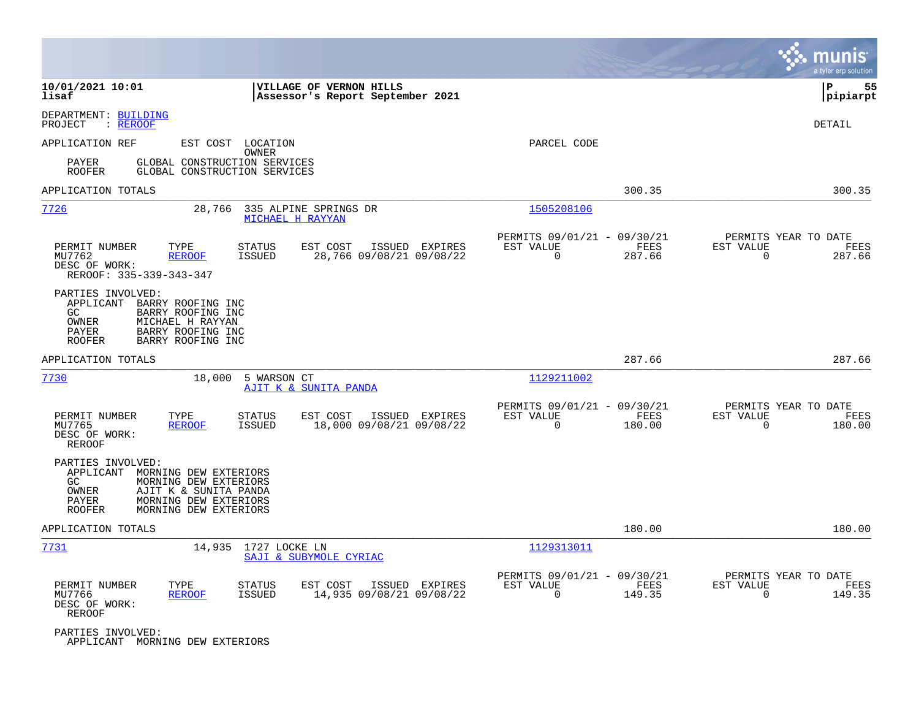|                                                                                                                                                                                                      |                                                                        | munis<br>a tyler erp solution                                   |
|------------------------------------------------------------------------------------------------------------------------------------------------------------------------------------------------------|------------------------------------------------------------------------|-----------------------------------------------------------------|
| 10/01/2021 10:01<br>VILLAGE OF VERNON HILLS<br>lisaf<br>Assessor's Report September 2021                                                                                                             |                                                                        | P<br>55<br> pipiarpt                                            |
| DEPARTMENT: BUILDING<br>PROJECT<br>: REROOF                                                                                                                                                          |                                                                        | DETAIL                                                          |
| APPLICATION REF<br>EST COST<br>LOCATION<br>OWNER                                                                                                                                                     | PARCEL CODE                                                            |                                                                 |
| GLOBAL CONSTRUCTION SERVICES<br>PAYER<br><b>ROOFER</b><br>GLOBAL CONSTRUCTION SERVICES                                                                                                               |                                                                        |                                                                 |
| APPLICATION TOTALS                                                                                                                                                                                   | 300.35                                                                 | 300.35                                                          |
| 7726<br>335 ALPINE SPRINGS DR<br>28,766<br>MICHAEL H RAYYAN                                                                                                                                          | 1505208106                                                             |                                                                 |
| PERMIT NUMBER<br><b>STATUS</b><br>EST COST<br>ISSUED EXPIRES<br>TYPE<br><b>ISSUED</b><br>28,766 09/08/21 09/08/22<br>MU7762<br><b>REROOF</b><br>DESC OF WORK:<br>REROOF: 335-339-343-347             | PERMITS 09/01/21 - 09/30/21<br>EST VALUE<br>FEES<br>$\Omega$<br>287.66 | PERMITS YEAR TO DATE<br>EST VALUE<br>FEES<br>$\Omega$<br>287.66 |
| PARTIES INVOLVED:<br>APPLICANT<br>BARRY ROOFING INC<br>GC<br>BARRY ROOFING INC<br>OWNER<br>MICHAEL H RAYYAN<br>PAYER<br>BARRY ROOFING INC<br><b>ROOFER</b><br>BARRY ROOFING INC                      |                                                                        |                                                                 |
| APPLICATION TOTALS                                                                                                                                                                                   | 287.66                                                                 | 287.66                                                          |
| <u>7730</u><br>18,000<br>5 WARSON CT<br>AJIT K & SUNITA PANDA                                                                                                                                        | 1129211002                                                             |                                                                 |
| PERMIT NUMBER<br>TYPE<br>ISSUED EXPIRES<br><b>STATUS</b><br>EST COST<br>18,000 09/08/21 09/08/22<br>MU7765<br><b>REROOF</b><br><b>ISSUED</b><br>DESC OF WORK:<br><b>REROOF</b>                       | PERMITS 09/01/21 - 09/30/21<br>EST VALUE<br>FEES<br>$\Omega$<br>180.00 | PERMITS YEAR TO DATE<br>EST VALUE<br>FEES<br>$\Omega$<br>180.00 |
| PARTIES INVOLVED:<br>APPLICANT<br>MORNING DEW EXTERIORS<br>GC<br>MORNING DEW EXTERIORS<br>OWNER<br>AJIT K & SUNITA PANDA<br>MORNING DEW EXTERIORS<br>PAYER<br><b>ROOFER</b><br>MORNING DEW EXTERIORS |                                                                        |                                                                 |
| APPLICATION TOTALS                                                                                                                                                                                   | 180.00                                                                 | 180.00                                                          |
| <u>7731</u><br>14,935<br>1727 LOCKE LN<br>SAJI & SUBYMOLE CYRIAC                                                                                                                                     | 1129313011                                                             |                                                                 |
| PERMIT NUMBER<br>TYPE<br><b>STATUS</b><br>EST COST<br>ISSUED EXPIRES<br><b>ISSUED</b><br>14,935 09/08/21 09/08/22<br>MU7766<br><b>REROOF</b><br>DESC OF WORK:<br>REROOF                              | PERMITS 09/01/21 - 09/30/21<br>EST VALUE<br>FEES<br>$\Omega$<br>149.35 | PERMITS YEAR TO DATE<br>EST VALUE<br>FEES<br>$\Omega$<br>149.35 |
| PARTIES INVOLVED:<br>APPLICANT MORNING DEW EXTERIORS                                                                                                                                                 |                                                                        |                                                                 |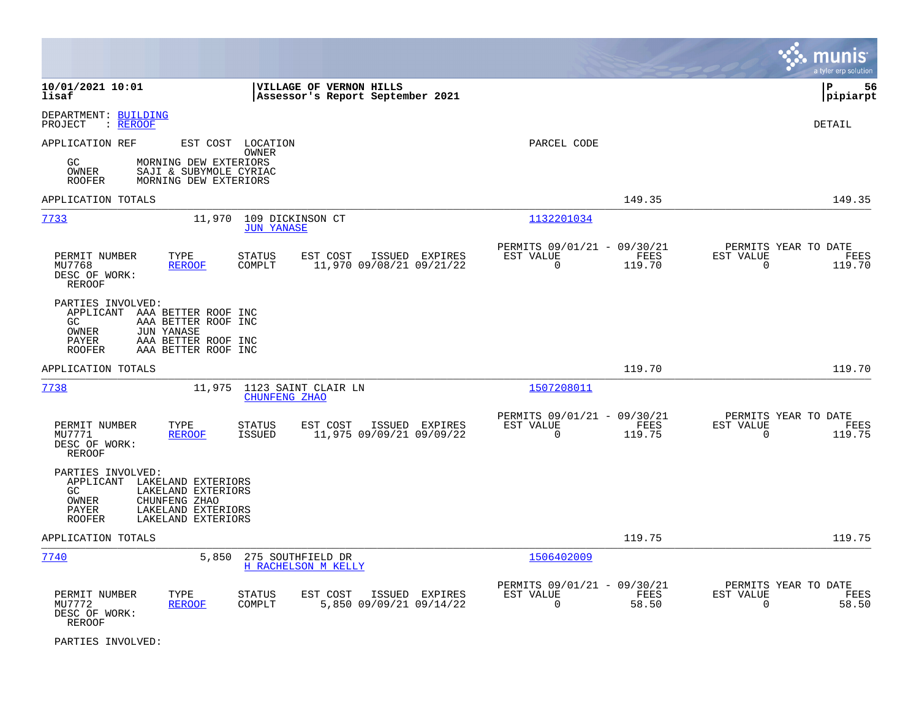|                                                                                                                                                                                               |                                                                           | munis<br>a tyler erp solution                                      |
|-----------------------------------------------------------------------------------------------------------------------------------------------------------------------------------------------|---------------------------------------------------------------------------|--------------------------------------------------------------------|
| 10/01/2021 10:01<br><b>VILLAGE OF VERNON HILLS</b><br>lisaf<br>Assessor's Report September 2021                                                                                               |                                                                           | lР<br>56<br> pipiarpt                                              |
| DEPARTMENT: BUILDING<br>: <u>REROOF</u><br>PROJECT                                                                                                                                            |                                                                           | DETAIL                                                             |
| APPLICATION REF<br>EST COST LOCATION<br>OWNER<br>GC<br>MORNING DEW EXTERIORS<br>SAJI & SUBYMOLE CYRIAC<br>OWNER<br><b>ROOFER</b><br>MORNING DEW EXTERIORS                                     | PARCEL CODE                                                               |                                                                    |
| APPLICATION TOTALS                                                                                                                                                                            | 149.35                                                                    | 149.35                                                             |
| 7733<br>11,970<br>109 DICKINSON CT<br><b>JUN YANASE</b>                                                                                                                                       | 1132201034                                                                |                                                                    |
| PERMIT NUMBER<br>TYPE<br><b>STATUS</b><br>EST COST<br>ISSUED EXPIRES<br>MU7768<br>COMPLT<br>11,970 09/08/21 09/21/22<br><b>REROOF</b><br>DESC OF WORK:<br><b>REROOF</b>                       | PERMITS 09/01/21 - 09/30/21<br>FEES<br>EST VALUE<br>$\Omega$<br>119.70    | PERMITS YEAR TO DATE<br>EST VALUE<br>FEES<br>$\Omega$<br>119.70    |
| PARTIES INVOLVED:<br>APPLICANT AAA BETTER ROOF INC<br>AAA BETTER ROOF INC<br>GC.<br>OWNER<br><b>JUN YANASE</b><br><b>PAYER</b><br>AAA BETTER ROOF INC<br>AAA BETTER ROOF INC<br><b>ROOFER</b> |                                                                           |                                                                    |
| APPLICATION TOTALS                                                                                                                                                                            | 119.70                                                                    | 119.70                                                             |
| 7738<br>11,975 1123 SAINT CLAIR LN<br>CHUNFENG ZHAO                                                                                                                                           | 1507208011                                                                |                                                                    |
| PERMIT NUMBER<br>TYPE<br><b>STATUS</b><br>EST COST<br>ISSUED EXPIRES<br>MU7771<br><b>ISSUED</b><br>11,975 09/09/21 09/09/22<br><b>REROOF</b><br>DESC OF WORK:<br><b>REROOF</b>                | PERMITS 09/01/21 - 09/30/21<br>EST VALUE<br>FEES<br>$\mathbf 0$<br>119.75 | PERMITS YEAR TO DATE<br>EST VALUE<br>FEES<br>$\mathbf 0$<br>119.75 |
| PARTIES INVOLVED:<br>APPLICANT<br>LAKELAND EXTERIORS<br>LAKELAND EXTERIORS<br>GC<br>OWNER<br>CHUNFENG ZHAO<br>PAYER<br>LAKELAND EXTERIORS<br>LAKELAND EXTERIORS<br><b>ROOFER</b>              |                                                                           |                                                                    |
| APPLICATION TOTALS                                                                                                                                                                            | 119.75                                                                    | 119.75                                                             |
| 7740<br>5,850<br>275 SOUTHFIELD DR<br>H RACHELSON M KELLY                                                                                                                                     | 1506402009                                                                |                                                                    |
| PERMIT NUMBER<br>TYPE<br><b>STATUS</b><br>EST COST<br>ISSUED EXPIRES<br>5,850 09/09/21 09/14/22<br><b>REROOF</b><br>COMPLT<br>MU7772<br>DESC OF WORK:<br><b>REROOF</b>                        | PERMITS 09/01/21 - 09/30/21<br>EST VALUE<br>FEES<br>$\Omega$<br>58.50     | PERMITS YEAR TO DATE<br>EST VALUE<br>FEES<br>$\Omega$<br>58.50     |

PARTIES INVOLVED: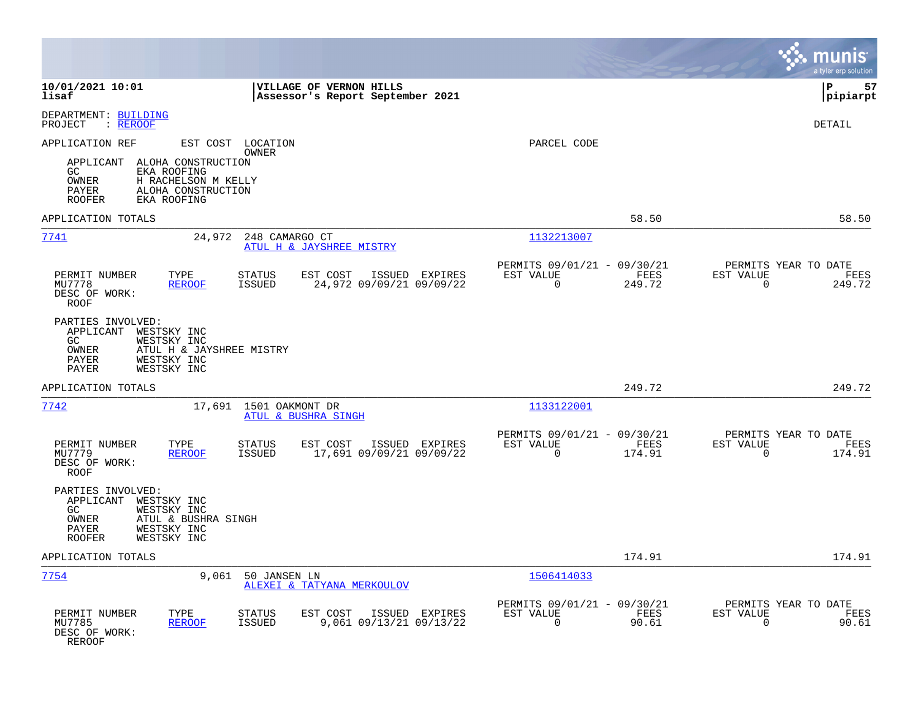|                                                                                                                                                                   |                                                                                         |                                                                           | munis<br>a tyler erp solution                                         |
|-------------------------------------------------------------------------------------------------------------------------------------------------------------------|-----------------------------------------------------------------------------------------|---------------------------------------------------------------------------|-----------------------------------------------------------------------|
| 10/01/2021 10:01<br>lisaf                                                                                                                                         | VILLAGE OF VERNON HILLS<br>Assessor's Report September 2021                             |                                                                           | l P<br>57<br> pipiarpt                                                |
| DEPARTMENT: BUILDING<br>PROJECT<br>: <u>REROOF</u>                                                                                                                |                                                                                         |                                                                           | DETAIL                                                                |
| APPLICATION REF                                                                                                                                                   | EST COST LOCATION<br>OWNER                                                              | PARCEL CODE                                                               |                                                                       |
| APPLICANT ALOHA CONSTRUCTION<br>GC<br>EKA ROOFING<br>OWNER<br>H RACHELSON M KELLY<br>PAYER<br>ALOHA CONSTRUCTION<br><b>ROOFER</b><br>EKA ROOFING                  |                                                                                         |                                                                           |                                                                       |
| APPLICATION TOTALS                                                                                                                                                |                                                                                         | 58.50                                                                     | 58.50                                                                 |
| 7741                                                                                                                                                              | 24,972<br>248 CAMARGO CT<br>ATUL H & JAYSHREE MISTRY                                    | 1132213007                                                                |                                                                       |
| TYPE<br>PERMIT NUMBER<br>MU7778<br><b>REROOF</b><br>DESC OF WORK:<br>ROOF                                                                                         | EST COST<br><b>STATUS</b><br>ISSUED EXPIRES<br>24,972 09/09/21 09/09/22<br>ISSUED       | PERMITS 09/01/21 - 09/30/21<br>FEES<br>EST VALUE<br>$\mathbf 0$<br>249.72 | PERMITS YEAR TO DATE<br>EST VALUE<br>FEES<br>$\overline{0}$<br>249.72 |
| PARTIES INVOLVED:<br>APPLICANT<br>WESTSKY INC<br>WESTSKY INC<br>GC<br>ATUL H & JAYSHREE MISTRY<br>OWNER<br>PAYER<br>WESTSKY INC<br>WESTSKY INC<br>PAYER           |                                                                                         |                                                                           |                                                                       |
| APPLICATION TOTALS                                                                                                                                                |                                                                                         | 249.72                                                                    | 249.72                                                                |
| 7742                                                                                                                                                              | 17,691 1501 OAKMONT DR<br>ATUL & BUSHRA SINGH                                           | 1133122001                                                                |                                                                       |
| PERMIT NUMBER<br>TYPE<br>MU7779<br><b>REROOF</b><br>DESC OF WORK:<br><b>ROOF</b>                                                                                  | <b>STATUS</b><br>EST COST<br>ISSUED EXPIRES<br>17,691 09/09/21 09/09/22<br>ISSUED       | PERMITS 09/01/21 - 09/30/21<br>EST VALUE<br>FEES<br>$\Omega$<br>174.91    | PERMITS YEAR TO DATE<br>EST VALUE<br>FEES<br>$\Omega$<br>174.91       |
| PARTIES INVOLVED:<br>APPLICANT<br>WESTSKY INC<br>WESTSKY INC<br>GC<br><b>OWNER</b><br>ATUL & BUSHRA SINGH<br>WESTSKY INC<br>PAYER<br>WESTSKY INC<br><b>ROOFER</b> |                                                                                         |                                                                           |                                                                       |
| APPLICATION TOTALS                                                                                                                                                |                                                                                         | 174.91                                                                    | 174.91                                                                |
| 7754                                                                                                                                                              | 9,061 50 JANSEN LN<br>ALEXEI & TATYANA MERKOULOV                                        | 1506414033                                                                |                                                                       |
| PERMIT NUMBER<br>TYPE<br>MU7785<br><b>REROOF</b><br>DESC OF WORK:<br><b>REROOF</b>                                                                                | EST COST<br><b>STATUS</b><br>ISSUED EXPIRES<br>9,061 09/13/21 09/13/22<br><b>ISSUED</b> | PERMITS 09/01/21 - 09/30/21<br>EST VALUE<br>FEES<br>$\mathbf 0$<br>90.61  | PERMITS YEAR TO DATE<br>EST VALUE<br>FEES<br>90.61<br>0               |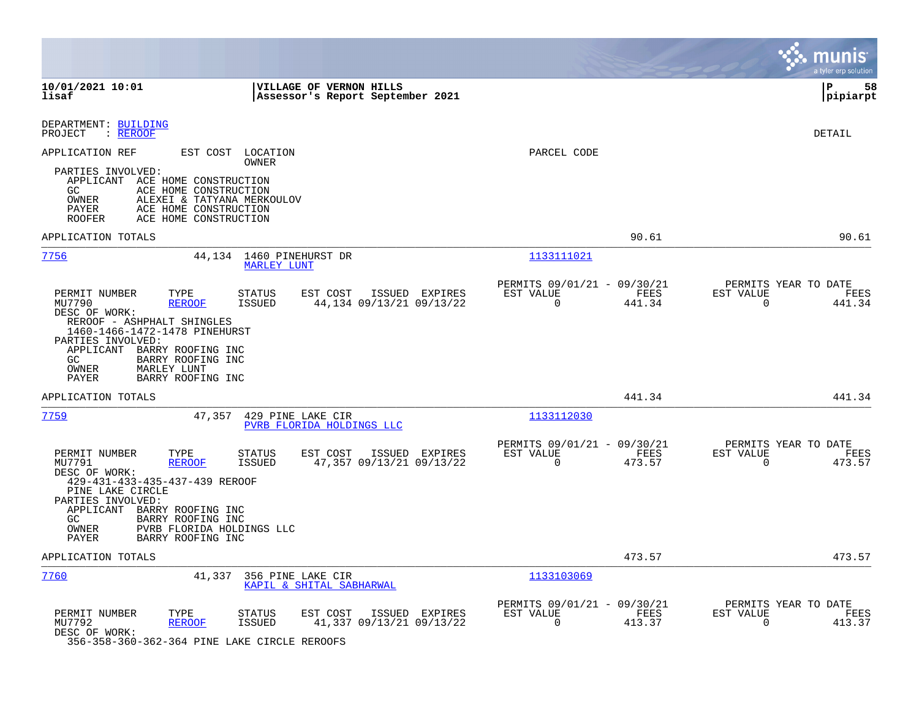|                                                                                                                                                                                                                                                                                                 |                                                             |                                                            |                | munis<br>a tyler erp solution                                      |
|-------------------------------------------------------------------------------------------------------------------------------------------------------------------------------------------------------------------------------------------------------------------------------------------------|-------------------------------------------------------------|------------------------------------------------------------|----------------|--------------------------------------------------------------------|
| 10/01/2021 10:01<br>lisaf                                                                                                                                                                                                                                                                       | VILLAGE OF VERNON HILLS<br>Assessor's Report September 2021 |                                                            |                | l P<br>58<br> pipiarpt                                             |
| DEPARTMENT: BUILDING<br>: REROOF<br>PROJECT                                                                                                                                                                                                                                                     |                                                             |                                                            |                | <b>DETAIL</b>                                                      |
| APPLICATION REF<br>EST COST LOCATION<br>OWNER                                                                                                                                                                                                                                                   |                                                             | PARCEL CODE                                                |                |                                                                    |
| PARTIES INVOLVED:<br>APPLICANT ACE HOME CONSTRUCTION<br>ACE HOME CONSTRUCTION<br>GC.<br>OWNER<br>ALEXEI & TATYANA MERKOULOV<br>PAYER<br>ACE HOME CONSTRUCTION<br>ACE HOME CONSTRUCTION<br>ROOFER                                                                                                |                                                             |                                                            |                |                                                                    |
| APPLICATION TOTALS                                                                                                                                                                                                                                                                              |                                                             |                                                            | 90.61          | 90.61                                                              |
| 7756                                                                                                                                                                                                                                                                                            | 44,134 1460 PINEHURST DR<br><b>MARLEY LUNT</b>              | 1133111021                                                 |                |                                                                    |
| PERMIT NUMBER<br>TYPE<br>STATUS<br>MU7790<br><b>REROOF</b><br>ISSUED<br>DESC OF WORK:<br>REROOF - ASHPHALT SHINGLES<br>1460-1466-1472-1478 PINEHURST<br>PARTIES INVOLVED:<br>APPLICANT BARRY ROOFING INC<br>BARRY ROOFING INC<br>GC.<br>OWNER<br>MARLEY LUNT<br>PAYER<br>BARRY ROOFING INC      | EST COST<br>ISSUED EXPIRES<br>44,134 09/13/21 09/13/22      | PERMITS 09/01/21 - 09/30/21<br>EST VALUE<br>$\overline{0}$ | FEES<br>441.34 | PERMITS YEAR TO DATE<br>EST VALUE<br>FEES<br>$\mathbf 0$<br>441.34 |
| APPLICATION TOTALS                                                                                                                                                                                                                                                                              |                                                             |                                                            | 441.34         | 441.34                                                             |
| 7759<br>47,357                                                                                                                                                                                                                                                                                  | 429 PINE LAKE CIR<br>PVRB FLORIDA HOLDINGS LLC              | 1133112030                                                 |                |                                                                    |
| PERMIT NUMBER<br>TYPE<br>STATUS<br>MU7791<br><b>REROOF</b><br>ISSUED<br>DESC OF WORK:<br>429-431-433-435-437-439 REROOF<br>PINE LAKE CIRCLE<br>PARTIES INVOLVED:<br>APPLICANT BARRY ROOFING INC<br>GC.<br>BARRY ROOFING INC<br>OWNER<br>PVRB FLORIDA HOLDINGS LLC<br>BARRY ROOFING INC<br>PAYER | EST COST<br>ISSUED EXPIRES<br>47,357 09/13/21 09/13/22      | PERMITS 09/01/21 - 09/30/21<br>EST VALUE<br>$\mathbf 0$    | FEES<br>473.57 | PERMITS YEAR TO DATE<br>EST VALUE<br>FEES<br>$\mathbf 0$<br>473.57 |
| APPLICATION TOTALS                                                                                                                                                                                                                                                                              |                                                             |                                                            | 473.57         | 473.57                                                             |
| 7760<br>41,337                                                                                                                                                                                                                                                                                  | 356 PINE LAKE CIR<br>KAPIL & SHITAL SABHARWAL               | 1133103069                                                 |                |                                                                    |
| PERMIT NUMBER<br>TYPE<br><b>STATUS</b><br>MU7792<br>REROOF<br>ISSUED<br>DESC OF WORK:<br>356-358-360-362-364 PINE LAKE CIRCLE REROOFS                                                                                                                                                           | EST COST<br>ISSUED EXPIRES<br>41,337 09/13/21 09/13/22      | PERMITS 09/01/21 - 09/30/21<br>EST VALUE<br>$\mathbf 0$    | FEES<br>413.37 | PERMITS YEAR TO DATE<br>EST VALUE<br>FEES<br>$\mathbf 0$<br>413.37 |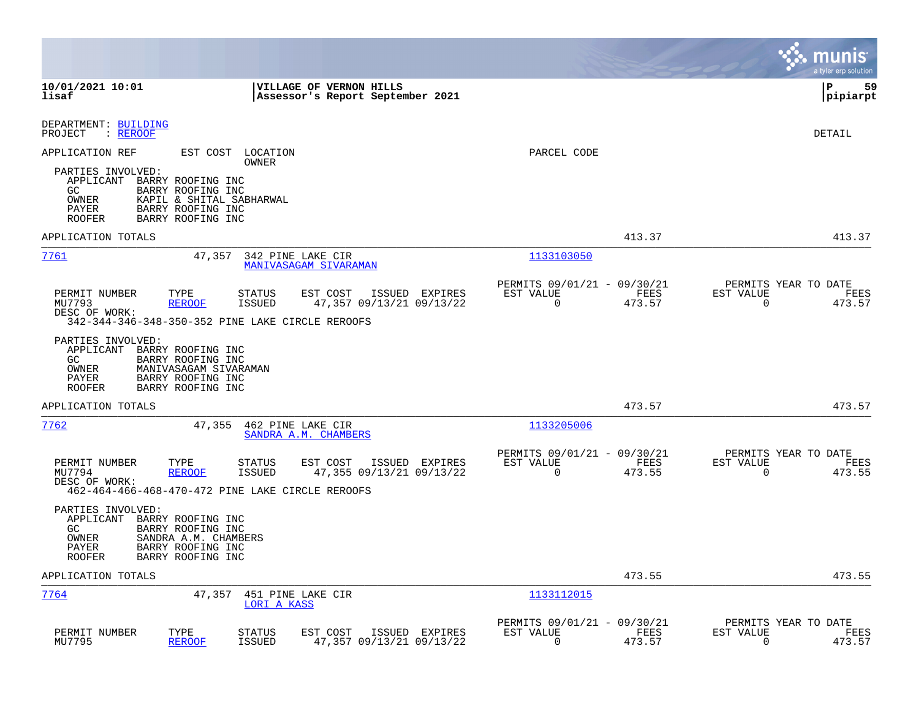|                                                                                                                                                                                                            |                                                                           | munis<br>a tyler erp solution                                      |
|------------------------------------------------------------------------------------------------------------------------------------------------------------------------------------------------------------|---------------------------------------------------------------------------|--------------------------------------------------------------------|
| 10/01/2021 10:01<br><b>VILLAGE OF VERNON HILLS</b><br>lisaf<br>Assessor's Report September 2021                                                                                                            |                                                                           | l P<br>59<br> pipiarpt                                             |
| DEPARTMENT: BUILDING<br>PROJECT<br>: REROOF                                                                                                                                                                |                                                                           | DETAIL                                                             |
| APPLICATION REF<br>EST COST LOCATION<br>OWNER                                                                                                                                                              | PARCEL CODE                                                               |                                                                    |
| PARTIES INVOLVED:<br>APPLICANT BARRY ROOFING INC<br>BARRY ROOFING INC<br>GC.<br>OWNER<br>KAPIL & SHITAL SABHARWAL<br>BARRY ROOFING INC<br>PAYER<br>BARRY ROOFING INC<br><b>ROOFER</b>                      |                                                                           |                                                                    |
| APPLICATION TOTALS                                                                                                                                                                                         | 413.37                                                                    | 413.37                                                             |
| 7761<br>47,357<br>342 PINE LAKE CIR<br><b>MANIVASAGAM SIVARAMAN</b>                                                                                                                                        | 1133103050                                                                |                                                                    |
| PERMIT NUMBER<br>TYPE<br>STATUS<br>EST COST<br>ISSUED EXPIRES<br>47,357 09/13/21 09/13/22<br>MU7793<br><b>REROOF</b><br><b>ISSUED</b><br>DESC OF WORK:<br>342-344-346-348-350-352 PINE LAKE CIRCLE REROOFS | PERMITS 09/01/21 - 09/30/21<br>EST VALUE<br>FEES<br>$\Omega$<br>473.57    | PERMITS YEAR TO DATE<br>EST VALUE<br>FEES<br>$\Omega$<br>473.57    |
| PARTIES INVOLVED:<br>APPLICANT BARRY ROOFING INC<br>GC<br>BARRY ROOFING INC<br>OWNER<br>MANIVASAGAM SIVARAMAN<br>PAYER<br>BARRY ROOFING INC<br>BARRY ROOFING INC<br><b>ROOFER</b>                          |                                                                           |                                                                    |
| APPLICATION TOTALS                                                                                                                                                                                         | 473.57                                                                    | 473.57                                                             |
| 7762<br>47,355<br>462 PINE LAKE CIR<br>SANDRA A.M. CHAMBERS                                                                                                                                                | 1133205006                                                                |                                                                    |
| PERMIT NUMBER<br>TYPE<br>ISSUED EXPIRES<br>STATUS<br>EST COST<br>MU7794<br><b>REROOF</b><br><b>ISSUED</b><br>47,355 09/13/21 09/13/22<br>DESC OF WORK:<br>462-464-466-468-470-472 PINE LAKE CIRCLE REROOFS | PERMITS 09/01/21 - 09/30/21<br>EST VALUE<br>FEES<br>$\mathbf 0$<br>473.55 | PERMITS YEAR TO DATE<br>EST VALUE<br>FEES<br>$\mathbf 0$<br>473.55 |
| PARTIES INVOLVED:<br>APPLICANT BARRY ROOFING INC<br>GC<br>BARRY ROOFING INC<br>OWNER<br>SANDRA A.M. CHAMBERS<br>PAYER<br>BARRY ROOFING INC<br>BARRY ROOFING INC<br><b>ROOFER</b>                           |                                                                           |                                                                    |
| APPLICATION TOTALS                                                                                                                                                                                         | 473.55                                                                    | 473.55                                                             |
| 7764<br>47,357<br>451 PINE LAKE CIR<br>LORI A KASS                                                                                                                                                         | 1133112015                                                                |                                                                    |
| PERMIT NUMBER<br>TYPE<br>EST COST<br>STATUS<br>ISSUED EXPIRES<br>MU7795<br><b>REROOF</b><br><b>ISSUED</b><br>47,357 09/13/21 09/13/22                                                                      | PERMITS 09/01/21 - 09/30/21<br>EST VALUE<br>FEES<br>0<br>473.57           | PERMITS YEAR TO DATE<br>EST VALUE<br>FEES<br>0<br>473.57           |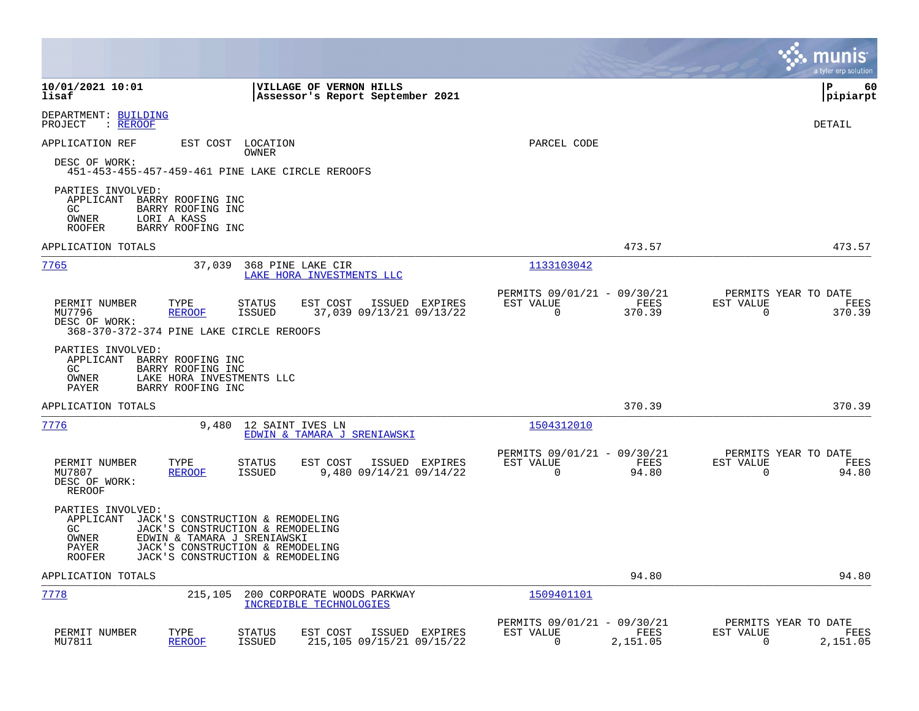|                                                                                                                                                                                                                                                        |                                                                       | munis<br>a tyler erp solution                                     |
|--------------------------------------------------------------------------------------------------------------------------------------------------------------------------------------------------------------------------------------------------------|-----------------------------------------------------------------------|-------------------------------------------------------------------|
| 10/01/2021 10:01<br>VILLAGE OF VERNON HILLS<br>lisaf<br>Assessor's Report September 2021                                                                                                                                                               |                                                                       | l P<br>60<br> pipiarpt                                            |
| DEPARTMENT: BUILDING<br>: REROOF<br>PROJECT                                                                                                                                                                                                            |                                                                       | DETAIL                                                            |
| APPLICATION REF<br>EST COST LOCATION<br>OWNER<br>DESC OF WORK:<br>451-453-455-457-459-461 PINE LAKE CIRCLE REROOFS                                                                                                                                     | PARCEL CODE                                                           |                                                                   |
| PARTIES INVOLVED:<br>APPLICANT<br>BARRY ROOFING INC<br>BARRY ROOFING INC<br>GC.<br>OWNER<br>LORI A KASS<br><b>ROOFER</b><br>BARRY ROOFING INC                                                                                                          |                                                                       |                                                                   |
| APPLICATION TOTALS                                                                                                                                                                                                                                     | 473.57                                                                | 473.57                                                            |
| 7765<br>37,039<br>368 PINE LAKE CIR<br>LAKE HORA INVESTMENTS LLC                                                                                                                                                                                       | 1133103042                                                            |                                                                   |
| TYPE<br>EST COST<br>ISSUED EXPIRES<br>PERMIT NUMBER<br>STATUS<br>MU7796<br><b>REROOF</b><br>ISSUED<br>37,039 09/13/21 09/13/22<br>DESC OF WORK:<br>368-370-372-374 PINE LAKE CIRCLE REROOFS                                                            | PERMITS 09/01/21 - 09/30/21<br>EST VALUE<br>FEES<br>0<br>370.39       | PERMITS YEAR TO DATE<br>EST VALUE<br>FEES<br>0<br>370.39          |
| PARTIES INVOLVED:<br>APPLICANT BARRY ROOFING INC<br>GC<br>BARRY ROOFING INC<br>LAKE HORA INVESTMENTS LLC<br>OWNER<br>BARRY ROOFING INC<br>PAYER                                                                                                        |                                                                       |                                                                   |
| APPLICATION TOTALS                                                                                                                                                                                                                                     | 370.39                                                                | 370.39                                                            |
| 7776<br>9,480<br>12 SAINT IVES LN<br>EDWIN & TAMARA J SRENIAWSKI                                                                                                                                                                                       | 1504312010                                                            |                                                                   |
| PERMIT NUMBER<br>TYPE<br>STATUS<br>EST COST<br>ISSUED EXPIRES<br>MU7807<br><b>ISSUED</b><br>9,480 09/14/21 09/14/22<br><b>REROOF</b><br>DESC OF WORK:<br>REROOF                                                                                        | PERMITS 09/01/21 - 09/30/21<br>EST VALUE<br>FEES<br>$\Omega$<br>94.80 | PERMITS YEAR TO DATE<br>EST VALUE<br>FEES<br>$\mathbf 0$<br>94.80 |
| PARTIES INVOLVED:<br>APPLICANT<br>JACK'S CONSTRUCTION & REMODELING<br>GC<br>JACK'S CONSTRUCTION & REMODELING<br>OWNER<br>EDWIN & TAMARA J SRENIAWSKI<br>PAYER<br>JACK'S CONSTRUCTION & REMODELING<br><b>ROOFER</b><br>JACK'S CONSTRUCTION & REMODELING |                                                                       |                                                                   |
| APPLICATION TOTALS                                                                                                                                                                                                                                     | 94.80                                                                 | 94.80                                                             |
| 7778<br>215,105<br>200 CORPORATE WOODS PARKWAY<br>INCREDIBLE TECHNOLOGIES                                                                                                                                                                              | 1509401101                                                            |                                                                   |
| PERMIT NUMBER<br>TYPE<br><b>STATUS</b><br>EST COST<br>ISSUED EXPIRES<br>MU7811<br><b>REROOF</b><br><b>ISSUED</b><br>215,105 09/15/21 09/15/22                                                                                                          | PERMITS 09/01/21 - 09/30/21<br>EST VALUE<br>FEES<br>0<br>2,151.05     | PERMITS YEAR TO DATE<br>EST VALUE<br>FEES<br>0<br>2,151.05        |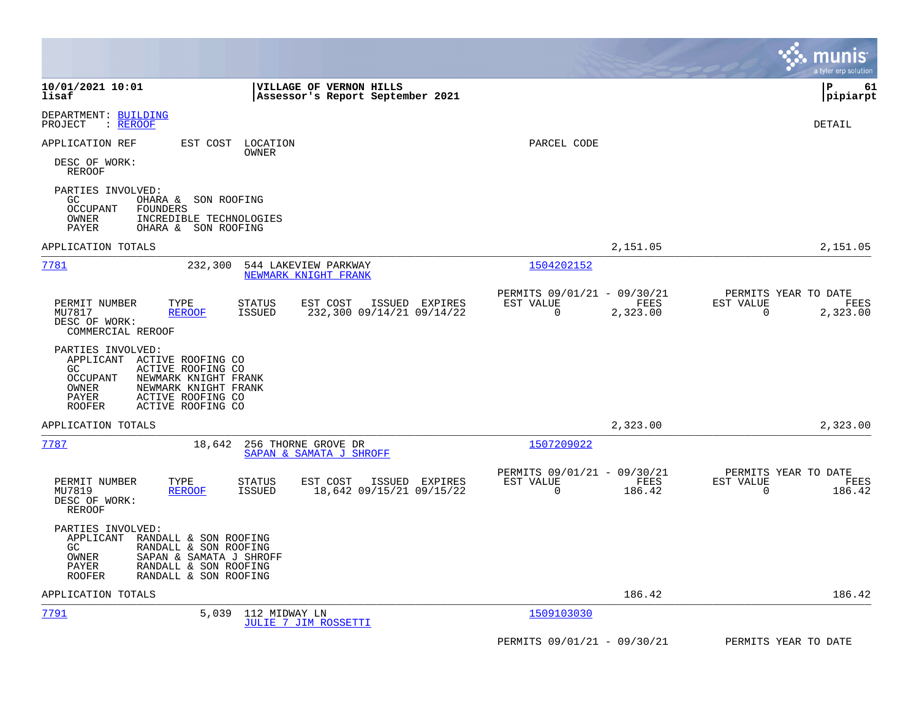|                                                                                                                                                                                                                  |                                                            |                | a tyler erp solution                                            |
|------------------------------------------------------------------------------------------------------------------------------------------------------------------------------------------------------------------|------------------------------------------------------------|----------------|-----------------------------------------------------------------|
| 10/01/2021 10:01<br><b>VILLAGE OF VERNON HILLS</b><br>Assessor's Report September 2021<br>lisaf                                                                                                                  |                                                            |                | l P<br>61<br> pipiarpt                                          |
| DEPARTMENT: BUILDING<br>PROJECT<br>: REROOF                                                                                                                                                                      |                                                            |                | DETAIL                                                          |
| APPLICATION REF<br>EST COST LOCATION<br>OWNER                                                                                                                                                                    | PARCEL CODE                                                |                |                                                                 |
| DESC OF WORK:<br>REROOF                                                                                                                                                                                          |                                                            |                |                                                                 |
| PARTIES INVOLVED:<br>GC<br>OHARA & SON ROOFING<br>FOUNDERS<br>OCCUPANT<br>OWNER<br>INCREDIBLE TECHNOLOGIES<br>PAYER<br>OHARA & SON ROOFING                                                                       |                                                            |                |                                                                 |
| APPLICATION TOTALS                                                                                                                                                                                               |                                                            | 2,151.05       | 2,151.05                                                        |
| 7781<br>232,300<br>544 LAKEVIEW PARKWAY<br>NEWMARK KNIGHT FRANK                                                                                                                                                  | 1504202152                                                 |                |                                                                 |
| PERMIT NUMBER<br>TYPE<br><b>STATUS</b><br>ISSUED EXPIRES<br>EST COST                                                                                                                                             | PERMITS 09/01/21 - 09/30/21<br>EST VALUE                   | FEES           | PERMITS YEAR TO DATE<br>EST VALUE<br>FEES                       |
| MU7817<br><b>REROOF</b><br>ISSUED<br>232,300 09/14/21 09/14/22<br>DESC OF WORK:<br>COMMERCIAL REROOF                                                                                                             | $\overline{0}$                                             | 2,323.00       | $\mathbf 0$<br>2,323.00                                         |
| PARTIES INVOLVED:<br>APPLICANT<br>ACTIVE ROOFING CO<br>ACTIVE ROOFING CO<br>GC<br>OCCUPANT<br>NEWMARK KNIGHT FRANK<br>NEWMARK KNIGHT FRANK<br>OWNER<br>PAYER<br>ACTIVE ROOFING CO<br>ROOFER<br>ACTIVE ROOFING CO |                                                            |                |                                                                 |
| APPLICATION TOTALS                                                                                                                                                                                               |                                                            | 2,323.00       | 2,323.00                                                        |
| 256 THORNE GROVE DR<br>7787<br>18,642<br>SAPAN & SAMATA J SHROFF                                                                                                                                                 | 1507209022                                                 |                |                                                                 |
| PERMIT NUMBER<br>TYPE<br><b>STATUS</b><br>EST COST<br>ISSUED EXPIRES<br><b>ISSUED</b><br>18,642 09/15/21 09/15/22<br>MU7819<br><b>REROOF</b><br>DESC OF WORK:<br>REROOF                                          | PERMITS 09/01/21 - 09/30/21<br>EST VALUE<br>$\overline{0}$ | FEES<br>186.42 | PERMITS YEAR TO DATE<br>EST VALUE<br>FEES<br>$\Omega$<br>186.42 |
| PARTIES INVOLVED:<br>APPLICANT RANDALL & SON ROOFING<br>RANDALL & SON ROOFING<br>GC.<br>OWNER<br>SAPAN & SAMATA J SHROFF<br>PAYER<br>RANDALL & SON ROOFING<br><b>ROOFER</b><br>RANDALL & SON ROOFING             |                                                            |                |                                                                 |
| APPLICATION TOTALS                                                                                                                                                                                               |                                                            | 186.42         | 186.42                                                          |
| 7791<br>5,039<br>112 MIDWAY LN<br><b>JULIE 7 JIM ROSSETTI</b>                                                                                                                                                    | 1509103030                                                 |                |                                                                 |
|                                                                                                                                                                                                                  | PERMITS 09/01/21 - 09/30/21                                |                | PERMITS YEAR TO DATE                                            |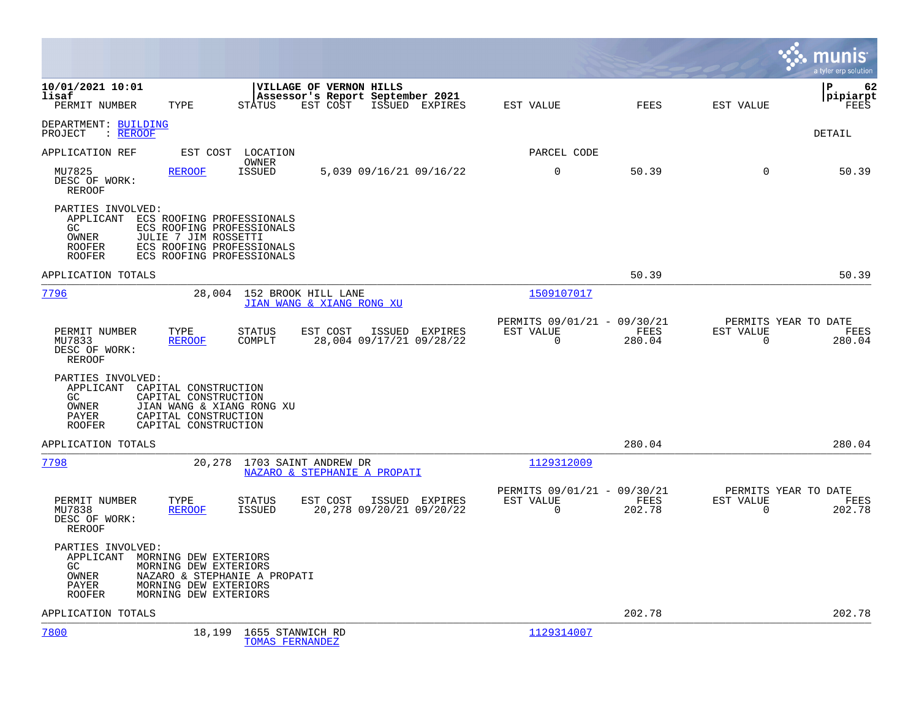|                                                                                                                                                                                                                              |                                                                                  | a tyler erp solution                                               |
|------------------------------------------------------------------------------------------------------------------------------------------------------------------------------------------------------------------------------|----------------------------------------------------------------------------------|--------------------------------------------------------------------|
| 10/01/2021 10:01<br>VILLAGE OF VERNON HILLS<br>lisaf<br>Assessor's Report September 2021<br>PERMIT NUMBER<br>TYPE<br><b>STATUS</b><br>EST COST<br>ISSUED EXPIRES                                                             | FEES<br>EST VALUE                                                                | P<br>62<br> pipiarpt<br>EST VALUE<br>FEES                          |
| DEPARTMENT: BUILDING<br>: REROOF<br>PROJECT                                                                                                                                                                                  |                                                                                  | DETAIL                                                             |
| APPLICATION REF<br>EST COST<br>LOCATION                                                                                                                                                                                      | PARCEL CODE                                                                      |                                                                    |
| OWNER<br>MU7825<br><b>REROOF</b><br><b>ISSUED</b><br>5,039 09/16/21 09/16/22<br>DESC OF WORK:<br><b>REROOF</b>                                                                                                               | $\mathbf 0$<br>50.39                                                             | 50.39<br>$\mathbf 0$                                               |
| PARTIES INVOLVED:<br>APPLICANT<br>ECS ROOFING PROFESSIONALS<br>GC.<br>ECS ROOFING PROFESSIONALS<br>JULIE 7 JIM ROSSETTI<br>OWNER<br>ECS ROOFING PROFESSIONALS<br><b>ROOFER</b><br><b>ROOFER</b><br>ECS ROOFING PROFESSIONALS |                                                                                  |                                                                    |
| APPLICATION TOTALS                                                                                                                                                                                                           | 50.39                                                                            | 50.39                                                              |
| 7796<br>152 BROOK HILL LANE<br>28,004<br>JIAN WANG & XIANG RONG XU                                                                                                                                                           | 1509107017                                                                       |                                                                    |
| PERMIT NUMBER<br>TYPE<br><b>STATUS</b><br>EST COST<br>ISSUED EXPIRES<br>28,004 09/17/21 09/28/22<br>MU7833<br>COMPLT<br><b>REROOF</b><br>DESC OF WORK:<br>REROOF                                                             | PERMITS 09/01/21 - 09/30/21<br>EST VALUE<br><b>FEES</b><br>$\mathbf 0$<br>280.04 | PERMITS YEAR TO DATE<br>EST VALUE<br>FEES<br>$\mathbf 0$<br>280.04 |
| PARTIES INVOLVED:<br>APPLICANT<br>CAPITAL CONSTRUCTION<br>GC.<br>CAPITAL CONSTRUCTION<br>JIAN WANG & XIANG RONG XU<br>OWNER<br>PAYER<br>CAPITAL CONSTRUCTION<br>CAPITAL CONSTRUCTION<br><b>ROOFER</b>                        |                                                                                  |                                                                    |
| APPLICATION TOTALS                                                                                                                                                                                                           | 280.04                                                                           | 280.04                                                             |
| 7798<br>1703 SAINT ANDREW DR<br>20,278<br>NAZARO & STEPHANIE A PROPATI                                                                                                                                                       | 1129312009                                                                       |                                                                    |
| PERMIT NUMBER<br>EST COST<br>TYPE<br>STATUS<br>ISSUED EXPIRES<br>20,278 09/20/21 09/20/22<br>MU7838<br><b>REROOF</b><br>ISSUED<br>DESC OF WORK:<br><b>REROOF</b>                                                             | PERMITS 09/01/21 - 09/30/21<br>EST VALUE<br>FEES<br>0<br>202.78                  | PERMITS YEAR TO DATE<br>EST VALUE<br>FEES<br>202.78<br>0           |
| PARTIES INVOLVED:<br>APPLICANT MORNING DEW EXTERIORS<br>MORNING DEW EXTERIORS<br>GC<br>OWNER<br>NAZARO & STEPHANIE A PROPATI<br>PAYER<br>MORNING DEW EXTERIORS<br><b>ROOFER</b><br>MORNING DEW EXTERIORS                     |                                                                                  |                                                                    |
| APPLICATION TOTALS                                                                                                                                                                                                           | 202.78                                                                           | 202.78                                                             |
| 7800<br>18,199<br>1655 STANWICH RD<br><b>TOMAS FERNANDEZ</b>                                                                                                                                                                 | 1129314007                                                                       |                                                                    |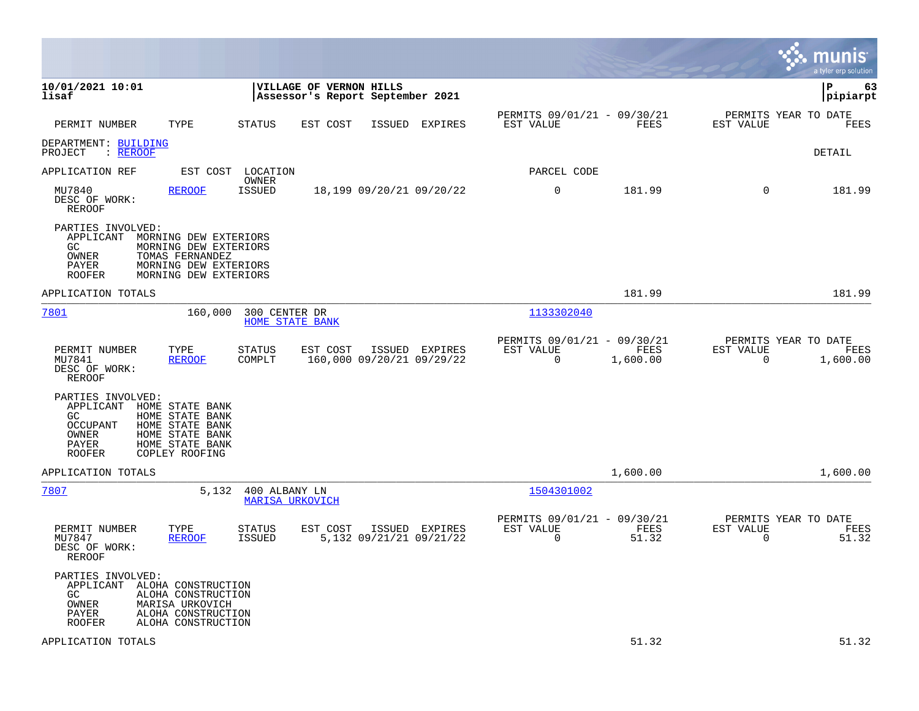|                                                                                                                                                                                                              |                        |                                                             |                                           |                                                         |                  |                                                  | munis<br>a tyler erp solution |
|--------------------------------------------------------------------------------------------------------------------------------------------------------------------------------------------------------------|------------------------|-------------------------------------------------------------|-------------------------------------------|---------------------------------------------------------|------------------|--------------------------------------------------|-------------------------------|
| 10/01/2021 10:01<br>lisaf                                                                                                                                                                                    |                        | VILLAGE OF VERNON HILLS<br>Assessor's Report September 2021 |                                           |                                                         |                  |                                                  | l P<br>63<br> pipiarpt        |
| PERMIT NUMBER<br>TYPE                                                                                                                                                                                        | STATUS                 | EST COST                                                    | ISSUED EXPIRES                            | PERMITS 09/01/21 - 09/30/21<br>EST VALUE                | FEES             | PERMITS YEAR TO DATE<br>EST VALUE                | FEES                          |
| DEPARTMENT: BUILDING<br>PROJECT<br>: <u>REROOF</u>                                                                                                                                                           |                        |                                                             |                                           |                                                         |                  |                                                  | <b>DETAIL</b>                 |
| EST COST<br>APPLICATION REF                                                                                                                                                                                  | LOCATION               |                                                             |                                           | PARCEL CODE                                             |                  |                                                  |                               |
| MU7840<br><b>REROOF</b><br>DESC OF WORK:<br>REROOF                                                                                                                                                           | OWNER<br><b>ISSUED</b> | 18,199 09/20/21 09/20/22                                    |                                           | $\mathbf 0$                                             | 181.99           | $\mathbf 0$                                      | 181.99                        |
| PARTIES INVOLVED:<br>APPLICANT<br>MORNING DEW EXTERIORS<br>MORNING DEW EXTERIORS<br>GC.<br>OWNER<br>TOMAS FERNANDEZ<br>MORNING DEW EXTERIORS<br>PAYER<br><b>ROOFER</b><br>MORNING DEW EXTERIORS              |                        |                                                             |                                           |                                                         |                  |                                                  |                               |
| APPLICATION TOTALS                                                                                                                                                                                           |                        |                                                             |                                           |                                                         | 181.99           |                                                  | 181.99                        |
| 7801<br>160,000                                                                                                                                                                                              | 300 CENTER DR          | <b>HOME STATE BANK</b>                                      |                                           | 1133302040                                              |                  |                                                  |                               |
| PERMIT NUMBER<br>TYPE<br>MU7841<br><b>REROOF</b><br>DESC OF WORK:<br><b>REROOF</b>                                                                                                                           | STATUS<br>COMPLT       | EST COST<br>160,000 09/20/21 09/29/22                       | ISSUED EXPIRES                            | PERMITS 09/01/21 - 09/30/21<br>EST VALUE<br>$\Omega$    | FEES<br>1,600.00 | PERMITS YEAR TO DATE<br>EST VALUE<br>$\Omega$    | FEES<br>1,600.00              |
| PARTIES INVOLVED:<br>HOME STATE BANK<br>APPLICANT<br>GC.<br>HOME STATE BANK<br><b>OCCUPANT</b><br>HOME STATE BANK<br>OWNER<br>HOME STATE BANK<br>PAYER<br>HOME STATE BANK<br><b>ROOFER</b><br>COPLEY ROOFING |                        |                                                             |                                           |                                                         |                  |                                                  |                               |
| APPLICATION TOTALS                                                                                                                                                                                           |                        |                                                             |                                           |                                                         | 1,600.00         |                                                  | 1,600.00                      |
| 7807<br>5,132                                                                                                                                                                                                | 400 ALBANY LN          | MARISA URKOVICH                                             |                                           | 1504301002                                              |                  |                                                  |                               |
| PERMIT NUMBER<br>TYPE<br>MU7847<br><b>REROOF</b><br>DESC OF WORK:<br>REROOF                                                                                                                                  | STATUS<br>ISSUED       | EST COST                                                    | ISSUED EXPIRES<br>5,132 09/21/21 09/21/22 | PERMITS 09/01/21 - 09/30/21<br>EST VALUE<br>$\mathbf 0$ | FEES<br>51.32    | PERMITS YEAR TO DATE<br>EST VALUE<br>$\mathbf 0$ | FEES<br>51.32                 |
| PARTIES INVOLVED:<br>APPLICANT ALOHA CONSTRUCTION<br>GC<br>ALOHA CONSTRUCTION<br>OWNER<br>MARISA URKOVICH<br>PAYER<br>ALOHA CONSTRUCTION<br><b>ROOFER</b><br>ALOHA CONSTRUCTION                              |                        |                                                             |                                           |                                                         |                  |                                                  |                               |
| APPLICATION TOTALS                                                                                                                                                                                           |                        |                                                             |                                           |                                                         | 51.32            |                                                  | 51.32                         |

**Contract**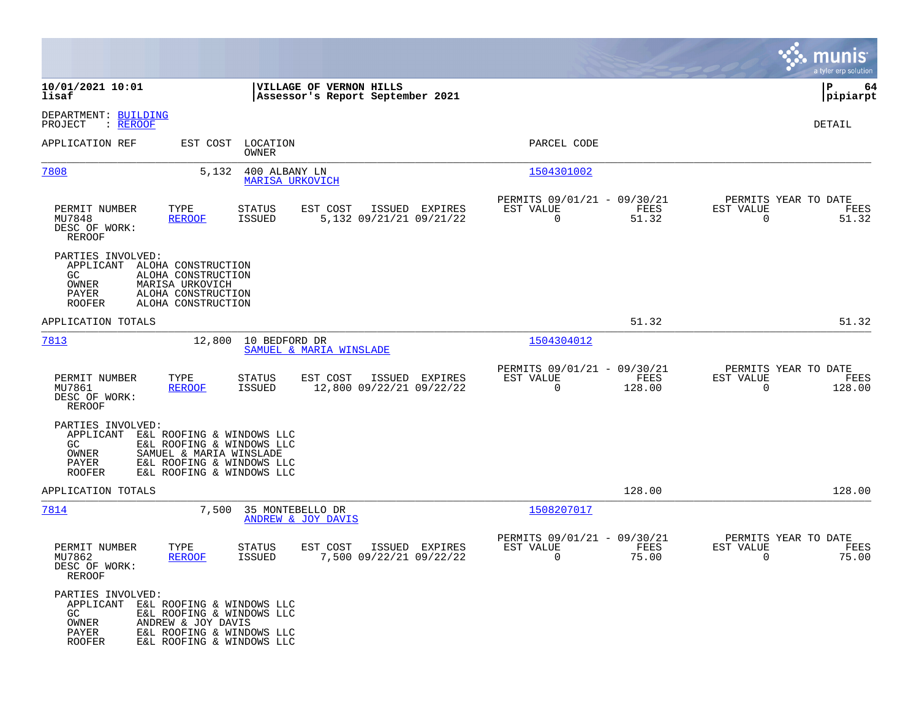|                                                                                                                                                                                                                        |                                                                                          |                                                                             | munis<br>a tyler erp solution                                     |
|------------------------------------------------------------------------------------------------------------------------------------------------------------------------------------------------------------------------|------------------------------------------------------------------------------------------|-----------------------------------------------------------------------------|-------------------------------------------------------------------|
| 10/01/2021 10:01<br>lisaf                                                                                                                                                                                              | VILLAGE OF VERNON HILLS<br>Assessor's Report September 2021                              |                                                                             | P<br>64<br> pipiarpt                                              |
| DEPARTMENT: BUILDING<br>PROJECT<br>: <u>REROOF</u>                                                                                                                                                                     |                                                                                          |                                                                             | DETAIL                                                            |
| APPLICATION REF<br>EST COST                                                                                                                                                                                            | LOCATION<br>OWNER                                                                        | PARCEL CODE                                                                 |                                                                   |
| 7808<br>5,132                                                                                                                                                                                                          | 400 ALBANY LN<br><b>MARISA URKOVICH</b>                                                  | 1504301002                                                                  |                                                                   |
| TYPE<br>PERMIT NUMBER<br>MU7848<br><b>REROOF</b><br>DESC OF WORK:<br>REROOF                                                                                                                                            | ISSUED EXPIRES<br><b>STATUS</b><br>EST COST<br><b>ISSUED</b><br>5,132 09/21/21 09/21/22  | PERMITS 09/01/21 - 09/30/21<br>FEES<br>EST VALUE<br>$\overline{0}$<br>51.32 | PERMITS YEAR TO DATE<br>EST VALUE<br>FEES<br>$\mathbf 0$<br>51.32 |
| PARTIES INVOLVED:<br>APPLICANT<br>ALOHA CONSTRUCTION<br>GC.<br>ALOHA CONSTRUCTION<br>OWNER<br>MARISA URKOVICH<br>PAYER<br>ALOHA CONSTRUCTION<br><b>ROOFER</b><br>ALOHA CONSTRUCTION                                    |                                                                                          |                                                                             |                                                                   |
| APPLICATION TOTALS                                                                                                                                                                                                     |                                                                                          | 51.32                                                                       | 51.32                                                             |
| 7813<br>12,800                                                                                                                                                                                                         | 10 BEDFORD DR<br>SAMUEL & MARIA WINSLADE                                                 | 1504304012                                                                  |                                                                   |
| PERMIT NUMBER<br>TYPE<br>MU7861<br><b>REROOF</b><br>DESC OF WORK:<br>REROOF                                                                                                                                            | <b>STATUS</b><br>EST COST<br>ISSUED EXPIRES<br>12,800 09/22/21 09/22/22<br><b>ISSUED</b> | PERMITS 09/01/21 - 09/30/21<br>EST VALUE<br>FEES<br>$\Omega$<br>128.00      | PERMITS YEAR TO DATE<br>EST VALUE<br>FEES<br>0<br>128.00          |
| PARTIES INVOLVED:<br>APPLICANT<br>E&L ROOFING & WINDOWS LLC<br>GC<br>E&L ROOFING & WINDOWS LLC<br>OWNER<br>SAMUEL & MARIA WINSLADE<br>PAYER<br>E&L ROOFING & WINDOWS LLC<br><b>ROOFER</b><br>E&L ROOFING & WINDOWS LLC |                                                                                          |                                                                             |                                                                   |
| APPLICATION TOTALS                                                                                                                                                                                                     |                                                                                          | 128.00                                                                      | 128.00                                                            |
| 7814<br>7,500                                                                                                                                                                                                          | 35 MONTEBELLO DR<br><b>ANDREW &amp; JOY DAVIS</b>                                        | 1508207017                                                                  |                                                                   |
| PERMIT NUMBER<br>TYPE<br>MU7862<br><b>REROOF</b><br>DESC OF WORK:<br>REROOF                                                                                                                                            | EST COST<br>ISSUED EXPIRES<br>STATUS<br><b>ISSUED</b><br>7,500 09/22/21 09/22/22         | PERMITS 09/01/21 - 09/30/21<br>EST VALUE<br>FEES<br>0<br>75.00              | PERMITS YEAR TO DATE<br>EST VALUE<br>FEES<br>75.00<br>0           |
| PARTIES INVOLVED:<br>APPLICANT E&L ROOFING & WINDOWS LLC<br>GC.<br>E&L ROOFING & WINDOWS LLC<br>OWNER<br>ANDREW & JOY DAVIS<br>PAYER<br>E&L ROOFING & WINDOWS LLC<br><b>ROOFER</b><br>E&L ROOFING & WINDOWS LLC        |                                                                                          |                                                                             |                                                                   |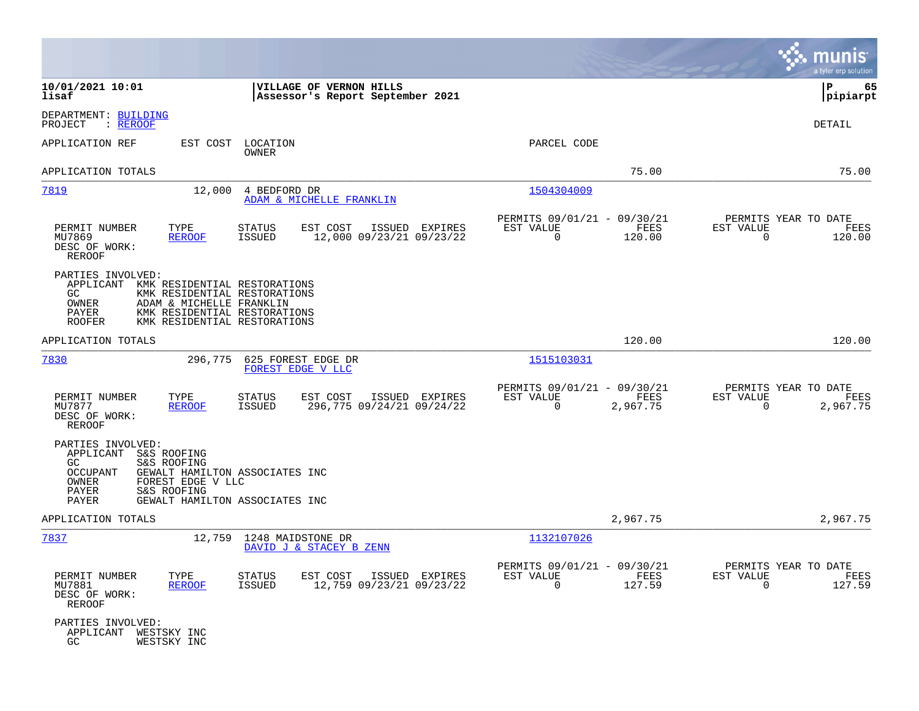|                                                                                                                                                                                                                                     |                                                                                    |                                                                             | munis<br>a tyler erp solution                                        |
|-------------------------------------------------------------------------------------------------------------------------------------------------------------------------------------------------------------------------------------|------------------------------------------------------------------------------------|-----------------------------------------------------------------------------|----------------------------------------------------------------------|
| 10/01/2021 10:01<br>lisaf                                                                                                                                                                                                           | VILLAGE OF VERNON HILLS<br>Assessor's Report September 2021                        |                                                                             | 65<br>l P<br> pipiarpt                                               |
| DEPARTMENT: BUILDING<br>: REROOF<br>PROJECT                                                                                                                                                                                         |                                                                                    |                                                                             | DETAIL                                                               |
| APPLICATION REF<br>EST COST                                                                                                                                                                                                         | LOCATION<br>OWNER                                                                  | PARCEL CODE                                                                 |                                                                      |
| APPLICATION TOTALS                                                                                                                                                                                                                  |                                                                                    | 75.00                                                                       | 75.00                                                                |
| 7819<br>12,000                                                                                                                                                                                                                      | 4 BEDFORD DR<br>ADAM & MICHELLE FRANKLIN                                           | 1504304009                                                                  |                                                                      |
| PERMIT NUMBER<br>TYPE<br>MU7869<br><b>REROOF</b><br>DESC OF WORK:<br><b>REROOF</b>                                                                                                                                                  | EST COST<br>STATUS<br>ISSUED EXPIRES<br>12,000 09/23/21 09/23/22<br>ISSUED         | PERMITS 09/01/21 - 09/30/21<br>EST VALUE<br>FEES<br>$\Omega$<br>120.00      | PERMITS YEAR TO DATE<br>EST VALUE<br>FEES<br>$\Omega$<br>120.00      |
| PARTIES INVOLVED:<br>APPLICANT<br>KMK RESIDENTIAL RESTORATIONS<br>GC<br>KMK RESIDENTIAL RESTORATIONS<br>OWNER<br>ADAM & MICHELLE FRANKLIN<br>PAYER<br>KMK RESIDENTIAL RESTORATIONS<br>KMK RESIDENTIAL RESTORATIONS<br><b>ROOFER</b> |                                                                                    |                                                                             |                                                                      |
| APPLICATION TOTALS                                                                                                                                                                                                                  |                                                                                    | 120.00                                                                      | 120.00                                                               |
| 7830<br>296,775                                                                                                                                                                                                                     | 625 FOREST EDGE DR<br>FOREST EDGE V LLC                                            | 1515103031                                                                  |                                                                      |
| PERMIT NUMBER<br>TYPE<br>MU7877<br><b>REROOF</b><br>DESC OF WORK:<br>REROOF                                                                                                                                                         | STATUS<br>EST COST<br>ISSUED EXPIRES<br><b>ISSUED</b><br>296,775 09/24/21 09/24/22 | PERMITS 09/01/21 - 09/30/21<br>EST VALUE<br>FEES<br>$\mathbf 0$<br>2,967.75 | PERMITS YEAR TO DATE<br>EST VALUE<br>FEES<br>$\mathbf 0$<br>2,967.75 |
| PARTIES INVOLVED:<br>APPLICANT S&S ROOFING<br>GC<br>S&S ROOFING<br><b>OCCUPANT</b><br>OWNER<br>FOREST EDGE V LLC<br>PAYER<br>S&S ROOFING<br>PAYER                                                                                   | GEWALT HAMILTON ASSOCIATES INC<br>GEWALT HAMILTON ASSOCIATES INC                   |                                                                             |                                                                      |
| APPLICATION TOTALS                                                                                                                                                                                                                  |                                                                                    | 2,967.75                                                                    | 2,967.75                                                             |
| 7837<br>12,759                                                                                                                                                                                                                      | 1248 MAIDSTONE DR<br>DAVID J & STACEY B ZENN                                       | 1132107026                                                                  |                                                                      |
| PERMIT NUMBER<br>TYPE<br>MU7881<br><b>REROOF</b><br>DESC OF WORK:<br>REROOF                                                                                                                                                         | STATUS<br>EST COST<br>ISSUED EXPIRES<br>ISSUED<br>12,759 09/23/21 09/23/22         | PERMITS 09/01/21 - 09/30/21<br>EST VALUE<br>FEES<br>$\mathbf 0$<br>127.59   | PERMITS YEAR TO DATE<br>EST VALUE<br>FEES<br>$\mathbf 0$<br>127.59   |
| PARTIES INVOLVED:<br>APPLICANT WESTSKY INC<br>GC<br>WESTSKY INC                                                                                                                                                                     |                                                                                    |                                                                             |                                                                      |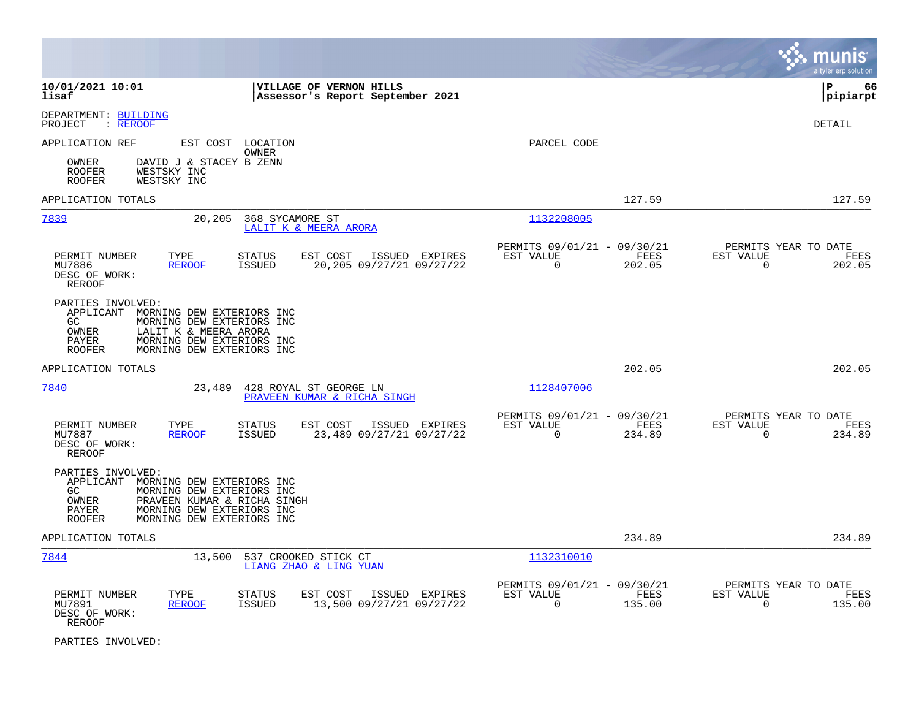|                                                                                                                                                                                                                            |                                                                              | munis<br>a tyler erp solution                                      |
|----------------------------------------------------------------------------------------------------------------------------------------------------------------------------------------------------------------------------|------------------------------------------------------------------------------|--------------------------------------------------------------------|
| 10/01/2021 10:01<br>VILLAGE OF VERNON HILLS<br>lisaf<br>Assessor's Report September 2021                                                                                                                                   |                                                                              | lР<br>66<br> pipiarpt                                              |
| DEPARTMENT: BUILDING<br>: <u>REROOF</u><br>PROJECT                                                                                                                                                                         |                                                                              | DETAIL                                                             |
| APPLICATION REF<br>EST COST LOCATION<br>OWNER                                                                                                                                                                              | PARCEL CODE                                                                  |                                                                    |
| DAVID J & STACEY B ZENN<br>OWNER<br>WESTSKY INC<br><b>ROOFER</b><br>ROOFER<br>WESTSKY INC                                                                                                                                  |                                                                              |                                                                    |
| APPLICATION TOTALS                                                                                                                                                                                                         | 127.59                                                                       | 127.59                                                             |
| 7839<br>368 SYCAMORE ST<br>20,205<br>LALIT K & MEERA ARORA                                                                                                                                                                 | 1132208005                                                                   |                                                                    |
| PERMIT NUMBER<br>TYPE<br><b>STATUS</b><br>EST COST<br>ISSUED EXPIRES<br>20,205 09/27/21 09/27/22<br>MU7886<br><b>REROOF</b><br><b>ISSUED</b><br>DESC OF WORK:<br>REROOF                                                    | PERMITS 09/01/21 - 09/30/21<br>EST VALUE<br>FEES<br>$\mathbf 0$<br>202.05    | PERMITS YEAR TO DATE<br>EST VALUE<br>FEES<br>$\mathbf 0$<br>202.05 |
| PARTIES INVOLVED:<br>APPLICANT MORNING DEW EXTERIORS INC<br>GC.<br>MORNING DEW EXTERIORS INC<br><b>OWNER</b><br>LALIT K & MEERA ARORA<br>PAYER<br>MORNING DEW EXTERIORS INC<br>MORNING DEW EXTERIORS INC<br><b>ROOFER</b>  |                                                                              |                                                                    |
| APPLICATION TOTALS                                                                                                                                                                                                         | 202.05                                                                       | 202.05                                                             |
| 7840<br>23,489<br>428 ROYAL ST GEORGE LN<br>PRAVEEN KUMAR & RICHA SINGH                                                                                                                                                    | 1128407006                                                                   |                                                                    |
| PERMIT NUMBER<br>TYPE<br>STATUS<br>EST COST<br>ISSUED EXPIRES<br>MU7887<br><b>REROOF</b><br><b>ISSUED</b><br>23,489 09/27/21 09/27/22<br>DESC OF WORK:<br><b>REROOF</b>                                                    | PERMITS 09/01/21 - 09/30/21<br>FEES<br>EST VALUE<br>$\overline{0}$<br>234.89 | PERMITS YEAR TO DATE<br>EST VALUE<br>FEES<br>$\mathbf 0$<br>234.89 |
| PARTIES INVOLVED:<br>APPLICANT<br>MORNING DEW EXTERIORS INC<br>GC<br>MORNING DEW EXTERIORS INC<br>PRAVEEN KUMAR & RICHA SINGH<br>OWNER<br>MORNING DEW EXTERIORS INC<br>PAYER<br>MORNING DEW EXTERIORS INC<br><b>ROOFER</b> |                                                                              |                                                                    |
| APPLICATION TOTALS                                                                                                                                                                                                         | 234.89                                                                       | 234.89                                                             |
| 7844<br>537 CROOKED STICK CT<br>13,500<br>LIANG ZHAO & LING YUAN                                                                                                                                                           | 1132310010                                                                   |                                                                    |
| PERMIT NUMBER<br>TYPE<br>STATUS<br>EST COST<br>ISSUED EXPIRES<br>13,500 09/27/21 09/27/22<br>MU7891<br><b>REROOF</b><br><b>ISSUED</b><br>DESC OF WORK:<br>REROOF                                                           | PERMITS 09/01/21 - 09/30/21<br>EST VALUE<br>FEES<br>$\Omega$<br>135.00       | PERMITS YEAR TO DATE<br>EST VALUE<br>FEES<br>$\mathbf 0$<br>135.00 |

PARTIES INVOLVED: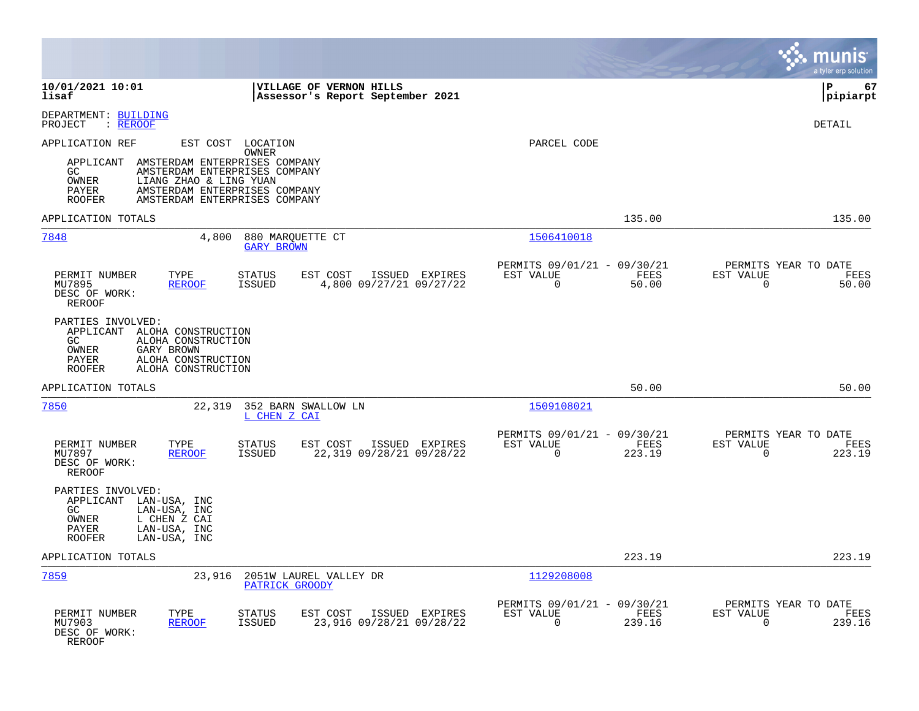|                                                                                                                                                                                                                                     |                                                                                          |                                                                           | munis<br>a tyler erp solution                                      |
|-------------------------------------------------------------------------------------------------------------------------------------------------------------------------------------------------------------------------------------|------------------------------------------------------------------------------------------|---------------------------------------------------------------------------|--------------------------------------------------------------------|
| 10/01/2021 10:01<br>lisaf                                                                                                                                                                                                           | VILLAGE OF VERNON HILLS<br>Assessor's Report September 2021                              |                                                                           | l P<br>67<br> pipiarpt                                             |
| DEPARTMENT: BUILDING<br>PROJECT<br>: <u>REROOF</u>                                                                                                                                                                                  |                                                                                          |                                                                           | <b>DETAIL</b>                                                      |
| APPLICATION REF<br>AMSTERDAM ENTERPRISES COMPANY<br>APPLICANT<br>GC<br>AMSTERDAM ENTERPRISES COMPANY<br>OWNER<br>LIANG ZHAO & LING YUAN<br>AMSTERDAM ENTERPRISES COMPANY<br>PAYER<br><b>ROOFER</b><br>AMSTERDAM ENTERPRISES COMPANY | EST COST LOCATION<br>OWNER                                                               | PARCEL CODE                                                               |                                                                    |
| APPLICATION TOTALS                                                                                                                                                                                                                  |                                                                                          | 135.00                                                                    | 135.00                                                             |
| 7848<br>4,800                                                                                                                                                                                                                       | 880 MARQUETTE CT<br><b>GARY BROWN</b>                                                    | 1506410018                                                                |                                                                    |
| PERMIT NUMBER<br>TYPE<br><b>REROOF</b><br>MU7895<br>DESC OF WORK:<br><b>REROOF</b>                                                                                                                                                  | <b>STATUS</b><br>EST COST<br>ISSUED EXPIRES<br><b>ISSUED</b><br>4,800 09/27/21 09/27/22  | PERMITS 09/01/21 - 09/30/21<br>FEES<br>EST VALUE<br>$\Omega$<br>50.00     | PERMITS YEAR TO DATE<br>EST VALUE<br>FEES<br>50.00<br>$\Omega$     |
| PARTIES INVOLVED:<br>APPLICANT ALOHA CONSTRUCTION<br>ALOHA CONSTRUCTION<br>GC<br>OWNER<br>GARY BROWN<br>PAYER<br>ALOHA CONSTRUCTION<br><b>ROOFER</b><br>ALOHA CONSTRUCTION                                                          |                                                                                          |                                                                           |                                                                    |
| APPLICATION TOTALS                                                                                                                                                                                                                  |                                                                                          | 50.00                                                                     | 50.00                                                              |
| 7850<br>22,319                                                                                                                                                                                                                      | 352 BARN SWALLOW LN<br>L CHEN Z CAI                                                      | 1509108021                                                                |                                                                    |
| PERMIT NUMBER<br>TYPE<br>MU7897<br><b>REROOF</b><br>DESC OF WORK:<br><b>REROOF</b>                                                                                                                                                  | <b>STATUS</b><br>EST COST<br>ISSUED EXPIRES<br><b>ISSUED</b><br>22,319 09/28/21 09/28/22 | PERMITS 09/01/21 - 09/30/21<br>EST VALUE<br>FEES<br>$\mathbf 0$<br>223.19 | PERMITS YEAR TO DATE<br>EST VALUE<br>FEES<br>$\Omega$<br>223.19    |
| PARTIES INVOLVED:<br>APPLICANT LAN-USA, INC<br>LAN-USA, INC<br>GC<br>L CHEN Z CAI<br>OWNER<br>PAYER<br>LAN-USA, INC<br><b>ROOFER</b><br>LAN-USA, INC                                                                                |                                                                                          |                                                                           |                                                                    |
| APPLICATION TOTALS                                                                                                                                                                                                                  |                                                                                          | 223.19                                                                    | 223.19                                                             |
| 7859<br>23,916                                                                                                                                                                                                                      | 2051W LAUREL VALLEY DR<br>PATRICK GROODY                                                 | 1129208008                                                                |                                                                    |
| PERMIT NUMBER<br>TYPE<br>MU7903<br><b>REROOF</b><br>DESC OF WORK:<br>REROOF                                                                                                                                                         | <b>STATUS</b><br>EST COST<br>ISSUED EXPIRES<br>23,916 09/28/21 09/28/22<br>ISSUED        | PERMITS 09/01/21 - 09/30/21<br>EST VALUE<br>FEES<br>$\mathbf 0$<br>239.16 | PERMITS YEAR TO DATE<br>EST VALUE<br>FEES<br>$\mathbf 0$<br>239.16 |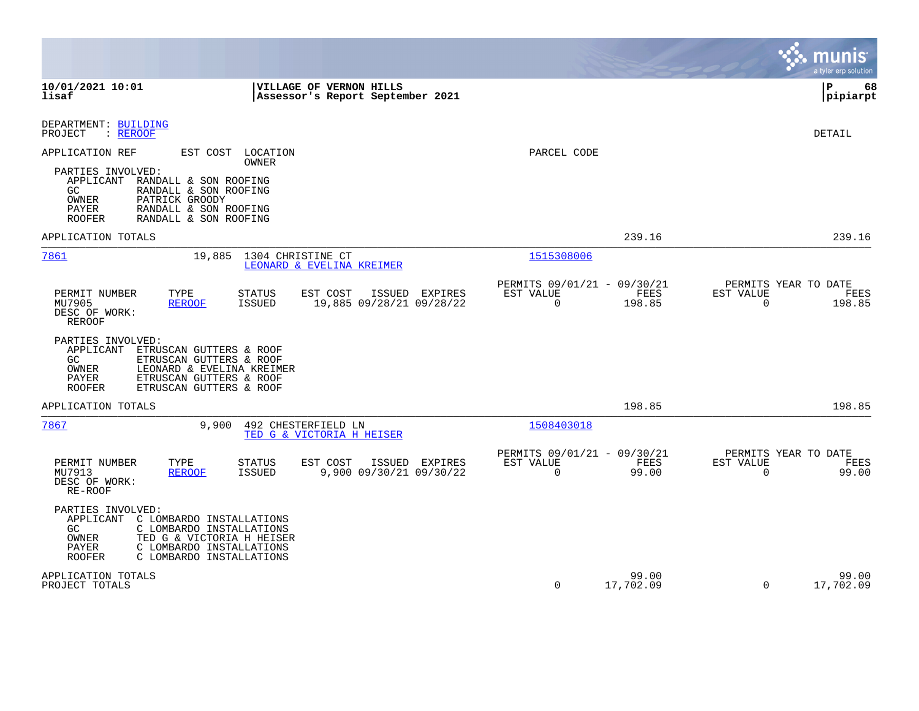|                                                                                                                                                                                                                      |                                                                                   |                                                                               | munis<br>a tyler erp solution                                  |
|----------------------------------------------------------------------------------------------------------------------------------------------------------------------------------------------------------------------|-----------------------------------------------------------------------------------|-------------------------------------------------------------------------------|----------------------------------------------------------------|
| 10/01/2021 10:01<br>lisaf                                                                                                                                                                                            | VILLAGE OF VERNON HILLS<br>Assessor's Report September 2021                       |                                                                               | l P<br>68<br> pipiarpt                                         |
| DEPARTMENT: BUILDING<br>PROJECT<br>: REROOF                                                                                                                                                                          |                                                                                   |                                                                               | <b>DETAIL</b>                                                  |
| APPLICATION REF<br>PARTIES INVOLVED:<br>APPLICANT<br>RANDALL & SON ROOFING<br>RANDALL & SON ROOFING<br>GC<br>PATRICK GROODY<br>OWNER<br>PAYER<br>RANDALL & SON ROOFING<br><b>ROOFER</b><br>RANDALL & SON ROOFING     | EST COST LOCATION<br>OWNER                                                        | PARCEL CODE                                                                   |                                                                |
| APPLICATION TOTALS                                                                                                                                                                                                   |                                                                                   | 239.16                                                                        | 239.16                                                         |
| 7861<br>19,885                                                                                                                                                                                                       | 1304 CHRISTINE CT<br>LEONARD & EVELINA KREIMER                                    | 1515308006                                                                    |                                                                |
| PERMIT NUMBER<br>TYPE<br>MU7905<br><b>REROOF</b><br>DESC OF WORK:<br><b>REROOF</b>                                                                                                                                   | <b>STATUS</b><br>EST COST<br>ISSUED EXPIRES<br>19,885 09/28/21 09/28/22<br>ISSUED | PERMITS 09/01/21 - 09/30/21<br>EST VALUE<br><b>FEES</b><br>$\Omega$<br>198.85 | PERMITS YEAR TO DATE<br>EST VALUE<br>FEES<br>0<br>198.85       |
| PARTIES INVOLVED:<br>APPLICANT<br>ETRUSCAN GUTTERS & ROOF<br>ETRUSCAN GUTTERS & ROOF<br>GC.<br>LEONARD & EVELINA KREIMER<br>OWNER<br>PAYER<br>ETRUSCAN GUTTERS & ROOF<br><b>ROOFER</b><br>ETRUSCAN GUTTERS & ROOF    |                                                                                   |                                                                               |                                                                |
| APPLICATION TOTALS                                                                                                                                                                                                   |                                                                                   | 198.85                                                                        | 198.85                                                         |
| 7867<br>9,900                                                                                                                                                                                                        | 492 CHESTERFIELD LN<br>TED G & VICTORIA H HEISER                                  | 1508403018                                                                    |                                                                |
| PERMIT NUMBER<br>TYPE<br>MU7913<br><b>REROOF</b><br>DESC OF WORK:<br>RE-ROOF                                                                                                                                         | STATUS<br>EST COST<br>ISSUED EXPIRES<br>9,900 09/30/21 09/30/22<br><b>ISSUED</b>  | PERMITS 09/01/21 - 09/30/21<br>EST VALUE<br>FEES<br>$\Omega$<br>99.00         | PERMITS YEAR TO DATE<br>EST VALUE<br>FEES<br>$\Omega$<br>99.00 |
| PARTIES INVOLVED:<br>APPLICANT<br>C LOMBARDO INSTALLATIONS<br>GC<br>C LOMBARDO INSTALLATIONS<br>TED G & VICTORIA H HEISER<br>OWNER<br>PAYER<br>C LOMBARDO INSTALLATIONS<br><b>ROOFER</b><br>C LOMBARDO INSTALLATIONS |                                                                                   |                                                                               |                                                                |
| APPLICATION TOTALS<br>PROJECT TOTALS                                                                                                                                                                                 |                                                                                   | 99.00<br>$\mathbf 0$<br>17,702.09                                             | 99.00<br>$\Omega$<br>17,702.09                                 |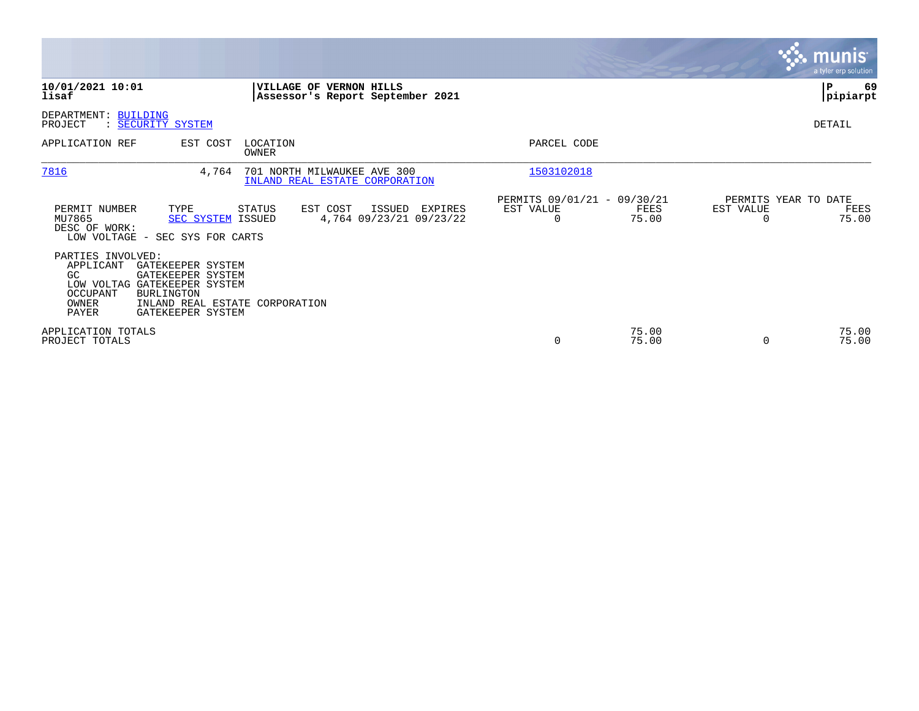|                                                                                                                                                                                               |                                                                              |                                                                       | munis<br>a tyler erp solution                                  |
|-----------------------------------------------------------------------------------------------------------------------------------------------------------------------------------------------|------------------------------------------------------------------------------|-----------------------------------------------------------------------|----------------------------------------------------------------|
| 10/01/2021 10:01<br>lisaf                                                                                                                                                                     | <b>VILLAGE OF</b><br><b>VERNON HILLS</b><br>Assessor's Report September 2021 |                                                                       | P<br>69<br> pipiarpt                                           |
| DEPARTMENT: BUILDING<br>: <u>SECURITY SYSTEM</u><br>PROJECT                                                                                                                                   |                                                                              |                                                                       | DETAIL                                                         |
| EST COST<br>APPLICATION REF                                                                                                                                                                   | LOCATION<br>OWNER                                                            | PARCEL CODE                                                           |                                                                |
| 7816<br>4,764                                                                                                                                                                                 | 701 NORTH MILWAUKEE AVE 300<br>INLAND REAL ESTATE CORPORATION                | 1503102018                                                            |                                                                |
| PERMIT NUMBER<br>TYPE<br>MU7865<br><b>SEC SYSTEM ISSUED</b><br>DESC OF WORK:<br>LOW VOLTAGE - SEC SYS FOR CARTS                                                                               | STATUS<br>EST COST<br>ISSUED<br>EXPIRES<br>4,764 09/23/21 09/23/22           | PERMITS 09/01/21 - 09/30/21<br>EST VALUE<br>FEES<br>75.00<br>$\Omega$ | PERMITS YEAR TO DATE<br>EST VALUE<br>FEES<br>75.00<br>$\Omega$ |
| PARTIES INVOLVED:<br>APPLICANT<br>GATEKEEPER SYSTEM<br>GC<br>GATEKEEPER SYSTEM<br>LOW VOLTAG GATEKEEPER SYSTEM<br>OCCUPANT<br><b>BURLINGTON</b><br>OWNER<br><b>PAYER</b><br>GATEKEEPER SYSTEM | INLAND REAL ESTATE CORPORATION                                               |                                                                       |                                                                |
| APPLICATION TOTALS<br>PROJECT TOTALS                                                                                                                                                          |                                                                              | 75.00<br>75.00<br>0                                                   | 75.00<br>75.00<br>0                                            |

**Contract**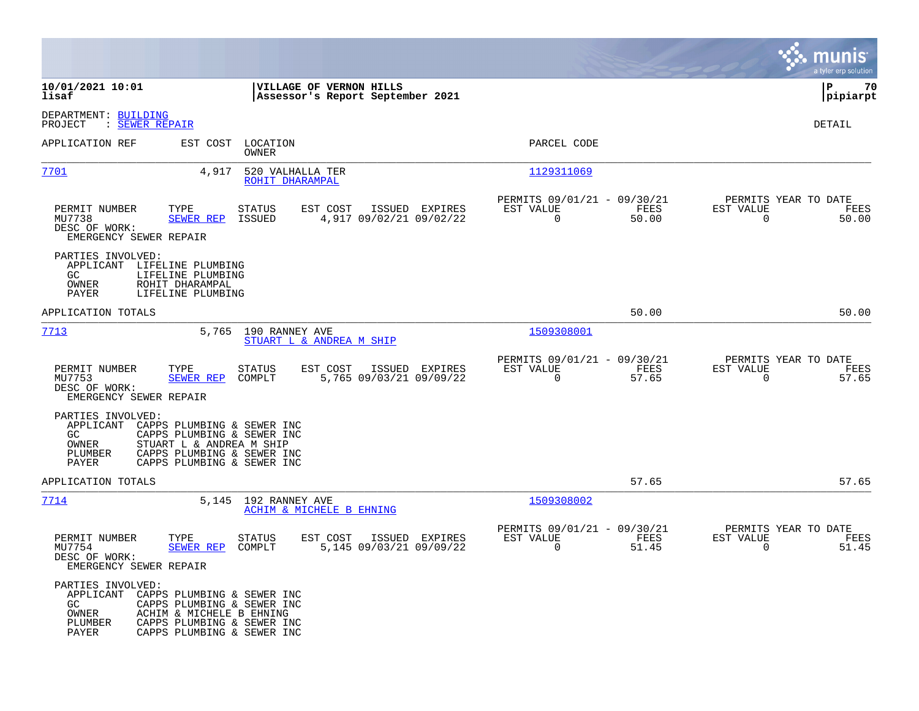|                                                                                                                                           |                                                                                                                                                  |                                                                          | munis<br>a tyler erp solution                                     |
|-------------------------------------------------------------------------------------------------------------------------------------------|--------------------------------------------------------------------------------------------------------------------------------------------------|--------------------------------------------------------------------------|-------------------------------------------------------------------|
| 10/01/2021 10:01<br>lisaf                                                                                                                 | VILLAGE OF VERNON HILLS<br>Assessor's Report September 2021                                                                                      |                                                                          | P<br>70<br> pipiarpt                                              |
| DEPARTMENT: BUILDING<br>: SEWER REPAIR<br>PROJECT                                                                                         |                                                                                                                                                  |                                                                          | DETAIL                                                            |
| APPLICATION REF                                                                                                                           | EST COST LOCATION<br>OWNER                                                                                                                       | PARCEL CODE                                                              |                                                                   |
| <u>7701</u>                                                                                                                               | 4,917<br>520 VALHALLA TER<br>ROHIT DHARAMPAL                                                                                                     | 1129311069                                                               |                                                                   |
| PERMIT NUMBER<br>TYPE<br>MU7738<br>SEWER REP<br>DESC OF WORK:<br>EMERGENCY SEWER REPAIR                                                   | <b>STATUS</b><br>EST COST<br>ISSUED EXPIRES<br>ISSUED<br>4,917 09/02/21 09/02/22                                                                 | PERMITS 09/01/21 - 09/30/21<br>EST VALUE<br>FEES<br>$\mathbf 0$<br>50.00 | PERMITS YEAR TO DATE<br>EST VALUE<br>FEES<br>$\mathbf 0$<br>50.00 |
| PARTIES INVOLVED:<br>APPLICANT<br>LIFELINE PLUMBING<br>GC.<br>LIFELINE PLUMBING<br>OWNER<br>ROHIT DHARAMPAL<br>PAYER<br>LIFELINE PLUMBING |                                                                                                                                                  |                                                                          |                                                                   |
| APPLICATION TOTALS                                                                                                                        |                                                                                                                                                  | 50.00                                                                    | 50.00                                                             |
| 7713                                                                                                                                      | 5,765 190 RANNEY AVE<br>STUART L & ANDREA M SHIP                                                                                                 | 1509308001                                                               |                                                                   |
| PERMIT NUMBER<br>TYPE<br>MU7753<br>SEWER REP<br>DESC OF WORK:<br>EMERGENCY SEWER REPAIR                                                   | EST COST<br>ISSUED EXPIRES<br><b>STATUS</b><br>COMPLT<br>5,765 09/03/21 09/09/22                                                                 | PERMITS 09/01/21 - 09/30/21<br>EST VALUE<br>FEES<br>$\mathbf 0$<br>57.65 | PERMITS YEAR TO DATE<br>EST VALUE<br>FEES<br>$\mathbf 0$<br>57.65 |
| PARTIES INVOLVED:<br>APPLICANT<br>GC<br>OWNER<br>PLUMBER<br>PAYER                                                                         | CAPPS PLUMBING & SEWER INC<br>CAPPS PLUMBING & SEWER INC<br>STUART L & ANDREA M SHIP<br>CAPPS PLUMBING & SEWER INC<br>CAPPS PLUMBING & SEWER INC |                                                                          |                                                                   |
| APPLICATION TOTALS                                                                                                                        |                                                                                                                                                  | 57.65                                                                    | 57.65                                                             |
| 7714                                                                                                                                      | 5,145 192 RANNEY AVE<br>ACHIM & MICHELE B EHNING                                                                                                 | 1509308002                                                               |                                                                   |
| PERMIT NUMBER<br>TYPE<br>MU7754<br><b>SEWER REP</b><br>DESC OF WORK:<br>EMERGENCY SEWER REPAIR                                            | <b>STATUS</b><br>EST COST<br>ISSUED EXPIRES<br>COMPLT<br>5,145 09/03/21 09/09/22                                                                 | PERMITS 09/01/21 - 09/30/21<br>FEES<br>EST VALUE<br>$\Omega$<br>51.45    | PERMITS YEAR TO DATE<br>EST VALUE<br>FEES<br>$\Omega$<br>51.45    |
| PARTIES INVOLVED:<br>APPLICANT<br>GC<br>OWNER<br>PLUMBER<br>PAYER                                                                         | CAPPS PLUMBING & SEWER INC<br>CAPPS PLUMBING & SEWER INC<br>ACHIM & MICHELE B EHNING<br>CAPPS PLUMBING & SEWER INC<br>CAPPS PLUMBING & SEWER INC |                                                                          |                                                                   |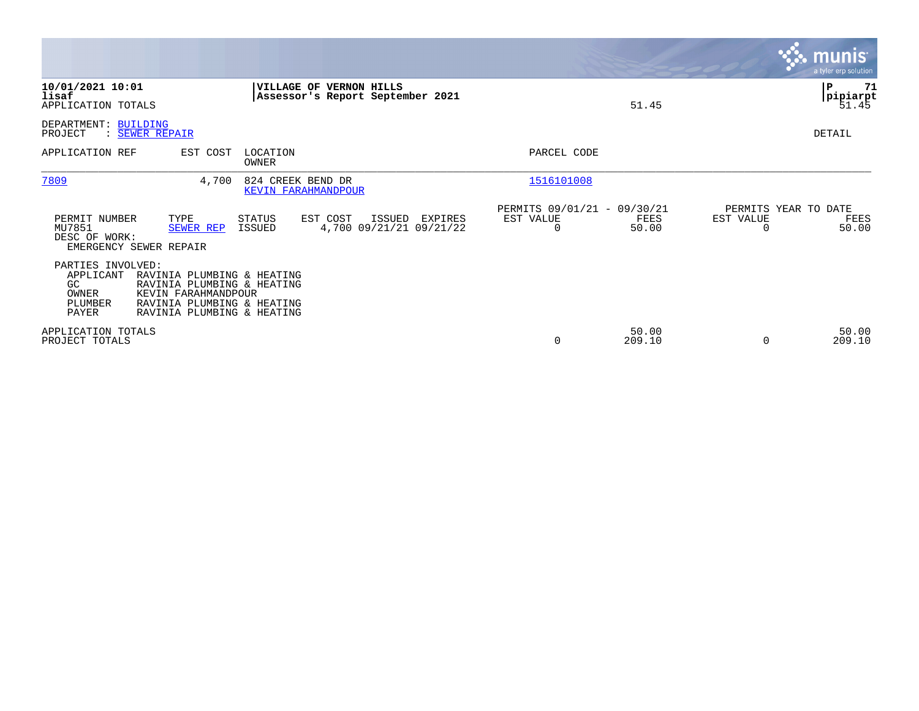|                                                                                                                                                                                                                   |                                                                | <b>munis</b><br>a tyler erp solution                           |
|-------------------------------------------------------------------------------------------------------------------------------------------------------------------------------------------------------------------|----------------------------------------------------------------|----------------------------------------------------------------|
| 10/01/2021 10:01<br>VILLAGE OF VERNON HILLS<br>lisaf<br>Assessor's Report September 2021<br>APPLICATION TOTALS                                                                                                    | 51.45                                                          | ${\bf P}$<br>71<br>pipiarpt<br>51.45                           |
| <b>BUILDING</b><br>DEPARTMENT:<br>PROJECT<br>: SEWER REPAIR                                                                                                                                                       |                                                                | DETAIL                                                         |
| APPLICATION REF<br>EST COST<br>LOCATION<br>OWNER                                                                                                                                                                  | PARCEL CODE                                                    |                                                                |
| 7809<br>824 CREEK BEND DR<br>4,700<br><b>KEVIN FARAHMANDPOUR</b>                                                                                                                                                  | 1516101008                                                     |                                                                |
| TYPE<br>PERMIT NUMBER<br>STATUS<br>EST COST<br>ISSUED<br>EXPIRES<br>4,700 09/21/21 09/21/22<br>MU7851<br>ISSUED<br><b>SEWER REP</b><br>DESC OF WORK:<br>EMERGENCY SEWER REPAIR                                    | PERMITS 09/01/21 - 09/30/21<br>EST VALUE<br>FEES<br>50.00<br>0 | PERMITS YEAR TO DATE<br>EST VALUE<br>FEES<br>50.00<br>$\Omega$ |
| PARTIES INVOLVED:<br>APPLICANT<br>RAVINIA PLUMBING & HEATING<br>RAVINIA PLUMBING & HEATING<br>GC.<br>KEVIN FARAHMANDPOUR<br>OWNER<br>PLUMBER<br>RAVINIA PLUMBING & HEATING<br>PAYER<br>RAVINIA PLUMBING & HEATING |                                                                |                                                                |
| APPLICATION TOTALS<br>PROJECT TOTALS                                                                                                                                                                              | 50.00<br>209.10<br>0                                           | 50.00<br>209.10<br>$\Omega$                                    |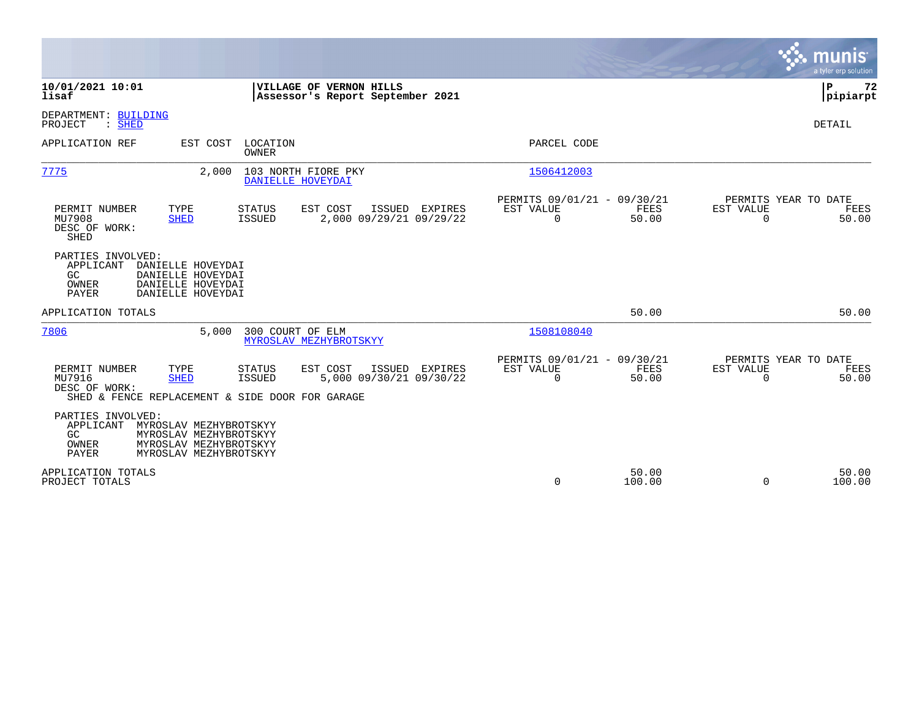|                                                                                                                                                                                                               |                                                                              | munis<br>a tyler erp solution                                         |
|---------------------------------------------------------------------------------------------------------------------------------------------------------------------------------------------------------------|------------------------------------------------------------------------------|-----------------------------------------------------------------------|
| VILLAGE OF VERNON HILLS<br>10/01/2021 10:01<br>lisaf<br>Assessor's Report September 2021                                                                                                                      |                                                                              | Þ<br>72<br> pipiarpt                                                  |
| DEPARTMENT: BUILDING<br>PROJECT<br>$:$ SHED                                                                                                                                                                   |                                                                              | DETAIL                                                                |
| LOCATION<br>APPLICATION REF<br>EST COST<br><b>OWNER</b>                                                                                                                                                       | PARCEL CODE                                                                  |                                                                       |
| 7775<br>2,000<br>103 NORTH FIORE PKY<br>DANIELLE HOVEYDAI                                                                                                                                                     | 1506412003                                                                   |                                                                       |
| PERMIT NUMBER<br>TYPE<br><b>STATUS</b><br>EST COST<br>ISSUED EXPIRES<br>2,000 09/29/21 09/29/22<br>MU7908<br><b>SHED</b><br>ISSUED<br>DESC OF WORK:<br><b>SHED</b>                                            | PERMITS 09/01/21 - 09/30/21<br>EST VALUE<br>FEES<br>$\mathbf 0$<br>50.00     | PERMITS YEAR TO DATE<br>EST VALUE<br>FEES<br>$\Omega$<br>50.00        |
| PARTIES INVOLVED:<br>APPLICANT<br>DANIELLE HOVEYDAI<br>GC<br>DANIELLE HOVEYDAI<br>OWNER<br>DANIELLE HOVEYDAI<br>PAYER<br>DANIELLE HOVEYDAI                                                                    |                                                                              |                                                                       |
| APPLICATION TOTALS                                                                                                                                                                                            | 50.00                                                                        | 50.00                                                                 |
| 7806<br>5,000<br>300 COURT OF ELM<br>MYROSLAV MEZHYBROTSKYY                                                                                                                                                   | 1508108040                                                                   |                                                                       |
| TYPE<br>EST COST<br>ISSUED EXPIRES<br>PERMIT NUMBER<br><b>STATUS</b><br>MU7916<br>5,000 09/30/21 09/30/22<br><b>ISSUED</b><br><b>SHED</b><br>DESC OF WORK:<br>SHED & FENCE REPLACEMENT & SIDE DOOR FOR GARAGE | PERMITS 09/01/21 - 09/30/21<br>EST VALUE<br><b>FEES</b><br>$\Omega$<br>50.00 | PERMITS YEAR TO DATE<br>EST VALUE<br><b>FEES</b><br>$\Omega$<br>50.00 |
| PARTIES INVOLVED:<br>APPLICANT<br>MYROSLAV MEZHYBROTSKYY<br>GC.<br>MYROSLAV MEZHYBROTSKYY<br>OWNER<br>MYROSLAV MEZHYBROTSKYY<br>PAYER<br>MYROSLAV MEZHYBROTSKYY                                               |                                                                              |                                                                       |
| APPLICATION TOTALS<br>PROJECT TOTALS                                                                                                                                                                          | 50.00<br>$\mathbf 0$<br>100.00                                               | 50.00<br>$\Omega$<br>100.00                                           |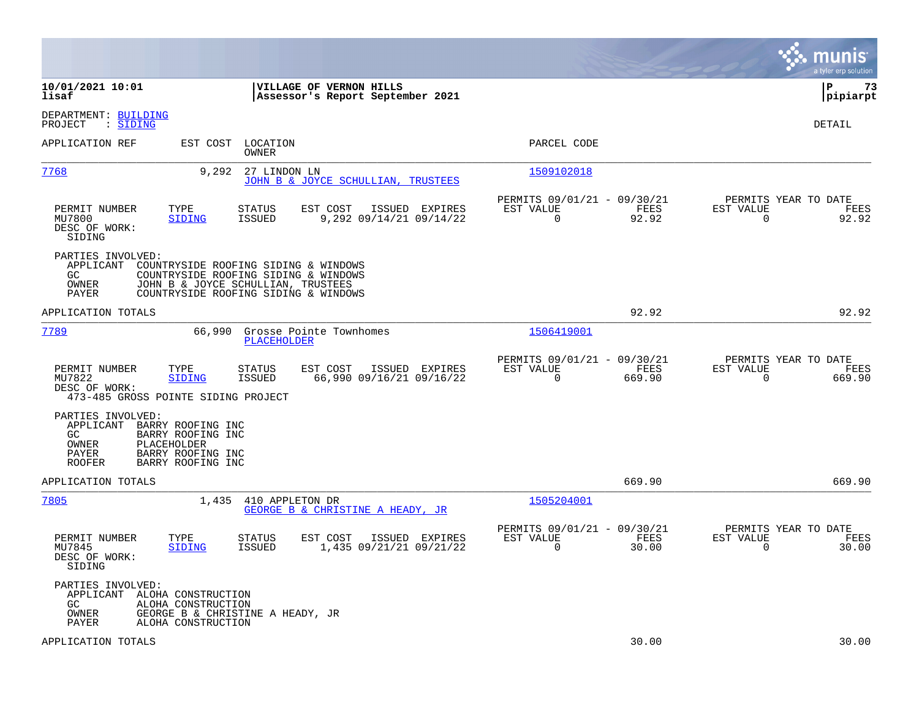|                                                                                                                                                                         |                                                                                                                                                            |                                                                        | munis<br>a tyler erp solution                                   |
|-------------------------------------------------------------------------------------------------------------------------------------------------------------------------|------------------------------------------------------------------------------------------------------------------------------------------------------------|------------------------------------------------------------------------|-----------------------------------------------------------------|
| 10/01/2021 10:01<br>lisaf                                                                                                                                               | VILLAGE OF VERNON HILLS<br>Assessor's Report September 2021                                                                                                |                                                                        | lР<br>73<br> pipiarpt                                           |
| DEPARTMENT: BUILDING<br>: SIDING<br>PROJECT                                                                                                                             |                                                                                                                                                            |                                                                        | DETAIL                                                          |
| APPLICATION REF                                                                                                                                                         | EST COST<br>LOCATION<br>OWNER                                                                                                                              | PARCEL CODE                                                            |                                                                 |
| 7768                                                                                                                                                                    | 9,292<br>27 LINDON LN<br>JOHN B & JOYCE SCHULLIAN, TRUSTEES                                                                                                | 1509102018                                                             |                                                                 |
| PERMIT NUMBER<br>TYPE<br>MU7800<br><b>SIDING</b><br>DESC OF WORK:<br>SIDING                                                                                             | STATUS<br>EST COST<br>ISSUED EXPIRES<br>ISSUED<br>9,292 09/14/21 09/14/22                                                                                  | PERMITS 09/01/21 - 09/30/21<br>EST VALUE<br>FEES<br>92.92<br>$\Omega$  | PERMITS YEAR TO DATE<br>EST VALUE<br>FEES<br>$\Omega$<br>92.92  |
| PARTIES INVOLVED:<br>APPLICANT<br>GC.<br>OWNER<br>PAYER                                                                                                                 | COUNTRYSIDE ROOFING SIDING & WINDOWS<br>COUNTRYSIDE ROOFING SIDING & WINDOWS<br>JOHN B & JOYCE SCHULLIAN, TRUSTEES<br>COUNTRYSIDE ROOFING SIDING & WINDOWS |                                                                        |                                                                 |
| APPLICATION TOTALS                                                                                                                                                      |                                                                                                                                                            | 92.92                                                                  | 92.92                                                           |
| 7789                                                                                                                                                                    | 66,990<br>Grosse Pointe Townhomes<br>PLACEHOLDER                                                                                                           | 1506419001                                                             |                                                                 |
| PERMIT NUMBER<br>TYPE<br>MU7822<br><b>SIDING</b><br>DESC OF WORK:<br>473-485 GROSS POINTE SIDING PROJECT                                                                | EST COST<br>ISSUED EXPIRES<br><b>STATUS</b><br>ISSUED<br>66,990 09/16/21 09/16/22                                                                          | PERMITS 09/01/21 - 09/30/21<br>EST VALUE<br>FEES<br>$\Omega$<br>669.90 | PERMITS YEAR TO DATE<br>EST VALUE<br>FEES<br>$\Omega$<br>669.90 |
| PARTIES INVOLVED:<br>APPLICANT BARRY ROOFING INC<br>GC<br>BARRY ROOFING INC<br>PLACEHOLDER<br>OWNER<br>BARRY ROOFING INC<br>PAYER<br>BARRY ROOFING INC<br><b>ROOFER</b> |                                                                                                                                                            |                                                                        |                                                                 |
| APPLICATION TOTALS                                                                                                                                                      |                                                                                                                                                            | 669.90                                                                 | 669.90                                                          |
| 7805                                                                                                                                                                    | 410 APPLETON DR<br>1,435<br>GEORGE B & CHRISTINE A HEADY, JR                                                                                               | 1505204001                                                             |                                                                 |
| PERMIT NUMBER<br>TYPE<br>MU7845<br><b>SIDING</b><br>DESC OF WORK:<br>SIDING                                                                                             | EST COST<br>STATUS<br>ISSUED EXPIRES<br><b>ISSUED</b><br>1,435 09/21/21 09/21/22                                                                           | PERMITS 09/01/21 - 09/30/21<br>EST VALUE<br>FEES<br>$\Omega$<br>30.00  | PERMITS YEAR TO DATE<br>EST VALUE<br>FEES<br>30.00<br>$\Omega$  |
| PARTIES INVOLVED:<br>APPLICANT ALOHA CONSTRUCTION<br>GC<br>OWNER<br>PAYER                                                                                               | ALOHA CONSTRUCTION<br>GEORGE B & CHRISTINE A HEADY, JR<br>ALOHA CONSTRUCTION                                                                               |                                                                        |                                                                 |
| APPLICATION TOTALS                                                                                                                                                      |                                                                                                                                                            | 30.00                                                                  | 30.00                                                           |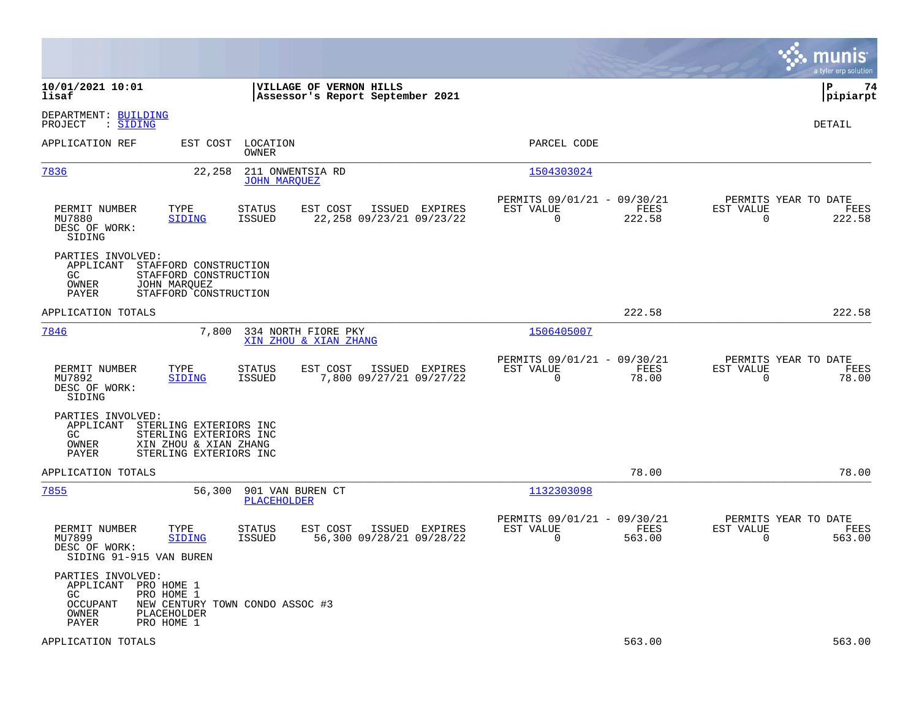|                                                                                                                                                             |                                                                                          |                                                                        | munis<br>a tyler erp solution                                     |
|-------------------------------------------------------------------------------------------------------------------------------------------------------------|------------------------------------------------------------------------------------------|------------------------------------------------------------------------|-------------------------------------------------------------------|
| 10/01/2021 10:01<br>lisaf                                                                                                                                   | VILLAGE OF VERNON HILLS<br>Assessor's Report September 2021                              |                                                                        | l P<br>74<br> pipiarpt                                            |
| DEPARTMENT: BUILDING<br>: SIDING<br>PROJECT                                                                                                                 |                                                                                          |                                                                        | DETAIL                                                            |
| APPLICATION REF                                                                                                                                             | EST COST LOCATION<br>OWNER                                                               | PARCEL CODE                                                            |                                                                   |
| 7836<br>22,258                                                                                                                                              | 211 ONWENTSIA RD<br><b>JOHN MARQUEZ</b>                                                  | 1504303024                                                             |                                                                   |
| PERMIT NUMBER<br>TYPE<br>MU7880<br>SIDING<br>DESC OF WORK:<br>SIDING                                                                                        | <b>STATUS</b><br>EST COST<br>ISSUED EXPIRES<br><b>ISSUED</b><br>22,258 09/23/21 09/23/22 | PERMITS 09/01/21 - 09/30/21<br>EST VALUE<br>FEES<br>222.58<br>$\Omega$ | PERMITS YEAR TO DATE<br>EST VALUE<br>FEES<br>$\Omega$<br>222.58   |
| PARTIES INVOLVED:<br>APPLICANT<br>STAFFORD CONSTRUCTION<br>GC<br>STAFFORD CONSTRUCTION<br>OWNER<br>JOHN MAROUEZ<br>PAYER<br>STAFFORD CONSTRUCTION           |                                                                                          |                                                                        |                                                                   |
| APPLICATION TOTALS                                                                                                                                          |                                                                                          | 222.58                                                                 | 222.58                                                            |
| 7846                                                                                                                                                        | 7,800 334 NORTH FIORE PKY<br>XIN ZHOU & XIAN ZHANG                                       | 1506405007                                                             |                                                                   |
| PERMIT NUMBER<br>TYPE<br>MU7892<br>SIDING<br>DESC OF WORK:<br>SIDING                                                                                        | EST COST ISSUED EXPIRES<br><b>STATUS</b><br>ISSUED<br>7,800 09/27/21 09/27/22            | PERMITS 09/01/21 - 09/30/21<br>EST VALUE<br>FEES<br>$\Omega$<br>78.00  | PERMITS YEAR TO DATE<br>EST VALUE<br>FEES<br>$\mathbf 0$<br>78.00 |
| PARTIES INVOLVED:<br>APPLICANT STERLING EXTERIORS INC<br>GC.<br>STERLING EXTERIORS INC<br>XIN ZHOU & XIAN ZHANG<br>OWNER<br>PAYER<br>STERLING EXTERIORS INC |                                                                                          |                                                                        |                                                                   |
| APPLICATION TOTALS                                                                                                                                          |                                                                                          | 78.00                                                                  | 78.00                                                             |
| 7855<br>56,300                                                                                                                                              | 901 VAN BUREN CT<br><b>PLACEHOLDER</b>                                                   | 1132303098                                                             |                                                                   |
| PERMIT NUMBER<br>TYPE<br>MU7899<br>SIDING<br>DESC OF WORK:<br>SIDING 91-915 VAN BUREN                                                                       | <b>STATUS</b><br>EST COST<br>ISSUED EXPIRES<br>56,300 09/28/21 09/28/22<br>ISSUED        | PERMITS 09/01/21 - 09/30/21<br>EST VALUE<br>FEES<br>$\Omega$<br>563.00 | PERMITS YEAR TO DATE<br>EST VALUE<br>FEES<br>$\Omega$<br>563.00   |
| PARTIES INVOLVED:<br>APPLICANT PRO HOME 1<br>PRO HOME 1<br>GC.<br>OCCUPANT<br>OWNER<br>PLACEHOLDER<br>PRO HOME 1<br>PAYER                                   | NEW CENTURY TOWN CONDO ASSOC #3                                                          |                                                                        |                                                                   |
| APPLICATION TOTALS                                                                                                                                          |                                                                                          | 563.00                                                                 | 563.00                                                            |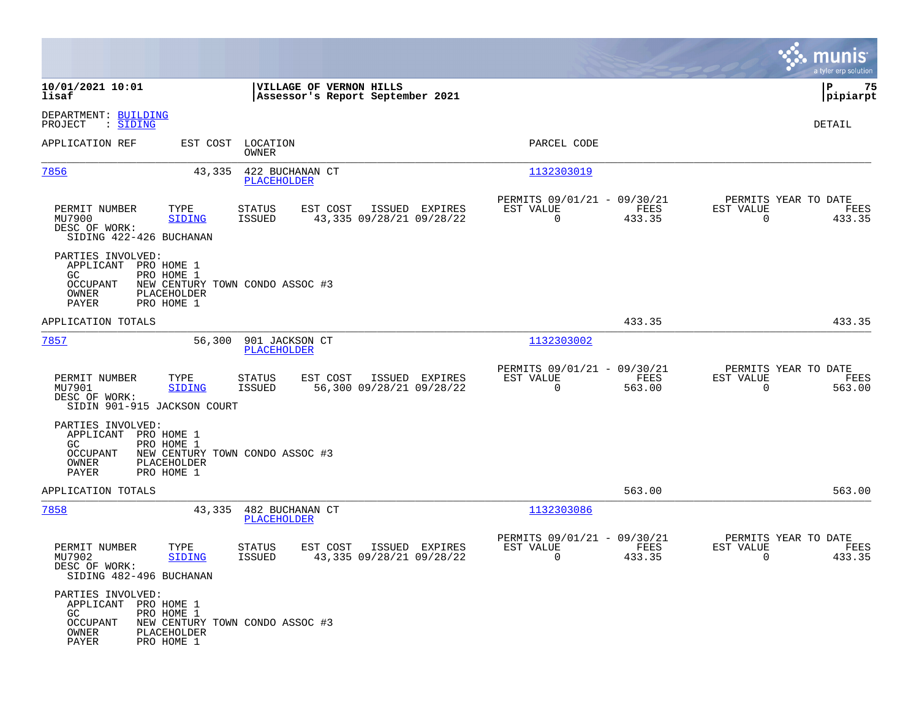|                                                                                                                           |                       |                                                             |                                            |                                                         |                |                                                  | munis<br>a tyler erp solution |
|---------------------------------------------------------------------------------------------------------------------------|-----------------------|-------------------------------------------------------------|--------------------------------------------|---------------------------------------------------------|----------------|--------------------------------------------------|-------------------------------|
| 10/01/2021 10:01<br>lisaf                                                                                                 |                       | VILLAGE OF VERNON HILLS<br>Assessor's Report September 2021 |                                            |                                                         |                |                                                  | P<br>75<br> pipiarpt          |
| DEPARTMENT: BUILDING<br>PROJECT<br>: <u>SIDING</u>                                                                        |                       |                                                             |                                            |                                                         |                |                                                  | DETAIL                        |
| APPLICATION REF                                                                                                           | EST COST LOCATION     | OWNER                                                       |                                            | PARCEL CODE                                             |                |                                                  |                               |
| 7856                                                                                                                      | 43,335                | 422 BUCHANAN CT<br>PLACEHOLDER                              |                                            | 1132303019                                              |                |                                                  |                               |
| PERMIT NUMBER<br>MU7900<br>DESC OF WORK:<br>SIDING 422-426 BUCHANAN                                                       | TYPE<br><b>SIDING</b> | EST COST<br>STATUS<br><b>ISSUED</b>                         | ISSUED EXPIRES<br>43,335 09/28/21 09/28/22 | PERMITS 09/01/21 - 09/30/21<br>EST VALUE<br>$\mathbf 0$ | FEES<br>433.35 | PERMITS YEAR TO DATE<br>EST VALUE<br>$\Omega$    | FEES<br>433.35                |
| PARTIES INVOLVED:<br>APPLICANT PRO HOME 1<br>PRO HOME 1<br>GC.<br>OCCUPANT<br>OWNER<br>PLACEHOLDER<br>PAYER<br>PRO HOME 1 |                       | NEW CENTURY TOWN CONDO ASSOC #3                             |                                            |                                                         |                |                                                  |                               |
| APPLICATION TOTALS                                                                                                        |                       |                                                             |                                            |                                                         | 433.35         |                                                  | 433.35                        |
| 7857                                                                                                                      | 56,300                | 901 JACKSON CT<br>PLACEHOLDER                               |                                            | 1132303002                                              |                |                                                  |                               |
| PERMIT NUMBER<br>MU7901<br>DESC OF WORK:<br>SIDIN 901-915 JACKSON COURT                                                   | TYPE<br>SIDING        | <b>STATUS</b><br>EST COST<br>ISSUED                         | ISSUED EXPIRES<br>56,300 09/28/21 09/28/22 | PERMITS 09/01/21 - 09/30/21<br>EST VALUE<br>$\mathbf 0$ | FEES<br>563.00 | PERMITS YEAR TO DATE<br>EST VALUE<br>$\mathbf 0$ | FEES<br>563.00                |
| PARTIES INVOLVED:<br>APPLICANT PRO HOME 1<br>GC.<br>PRO HOME 1<br>OCCUPANT<br>OWNER<br>PLACEHOLDER<br>PAYER<br>PRO HOME 1 |                       | NEW CENTURY TOWN CONDO ASSOC #3                             |                                            |                                                         |                |                                                  |                               |
| APPLICATION TOTALS                                                                                                        |                       |                                                             |                                            |                                                         | 563.00         |                                                  | 563.00                        |
| 7858                                                                                                                      | 43,335                | 482 BUCHANAN CT<br><b>PLACEHOLDER</b>                       |                                            | 1132303086                                              |                |                                                  |                               |
| PERMIT NUMBER<br>MU7902<br>DESC OF WORK:<br>SIDING 482-496 BUCHANAN                                                       | TYPE<br>SIDING        | EST COST<br><b>STATUS</b><br>ISSUED                         | ISSUED EXPIRES<br>43,335 09/28/21 09/28/22 | PERMITS 09/01/21 - 09/30/21<br>EST VALUE<br>0           | FEES<br>433.35 | PERMITS YEAR TO DATE<br>EST VALUE<br>0           | FEES<br>433.35                |
| PARTIES INVOLVED:<br>APPLICANT PRO HOME 1<br>PRO HOME 1<br>GC<br>OCCUPANT<br>OWNER<br>PLACEHOLDER<br>PAYER<br>PRO HOME 1  |                       | NEW CENTURY TOWN CONDO ASSOC #3                             |                                            |                                                         |                |                                                  |                               |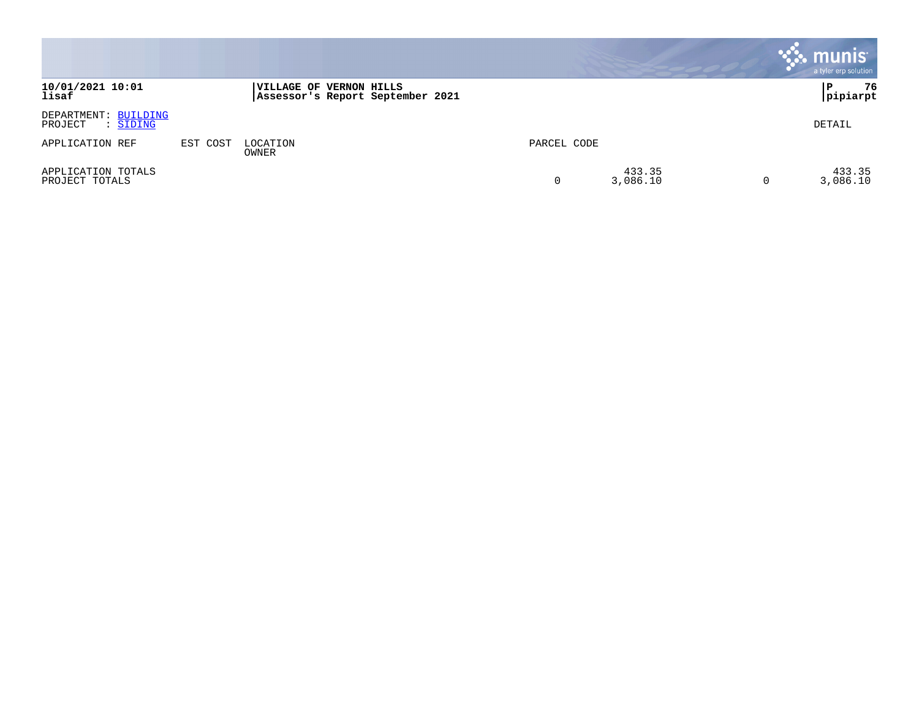|                                             |          |                                                             |             |                    | munis <sup>®</sup><br>a tyler erp solution |
|---------------------------------------------|----------|-------------------------------------------------------------|-------------|--------------------|--------------------------------------------|
| 10/01/2021 10:01<br>lisaf                   |          | VILLAGE OF VERNON HILLS<br>Assessor's Report September 2021 |             |                    | 76<br>P<br> pipiarpt                       |
| DEPARTMENT: BUILDING<br>: SIDING<br>PROJECT |          |                                                             |             |                    | DETAIL                                     |
| APPLICATION REF                             | EST COST | LOCATION<br>OWNER                                           | PARCEL CODE |                    |                                            |
| APPLICATION TOTALS<br>PROJECT TOTALS        |          |                                                             | 0           | 433.35<br>3,086.10 | 433.35<br>3,086.10                         |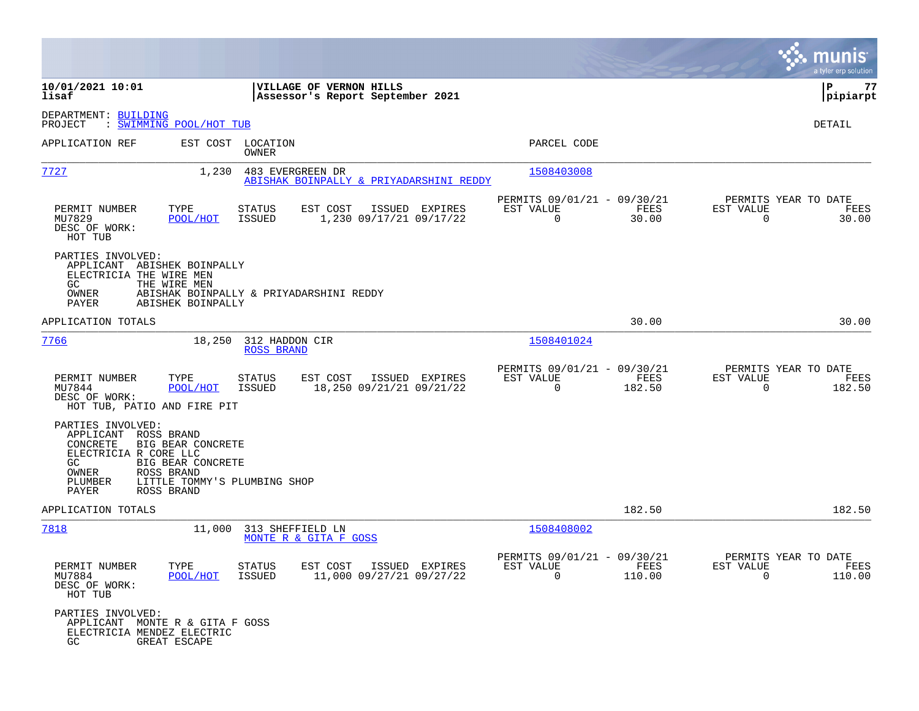|                                                                                                                    |                                                                    |                                           |                                                             |                |                                                            |                |                                               | munis<br>a tyler erp solution |
|--------------------------------------------------------------------------------------------------------------------|--------------------------------------------------------------------|-------------------------------------------|-------------------------------------------------------------|----------------|------------------------------------------------------------|----------------|-----------------------------------------------|-------------------------------|
| 10/01/2021 10:01<br>lisaf                                                                                          |                                                                    |                                           | VILLAGE OF VERNON HILLS<br>Assessor's Report September 2021 |                |                                                            |                |                                               | l P<br>77<br> pipiarpt        |
| DEPARTMENT: BUILDING<br>PROJECT                                                                                    | : SWIMMING POOL/HOT TUB                                            |                                           |                                                             |                |                                                            |                |                                               | DETAIL                        |
| APPLICATION REF                                                                                                    |                                                                    | EST COST LOCATION<br>OWNER                |                                                             |                | PARCEL CODE                                                |                |                                               |                               |
| 7727                                                                                                               | 1,230                                                              | 483 EVERGREEN DR                          | ABISHAK BOINPALLY & PRIYADARSHINI REDDY                     |                | 1508403008                                                 |                |                                               |                               |
| PERMIT NUMBER<br>MU7829<br>DESC OF WORK:<br>HOT TUB                                                                | TYPE<br>POOL/HOT                                                   | STATUS<br>ISSUED                          | EST COST<br>1,230 09/17/21 09/17/22                         | ISSUED EXPIRES | PERMITS 09/01/21 - 09/30/21<br>EST VALUE<br>$\overline{0}$ | FEES<br>30.00  | PERMITS YEAR TO DATE<br>EST VALUE<br>$\Omega$ | FEES<br>30.00                 |
| PARTIES INVOLVED:<br>APPLICANT ABISHEK BOINPALLY<br>ELECTRICIA THE WIRE MEN<br>GC.<br>OWNER<br>PAYER               | THE WIRE MEN<br>ABISHEK BOINPALLY                                  | ABISHAK BOINPALLY & PRIYADARSHINI REDDY   |                                                             |                |                                                            |                |                                               |                               |
| APPLICATION TOTALS                                                                                                 |                                                                    |                                           |                                                             |                |                                                            | 30.00          |                                               | 30.00                         |
| 7766                                                                                                               | 18,250                                                             | 312 HADDON CIR<br><b>ROSS BRAND</b>       |                                                             |                | 1508401024                                                 |                |                                               |                               |
| PERMIT NUMBER<br>MU7844<br>DESC OF WORK:<br>HOT TUB, PATIO AND FIRE PIT                                            | TYPE<br>POOL/HOT                                                   | STATUS<br>ISSUED                          | EST COST<br>18,250 09/21/21 09/21/22                        | ISSUED EXPIRES | PERMITS 09/01/21 - 09/30/21<br>EST VALUE<br>$\mathbf 0$    | FEES<br>182.50 | PERMITS YEAR TO DATE<br>EST VALUE<br>$\Omega$ | FEES<br>182.50                |
| PARTIES INVOLVED:<br>APPLICANT ROSS BRAND<br>CONCRETE<br>ELECTRICIA R CORE LLC<br>GC.<br>OWNER<br>PLUMBER<br>PAYER | BIG BEAR CONCRETE<br>BIG BEAR CONCRETE<br>ROSS BRAND<br>ROSS BRAND | LITTLE TOMMY'S PLUMBING SHOP              |                                                             |                |                                                            |                |                                               |                               |
| APPLICATION TOTALS                                                                                                 |                                                                    |                                           |                                                             |                |                                                            | 182.50         |                                               | 182.50                        |
| 7818                                                                                                               | 11,000                                                             | 313 SHEFFIELD LN<br>MONTE R & GITA F GOSS |                                                             |                | 1508408002                                                 |                |                                               |                               |
| PERMIT NUMBER<br>MU7884<br>DESC OF WORK:<br>HOT TUB                                                                | TYPE<br>POOL/HOT                                                   | STATUS<br>ISSUED                          | EST COST ISSUED EXPIRES<br>11,000 09/27/21 09/27/22         |                | PERMITS 09/01/21 - 09/30/21<br>EST VALUE<br>$\Omega$       | FEES<br>110.00 | PERMITS YEAR TO DATE<br>EST VALUE<br>$\Omega$ | FEES<br>110.00                |
| PARTIES INVOLVED:<br>APPLICANT MONTE R & GITA F GOSS<br>ELECTRICIA MENDEZ ELECTRIC<br>GC.                          | GREAT ESCAPE                                                       |                                           |                                                             |                |                                                            |                |                                               |                               |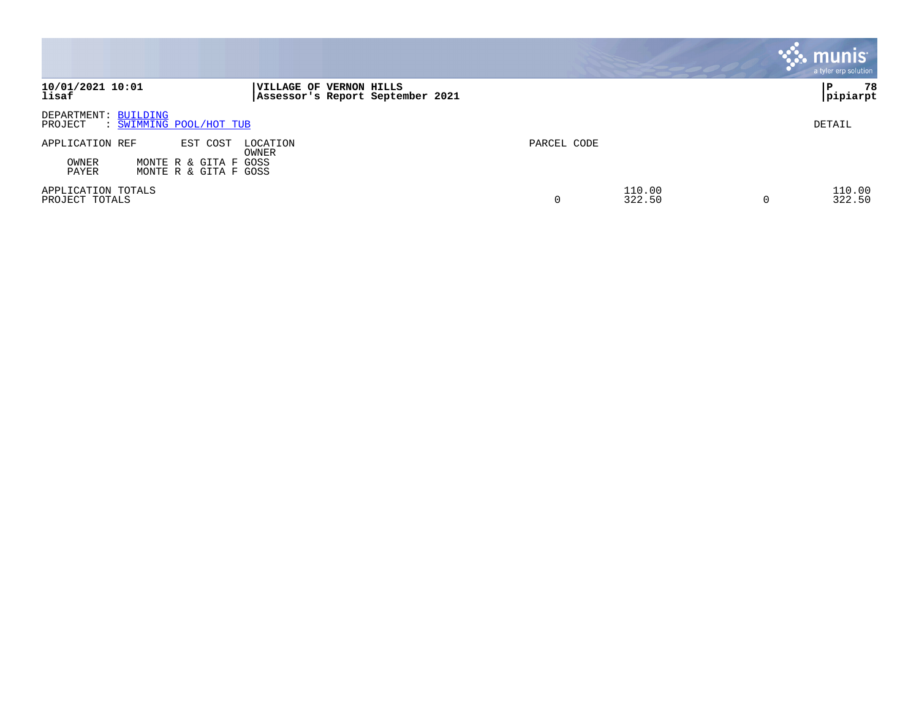|                                                                                                 |                                                             |             |                  | munis'<br>a tyler erp solution |
|-------------------------------------------------------------------------------------------------|-------------------------------------------------------------|-------------|------------------|--------------------------------|
| 10/01/2021 10:01<br>lisaf                                                                       | VILLAGE OF VERNON HILLS<br>Assessor's Report September 2021 |             |                  | 78<br>P<br> pipiarpt           |
| DEPARTMENT: BUILDING<br>: SWIMMING POOL/HOT TUB<br>PROJECT                                      |                                                             |             |                  | DETAIL                         |
| APPLICATION REF<br>EST COST<br>OWNER<br>MONTE R & GITA F GOSS<br>PAYER<br>MONTE R & GITA F GOSS | LOCATION<br>OWNER                                           | PARCEL CODE |                  |                                |
| APPLICATION TOTALS<br>PROJECT TOTALS                                                            |                                                             | 0           | 110.00<br>322.50 | 110.00<br>322.50<br>U          |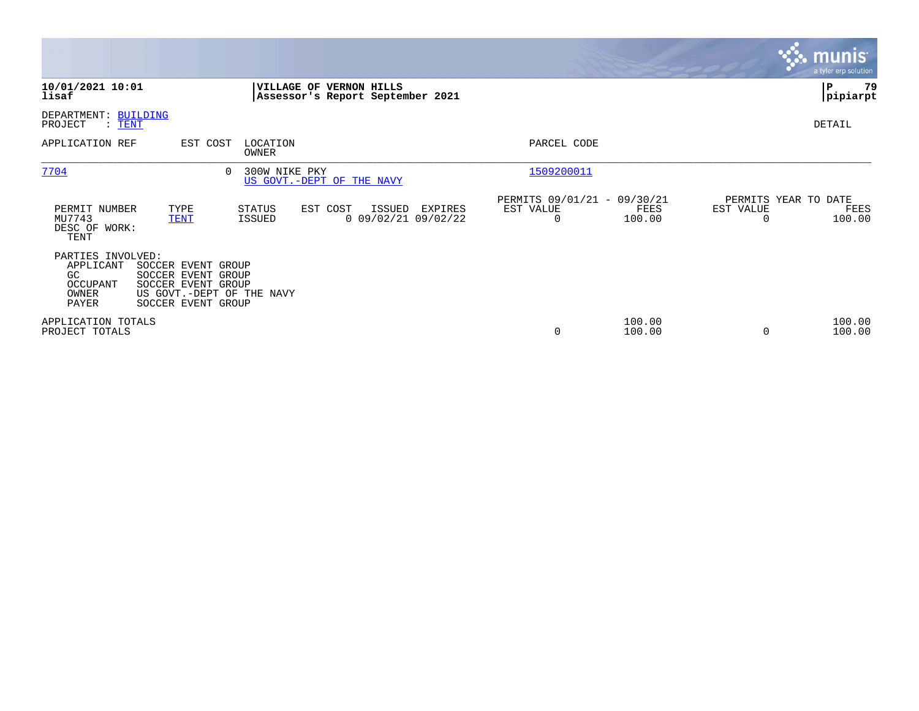|                                                                     |                                                                                                                   |                   |                                                             |         |                                                      |                  |                                               | <b>munis</b><br>a tyler erp solution |
|---------------------------------------------------------------------|-------------------------------------------------------------------------------------------------------------------|-------------------|-------------------------------------------------------------|---------|------------------------------------------------------|------------------|-----------------------------------------------|--------------------------------------|
| 10/01/2021 10:01<br>lisaf                                           |                                                                                                                   |                   | VILLAGE OF VERNON HILLS<br>Assessor's Report September 2021 |         |                                                      |                  |                                               | l P<br>79<br> pipiarpt               |
| DEPARTMENT: BUILDING<br>PROJECT<br>$\colon$ TENT                    |                                                                                                                   |                   |                                                             |         |                                                      |                  |                                               | DETAIL                               |
| APPLICATION REF                                                     | EST COST                                                                                                          | LOCATION<br>OWNER |                                                             |         | PARCEL CODE                                          |                  |                                               |                                      |
| 7704                                                                | $\Omega$                                                                                                          | 300W NIKE PKY     | US GOVT.-DEPT OF THE NAVY                                   |         | 1509200011                                           |                  |                                               |                                      |
| PERMIT NUMBER<br>MU7743<br>DESC OF WORK:<br>TENT                    | TYPE<br><b>TENT</b>                                                                                               | STATUS<br>ISSUED  | EST COST<br>ISSUED<br>$0$ 09/02/21 09/02/22                 | EXPIRES | PERMITS 09/01/21 - 09/30/21<br>EST VALUE<br>$\Omega$ | FEES<br>100.00   | PERMITS YEAR TO DATE<br>EST VALUE<br>$\Omega$ | FEES<br>100.00                       |
| PARTIES INVOLVED:<br>APPLICANT<br>GC.<br>OCCUPANT<br>OWNER<br>PAYER | SOCCER EVENT GROUP<br>SOCCER EVENT GROUP<br>SOCCER EVENT GROUP<br>US GOVT.-DEPT OF THE NAVY<br>SOCCER EVENT GROUP |                   |                                                             |         |                                                      |                  |                                               |                                      |
| APPLICATION TOTALS<br>PROJECT TOTALS                                |                                                                                                                   |                   |                                                             |         | 0                                                    | 100.00<br>100.00 | $\Omega$                                      | 100.00<br>100.00                     |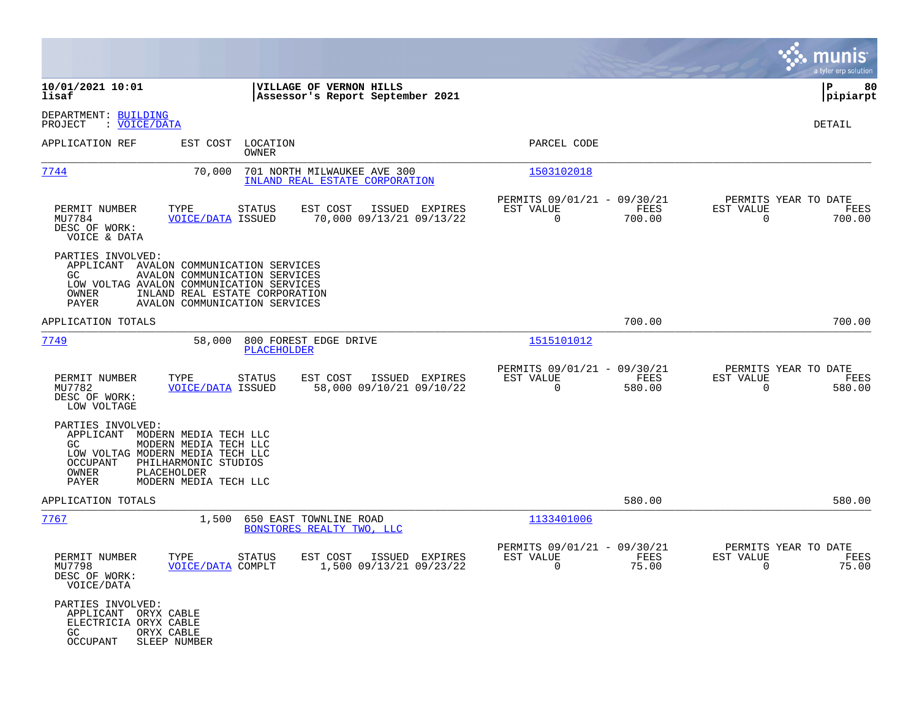|                                                                                      |                                                                                                                                                                                         |                                                               |                                                                              | munis<br>a tyler erp solution                                         |
|--------------------------------------------------------------------------------------|-----------------------------------------------------------------------------------------------------------------------------------------------------------------------------------------|---------------------------------------------------------------|------------------------------------------------------------------------------|-----------------------------------------------------------------------|
| 10/01/2021 10:01<br>lisaf                                                            |                                                                                                                                                                                         | VILLAGE OF VERNON HILLS<br>Assessor's Report September 2021   |                                                                              | ΙP<br>80<br> pipiarpt                                                 |
| DEPARTMENT: BUILDING<br>PROJECT<br>: <u>VOICE/DATA</u>                               |                                                                                                                                                                                         |                                                               |                                                                              | DETAIL                                                                |
| APPLICATION REF                                                                      | EST COST LOCATION<br>OWNER                                                                                                                                                              |                                                               | PARCEL CODE                                                                  |                                                                       |
| <u>7744</u>                                                                          | 70,000                                                                                                                                                                                  | 701 NORTH MILWAUKEE AVE 300<br>INLAND REAL ESTATE CORPORATION | 1503102018                                                                   |                                                                       |
| PERMIT NUMBER<br>MU7784<br>DESC OF WORK:<br>VOICE & DATA                             | TYPE<br>STATUS<br><b>VOICE/DATA ISSUED</b>                                                                                                                                              | EST COST<br>ISSUED EXPIRES<br>70,000 09/13/21 09/13/22        | PERMITS 09/01/21 - 09/30/21<br>FEES<br>EST VALUE<br>$\overline{0}$<br>700.00 | PERMITS YEAR TO DATE<br>EST VALUE<br>FEES<br>$\overline{0}$<br>700.00 |
| PARTIES INVOLVED:<br>GC.<br>OWNER<br>PAYER                                           | APPLICANT AVALON COMMUNICATION SERVICES<br>AVALON COMMUNICATION SERVICES<br>LOW VOLTAG AVALON COMMUNICATION SERVICES<br>INLAND REAL ESTATE CORPORATION<br>AVALON COMMUNICATION SERVICES |                                                               |                                                                              |                                                                       |
| APPLICATION TOTALS                                                                   |                                                                                                                                                                                         |                                                               | 700.00                                                                       | 700.00                                                                |
| 7749                                                                                 | 58,000<br>PLACEHOLDER                                                                                                                                                                   | 800 FOREST EDGE DRIVE                                         | 1515101012                                                                   |                                                                       |
| PERMIT NUMBER<br>MU7782<br>DESC OF WORK:<br>LOW VOLTAGE                              | TYPE<br>STATUS<br><b>VOICE/DATA ISSUED</b>                                                                                                                                              | EST COST<br>ISSUED EXPIRES<br>58,000 09/10/21 09/10/22        | PERMITS 09/01/21 - 09/30/21<br>EST VALUE<br>FEES<br>$\overline{0}$<br>580.00 | PERMITS YEAR TO DATE<br>EST VALUE<br>FEES<br>$\Omega$<br>580.00       |
| PARTIES INVOLVED:<br>GC.<br>OCCUPANT<br>OWNER<br>PAYER                               | APPLICANT MODERN MEDIA TECH LLC<br>MODERN MEDIA TECH LLC<br>LOW VOLTAG MODERN MEDIA TECH LLC<br>PHILHARMONIC STUDIOS<br>PLACEHOLDER<br>MODERN MEDIA TECH LLC                            |                                                               |                                                                              |                                                                       |
| APPLICATION TOTALS                                                                   |                                                                                                                                                                                         |                                                               | 580.00                                                                       | 580.00                                                                |
| 7767                                                                                 | 1,500                                                                                                                                                                                   | 650 EAST TOWNLINE ROAD<br>BONSTORES REALTY TWO, LLC           | 1133401006                                                                   |                                                                       |
| PERMIT NUMBER<br>MU7798<br>DESC OF WORK:<br>VOICE/DATA                               | TYPE<br><b>STATUS</b><br><b>VOICE/DATA COMPLT</b>                                                                                                                                       | EST COST<br>ISSUED EXPIRES<br>1,500 09/13/21 09/23/22         | PERMITS 09/01/21 - 09/30/21<br>EST VALUE<br>FEES<br>75.00<br>$\overline{0}$  | PERMITS YEAR TO DATE<br>EST VALUE<br>FEES<br>75.00<br>$\overline{0}$  |
| PARTIES INVOLVED:<br>APPLICANT ORYX CABLE<br>ELECTRICIA ORYX CABLE<br>GC<br>OCCUPANT | ORYX CABLE<br>SLEEP NUMBER                                                                                                                                                              |                                                               |                                                                              |                                                                       |

**Contract**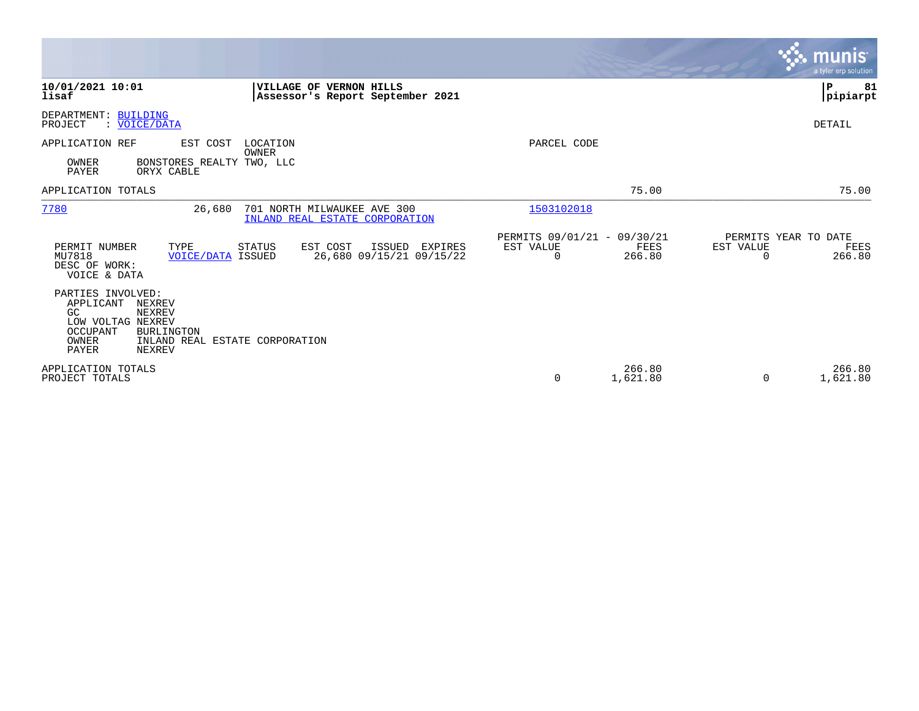|                                                                                                                                                                              |                                                                  |                                                                           | <b>munis</b><br>a tyler erp solution                            |
|------------------------------------------------------------------------------------------------------------------------------------------------------------------------------|------------------------------------------------------------------|---------------------------------------------------------------------------|-----------------------------------------------------------------|
| 10/01/2021 10:01<br>lisaf                                                                                                                                                    | VILLAGE OF VERNON HILLS<br>Assessor's Report September 2021      |                                                                           | P<br>81<br> pipiarpt                                            |
| DEPARTMENT: BUILDING<br>: VOICE/DATA<br>PROJECT                                                                                                                              |                                                                  |                                                                           | <b>DETAIL</b>                                                   |
| APPLICATION REF<br>EST COST                                                                                                                                                  | LOCATION<br>OWNER                                                | PARCEL CODE                                                               |                                                                 |
| OWNER<br>BONSTORES REALTY TWO, LLC<br>PAYER<br>ORYX CABLE                                                                                                                    |                                                                  |                                                                           |                                                                 |
| APPLICATION TOTALS                                                                                                                                                           |                                                                  | 75.00                                                                     | 75.00                                                           |
| 7780<br>26,680                                                                                                                                                               | 701 NORTH MILWAUKEE AVE 300<br>INLAND REAL ESTATE CORPORATION    | 1503102018                                                                |                                                                 |
| PERMIT NUMBER<br>TYPE<br>MU7818<br><b>VOICE/DATA ISSUED</b><br>DESC OF WORK:<br>VOICE & DATA                                                                                 | EST COST<br>STATUS<br>ISSUED EXPIRES<br>26,680 09/15/21 09/15/22 | PERMITS 09/01/21 - 09/30/21<br>EST VALUE<br>FEES<br>266.80<br>$\mathbf 0$ | PERMITS YEAR TO DATE<br>EST VALUE<br>FEES<br>266.80<br>$\Omega$ |
| PARTIES INVOLVED:<br>APPLICANT<br>NEXREV<br>GC<br>NEXREV<br>LOW VOLTAG NEXREV<br>OCCUPANT<br>BURLINGTON<br>OWNER<br>INLAND REAL ESTATE CORPORATION<br><b>PAYER</b><br>NEXREV |                                                                  |                                                                           |                                                                 |
| APPLICATION TOTALS<br>PROJECT TOTALS                                                                                                                                         |                                                                  | 266.80<br>1,621.80<br>0                                                   | 266.80<br>1,621.80<br>$\Omega$                                  |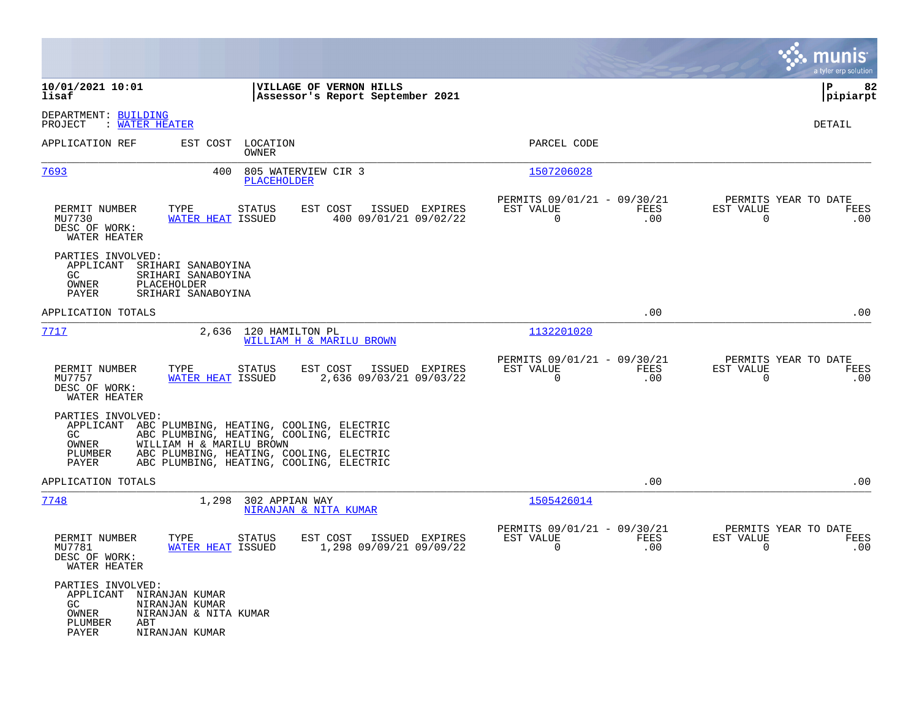|                                                                                                                                                                                                                                                                            |                                                             |                                                                            | a tyler erp solution                                            |
|----------------------------------------------------------------------------------------------------------------------------------------------------------------------------------------------------------------------------------------------------------------------------|-------------------------------------------------------------|----------------------------------------------------------------------------|-----------------------------------------------------------------|
| 10/01/2021 10:01<br>lisaf                                                                                                                                                                                                                                                  | VILLAGE OF VERNON HILLS<br>Assessor's Report September 2021 |                                                                            | 82<br>l P<br> pipiarpt                                          |
| DEPARTMENT: BUILDING<br>: WATER HEATER<br>PROJECT                                                                                                                                                                                                                          |                                                             |                                                                            | DETAIL                                                          |
| APPLICATION REF<br>EST COST LOCATION<br>OWNER                                                                                                                                                                                                                              |                                                             | PARCEL CODE                                                                |                                                                 |
| 7693<br>400<br><b>PLACEHOLDER</b>                                                                                                                                                                                                                                          | 805 WATERVIEW CIR 3                                         | 1507206028                                                                 |                                                                 |
| PERMIT NUMBER<br>TYPE<br><b>STATUS</b><br>MU7730<br>WATER HEAT ISSUED<br>DESC OF WORK:<br>WATER HEATER                                                                                                                                                                     | EST COST<br>ISSUED EXPIRES<br>400 09/01/21 09/02/22         | PERMITS 09/01/21 - 09/30/21<br>EST VALUE<br>FEES<br>$\mathbf 0$<br>.00     | PERMITS YEAR TO DATE<br>EST VALUE<br>FEES<br>$\mathbf 0$<br>.00 |
| PARTIES INVOLVED:<br>APPLICANT<br>SRIHARI SANABOYINA<br>GC<br>SRIHARI SANABOYINA<br>OWNER<br>PLACEHOLDER<br>SRIHARI SANABOYINA<br>PAYER                                                                                                                                    |                                                             |                                                                            |                                                                 |
| APPLICATION TOTALS                                                                                                                                                                                                                                                         |                                                             | .00                                                                        | .00                                                             |
| 7717<br>2,636 120 HAMILTON PL                                                                                                                                                                                                                                              | <b>WILLIAM H &amp; MARILU BROWN</b>                         | 1132201020                                                                 |                                                                 |
| PERMIT NUMBER<br>TYPE<br><b>STATUS</b><br>MU7757<br>WATER HEAT ISSUED<br>DESC OF WORK:<br>WATER HEATER                                                                                                                                                                     | EST COST<br>ISSUED EXPIRES<br>2,636 09/03/21 09/03/22       | PERMITS 09/01/21 - 09/30/21<br><b>FEES</b><br>EST VALUE<br>$\Omega$<br>.00 | PERMITS YEAR TO DATE<br>EST VALUE<br>FEES<br>$\Omega$<br>.00    |
| PARTIES INVOLVED:<br>APPLICANT ABC PLUMBING, HEATING, COOLING, ELECTRIC<br>ABC PLUMBING, HEATING, COOLING, ELECTRIC<br>GC<br>OWNER<br>WILLIAM H & MARILU BROWN<br>ABC PLUMBING, HEATING, COOLING, ELECTRIC<br>PLUMBER<br>ABC PLUMBING, HEATING, COOLING, ELECTRIC<br>PAYER |                                                             |                                                                            |                                                                 |
| APPLICATION TOTALS                                                                                                                                                                                                                                                         |                                                             | .00                                                                        | .00                                                             |
| 7748<br>1,298                                                                                                                                                                                                                                                              | 302 APPIAN WAY<br>NIRANJAN & NITA KUMAR                     | 1505426014                                                                 |                                                                 |
| PERMIT NUMBER<br>TYPE<br><b>STATUS</b><br>WATER HEAT ISSUED<br>MU7781<br>DESC OF WORK:<br>WATER HEATER                                                                                                                                                                     | EST COST<br>ISSUED EXPIRES<br>1,298 09/09/21 09/09/22       | PERMITS 09/01/21 - 09/30/21<br>EST VALUE<br>FEES<br>$\mathbf 0$<br>.00     | PERMITS YEAR TO DATE<br>EST VALUE<br>FEES<br>0<br>.00           |
| PARTIES INVOLVED:<br>APPLICANT<br>NIRANJAN KUMAR<br>GC<br>NIRANJAN KUMAR<br>NIRANJAN & NITA KUMAR<br>OWNER<br>PLUMBER<br>ABT<br>PAYER<br>NIRANJAN KUMAR                                                                                                                    |                                                             |                                                                            |                                                                 |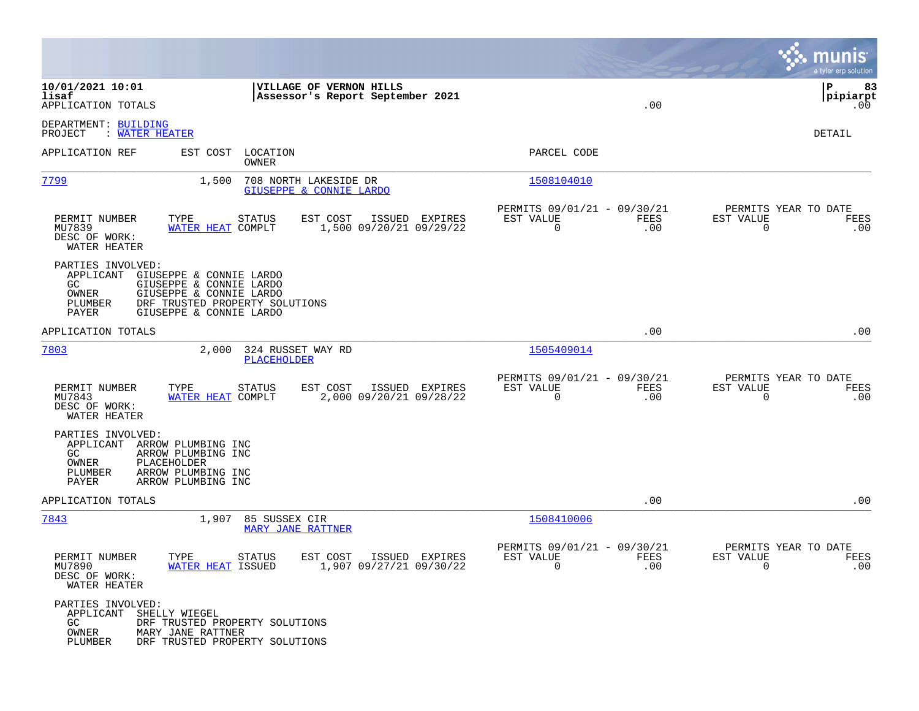|                                                                                                                                                                                                              |                                                                                     | munis<br>a tyler erp solution                                      |
|--------------------------------------------------------------------------------------------------------------------------------------------------------------------------------------------------------------|-------------------------------------------------------------------------------------|--------------------------------------------------------------------|
| 10/01/2021 10:01<br>VILLAGE OF VERNON HILLS<br>lisaf<br>Assessor's Report September 2021<br>APPLICATION TOTALS                                                                                               | .00                                                                                 | l P<br>83<br> pipiarpt<br>$.00 \,$                                 |
| DEPARTMENT: BUILDING<br>PROJECT<br>: WATER HEATER                                                                                                                                                            |                                                                                     | DETAIL                                                             |
| APPLICATION REF<br>EST COST<br>LOCATION<br>OWNER                                                                                                                                                             | PARCEL CODE                                                                         |                                                                    |
| 7799<br>1,500<br>708 NORTH LAKESIDE DR<br>GIUSEPPE & CONNIE LARDO                                                                                                                                            | 1508104010                                                                          |                                                                    |
| EST COST<br>PERMIT NUMBER<br>TYPE<br>STATUS<br>ISSUED EXPIRES<br>MU7839<br>WATER HEAT COMPLT<br>1,500 09/20/21 09/29/22<br>DESC OF WORK:<br>WATER HEATER                                                     | PERMITS 09/01/21 - 09/30/21<br>EST VALUE<br>FEES<br>$\mathbf 0$<br>.00              | PERMITS YEAR TO DATE<br>EST VALUE<br>FEES<br>0<br>.00              |
| PARTIES INVOLVED:<br>APPLICANT GIUSEPPE & CONNIE LARDO<br>GIUSEPPE & CONNIE LARDO<br>GC<br>OWNER<br>GIUSEPPE & CONNIE LARDO<br>DRF TRUSTED PROPERTY SOLUTIONS<br>PLUMBER<br>PAYER<br>GIUSEPPE & CONNIE LARDO |                                                                                     |                                                                    |
| APPLICATION TOTALS                                                                                                                                                                                           | .00                                                                                 | .00                                                                |
| 7803<br>2,000<br>324 RUSSET WAY RD<br>PLACEHOLDER                                                                                                                                                            | 1505409014                                                                          |                                                                    |
| PERMIT NUMBER<br>TYPE<br><b>STATUS</b><br>EST COST<br>ISSUED EXPIRES<br>WATER HEAT COMPLT<br>MU7843<br>2,000 09/20/21 09/28/22<br>DESC OF WORK:<br>WATER HEATER                                              | PERMITS 09/01/21 - 09/30/21<br>EST VALUE<br>FEES<br>$\mathbf 0$<br>.00              | PERMITS YEAR TO DATE<br>EST VALUE<br>FEES<br>0<br>.00              |
| PARTIES INVOLVED:<br>APPLICANT ARROW PLUMBING INC<br>GC<br>ARROW PLUMBING INC<br>OWNER<br>PLACEHOLDER<br>ARROW PLUMBING INC<br>PLUMBER<br>PAYER<br>ARROW PLUMBING INC                                        |                                                                                     |                                                                    |
| APPLICATION TOTALS                                                                                                                                                                                           | .00                                                                                 | .00                                                                |
| 1,907<br>85 SUSSEX CIR<br><u>7843</u><br><b>MARY JANE RATTNER</b>                                                                                                                                            | 1508410006                                                                          |                                                                    |
| PERMIT NUMBER<br>TYPE<br><b>STATUS</b><br>EST COST<br>ISSUED EXPIRES<br>MU7890<br>WATER HEAT ISSUED<br>1,907 09/27/21 09/30/22<br>DESC OF WORK:<br>WATER HEATER                                              | PERMITS 09/01/21 - 09/30/21<br>EST VALUE<br>FEES<br>.00<br>$\overline{\phantom{0}}$ | PERMITS YEAR TO DATE<br>EST VALUE<br>FEES<br>.00<br>$\overline{0}$ |
| PARTIES INVOLVED:<br>APPLICANT SHELLY WIEGEL<br>GC<br>DRF TRUSTED PROPERTY SOLUTIONS<br>OWNER<br>MARY JANE RATTNER<br>PLUMBER<br>DRF TRUSTED PROPERTY SOLUTIONS                                              |                                                                                     |                                                                    |

**Contract**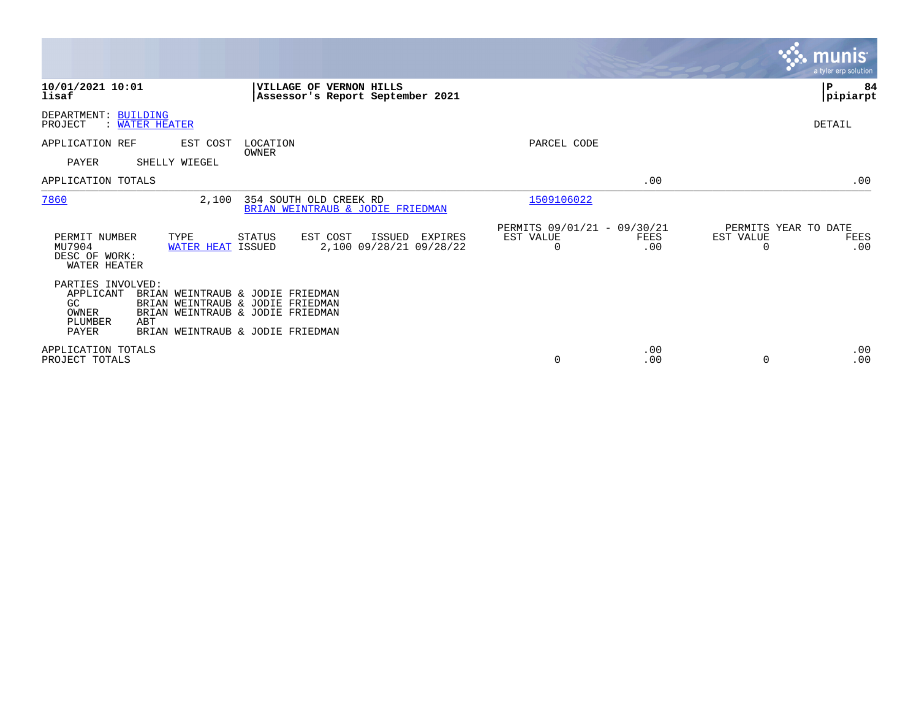|                                                                                 |                                  |                                                                                                                                              |                                              |                                               |             |                                               | <b>munis</b><br>a tyler erp solution. |
|---------------------------------------------------------------------------------|----------------------------------|----------------------------------------------------------------------------------------------------------------------------------------------|----------------------------------------------|-----------------------------------------------|-------------|-----------------------------------------------|---------------------------------------|
| 10/01/2021 10:01<br>lisaf                                                       |                                  | VILLAGE OF VERNON HILLS<br>Assessor's Report September 2021                                                                                  |                                              |                                               |             |                                               | ∣P<br>84<br> pipiarpt                 |
| DEPARTMENT: BUILDING<br>PROJECT                                                 | <b>WATER HEATER</b>              |                                                                                                                                              |                                              |                                               |             |                                               | DETAIL                                |
| APPLICATION REF                                                                 | EST COST                         | LOCATION                                                                                                                                     |                                              | PARCEL CODE                                   |             |                                               |                                       |
| <b>PAYER</b>                                                                    | SHELLY WIEGEL                    | OWNER                                                                                                                                        |                                              |                                               |             |                                               |                                       |
| APPLICATION TOTALS                                                              |                                  |                                                                                                                                              |                                              |                                               | .00         |                                               | .00                                   |
| 7860                                                                            | 2,100                            | 354 SOUTH OLD CREEK RD<br>BRIAN WEINTRAUB & JODIE FRIEDMAN                                                                                   |                                              | 1509106022                                    |             |                                               |                                       |
| PERMIT NUMBER<br>MU7904<br>DESC OF WORK:<br>WATER HEATER                        | TYPE<br><b>WATER HEAT ISSUED</b> | STATUS<br>EST COST                                                                                                                           | ISSUED<br>EXPIRES<br>2,100 09/28/21 09/28/22 | PERMITS 09/01/21 - 09/30/21<br>EST VALUE<br>0 | FEES<br>.00 | PERMITS YEAR TO DATE<br>EST VALUE<br>$\Omega$ | FEES<br>.00                           |
| PARTIES INVOLVED:<br>APPLICANT<br>GC<br>OWNER<br><b>PLUMBER</b><br><b>PAYER</b> | ABT                              | BRIAN WEINTRAUB & JODIE FRIEDMAN<br>BRIAN WEINTRAUB & JODIE FRIEDMAN<br>BRIAN WEINTRAUB & JODIE FRIEDMAN<br>BRIAN WEINTRAUB & JODIE FRIEDMAN |                                              |                                               |             |                                               |                                       |
| APPLICATION TOTALS<br>PROJECT TOTALS                                            |                                  |                                                                                                                                              |                                              | 0                                             | .00<br>.00  | $\Omega$                                      | .00<br>.00                            |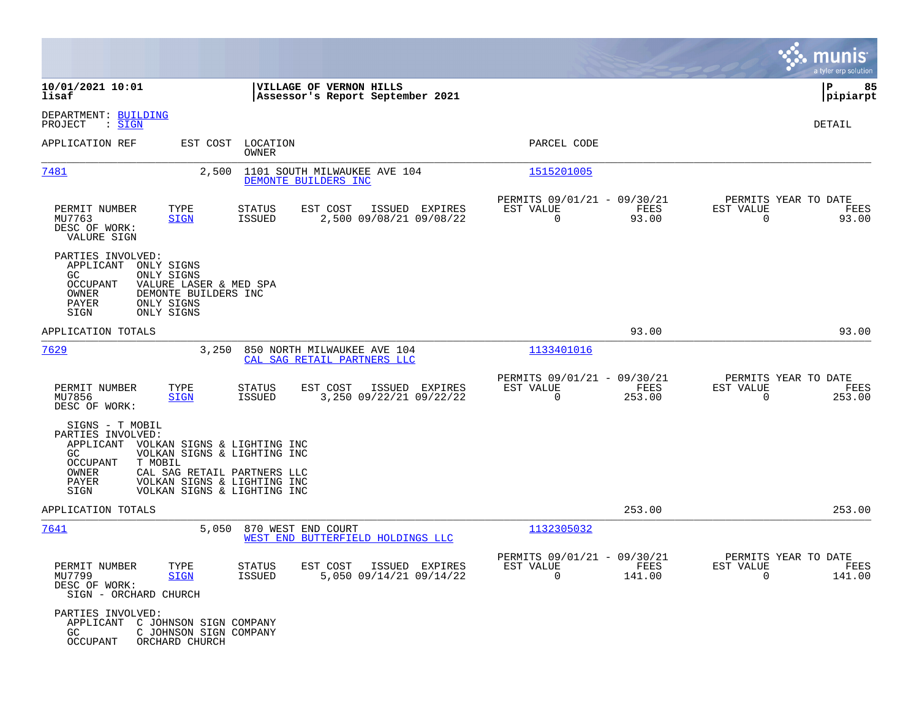|                                                                                                                                                                                                                                                                  |                                                                  |                                                                          | munis<br>a tyler erp solution                                   |
|------------------------------------------------------------------------------------------------------------------------------------------------------------------------------------------------------------------------------------------------------------------|------------------------------------------------------------------|--------------------------------------------------------------------------|-----------------------------------------------------------------|
| 10/01/2021 10:01<br>lisaf                                                                                                                                                                                                                                        | VILLAGE OF VERNON HILLS<br>Assessor's Report September 2021      |                                                                          | ΙP<br>85<br> pipiarpt                                           |
| DEPARTMENT: BUILDING<br>PROJECT<br>: <u>SIGN</u>                                                                                                                                                                                                                 |                                                                  |                                                                          | DETAIL                                                          |
| APPLICATION REF<br>EST COST LOCATION<br>OWNER                                                                                                                                                                                                                    |                                                                  | PARCEL CODE                                                              |                                                                 |
| 7481<br>2,500                                                                                                                                                                                                                                                    | 1101 SOUTH MILWAUKEE AVE 104<br>DEMONTE BUILDERS INC             | 1515201005                                                               |                                                                 |
| TYPE<br>PERMIT NUMBER<br>STATUS<br>MU7763<br>ISSUED<br><b>SIGN</b><br>DESC OF WORK:<br>VALURE SIGN                                                                                                                                                               | ISSUED EXPIRES<br>EST COST<br>2,500 09/08/21 09/08/22            | PERMITS 09/01/21 - 09/30/21<br>EST VALUE<br>FEES<br>$\mathbf 0$<br>93.00 | PERMITS YEAR TO DATE<br>EST VALUE<br>FEES<br>$\Omega$<br>93.00  |
| PARTIES INVOLVED:<br>APPLICANT<br>ONLY SIGNS<br>GC.<br>ONLY SIGNS<br>OCCUPANT<br>VALURE LASER & MED SPA<br>OWNER<br>DEMONTE BUILDERS INC<br>PAYER<br>ONLY SIGNS<br>SIGN<br>ONLY SIGNS                                                                            |                                                                  |                                                                          |                                                                 |
| APPLICATION TOTALS                                                                                                                                                                                                                                               |                                                                  | 93.00                                                                    | 93.00                                                           |
| 7629                                                                                                                                                                                                                                                             | 3,250 850 NORTH MILWAUKEE AVE 104<br>CAL SAG RETAIL PARTNERS LLC | 1133401016                                                               |                                                                 |
| TYPE<br>PERMIT NUMBER<br>STATUS<br>MU7856<br><b>SIGN</b><br>ISSUED<br>DESC OF WORK:                                                                                                                                                                              | EST COST<br>ISSUED EXPIRES<br>3,250 09/22/21 09/22/22            | PERMITS 09/01/21 - 09/30/21<br>EST VALUE<br>FEES<br>0<br>253.00          | PERMITS YEAR TO DATE<br>EST VALUE<br>FEES<br>0<br>253.00        |
| SIGNS - T MOBIL<br>PARTIES INVOLVED:<br>APPLICANT VOLKAN SIGNS & LIGHTING INC<br>GC<br>VOLKAN SIGNS & LIGHTING INC<br>T MOBIL<br>OCCUPANT<br>OWNER<br>CAL SAG RETAIL PARTNERS LLC<br>PAYER<br>VOLKAN SIGNS & LIGHTING INC<br>SIGN<br>VOLKAN SIGNS & LIGHTING INC |                                                                  |                                                                          |                                                                 |
| APPLICATION TOTALS                                                                                                                                                                                                                                               |                                                                  | 253.00                                                                   | 253.00                                                          |
| <u>7641</u><br>5,050 870 WEST END COURT                                                                                                                                                                                                                          | WEST END BUTTERFIELD HOLDINGS LLC                                | 1132305032                                                               |                                                                 |
| PERMIT NUMBER<br>STATUS<br>TYPE<br>MU7799<br><b>SIGN</b><br>ISSUED<br>DESC OF WORK:<br>SIGN - ORCHARD CHURCH                                                                                                                                                     | EST COST ISSUED EXPIRES<br>5,050 09/14/21 09/14/22               | PERMITS 09/01/21 - 09/30/21<br>FEES<br>EST VALUE<br>$\Omega$<br>141.00   | PERMITS YEAR TO DATE<br>EST VALUE<br>FEES<br>$\Omega$<br>141.00 |
| PARTIES INVOLVED:<br>APPLICANT C JOHNSON SIGN COMPANY<br>GC<br>C JOHNSON SIGN COMPANY<br>OCCUPANT<br>ORCHARD CHURCH                                                                                                                                              |                                                                  |                                                                          |                                                                 |